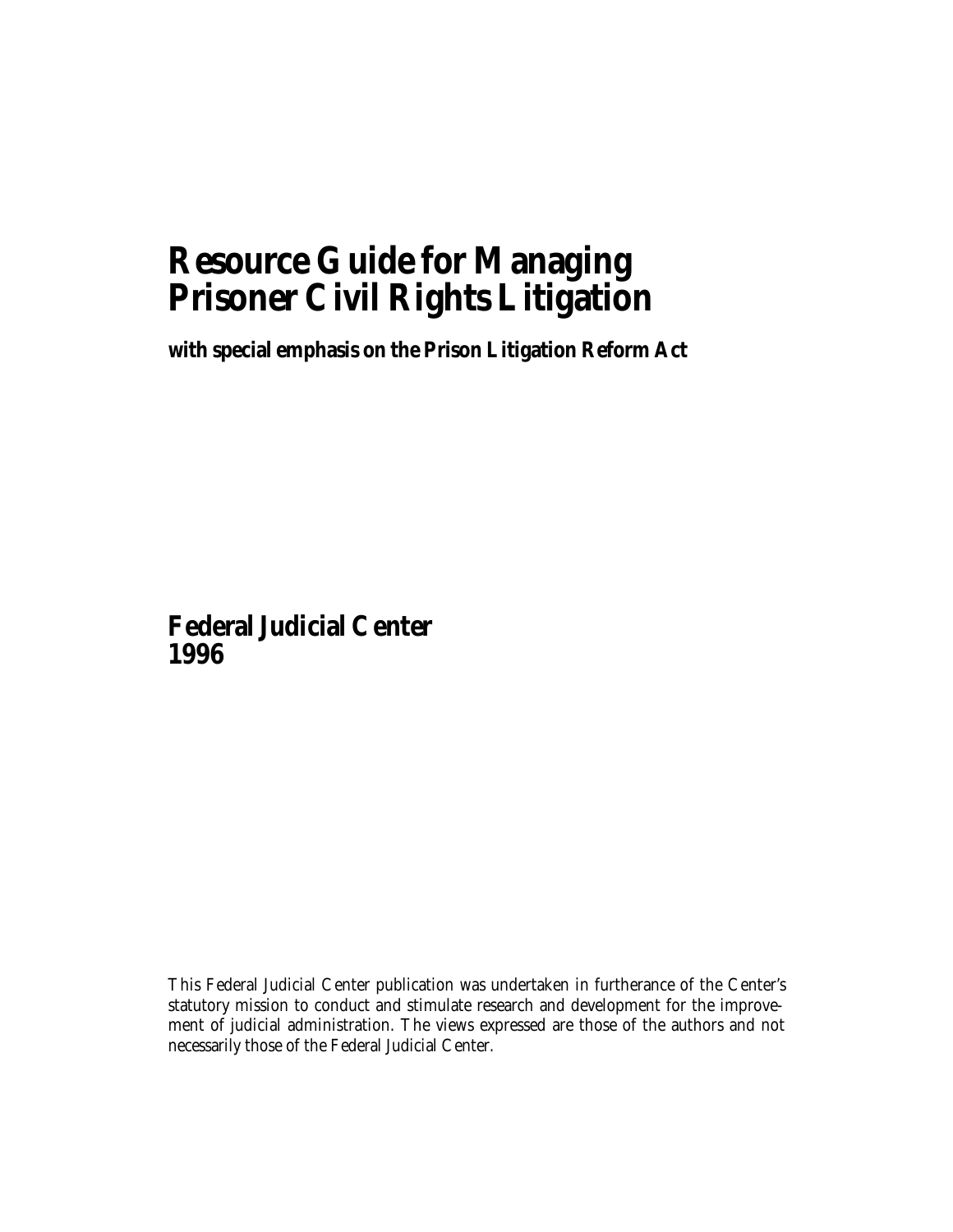# **Resource Guide for Managing Prisoner Civil Rights Litigation**

**with special emphasis on the Prison Litigation Reform Act**

**Federal Judicial Center 1996**

This Federal Judicial Center publication was undertaken in furtherance of the Center's statutory mission to conduct and stimulate research and development for the improvement of judicial administration. The views expressed are those of the authors and not necessarily those of the Federal Judicial Center.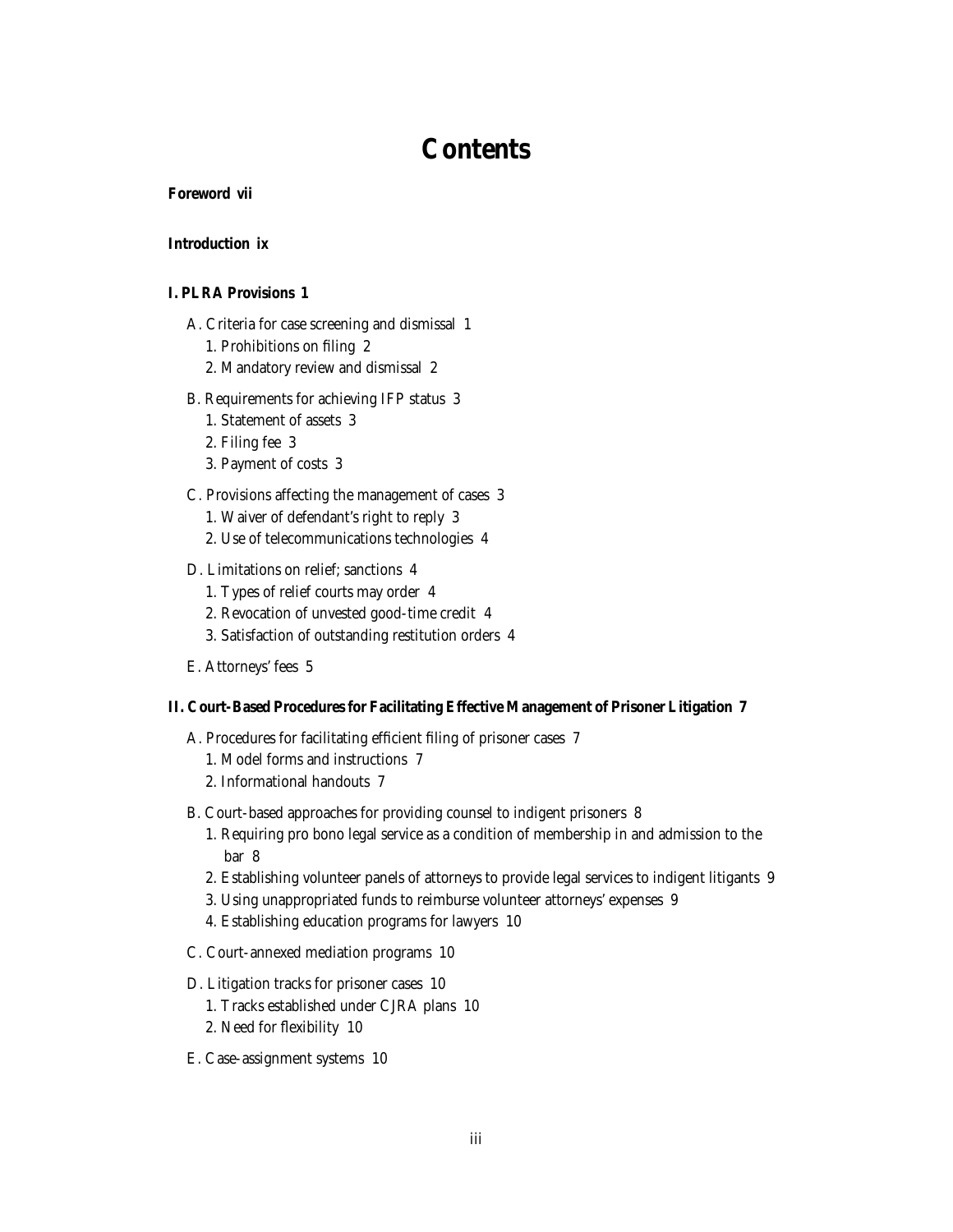# **Contents**

#### **Foreword vii**

#### **Introduction ix**

#### **I. PLRA Provisions 1**

- A. Criteria for case screening and dismissal 1
	- 1. Prohibitions on filing 2
	- 2. Mandatory review and dismissal 2
- B. Requirements for achieving IFP status 3
	- 1. Statement of assets 3
	- 2. Filing fee 3
	- 3. Payment of costs 3
- C. Provisions affecting the management of cases 3
	- 1. Waiver of defendant's right to reply 3
	- 2. Use of telecommunications technologies 4
- D. Limitations on relief; sanctions 4
	- 1. Types of relief courts may order 4
	- 2. Revocation of unvested good-time credit 4
	- 3. Satisfaction of outstanding restitution orders 4
- E. Attorneys' fees 5

#### **II. Court-Based Procedures for Facilitating Effective Management of Prisoner Litigation 7**

- A. Procedures for facilitating efficient filing of prisoner cases 7
	- 1. Model forms and instructions 7
	- 2. Informational handouts 7
- B. Court-based approaches for providing counsel to indigent prisoners 8
	- 1. Requiring pro bono legal service as a condition of membership in and admission to the bar 8
	- 2. Establishing volunteer panels of attorneys to provide legal services to indigent litigants 9
	- 3. Using unappropriated funds to reimburse volunteer attorneys' expenses 9
	- 4. Establishing education programs for lawyers 10
- C. Court-annexed mediation programs 10
- D. Litigation tracks for prisoner cases 10
	- 1. Tracks established under CJRA plans 10
	- 2. Need for flexibility 10
- E. Case-assignment systems 10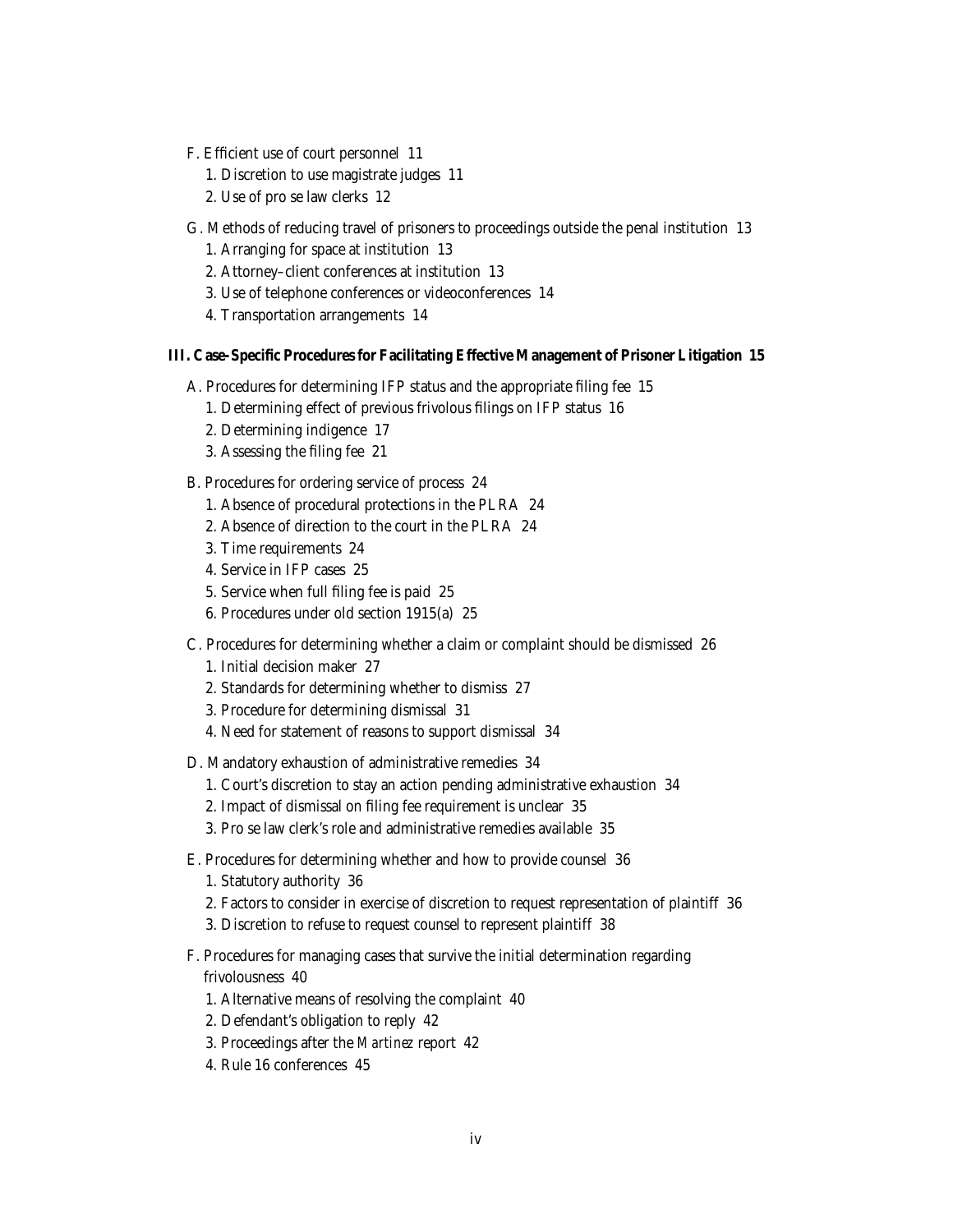- F. Efficient use of court personnel 11
	- 1. Discretion to use magistrate judges 11
	- 2. Use of pro se law clerks 12
- G. Methods of reducing travel of prisoners to proceedings outside the penal institution 13
	- 1. Arranging for space at institution 13
	- 2. Attorney–client conferences at institution 13
	- 3. Use of telephone conferences or videoconferences 14
	- 4. Transportation arrangements 14

#### **III. Case-Specific Procedures for Facilitating Effective Management of Prisoner Litigation 15**

- A. Procedures for determining IFP status and the appropriate filing fee 15
	- 1. Determining effect of previous frivolous filings on IFP status 16
	- 2. Determining indigence 17
	- 3. Assessing the filing fee 21
- B. Procedures for ordering service of process 24
	- 1. Absence of procedural protections in the PLRA 24
	- 2. Absence of direction to the court in the PLRA 24
	- 3. Time requirements 24
	- 4. Service in IFP cases 25
	- 5. Service when full filing fee is paid 25
	- 6. Procedures under old section 1915(a) 25
- C. Procedures for determining whether a claim or complaint should be dismissed 26
	- 1. Initial decision maker 27
	- 2. Standards for determining whether to dismiss 27
	- 3. Procedure for determining dismissal 31
	- 4. Need for statement of reasons to support dismissal 34
- D. Mandatory exhaustion of administrative remedies 34
	- 1. Court's discretion to stay an action pending administrative exhaustion 34
	- 2. Impact of dismissal on filing fee requirement is unclear 35
	- 3. Pro se law clerk's role and administrative remedies available 35
- E. Procedures for determining whether and how to provide counsel 36
	- 1. Statutory authority 36
	- 2. Factors to consider in exercise of discretion to request representation of plaintiff 36
	- 3. Discretion to refuse to request counsel to represent plaintiff 38
- F. Procedures for managing cases that survive the initial determination regarding

frivolousness 40

- 1. Alternative means of resolving the complaint 40
- 2. Defendant's obligation to reply 42
- 3. Proceedings after the *Martinez* report 42
- 4. Rule 16 conferences 45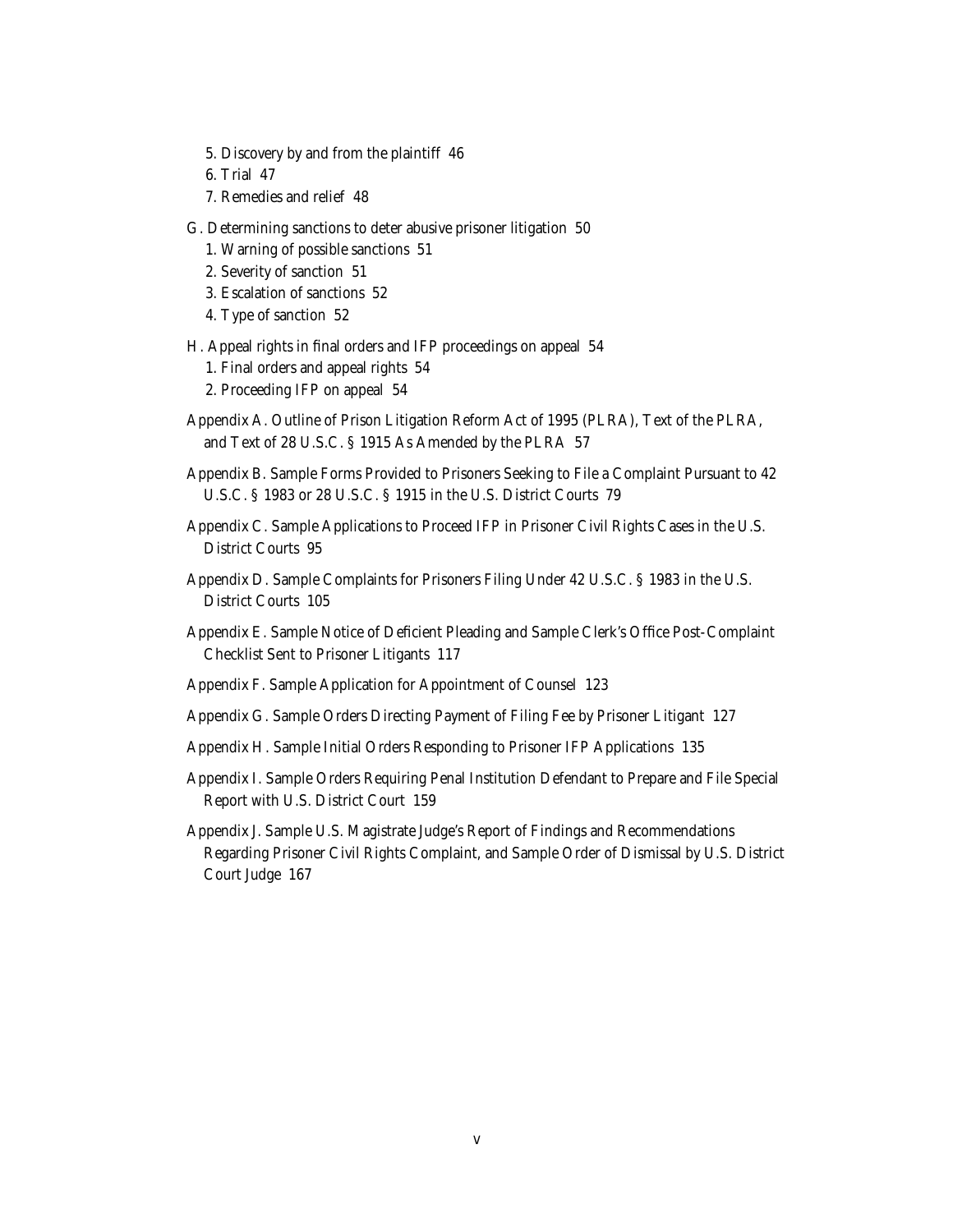- 5. Discovery by and from the plaintiff 46
- 6. Trial 47
- 7. Remedies and relief 48
- G. Determining sanctions to deter abusive prisoner litigation 50
	- 1. Warning of possible sanctions 51
	- 2. Severity of sanction 51
	- 3. Escalation of sanctions 52
	- 4. Type of sanction 52
- H. Appeal rights in final orders and IFP proceedings on appeal 54
	- 1. Final orders and appeal rights 54
	- 2. Proceeding IFP on appeal 54
- Appendix A. Outline of Prison Litigation Reform Act of 1995 (PLRA), Text of the PLRA, and Text of 28 U.S.C. § 1915 As Amended by the PLRA 57
- Appendix B. Sample Forms Provided to Prisoners Seeking to File a Complaint Pursuant to 42 U.S.C. § 1983 or 28 U.S.C. § 1915 in the U.S. District Courts 79
- Appendix C. Sample Applications to Proceed IFP in Prisoner Civil Rights Cases in the U.S. District Courts 95
- Appendix D. Sample Complaints for Prisoners Filing Under 42 U.S.C. § 1983 in the U.S. District Courts 105
- Appendix E. Sample Notice of Deficient Pleading and Sample Clerk's Office Post-Complaint Checklist Sent to Prisoner Litigants 117
- Appendix F. Sample Application for Appointment of Counsel 123
- Appendix G. Sample Orders Directing Payment of Filing Fee by Prisoner Litigant 127
- Appendix H. Sample Initial Orders Responding to Prisoner IFP Applications 135
- Appendix I. Sample Orders Requiring Penal Institution Defendant to Prepare and File Special Report with U.S. District Court 159
- Appendix J. Sample U.S. Magistrate Judge's Report of Findings and Recommendations Regarding Prisoner Civil Rights Complaint, and Sample Order of Dismissal by U.S. District Court Judge 167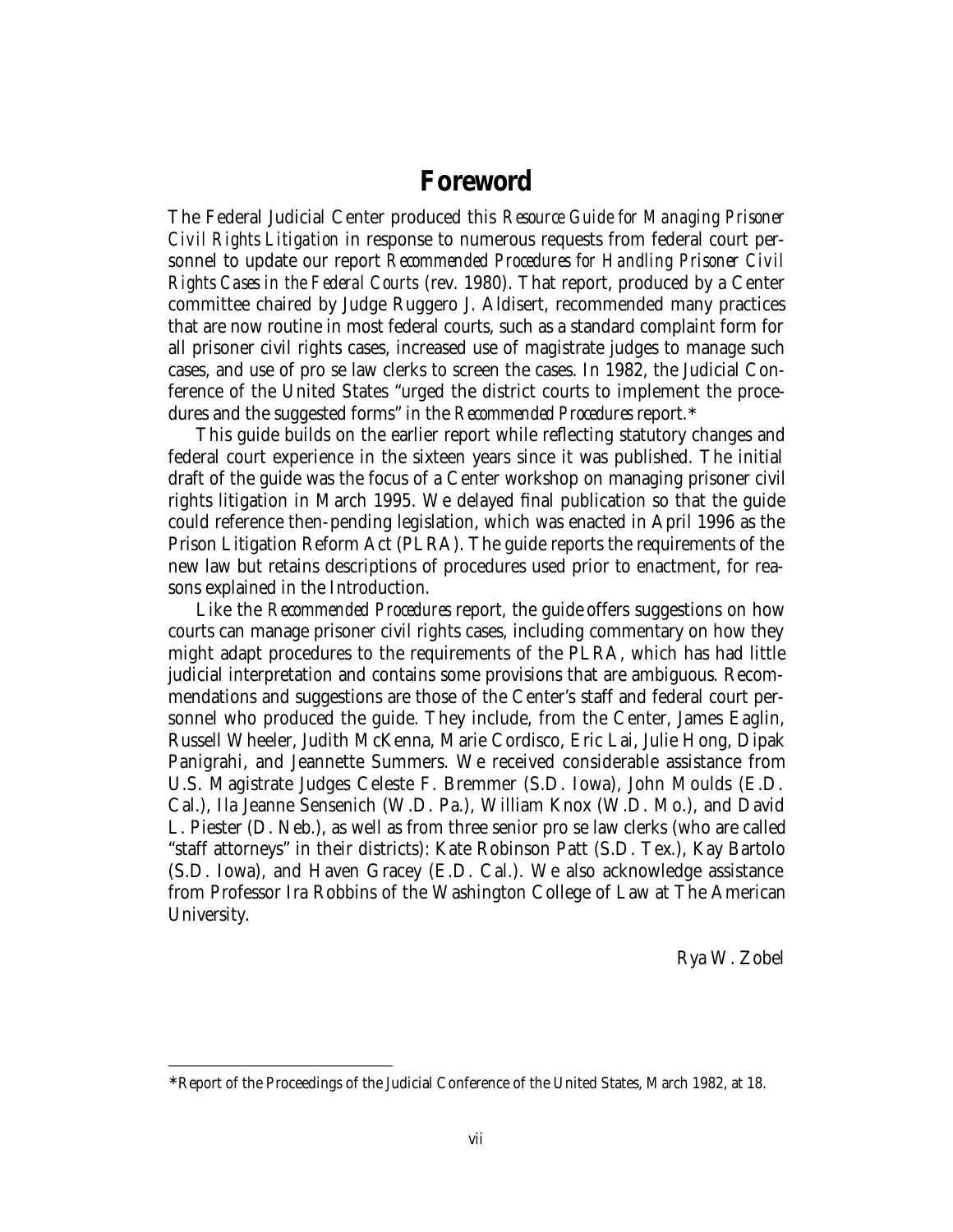# **Foreword**

The Federal Judicial Center produced this *Resource Guide for Managing Prisoner Civil Rights Litigation* in response to numerous requests from federal court personnel to update our report *Recommended Procedures for Handling Prisoner Civil Rights Cases in the Federal Courts* (rev. 1980). That report, produced by a Center committee chaired by Judge Ruggero J. Aldisert, recommended many practices that are now routine in most federal courts, such as a standard complaint form for all prisoner civil rights cases, increased use of magistrate judges to manage such cases, and use of pro se law clerks to screen the cases. In 1982, the Judicial Conference of the United States "urged the district courts to implement the procedures and the suggested forms" in the *Recommended Procedures* report.<sup>∗</sup>

This guide builds on the earlier report while reflecting statutory changes and federal court experience in the sixteen years since it was published. The initial draft of the guide was the focus of a Center workshop on managing prisoner civil rights litigation in March 1995. We delayed final publication so that the guide could reference then-pending legislation, which was enacted in April 1996 as the Prison Litigation Reform Act (PLRA). The guide reports the requirements of the new law but retains descriptions of procedures used prior to enactment, for reasons explained in the Introduction.

Like the *Recommended Procedures* report, the guide offers suggestions on how courts can manage prisoner civil rights cases, including commentary on how they might adapt procedures to the requirements of the PLRA, which has had little judicial interpretation and contains some provisions that are ambiguous. Recommendations and suggestions are those of the Center's staff and federal court personnel who produced the guide. They include, from the Center, James Eaglin, Russell Wheeler, Judith McKenna, Marie Cordisco, Eric Lai, Julie Hong, Dipak Panigrahi, and Jeannette Summers. We received considerable assistance from U.S. Magistrate Judges Celeste F. Bremmer (S.D. Iowa), John Moulds (E.D. Cal.), Ila Jeanne Sensenich (W.D. Pa.), William Knox (W.D. Mo.), and David L. Piester (D. Neb.), as well as from three senior pro se law clerks (who are called "staff attorneys" in their districts): Kate Robinson Patt (S.D. Tex.), Kay Bartolo (S.D. Iowa), and Haven Gracey (E.D. Cal.). We also acknowledge assistance from Professor Ira Robbins of the Washington College of Law at The American University.

Rya W. Zobel

 $\overline{a}$ <sup>∗</sup> Report of the Proceedings of the Judicial Conference of the United States, March 1982, at 18.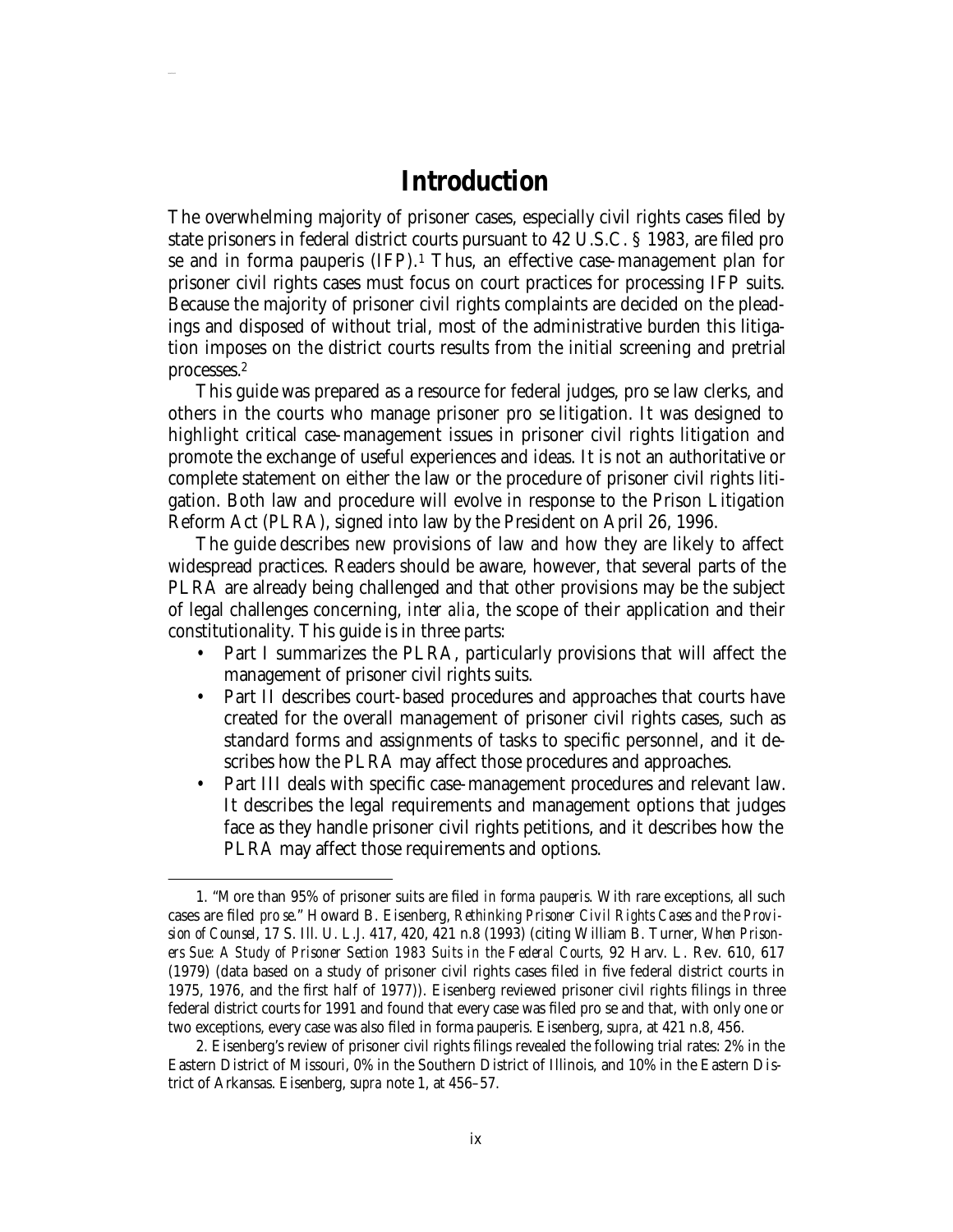# **Introduction**

The overwhelming majority of prisoner cases, especially civil rights cases filed by state prisoners in federal district courts pursuant to 42 U.S.C. § 1983, are filed pro se and in forma pauperis (IFP).1 Thus, an effective case-management plan for prisoner civil rights cases must focus on court practices for processing IFP suits. Because the majority of prisoner civil rights complaints are decided on the pleadings and disposed of without trial, most of the administrative burden this litigation imposes on the district courts results from the initial screening and pretrial processes.2

This guide was prepared as a resource for federal judges, pro se law clerks, and others in the courts who manage prisoner pro se litigation. It was designed to highlight critical case-management issues in prisoner civil rights litigation and promote the exchange of useful experiences and ideas. It is not an authoritative or complete statement on either the law or the procedure of prisoner civil rights litigation. Both law and procedure will evolve in response to the Prison Litigation Reform Act (PLRA), signed into law by the President on April 26, 1996.

The guide describes new provisions of law and how they are likely to affect widespread practices. Readers should be aware, however, that several parts of the PLRA are already being challenged and that other provisions may be the subject of legal challenges concerning, *inter alia*, the scope of their application and their constitutionality. This guide is in three parts:

- Part I summarizes the PLRA, particularly provisions that will affect the management of prisoner civil rights suits.
- Part II describes court-based procedures and approaches that courts have created for the overall management of prisoner civil rights cases, such as standard forms and assignments of tasks to specific personnel, and it describes how the PLRA may affect those procedures and approaches.
- Part III deals with specific case-management procedures and relevant law. It describes the legal requirements and management options that judges face as they handle prisoner civil rights petitions, and it describes how the PLRA may affect those requirements and options.

 <sup>1. &</sup>quot;More than 95% of prisoner suits are filed *in forma pauperis*. With rare exceptions, all such cases are filed *pro se*." Howard B. Eisenberg, *Rethinking Prisoner Civil Rights Cases and the Provision of Counsel*, 17 S. Ill. U. L.J. 417, 420, 421 n.8 (1993) (citing William B. Turner, *When Prisoners Sue: A Study of Prisoner Section 1983 Suits in the Federal Courts*, 92 Harv. L. Rev. 610, 617 (1979) (data based on a study of prisoner civil rights cases filed in five federal district courts in 1975, 1976, and the first half of 1977)). Eisenberg reviewed prisoner civil rights filings in three federal district courts for 1991 and found that every case was filed pro se and that, with only one or two exceptions, every case was also filed in forma pauperis. Eisenberg, *supra*, at 421 n.8, 456.

<sup>2.</sup> Eisenberg's review of prisoner civil rights filings revealed the following trial rates: 2% in the Eastern District of Missouri, 0% in the Southern District of Illinois, and 10% in the Eastern District of Arkansas. Eisenberg, *supra* note 1, at 456–57.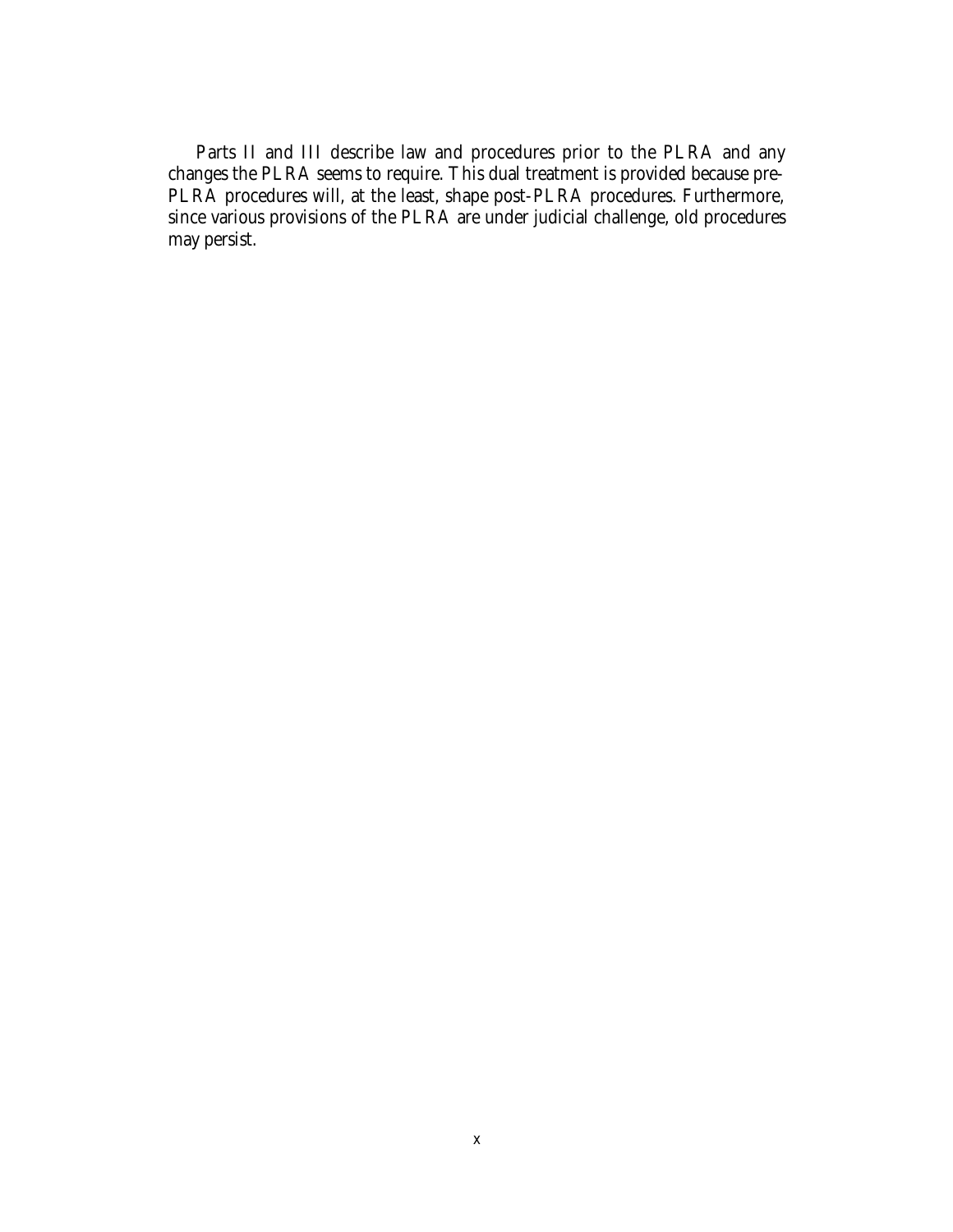Parts II and III describe law and procedures prior to the PLRA and any changes the PLRA seems to require. This dual treatment is provided because pre-PLRA procedures will, at the least, shape post-PLRA procedures. Furthermore, since various provisions of the PLRA are under judicial challenge, old procedures may persist.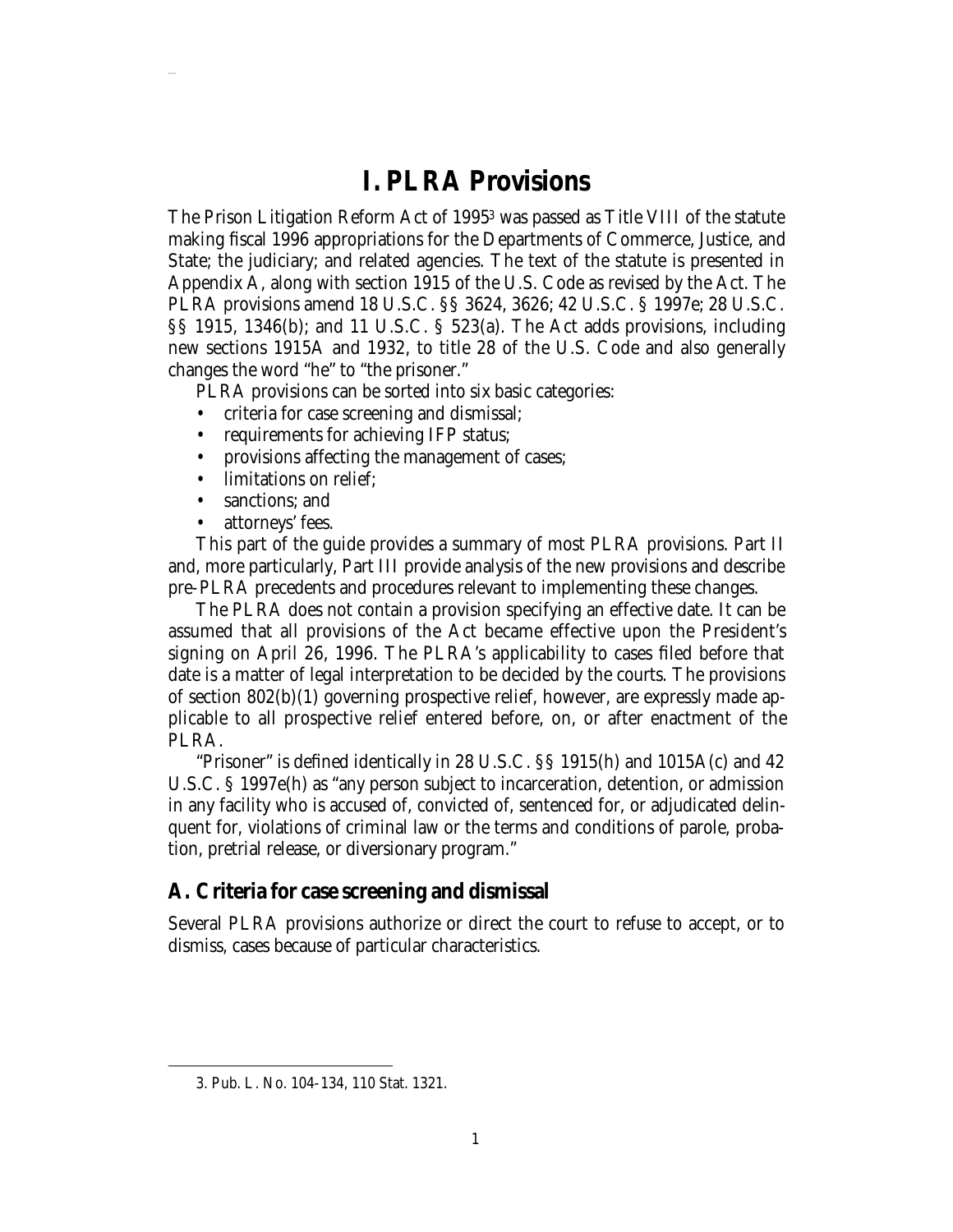# **I. PLRA Provisions**

The Prison Litigation Reform Act of 19953 was passed as Title VIII of the statute making fiscal 1996 appropriations for the Departments of Commerce, Justice, and State; the judiciary; and related agencies. The text of the statute is presented in Appendix A, along with section 1915 of the U.S. Code as revised by the Act. The PLRA provisions amend 18 U.S.C. §§ 3624, 3626; 42 U.S.C. § 1997e; 28 U.S.C. §§ 1915, 1346(b); and 11 U.S.C. § 523(a). The Act adds provisions, including new sections 1915A and 1932, to title 28 of the U.S. Code and also generally changes the word "he" to "the prisoner."

PLRA provisions can be sorted into six basic categories:

- criteria for case screening and dismissal;
- requirements for achieving IFP status;
- provisions affecting the management of cases;
- limitations on relief;
- sanctions: and
- attorneys' fees.

This part of the guide provides a summary of most PLRA provisions. Part II and, more particularly, Part III provide analysis of the new provisions and describe pre-PLRA precedents and procedures relevant to implementing these changes.

The PLRA does not contain a provision specifying an effective date. It can be assumed that all provisions of the Act became effective upon the President's signing on April 26, 1996. The PLRA's applicability to cases filed before that date is a matter of legal interpretation to be decided by the courts. The provisions of section 802(b)(1) governing prospective relief, however, are expressly made applicable to all prospective relief entered before, on, or after enactment of the PLRA.

"Prisoner" is defined identically in 28 U.S.C. §§ 1915(h) and 1015A(c) and 42 U.S.C. § 1997e(h) as "any person subject to incarceration, detention, or admission in any facility who is accused of, convicted of, sentenced for, or adjudicated delinquent for, violations of criminal law or the terms and conditions of parole, probation, pretrial release, or diversionary program."

# **A. Criteria for case screening and dismissal**

Several PLRA provisions authorize or direct the court to refuse to accept, or to dismiss, cases because of particular characteristics.

 $\overline{a}$ 

<sup>3.</sup> Pub. L. No. 104-134, 110 Stat. 1321.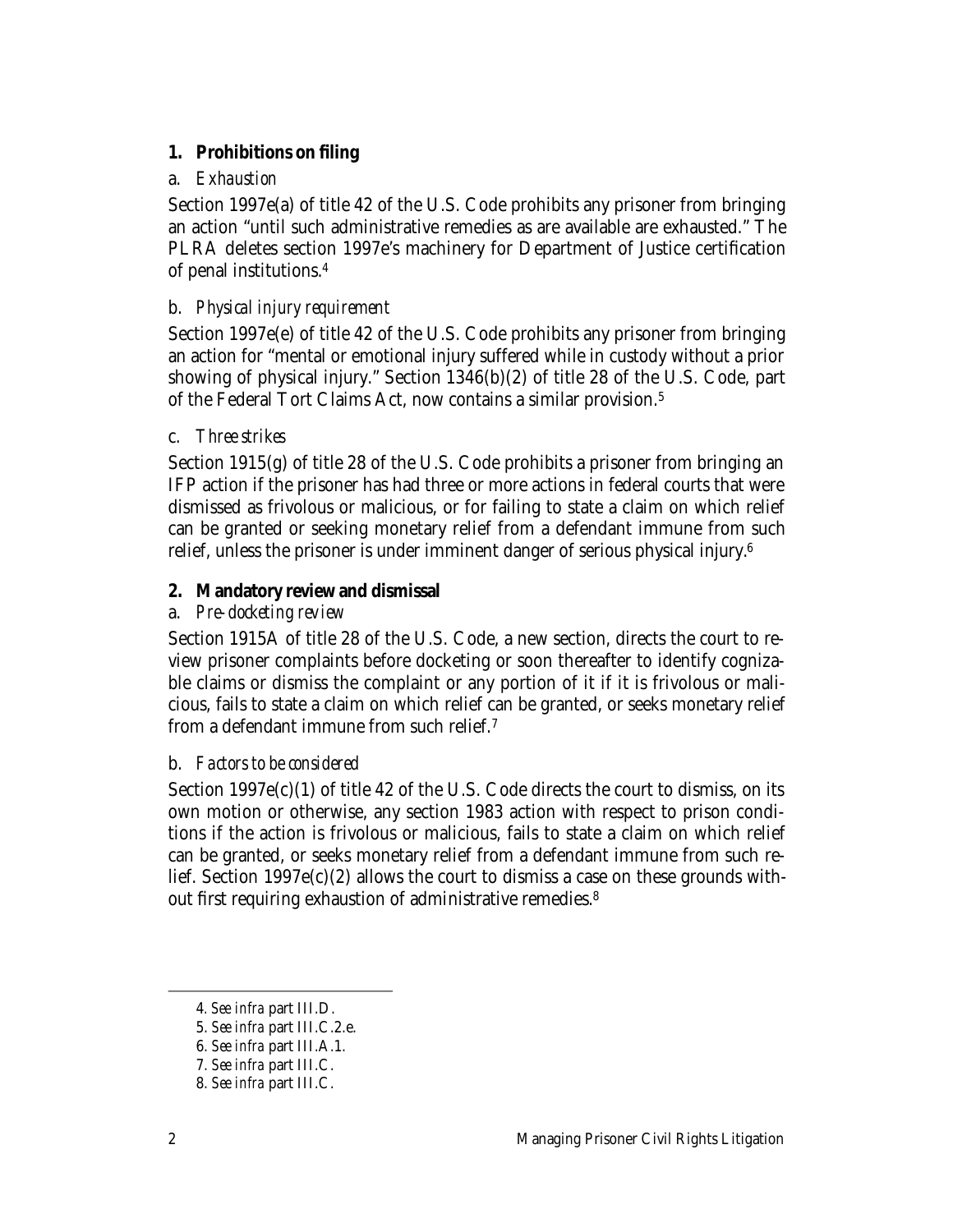#### **1. Prohibitions on filing**

#### a. *Exhaustion*

Section 1997e(a) of title 42 of the U.S. Code prohibits any prisoner from bringing an action "until such administrative remedies as are available are exhausted." The PLRA deletes section 1997e's machinery for Department of Justice certification of penal institutions.4

# b. *Physical injury requirement*

Section 1997e(e) of title 42 of the U.S. Code prohibits any prisoner from bringing an action for "mental or emotional injury suffered while in custody without a prior showing of physical injury." Section 1346(b)(2) of title 28 of the U.S. Code, part of the Federal Tort Claims Act, now contains a similar provision.5

### c. *Three strikes*

Section 1915(g) of title 28 of the U.S. Code prohibits a prisoner from bringing an IFP action if the prisoner has had three or more actions in federal courts that were dismissed as frivolous or malicious, or for failing to state a claim on which relief can be granted or seeking monetary relief from a defendant immune from such relief, unless the prisoner is under imminent danger of serious physical injury.6

### **2. Mandatory review and dismissal**

#### a. *Pre-docketing review*

Section 1915A of title 28 of the U.S. Code, a new section, directs the court to review prisoner complaints before docketing or soon thereafter to identify cognizable claims or dismiss the complaint or any portion of it if it is frivolous or malicious, fails to state a claim on which relief can be granted, or seeks monetary relief from a defendant immune from such relief.7

#### b. *Factors to be considered*

Section  $1997e(c)(1)$  of title 42 of the U.S. Code directs the court to dismiss, on its own motion or otherwise, any section 1983 action with respect to prison conditions if the action is frivolous or malicious, fails to state a claim on which relief can be granted, or seeks monetary relief from a defendant immune from such relief. Section 1997e(c)(2) allows the court to dismiss a case on these grounds without first requiring exhaustion of administrative remedies.8

 $\overline{a}$ 

<sup>4</sup>*. See infra* part III.D.

<sup>5.</sup> *See infra* part III.C.2.e.

<sup>6.</sup> *See infra* part III.A.1.

<sup>7.</sup> *See infra* part III.C.

<sup>8.</sup> *See infra* part III.C.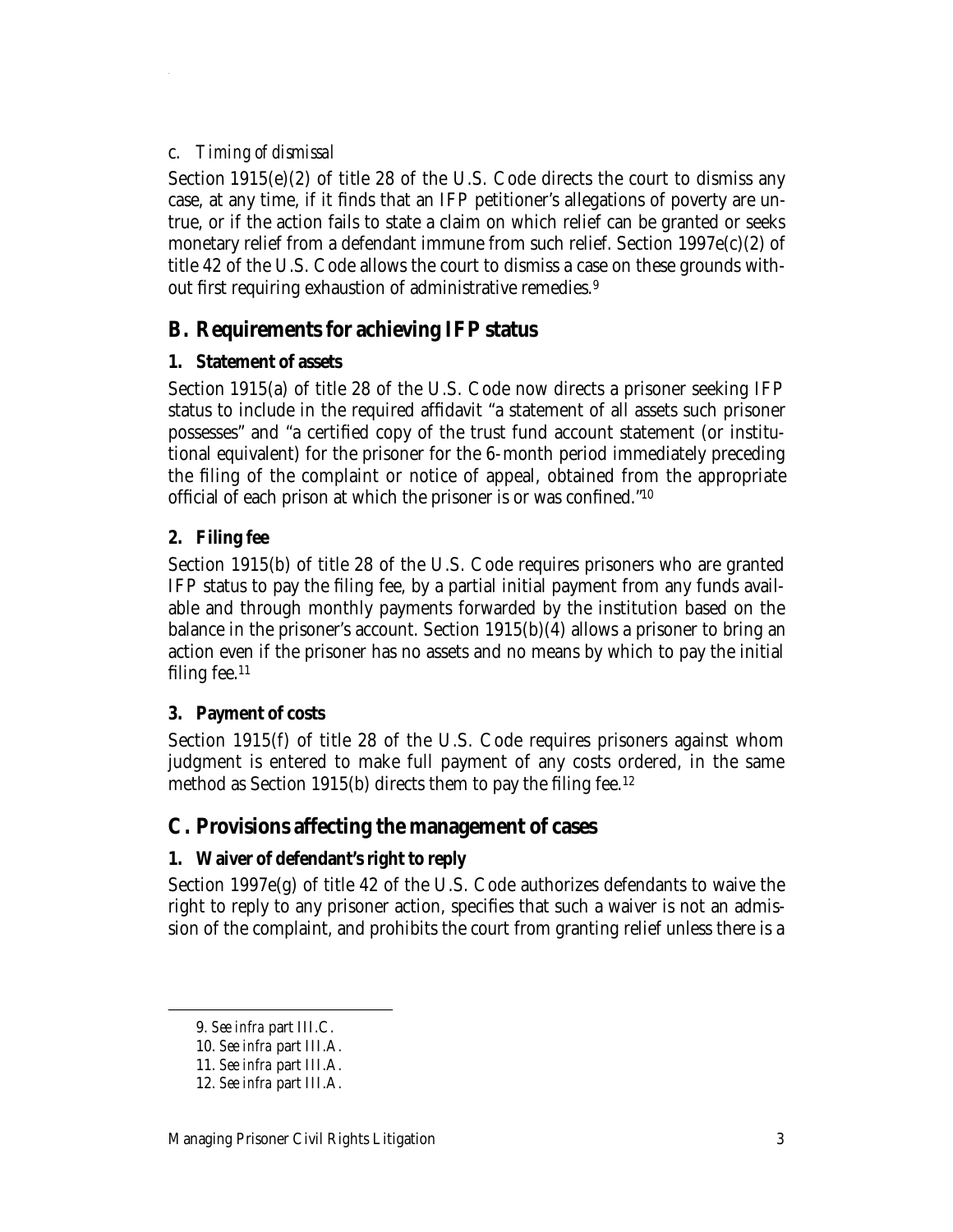#### c. *Timing of dismissal*

Section 1915(e)(2) of title 28 of the U.S. Code directs the court to dismiss any case, at any time, if it finds that an IFP petitioner's allegations of poverty are untrue, or if the action fails to state a claim on which relief can be granted or seeks monetary relief from a defendant immune from such relief. Section  $1997e(c)(2)$  of title 42 of the U.S. Code allows the court to dismiss a case on these grounds without first requiring exhaustion of administrative remedies.9

# **B. Requirements for achieving IFP status**

# **1. Statement of assets**

Section 1915(a) of title 28 of the U.S. Code now directs a prisoner seeking IFP status to include in the required affidavit "a statement of all assets such prisoner possesses" and "a certified copy of the trust fund account statement (or institutional equivalent) for the prisoner for the 6-month period immediately preceding the filing of the complaint or notice of appeal, obtained from the appropriate official of each prison at which the prisoner is or was confined."10

# **2. Filing fee**

Section 1915(b) of title 28 of the U.S. Code requires prisoners who are granted IFP status to pay the filing fee, by a partial initial payment from any funds available and through monthly payments forwarded by the institution based on the balance in the prisoner's account. Section 1915(b)(4) allows a prisoner to bring an action even if the prisoner has no assets and no means by which to pay the initial filing fee.11

# **3. Payment of costs**

Section 1915(f) of title 28 of the U.S. Code requires prisoners against whom judgment is entered to make full payment of any costs ordered, in the same method as Section 1915(b) directs them to pay the filing fee.<sup>12</sup>

# **C. Provisions affecting the management of cases**

# **1. Waiver of defendant's right to reply**

Section 1997e(g) of title 42 of the U.S. Code authorizes defendants to waive the right to reply to any prisoner action, specifies that such a waiver is not an admission of the complaint, and prohibits the court from granting relief unless there is a

 <sup>9.</sup> *See infra* part III.C.

<sup>10.</sup> *See infra* part III.A.

<sup>11.</sup> *See infra* part III.A.

<sup>12.</sup> *See infra* part III.A.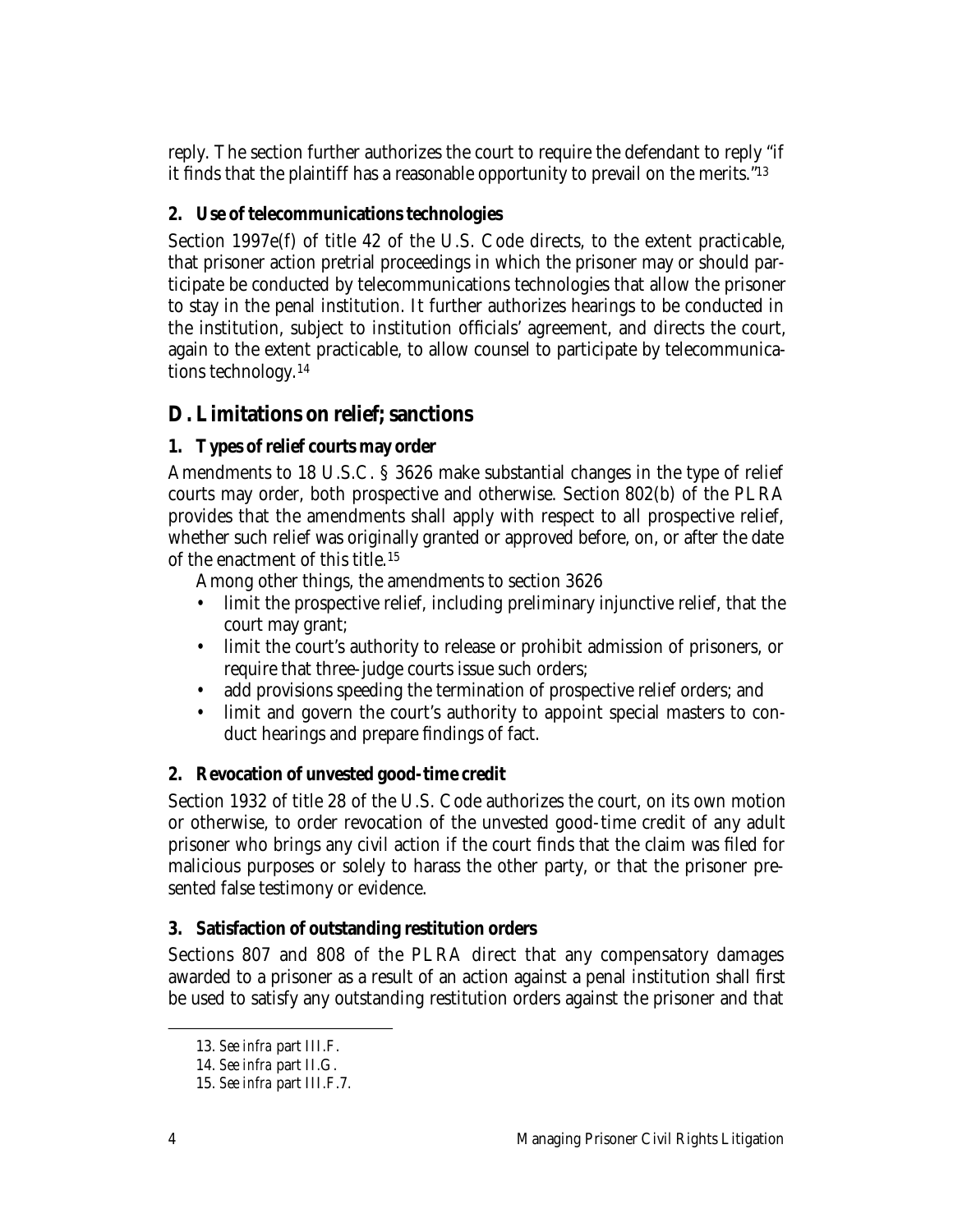reply. The section further authorizes the court to require the defendant to reply "if it finds that the plaintiff has a reasonable opportunity to prevail on the merits."13

## **2. Use of telecommunications technologies**

Section 1997e(f) of title 42 of the U.S. Code directs, to the extent practicable, that prisoner action pretrial proceedings in which the prisoner may or should participate be conducted by telecommunications technologies that allow the prisoner to stay in the penal institution. It further authorizes hearings to be conducted in the institution, subject to institution officials' agreement, and directs the court, again to the extent practicable, to allow counsel to participate by telecommunications technology.14

# **D. Limitations on relief; sanctions**

### **1. Types of relief courts may order**

Amendments to 18 U.S.C. § 3626 make substantial changes in the type of relief courts may order, both prospective and otherwise. Section 802(b) of the PLRA provides that the amendments shall apply with respect to all prospective relief, whether such relief was originally granted or approved before, on, or after the date of the enactment of this title.15

Among other things, the amendments to section 3626

- limit the prospective relief, including preliminary injunctive relief, that the court may grant;
- limit the court's authority to release or prohibit admission of prisoners, or require that three-judge courts issue such orders;
- add provisions speeding the termination of prospective relief orders; and
- limit and govern the court's authority to appoint special masters to conduct hearings and prepare findings of fact.

# **2. Revocation of unvested good-time credit**

Section 1932 of title 28 of the U.S. Code authorizes the court, on its own motion or otherwise, to order revocation of the unvested good-time credit of any adult prisoner who brings any civil action if the court finds that the claim was filed for malicious purposes or solely to harass the other party, or that the prisoner presented false testimony or evidence.

#### **3. Satisfaction of outstanding restitution orders**

Sections 807 and 808 of the PLRA direct that any compensatory damages awarded to a prisoner as a result of an action against a penal institution shall first be used to satisfy any outstanding restitution orders against the prisoner and that

 <sup>13.</sup> *See infra* part III.F.

<sup>14.</sup> *See infra* part II.G.

<sup>15.</sup> *See infra* part III.F.7.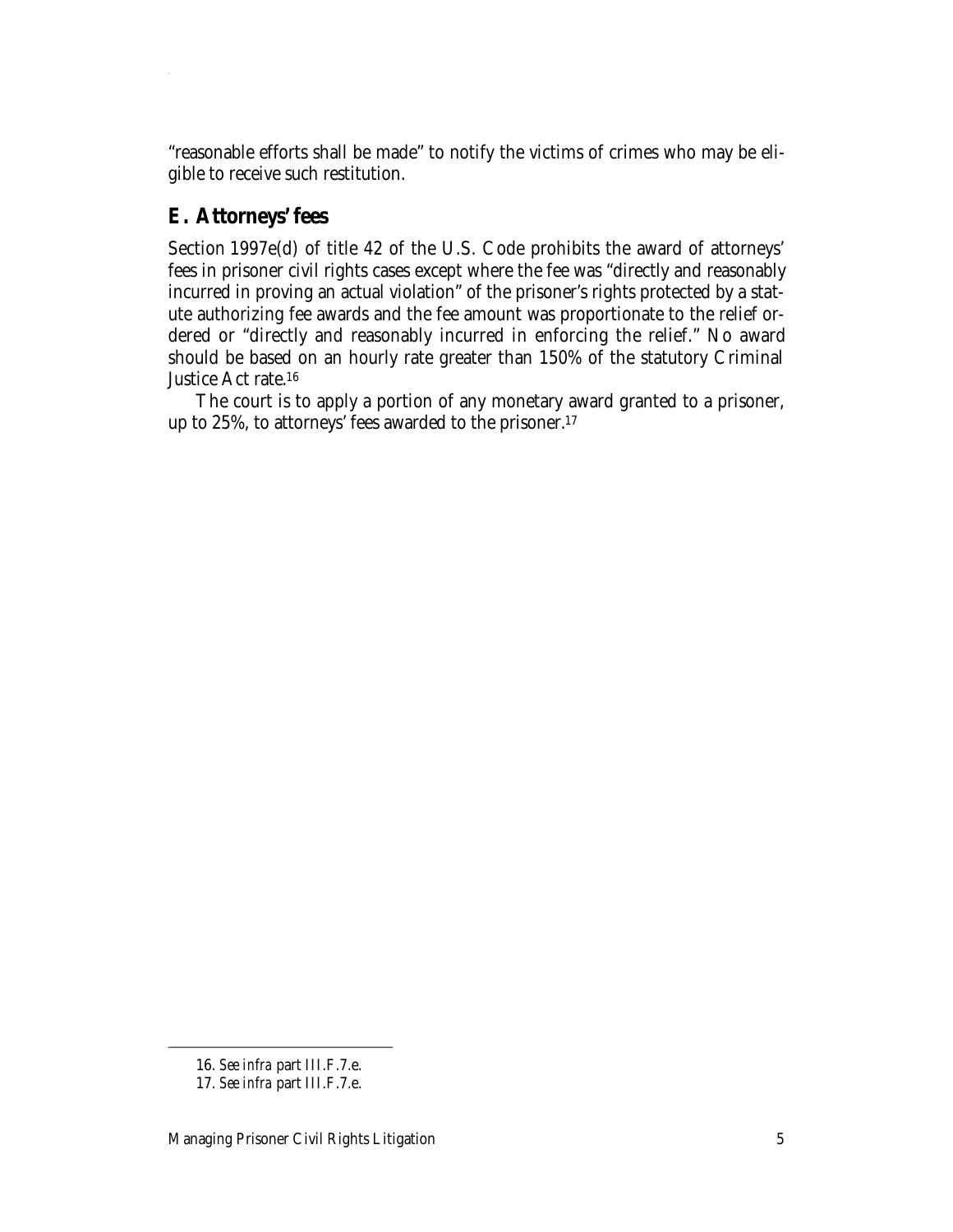"reasonable efforts shall be made" to notify the victims of crimes who may be eligible to receive such restitution.

## **E. Attorneys' fees**

Section 1997e(d) of title 42 of the U.S. Code prohibits the award of attorneys' fees in prisoner civil rights cases except where the fee was "directly and reasonably incurred in proving an actual violation" of the prisoner's rights protected by a statute authorizing fee awards and the fee amount was proportionate to the relief ordered or "directly and reasonably incurred in enforcing the relief." No award should be based on an hourly rate greater than 150% of the statutory Criminal Justice Act rate.16

The court is to apply a portion of any monetary award granted to a prisoner, up to 25%, to attorneys' fees awarded to the prisoner.17

 $\overline{a}$ 

<sup>16.</sup> *See infra* part III.F.7.e.

<sup>17.</sup> *See infra* part III.F.7.e.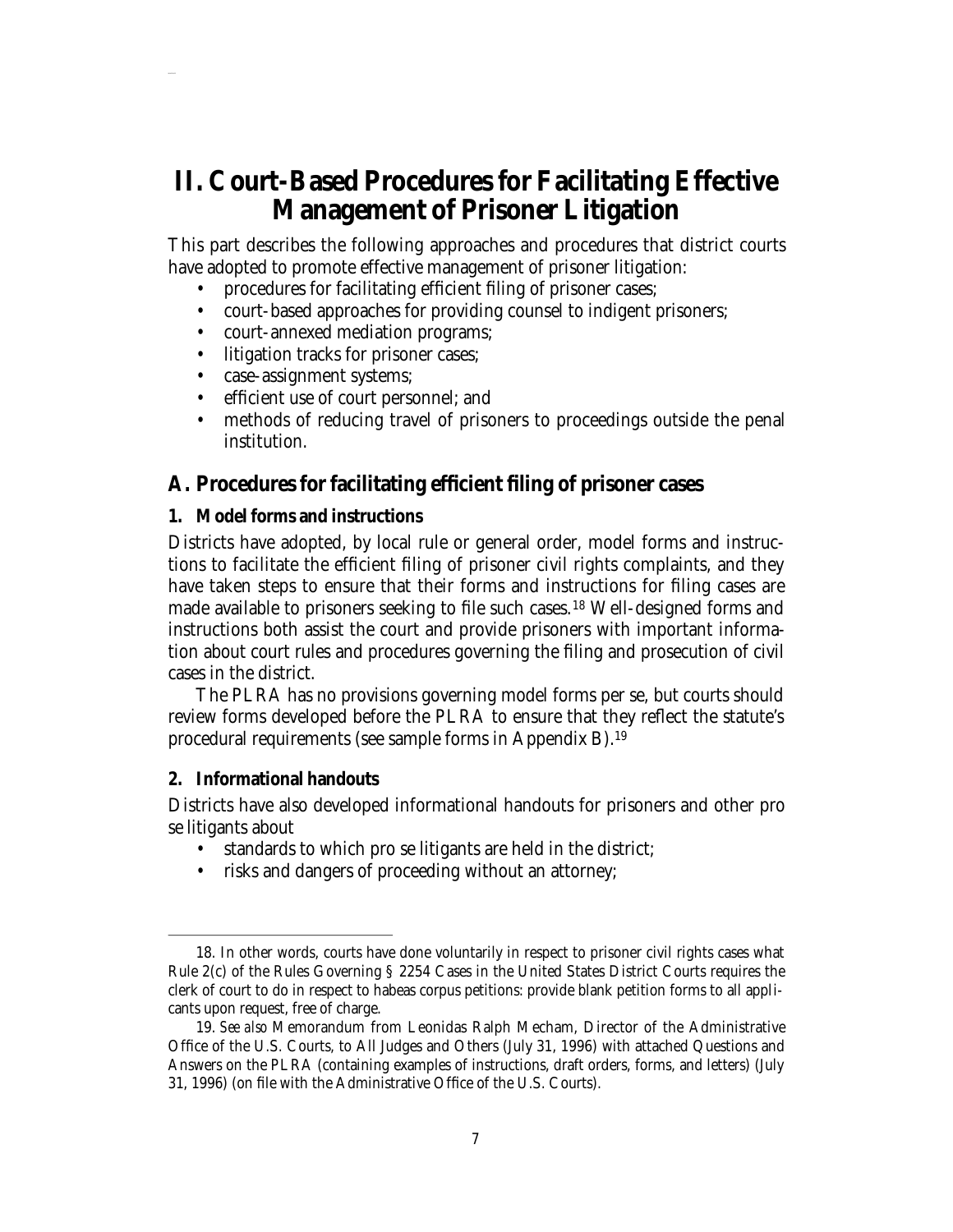# **II. Court-Based Procedures for Facilitating Effective Management of Prisoner Litigation**

This part describes the following approaches and procedures that district courts have adopted to promote effective management of prisoner litigation:

- procedures for facilitating efficient filing of prisoner cases;
- court-based approaches for providing counsel to indigent prisoners;
- court-annexed mediation programs;
- litigation tracks for prisoner cases;
- case-assignment systems;
- efficient use of court personnel; and
- methods of reducing travel of prisoners to proceedings outside the penal institution.

#### **A. Procedures for facilitating efficient filing of prisoner cases**

#### **1. Model forms and instructions**

Districts have adopted, by local rule or general order, model forms and instructions to facilitate the efficient filing of prisoner civil rights complaints, and they have taken steps to ensure that their forms and instructions for filing cases are made available to prisoners seeking to file such cases.18 Well-designed forms and instructions both assist the court and provide prisoners with important information about court rules and procedures governing the filing and prosecution of civil cases in the district.

The PLRA has no provisions governing model forms per se, but courts should review forms developed before the PLRA to ensure that they reflect the statute's procedural requirements (see sample forms in Appendix B).19

#### **2. Informational handouts**

Districts have also developed informational handouts for prisoners and other pro se litigants about

- standards to which pro se litigants are held in the district;
- risks and dangers of proceeding without an attorney;

 <sup>18.</sup> In other words, courts have done voluntarily in respect to prisoner civil rights cases what Rule 2(c) of the Rules Governing § 2254 Cases in the United States District Courts requires the clerk of court to do in respect to habeas corpus petitions: provide blank petition forms to all applicants upon request, free of charge.

<sup>19.</sup> *See also* Memorandum from Leonidas Ralph Mecham, Director of the Administrative Office of the U.S. Courts, to All Judges and Others (July 31, 1996) with attached Questions and Answers on the PLRA (containing examples of instructions, draft orders, forms, and letters) (July 31, 1996) (on file with the Administrative Office of the U.S. Courts).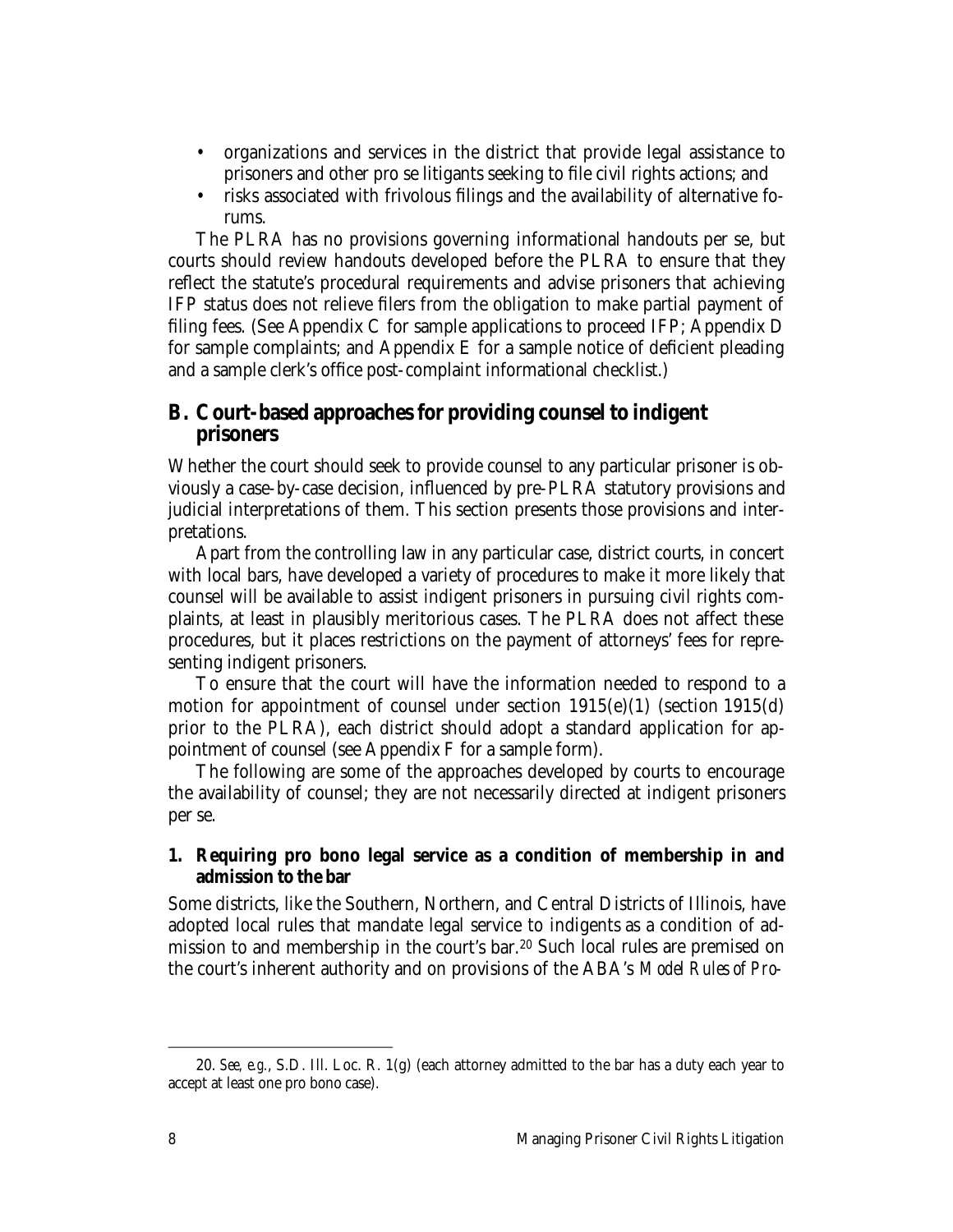- organizations and services in the district that provide legal assistance to prisoners and other pro se litigants seeking to file civil rights actions; and
- risks associated with frivolous filings and the availability of alternative forums.

The PLRA has no provisions governing informational handouts per se, but courts should review handouts developed before the PLRA to ensure that they reflect the statute's procedural requirements and advise prisoners that achieving IFP status does not relieve filers from the obligation to make partial payment of filing fees. (See Appendix C for sample applications to proceed IFP; Appendix D for sample complaints; and Appendix E for a sample notice of deficient pleading and a sample clerk's office post-complaint informational checklist.)

# **B. Court-based approaches for providing counsel to indigent prisoners**

Whether the court should seek to provide counsel to any particular prisoner is obviously a case-by-case decision, influenced by pre-PLRA statutory provisions and judicial interpretations of them. This section presents those provisions and interpretations.

Apart from the controlling law in any particular case, district courts, in concert with local bars, have developed a variety of procedures to make it more likely that counsel will be available to assist indigent prisoners in pursuing civil rights complaints, at least in plausibly meritorious cases. The PLRA does not affect these procedures, but it places restrictions on the payment of attorneys' fees for representing indigent prisoners.

To ensure that the court will have the information needed to respond to a motion for appointment of counsel under section  $1915(e)(1)$  (section  $1915(d)$ ) prior to the PLRA), each district should adopt a standard application for appointment of counsel (see Appendix F for a sample form).

The following are some of the approaches developed by courts to encourage the availability of counsel; they are not necessarily directed at indigent prisoners per se.

#### **1. Requiring pro bono legal service as a condition of membership in and admission to the bar**

Some districts, like the Southern, Northern, and Central Districts of Illinois, have adopted local rules that mandate legal service to indigents as a condition of admission to and membership in the court's bar.20 Such local rules are premised on the court's inherent authority and on provisions of the ABA's *Model Rules of Pro-*

 $\overline{a}$ 20. *See, e.g.*, S.D. Ill. Loc. R. 1(g) (each attorney admitted to the bar has a duty each year to accept at least one pro bono case).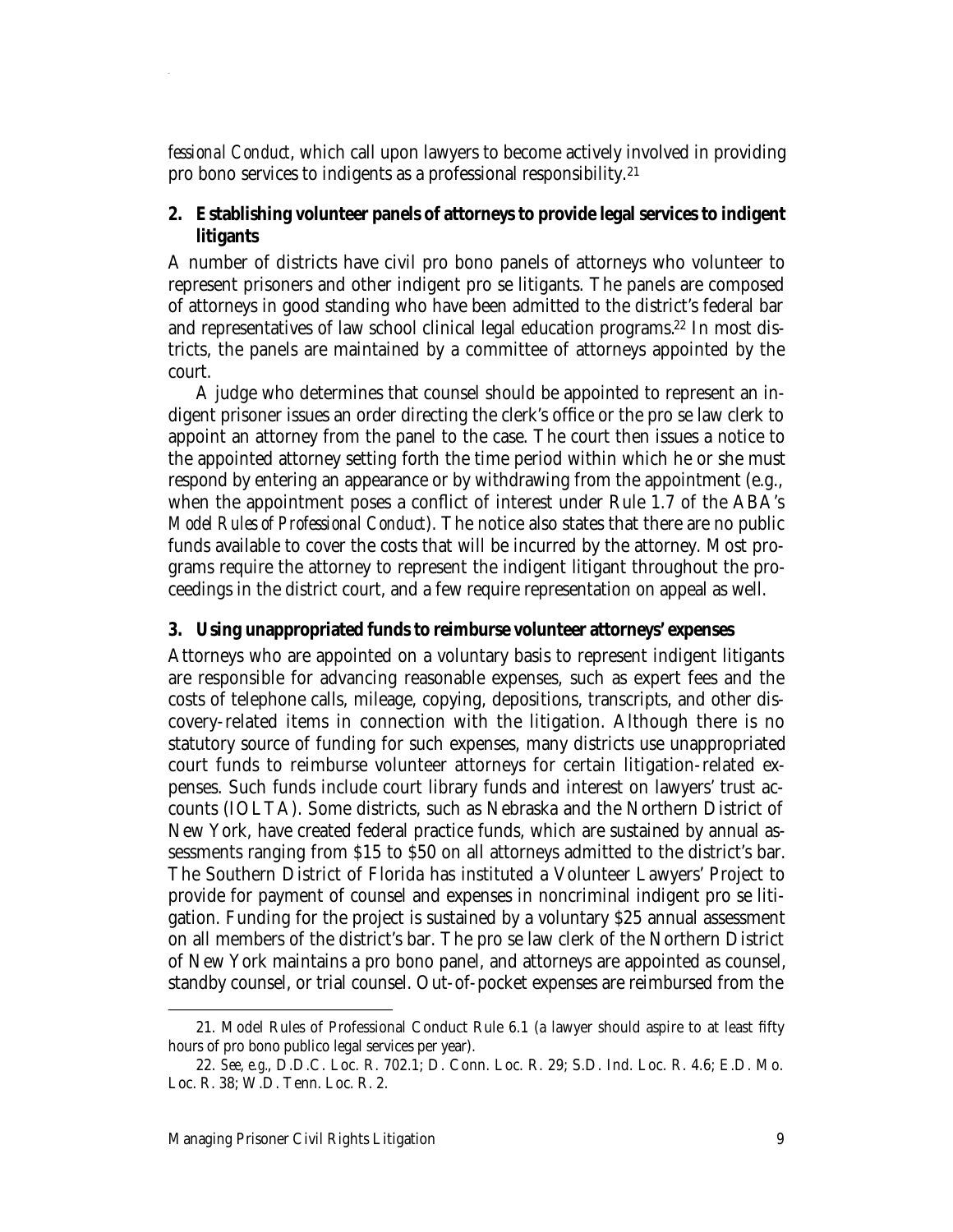*fessional Conduct*, which call upon lawyers to become actively involved in providing pro bono services to indigents as a professional responsibility.21

#### **2. Establishing volunteer panels of attorneys to provide legal services to indigent litigants**

A number of districts have civil pro bono panels of attorneys who volunteer to represent prisoners and other indigent pro se litigants. The panels are composed of attorneys in good standing who have been admitted to the district's federal bar and representatives of law school clinical legal education programs.22 In most districts, the panels are maintained by a committee of attorneys appointed by the court.

A judge who determines that counsel should be appointed to represent an indigent prisoner issues an order directing the clerk's office or the pro se law clerk to appoint an attorney from the panel to the case. The court then issues a notice to the appointed attorney setting forth the time period within which he or she must respond by entering an appearance or by withdrawing from the appointment (e.g., when the appointment poses a conflict of interest under Rule 1.7 of the ABA's *Model Rules of Professional Conduct*). The notice also states that there are no public funds available to cover the costs that will be incurred by the attorney. Most programs require the attorney to represent the indigent litigant throughout the proceedings in the district court, and a few require representation on appeal as well.

#### **3. Using unappropriated funds to reimburse volunteer attorneys' expenses**

Attorneys who are appointed on a voluntary basis to represent indigent litigants are responsible for advancing reasonable expenses, such as expert fees and the costs of telephone calls, mileage, copying, depositions, transcripts, and other discovery-related items in connection with the litigation. Although there is no statutory source of funding for such expenses, many districts use unappropriated court funds to reimburse volunteer attorneys for certain litigation-related expenses. Such funds include court library funds and interest on lawyers' trust accounts (IOLTA). Some districts, such as Nebraska and the Northern District of New York, have created federal practice funds, which are sustained by annual assessments ranging from \$15 to \$50 on all attorneys admitted to the district's bar. The Southern District of Florida has instituted a Volunteer Lawyers' Project to provide for payment of counsel and expenses in noncriminal indigent pro se litigation. Funding for the project is sustained by a voluntary \$25 annual assessment on all members of the district's bar. The pro se law clerk of the Northern District of New York maintains a pro bono panel, and attorneys are appointed as counsel, standby counsel, or trial counsel. Out-of-pocket expenses are reimbursed from the

 <sup>21.</sup> Model Rules of Professional Conduct Rule 6.1 (a lawyer should aspire to at least fifty hours of pro bono publico legal services per year).

<sup>22.</sup> *See*, *e.g.*, D.D.C. Loc. R. 702.1; D. Conn. Loc. R. 29; S.D. Ind. Loc. R. 4.6; E.D. Mo. Loc. R. 38; W.D. Tenn. Loc. R. 2.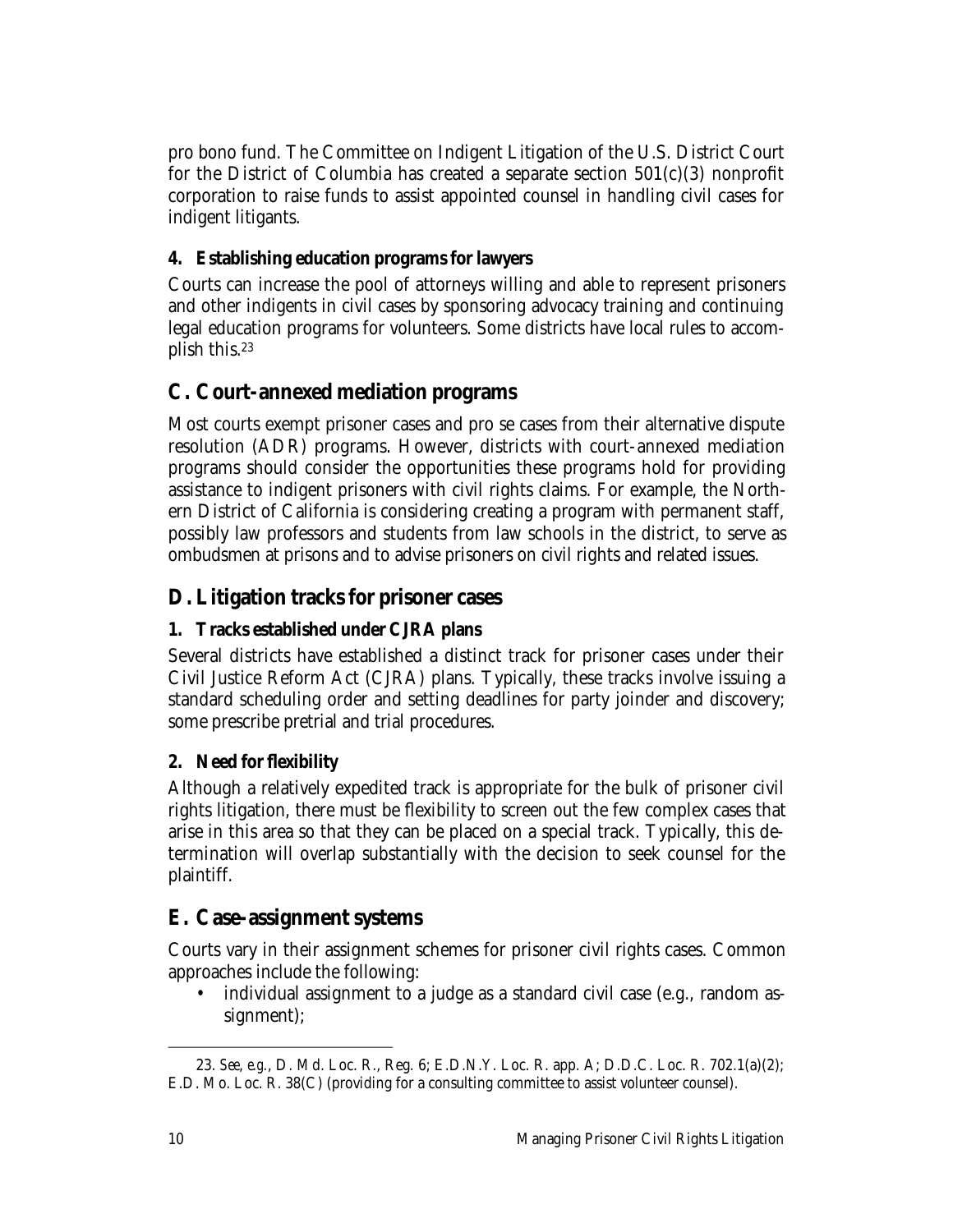pro bono fund. The Committee on Indigent Litigation of the U.S. District Court for the District of Columbia has created a separate section  $501(c)(3)$  nonprofit corporation to raise funds to assist appointed counsel in handling civil cases for indigent litigants.

# **4. Establishing education programs for lawyers**

Courts can increase the pool of attorneys willing and able to represent prisoners and other indigents in civil cases by sponsoring advocacy training and continuing legal education programs for volunteers. Some districts have local rules to accomplish this.23

# **C. Court-annexed mediation programs**

Most courts exempt prisoner cases and pro se cases from their alternative dispute resolution (ADR) programs. However, districts with court-annexed mediation programs should consider the opportunities these programs hold for providing assistance to indigent prisoners with civil rights claims. For example, the Northern District of California is considering creating a program with permanent staff, possibly law professors and students from law schools in the district, to serve as ombudsmen at prisons and to advise prisoners on civil rights and related issues.

# **D. Litigation tracks for prisoner cases**

# **1. Tracks established under CJRA plans**

Several districts have established a distinct track for prisoner cases under their Civil Justice Reform Act (CJRA) plans. Typically, these tracks involve issuing a standard scheduling order and setting deadlines for party joinder and discovery; some prescribe pretrial and trial procedures.

#### **2. Need for flexibility**

Although a relatively expedited track is appropriate for the bulk of prisoner civil rights litigation, there must be flexibility to screen out the few complex cases that arise in this area so that they can be placed on a special track. Typically, this determination will overlap substantially with the decision to seek counsel for the plaintiff.

# **E. Case-assignment systems**

Courts vary in their assignment schemes for prisoner civil rights cases. Common approaches include the following:

• individual assignment to a judge as a standard civil case (e.g., random assignment);

 <sup>23.</sup> *See*, *e.g.*, D. Md. Loc. R., Reg. 6; E.D.N.Y. Loc. R. app. A; D.D.C. Loc. R. 702.1(a)(2); E.D. Mo. Loc. R. 38(C) (providing for a consulting committee to assist volunteer counsel).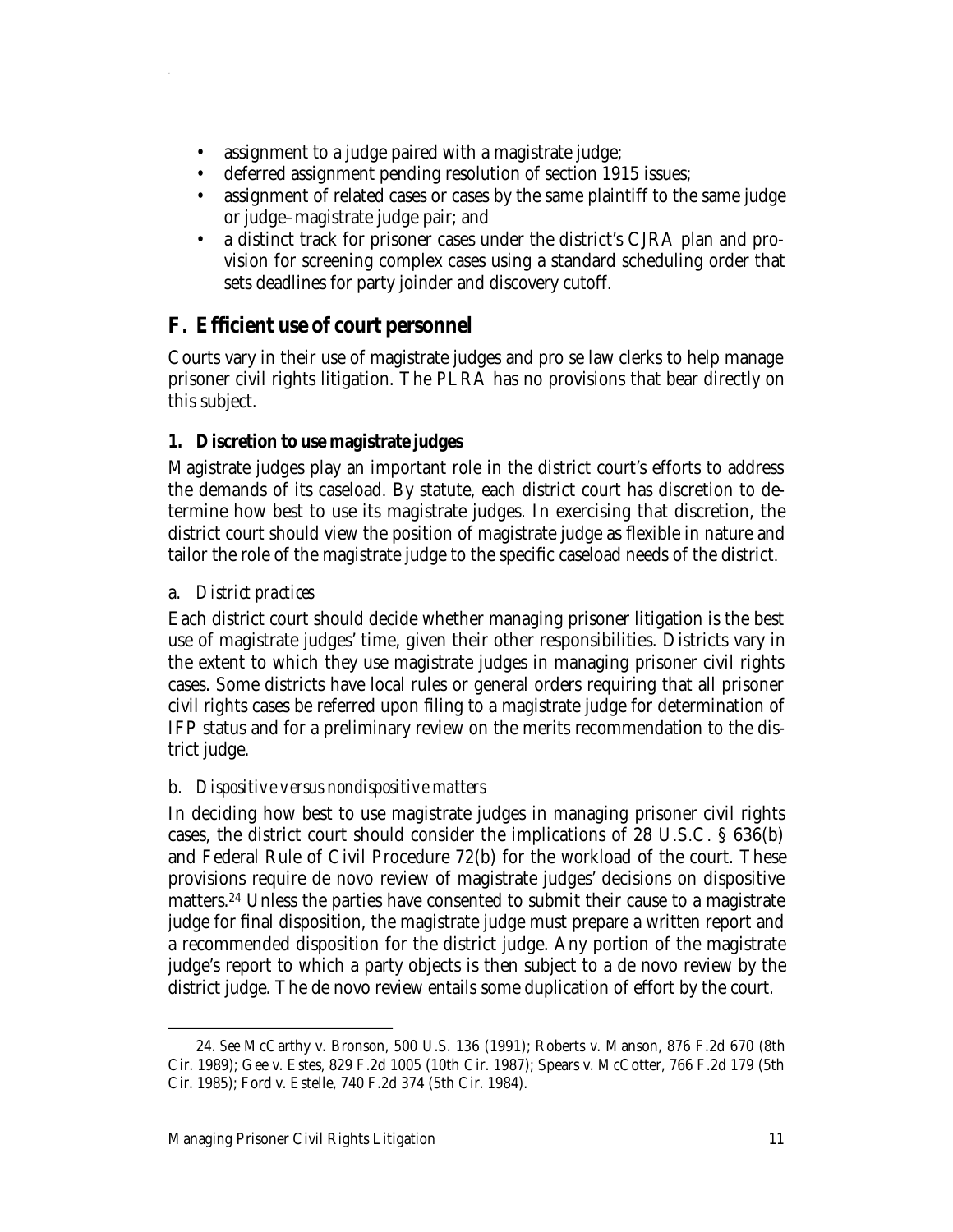- assignment to a judge paired with a magistrate judge;
- deferred assignment pending resolution of section 1915 issues;
- assignment of related cases or cases by the same plaintiff to the same judge or judge–magistrate judge pair; and
- a distinct track for prisoner cases under the district's CJRA plan and provision for screening complex cases using a standard scheduling order that sets deadlines for party joinder and discovery cutoff.

# **F. Efficient use of court personnel**

Courts vary in their use of magistrate judges and pro se law clerks to help manage prisoner civil rights litigation. The PLRA has no provisions that bear directly on this subject.

### **1. Discretion to use magistrate judges**

Magistrate judges play an important role in the district court's efforts to address the demands of its caseload. By statute, each district court has discretion to determine how best to use its magistrate judges. In exercising that discretion, the district court should view the position of magistrate judge as flexible in nature and tailor the role of the magistrate judge to the specific caseload needs of the district.

#### a. *District practices*

Each district court should decide whether managing prisoner litigation is the best use of magistrate judges' time, given their other responsibilities. Districts vary in the extent to which they use magistrate judges in managing prisoner civil rights cases. Some districts have local rules or general orders requiring that all prisoner civil rights cases be referred upon filing to a magistrate judge for determination of IFP status and for a preliminary review on the merits recommendation to the district judge.

# b. *Dispositive versus nondispositive matters*

In deciding how best to use magistrate judges in managing prisoner civil rights cases, the district court should consider the implications of 28 U.S.C. § 636(b) and Federal Rule of Civil Procedure 72(b) for the workload of the court. These provisions require de novo review of magistrate judges' decisions on dispositive matters.24 Unless the parties have consented to submit their cause to a magistrate judge for final disposition, the magistrate judge must prepare a written report and a recommended disposition for the district judge. Any portion of the magistrate judge's report to which a party objects is then subject to a de novo review by the district judge. The de novo review entails some duplication of effort by the court.

 <sup>24.</sup> *See* McCarthy v. Bronson, 500 U.S. 136 (1991); Roberts v. Manson, 876 F.2d 670 (8th Cir. 1989); Gee v. Estes, 829 F.2d 1005 (10th Cir. 1987); Spears v. McCotter, 766 F.2d 179 (5th Cir. 1985); Ford v. Estelle, 740 F.2d 374 (5th Cir. 1984).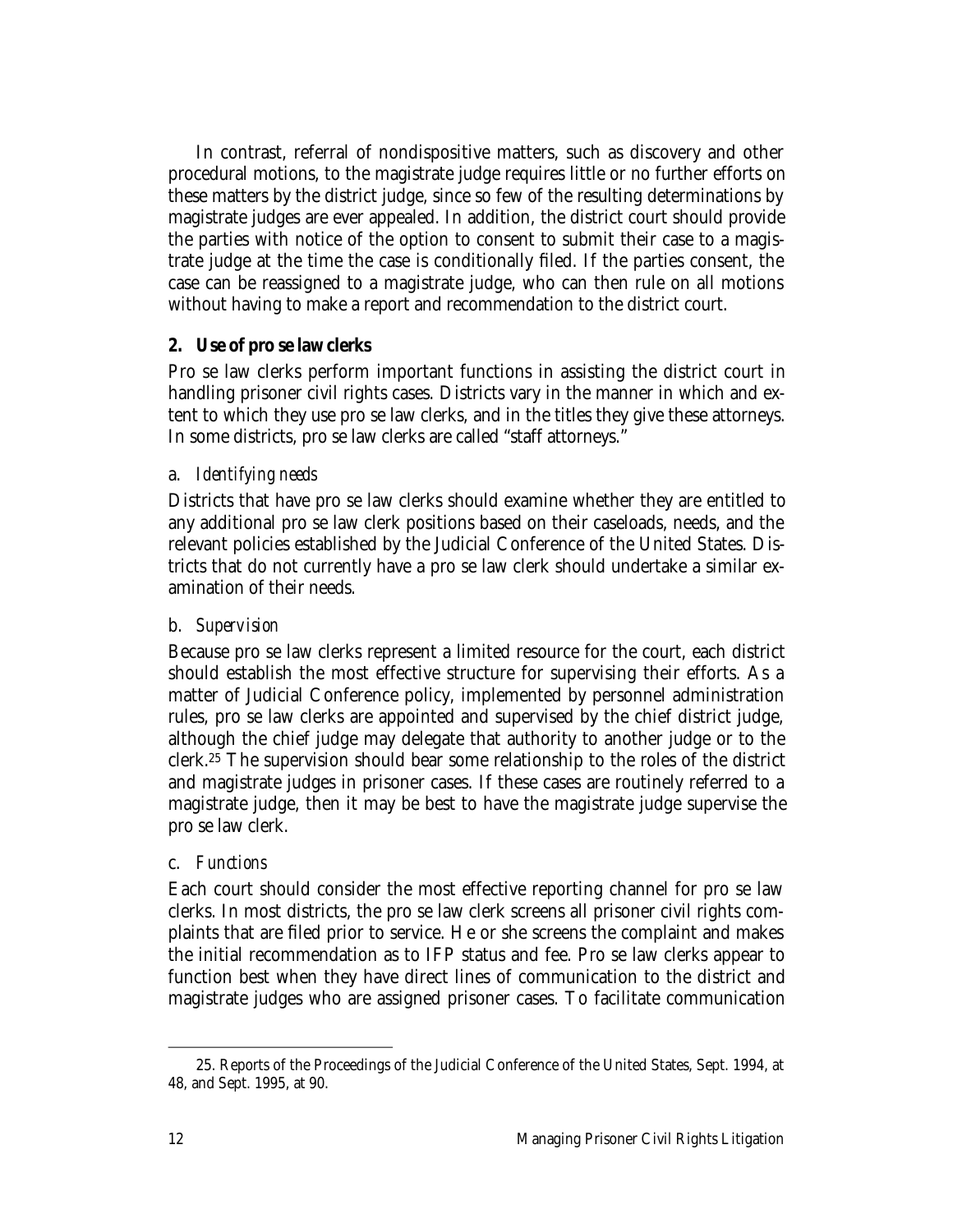In contrast, referral of nondispositive matters, such as discovery and other procedural motions, to the magistrate judge requires little or no further efforts on these matters by the district judge, since so few of the resulting determinations by magistrate judges are ever appealed. In addition, the district court should provide the parties with notice of the option to consent to submit their case to a magistrate judge at the time the case is conditionally filed. If the parties consent, the case can be reassigned to a magistrate judge, who can then rule on all motions without having to make a report and recommendation to the district court.

#### **2. Use of pro se law clerks**

Pro se law clerks perform important functions in assisting the district court in handling prisoner civil rights cases. Districts vary in the manner in which and extent to which they use pro se law clerks, and in the titles they give these attorneys. In some districts, pro se law clerks are called "staff attorneys."

#### a. *Identifying needs*

Districts that have pro se law clerks should examine whether they are entitled to any additional pro se law clerk positions based on their caseloads, needs, and the relevant policies established by the Judicial Conference of the United States. Districts that do not currently have a pro se law clerk should undertake a similar examination of their needs.

#### b. *Supervision*

Because pro se law clerks represent a limited resource for the court, each district should establish the most effective structure for supervising their efforts. As a matter of Judicial Conference policy, implemented by personnel administration rules, pro se law clerks are appointed and supervised by the chief district judge, although the chief judge may delegate that authority to another judge or to the clerk.25 The supervision should bear some relationship to the roles of the district and magistrate judges in prisoner cases. If these cases are routinely referred to a magistrate judge, then it may be best to have the magistrate judge supervise the pro se law clerk.

#### c. *Functions*

Each court should consider the most effective reporting channel for pro se law clerks. In most districts, the pro se law clerk screens all prisoner civil rights complaints that are filed prior to service. He or she screens the complaint and makes the initial recommendation as to IFP status and fee. Pro se law clerks appear to function best when they have direct lines of communication to the district and magistrate judges who are assigned prisoner cases. To facilitate communication

 <sup>25.</sup> Reports of the Proceedings of the Judicial Conference of the United States, Sept. 1994, at 48, and Sept. 1995, at 90.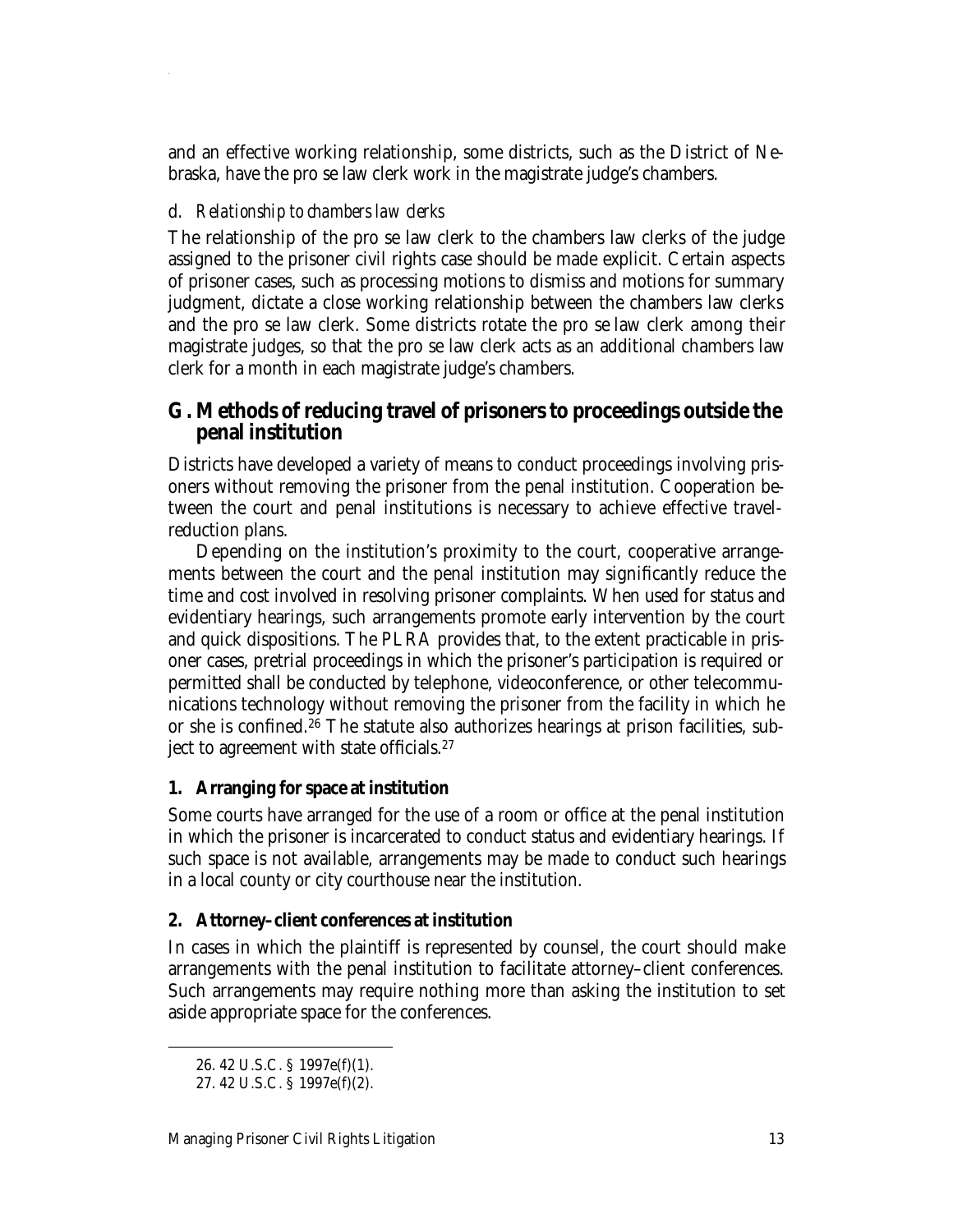and an effective working relationship, some districts, such as the District of Nebraska, have the pro se law clerk work in the magistrate judge's chambers.

### d. *Relationship to chambers law clerks*

The relationship of the pro se law clerk to the chambers law clerks of the judge assigned to the prisoner civil rights case should be made explicit. Certain aspects of prisoner cases, such as processing motions to dismiss and motions for summary judgment, dictate a close working relationship between the chambers law clerks and the pro se law clerk. Some districts rotate the pro se law clerk among their magistrate judges, so that the pro se law clerk acts as an additional chambers law clerk for a month in each magistrate judge's chambers.

# **G. Methods of reducing travel of prisoners to proceedings outside the penal institution**

Districts have developed a variety of means to conduct proceedings involving prisoners without removing the prisoner from the penal institution. Cooperation between the court and penal institutions is necessary to achieve effective travelreduction plans.

Depending on the institution's proximity to the court, cooperative arrangements between the court and the penal institution may significantly reduce the time and cost involved in resolving prisoner complaints. When used for status and evidentiary hearings, such arrangements promote early intervention by the court and quick dispositions. The PLRA provides that, to the extent practicable in prisoner cases, pretrial proceedings in which the prisoner's participation is required or permitted shall be conducted by telephone, videoconference, or other telecommunications technology without removing the prisoner from the facility in which he or she is confined.26 The statute also authorizes hearings at prison facilities, subject to agreement with state officials.27

#### **1. Arranging for space at institution**

Some courts have arranged for the use of a room or office at the penal institution in which the prisoner is incarcerated to conduct status and evidentiary hearings. If such space is not available, arrangements may be made to conduct such hearings in a local county or city courthouse near the institution.

#### **2. Attorney–client conferences at institution**

In cases in which the plaintiff is represented by counsel, the court should make arrangements with the penal institution to facilitate attorney–client conferences. Such arrangements may require nothing more than asking the institution to set aside appropriate space for the conferences.

 <sup>26. 42</sup> U.S.C. § 1997e(f)(1).

<sup>27. 42</sup> U.S.C. § 1997e(f)(2).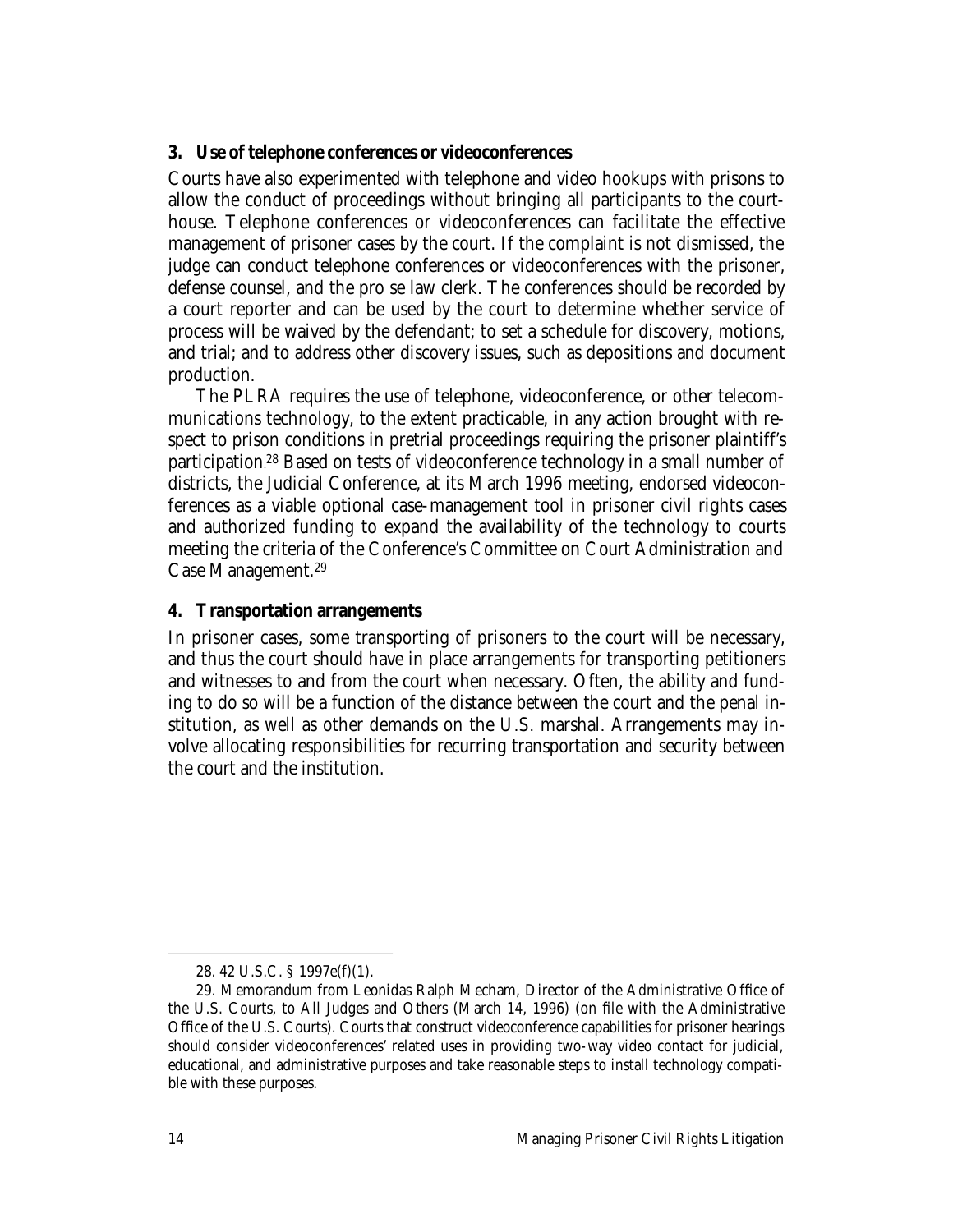#### **3. Use of telephone conferences or videoconferences**

Courts have also experimented with telephone and video hookups with prisons to allow the conduct of proceedings without bringing all participants to the courthouse. Telephone conferences or videoconferences can facilitate the effective management of prisoner cases by the court. If the complaint is not dismissed, the judge can conduct telephone conferences or videoconferences with the prisoner, defense counsel, and the pro se law clerk. The conferences should be recorded by a court reporter and can be used by the court to determine whether service of process will be waived by the defendant; to set a schedule for discovery, motions, and trial; and to address other discovery issues, such as depositions and document production.

The PLRA requires the use of telephone, videoconference, or other telecommunications technology, to the extent practicable, in any action brought with respect to prison conditions in pretrial proceedings requiring the prisoner plaintiff's participation. 28 Based on tests of videoconference technology in a small number of districts, the Judicial Conference, at its March 1996 meeting, endorsed videoconferences as a viable optional case-management tool in prisoner civil rights cases and authorized funding to expand the availability of the technology to courts meeting the criteria of the Conference's Committee on Court Administration and Case Management.29

#### **4. Transportation arrangements**

In prisoner cases, some transporting of prisoners to the court will be necessary, and thus the court should have in place arrangements for transporting petitioners and witnesses to and from the court when necessary. Often, the ability and funding to do so will be a function of the distance between the court and the penal institution, as well as other demands on the U.S. marshal. Arrangements may involve allocating responsibilities for recurring transportation and security between the court and the institution.

 <sup>28. 42</sup> U.S.C. § 1997e(f)(1).

<sup>29.</sup> Memorandum from Leonidas Ralph Mecham, Director of the Administrative Office of the U.S. Courts, to All Judges and Others (March 14, 1996) (on file with the Administrative Office of the U.S. Courts). Courts that construct videoconference capabilities for prisoner hearings should consider videoconferences' related uses in providing two-way video contact for judicial, educational, and administrative purposes and take reasonable steps to install technology compatible with these purposes.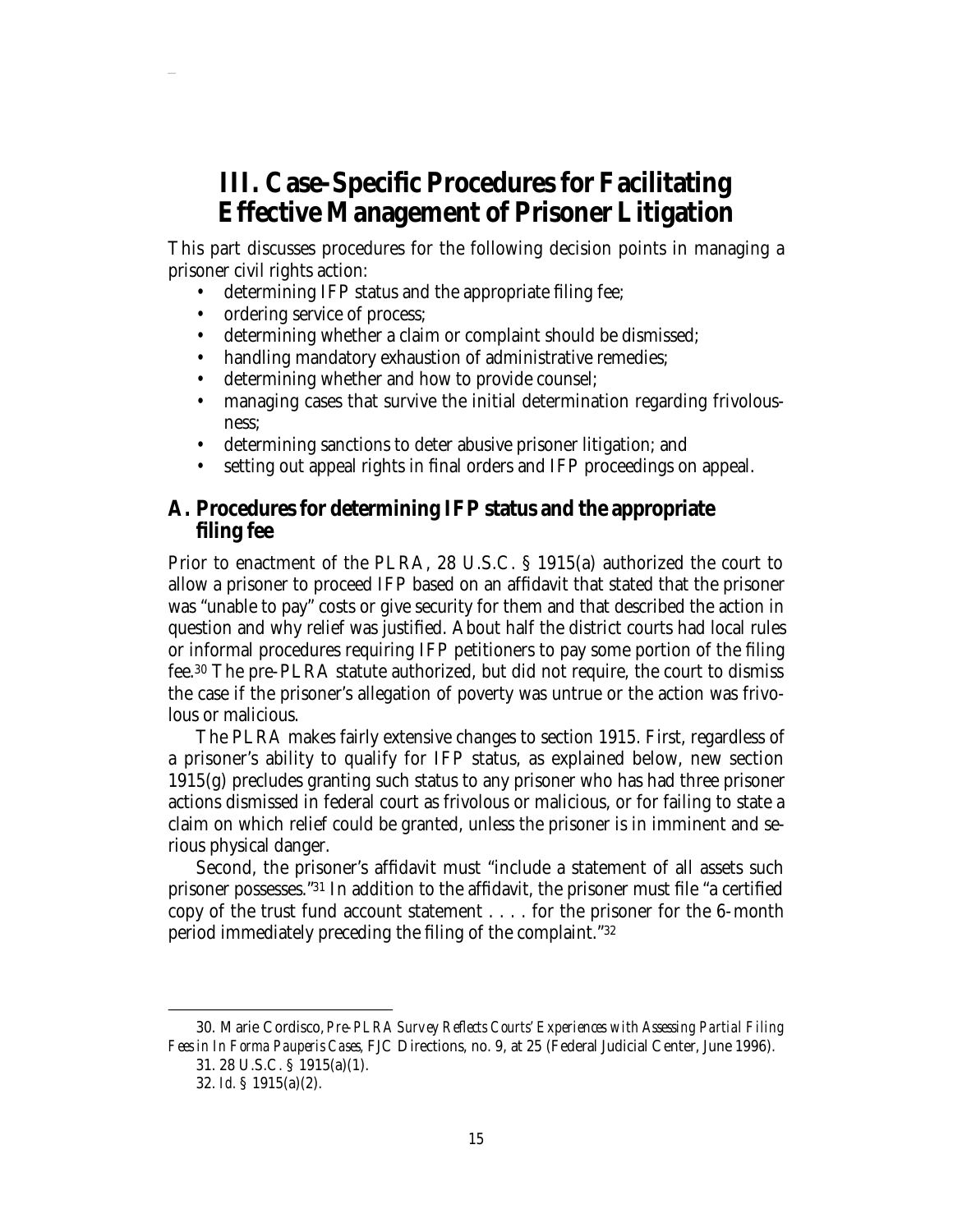# **III. Case-Specific Procedures for Facilitating Effective Management of Prisoner Litigation**

This part discusses procedures for the following decision points in managing a prisoner civil rights action:

- determining IFP status and the appropriate filing fee;
- ordering service of process;
- determining whether a claim or complaint should be dismissed;
- handling mandatory exhaustion of administrative remedies;
- determining whether and how to provide counsel;
- managing cases that survive the initial determination regarding frivolousness;
- determining sanctions to deter abusive prisoner litigation; and
- setting out appeal rights in final orders and IFP proceedings on appeal.

#### **A. Procedures for determining IFP status and the appropriate filing fee**

Prior to enactment of the PLRA, 28 U.S.C. § 1915(a) authorized the court to allow a prisoner to proceed IFP based on an affidavit that stated that the prisoner was "unable to pay" costs or give security for them and that described the action in question and why relief was justified. About half the district courts had local rules or informal procedures requiring IFP petitioners to pay some portion of the filing fee.30 The pre-PLRA statute authorized, but did not require, the court to dismiss the case if the prisoner's allegation of poverty was untrue or the action was frivolous or malicious.

The PLRA makes fairly extensive changes to section 1915. First, regardless of a prisoner's ability to qualify for IFP status, as explained below, new section 1915(g) precludes granting such status to any prisoner who has had three prisoner actions dismissed in federal court as frivolous or malicious, or for failing to state a claim on which relief could be granted, unless the prisoner is in imminent and serious physical danger.

Second, the prisoner's affidavit must "include a statement of all assets such prisoner possesses."31 In addition to the affidavit, the prisoner must file "a certified copy of the trust fund account statement . . . . for the prisoner for the 6-month period immediately preceding the filing of the complaint."32

 $\overline{a}$ 30. Marie Cordisco, *Pre-PLRA Survey Reflects Courts' Experiences with Assessing Partial Filing Fees in In Forma Pauperis Cases,* FJC Directions, no. 9, at 25 (Federal Judicial Center, June 1996).

<sup>31. 28</sup> U.S.C. § 1915(a)(1).

<sup>32.</sup> *Id.* § 1915(a)(2).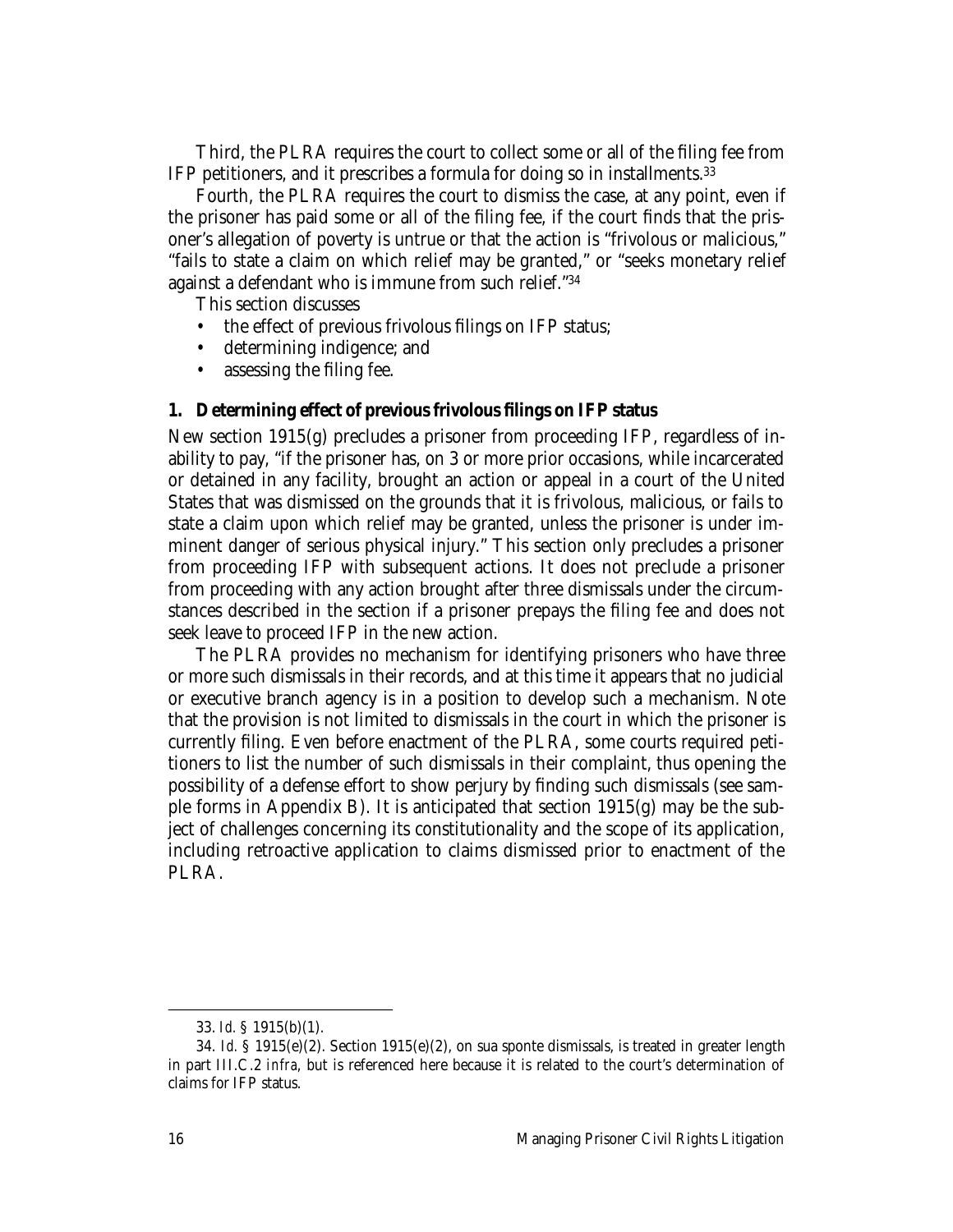Third, the PLRA requires the court to collect some or all of the filing fee from IFP petitioners, and it prescribes a formula for doing so in installments.33

Fourth, the PLRA requires the court to dismiss the case, at any point, even if the prisoner has paid some or all of the filing fee, if the court finds that the prisoner's allegation of poverty is untrue or that the action is "frivolous or malicious," "fails to state a claim on which relief may be granted," or "seeks monetary relief against a defendant who is immune from such relief."34

This section discusses

- the effect of previous frivolous filings on IFP status;
- determining indigence; and
- assessing the filing fee.

#### **1. Determining effect of previous frivolous filings on IFP status**

New section 1915(g) precludes a prisoner from proceeding IFP, regardless of inability to pay, "if the prisoner has, on 3 or more prior occasions, while incarcerated or detained in any facility, brought an action or appeal in a court of the United States that was dismissed on the grounds that it is frivolous, malicious, or fails to state a claim upon which relief may be granted, unless the prisoner is under imminent danger of serious physical injury." This section only precludes a prisoner from proceeding IFP with subsequent actions. It does not preclude a prisoner from proceeding with any action brought after three dismissals under the circumstances described in the section if a prisoner prepays the filing fee and does not seek leave to proceed IFP in the new action.

The PLRA provides no mechanism for identifying prisoners who have three or more such dismissals in their records, and at this time it appears that no judicial or executive branch agency is in a position to develop such a mechanism. Note that the provision is not limited to dismissals in the court in which the prisoner is currently filing. Even before enactment of the PLRA, some courts required petitioners to list the number of such dismissals in their complaint, thus opening the possibility of a defense effort to show perjury by finding such dismissals (see sample forms in Appendix B). It is anticipated that section 1915(g) may be the subject of challenges concerning its constitutionality and the scope of its application, including retroactive application to claims dismissed prior to enactment of the PLRA.

 <sup>33.</sup> *Id.* § 1915(b)(1).

<sup>34.</sup> *Id.* § 1915(e)(2). Section 1915(e)(2), on sua sponte dismissals, is treated in greater length in part III.C.2 *infra*, but is referenced here because it is related to the court's determination of claims for IFP status.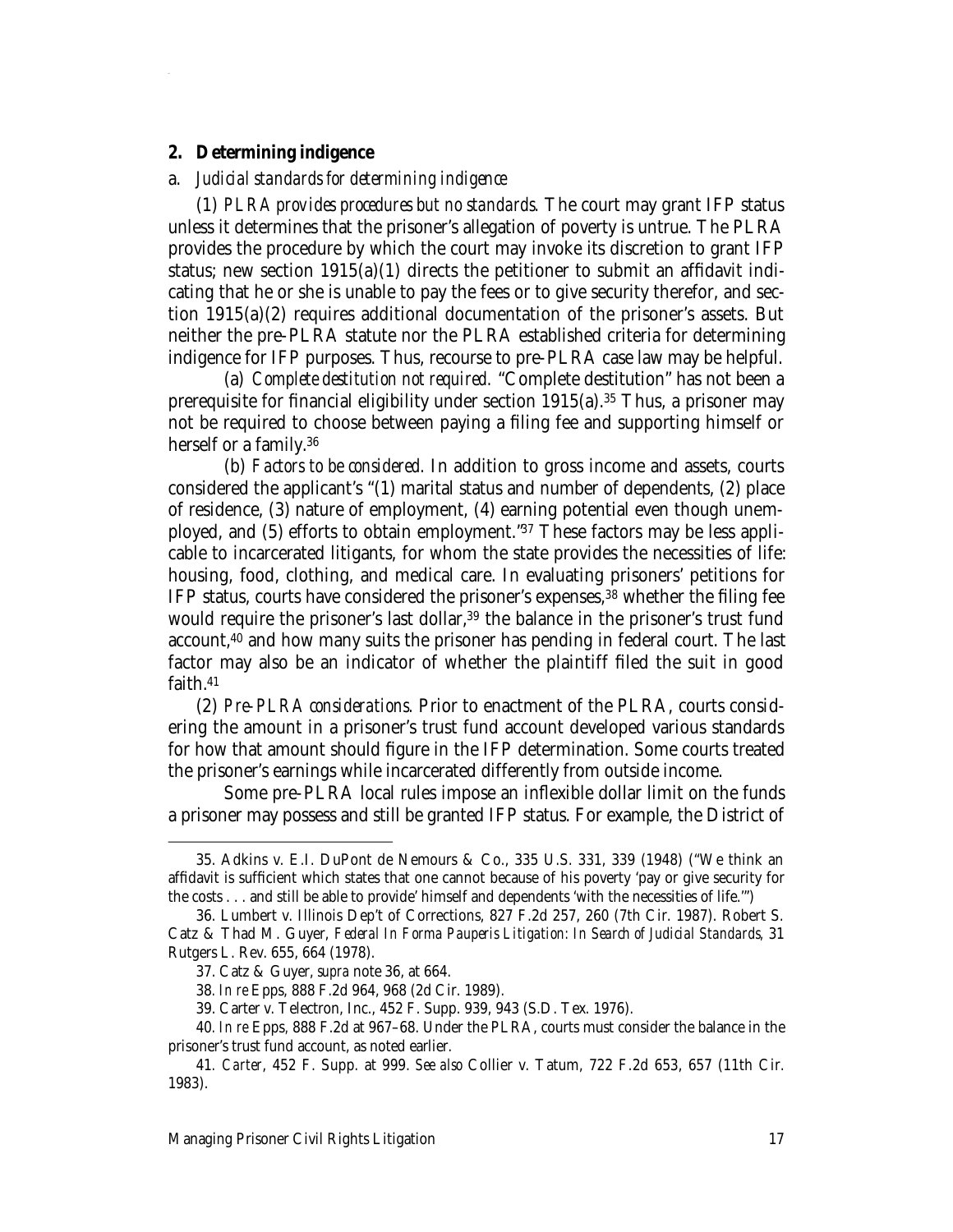#### **2. Determining indigence**

#### a. *Judicial standards for determining indigence*

(1) *PLRA provides procedures but no standards.* The court may grant IFP status unless it determines that the prisoner's allegation of poverty is untrue. The PLRA provides the procedure by which the court may invoke its discretion to grant IFP status; new section 1915(a)(1) directs the petitioner to submit an affidavit indicating that he or she is unable to pay the fees or to give security therefor, and section 1915(a)(2) requires additional documentation of the prisoner's assets. But neither the pre-PLRA statute nor the PLRA established criteria for determining indigence for IFP purposes. Thus, recourse to pre-PLRA case law may be helpful.

(a) *Complete destitution not required.* "Complete destitution" has not been a prerequisite for financial eligibility under section  $1915(a)$ .<sup>35</sup> Thus, a prisoner may not be required to choose between paying a filing fee and supporting himself or herself or a family.<sup>36</sup>

(b) *Factors to be considered.* In addition to gross income and assets, courts considered the applicant's "(1) marital status and number of dependents, (2) place of residence, (3) nature of employment, (4) earning potential even though unemployed, and (5) efforts to obtain employment."37 These factors may be less applicable to incarcerated litigants, for whom the state provides the necessities of life: housing, food, clothing, and medical care. In evaluating prisoners' petitions for IFP status, courts have considered the prisoner's expenses,38 whether the filing fee would require the prisoner's last dollar,<sup>39</sup> the balance in the prisoner's trust fund account,40 and how many suits the prisoner has pending in federal court. The last factor may also be an indicator of whether the plaintiff filed the suit in good faith.41

(2) *Pre-PLRA considerations.* Prior to enactment of the PLRA, courts considering the amount in a prisoner's trust fund account developed various standards for how that amount should figure in the IFP determination. Some courts treated the prisoner's earnings while incarcerated differently from outside income.

Some pre-PLRA local rules impose an inflexible dollar limit on the funds a prisoner may possess and still be granted IFP status. For example, the District of

 <sup>35.</sup> Adkins v. E.I. DuPont de Nemours & Co., 335 U.S. 331, 339 (1948) ("We think an affidavit is sufficient which states that one cannot because of his poverty 'pay or give security for the costs . . . and still be able to provide' himself and dependents 'with the necessities of life.'")

<sup>36.</sup> Lumbert v. Illinois Dep't of Corrections, 827 F.2d 257, 260 (7th Cir. 1987). Robert S. Catz & Thad M. Guyer, *Federal In Forma Pauperis Litigation: In Search of Judicial Standards,* 31 Rutgers L. Rev. 655, 664 (1978).

<sup>37.</sup> Catz & Guyer, *supra* note 36, at 664.

<sup>38</sup>*. In re* Epps, 888 F.2d 964, 968 (2d Cir. 1989).

<sup>39.</sup> Carter v. Telectron, Inc., 452 F. Supp. 939, 943 (S.D. Tex. 1976).

<sup>40</sup>*. In re* Epps*,* 888 F.2d at 967–68. Under the PLRA, courts must consider the balance in the prisoner's trust fund account, as noted earlier.

<sup>41</sup>*. Carter*, 452 F. Supp. at 999. *See also* Collier v. Tatum, 722 F.2d 653, 657 (11th Cir. 1983).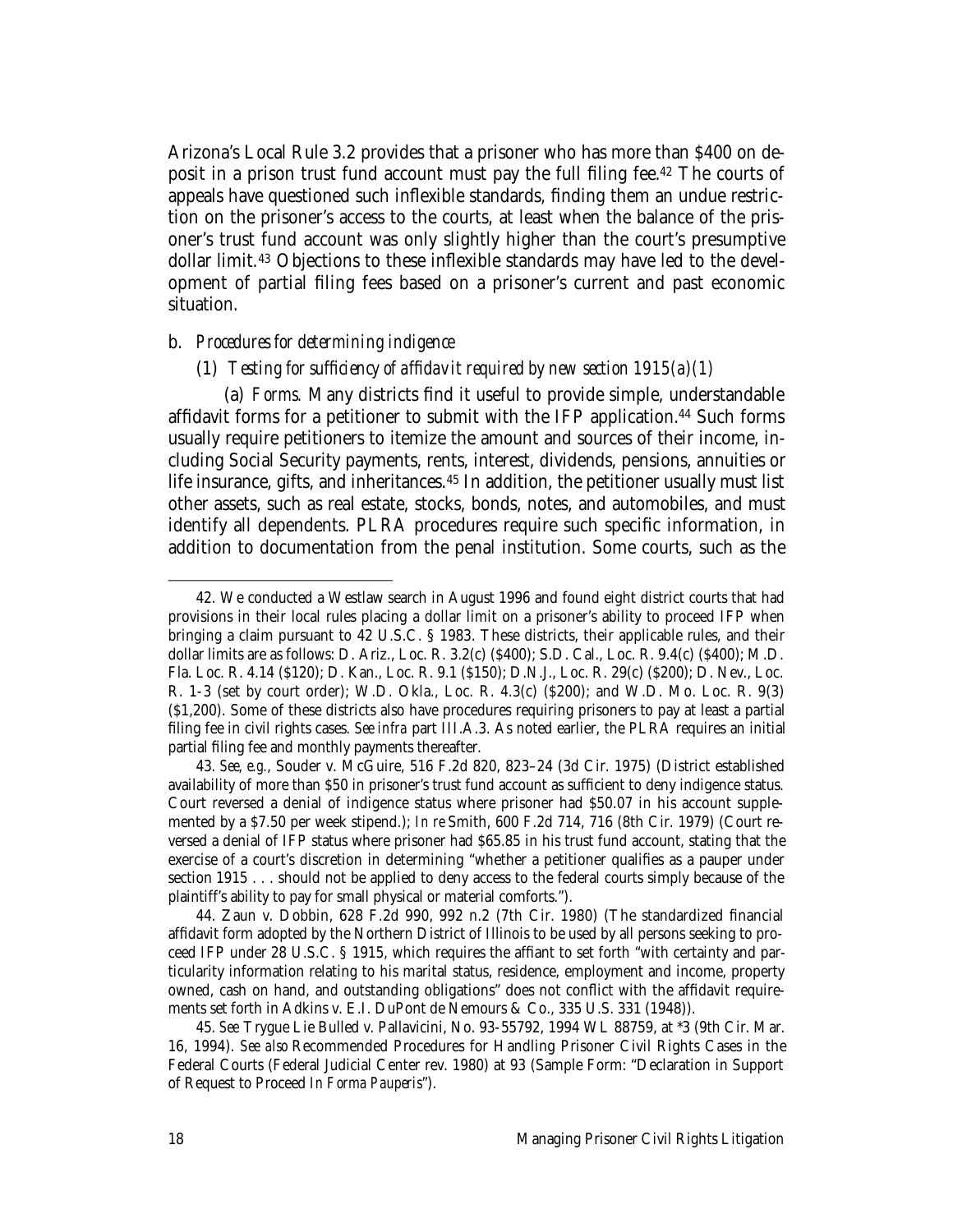Arizona's Local Rule 3.2 provides that a prisoner who has more than \$400 on deposit in a prison trust fund account must pay the full filing fee.42 The courts of appeals have questioned such inflexible standards, finding them an undue restriction on the prisoner's access to the courts, at least when the balance of the prisoner's trust fund account was only slightly higher than the court's presumptive dollar limit.43 Objections to these inflexible standards may have led to the development of partial filing fees based on a prisoner's current and past economic situation.

#### b. *Procedures for determining indigence*

#### (1) *Testing for sufficiency of affidavit required by new section 1915(a)(1)*

(a) *Forms.* Many districts find it useful to provide simple, understandable affidavit forms for a petitioner to submit with the IFP application.<sup>44</sup> Such forms usually require petitioners to itemize the amount and sources of their income, including Social Security payments, rents, interest, dividends, pensions, annuities or life insurance, gifts, and inheritances.<sup>45</sup> In addition, the petitioner usually must list other assets, such as real estate, stocks, bonds, notes, and automobiles, and must identify all dependents. PLRA procedures require such specific information, in addition to documentation from the penal institution. Some courts, such as the

 <sup>42.</sup> We conducted a Westlaw search in August 1996 and found eight district courts that had provisions in their local rules placing a dollar limit on a prisoner's ability to proceed IFP when bringing a claim pursuant to 42 U.S.C. § 1983. These districts, their applicable rules, and their dollar limits are as follows: D. Ariz., Loc. R. 3.2(c) (\$400); S.D. Cal., Loc. R. 9.4(c) (\$400); M.D. Fla. Loc. R. 4.14 (\$120); D. Kan., Loc. R. 9.1 (\$150); D.N.J., Loc. R. 29(c) (\$200); D. Nev., Loc. R. 1-3 (set by court order); W.D. Okla., Loc. R. 4.3(c) (\$200); and W.D. Mo. Loc. R. 9(3) (\$1,200). Some of these districts also have procedures requiring prisoners to pay at least a partial filing fee in civil rights cases. *See infra* part III.A.3. As noted earlier, the PLRA requires an initial partial filing fee and monthly payments thereafter.

<sup>43</sup>*. See, e.g.*, Souder v. McGuire, 516 F.2d 820, 823–24 (3d Cir. 1975) (District established availability of more than \$50 in prisoner's trust fund account as sufficient to deny indigence status. Court reversed a denial of indigence status where prisoner had \$50.07 in his account supplemented by a \$7.50 per week stipend.); *In re* Smith, 600 F.2d 714, 716 (8th Cir. 1979) (Court reversed a denial of IFP status where prisoner had \$65.85 in his trust fund account, stating that the exercise of a court's discretion in determining "whether a petitioner qualifies as a pauper under section 1915 . . . should not be applied to deny access to the federal courts simply because of the plaintiff's ability to pay for small physical or material comforts.").

<sup>44.</sup> Zaun v. Dobbin, 628 F.2d 990, 992 n.2 (7th Cir. 1980) (The standardized financial affidavit form adopted by the Northern District of Illinois to be used by all persons seeking to proceed IFP under 28 U.S.C. § 1915, which requires the affiant to set forth "with certainty and particularity information relating to his marital status, residence, employment and income, property owned, cash on hand, and outstanding obligations" does not conflict with the affidavit requirements set forth in Adkins v. E.I. DuPont de Nemours & Co., 335 U.S. 331 (1948)).

<sup>45</sup>*. See* Trygue Lie Bulled v. Pallavicini, No. 93-55792, 1994 WL 88759, at \*3 (9th Cir. Mar. 16, 1994). *See also* Recommended Procedures for Handling Prisoner Civil Rights Cases in the Federal Courts (Federal Judicial Center rev. 1980) at 93 (Sample Form: "Declaration in Support of Request to Proceed *In Forma Pauperis*").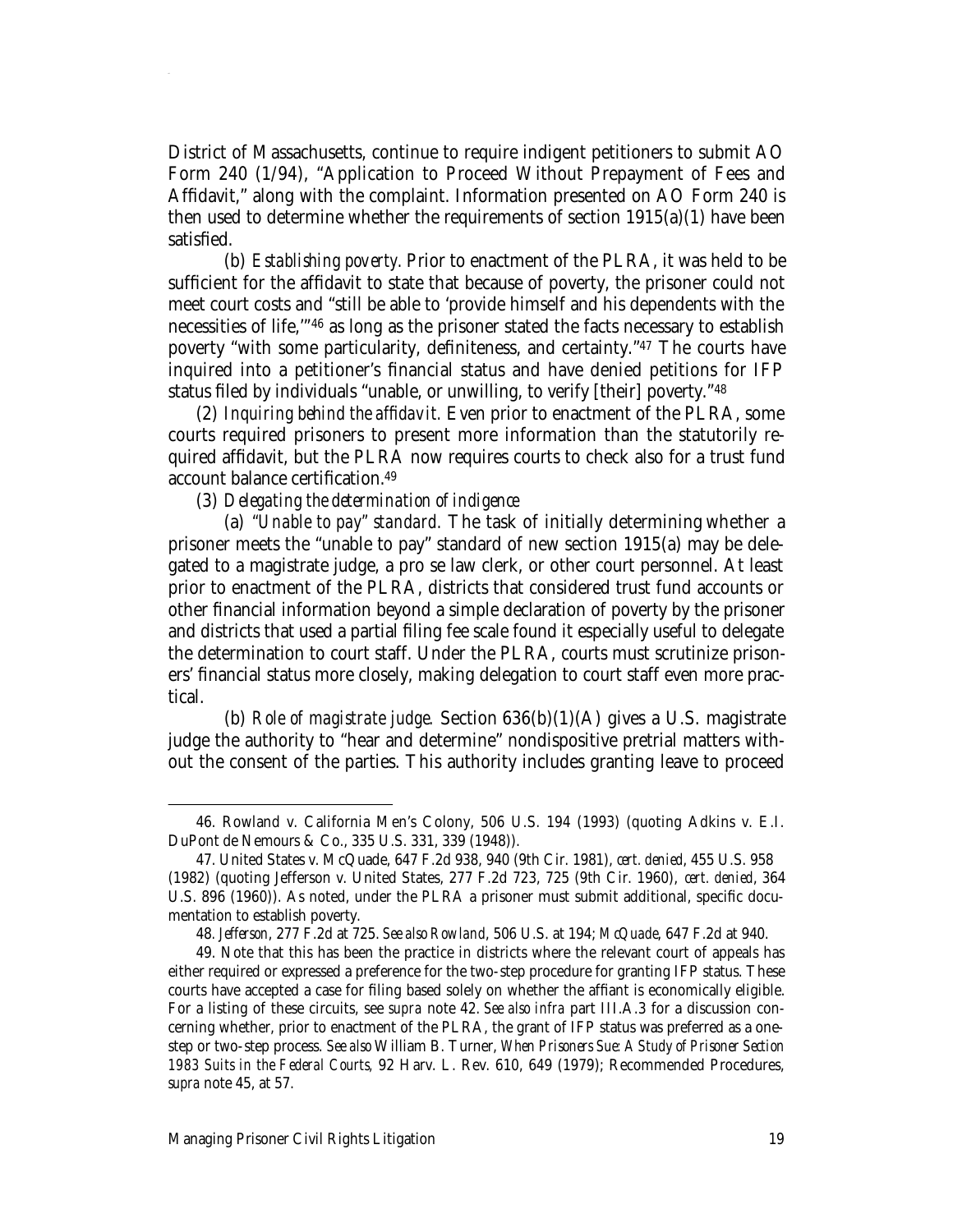District of Massachusetts, continue to require indigent petitioners to submit AO Form 240 (1/94), "Application to Proceed Without Prepayment of Fees and Affidavit," along with the complaint. Information presented on AO Form 240 is then used to determine whether the requirements of section 1915(a)(1) have been satisfied.

(b) *Establishing poverty.* Prior to enactment of the PLRA, it was held to be sufficient for the affidavit to state that because of poverty, the prisoner could not meet court costs and "still be able to 'provide himself and his dependents with the necessities of life,'"46 as long as the prisoner stated the facts necessary to establish poverty "with some particularity, definiteness, and certainty."47 The courts have inquired into a petitioner's financial status and have denied petitions for IFP status filed by individuals "unable, or unwilling, to verify [their] poverty."48

(2) *Inquiring behind the affidavit.* Even prior to enactment of the PLRA, some courts required prisoners to present more information than the statutorily required affidavit, but the PLRA now requires courts to check also for a trust fund account balance certification.49

(3) *Delegating the determination of indigence*

(a) *"Unable to pay" standard.* The task of initially determining whether a prisoner meets the "unable to pay" standard of new section 1915(a) may be delegated to a magistrate judge, a pro se law clerk, or other court personnel. At least prior to enactment of the PLRA, districts that considered trust fund accounts or other financial information beyond a simple declaration of poverty by the prisoner and districts that used a partial filing fee scale found it especially useful to delegate the determination to court staff. Under the PLRA, courts must scrutinize prisoners' financial status more closely, making delegation to court staff even more practical.

(b) *Role of magistrate judge.* Section 636(b)(1)(A) gives a U.S. magistrate judge the authority to "hear and determine" nondispositive pretrial matters without the consent of the parties. This authority includes granting leave to proceed

 <sup>46.</sup> Rowland v. California Men's Colony, 506 U.S. 194 (1993) (quoting Adkins v. E.I. DuPont de Nemours & Co., 335 U.S. 331, 339 (1948)).

<sup>47.</sup> United States v. McQuade, 647 F.2d 938, 940 (9th Cir. 1981), *cert. denied*, 455 U.S. 958 (1982) (quoting Jefferson v. United States, 277 F.2d 723, 725 (9th Cir. 1960), *cert. denied*, 364 U.S. 896 (1960)). As noted, under the PLRA a prisoner must submit additional, specific documentation to establish poverty.

<sup>48</sup>*. Jefferson*, 277 F.2d at 725. *See also Rowland*, 506 U.S. at 194; *McQuade*, 647 F.2d at 940.

<sup>49.</sup> Note that this has been the practice in districts where the relevant court of appeals has either required or expressed a preference for the two-step procedure for granting IFP status. These courts have accepted a case for filing based solely on whether the affiant is economically eligible. For a listing of these circuits, see *supra* note 42. *See also infra* part III.A.3 for a discussion concerning whether, prior to enactment of the PLRA, the grant of IFP status was preferred as a onestep or two-step process. *See also* William B. Turner, *When Prisoners Sue: A Study of Prisoner Section 1983 Suits in the Federal Courts,* 92 Harv. L. Rev. 610, 649 (1979); Recommended Procedures, *supra* note 45, at 57.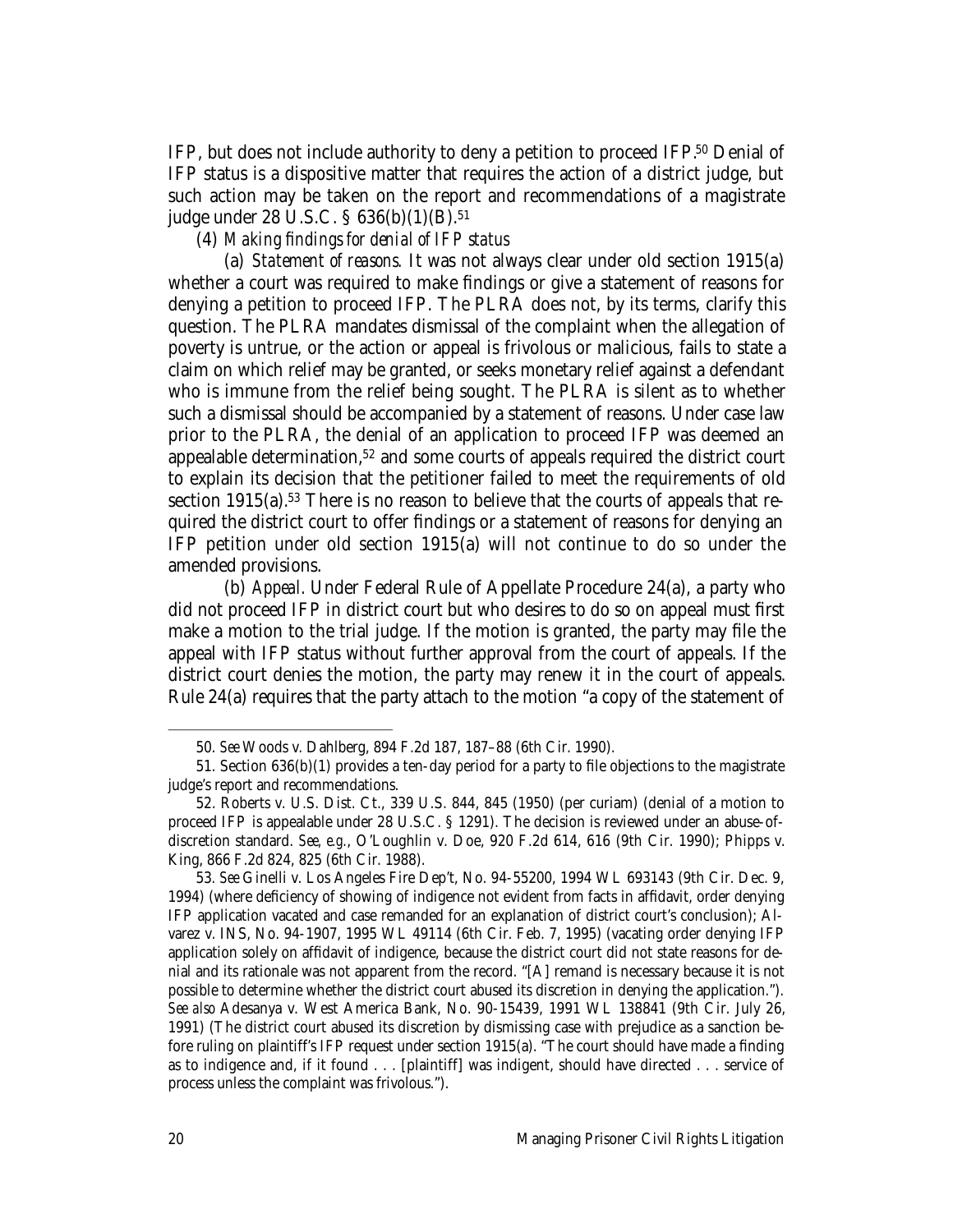IFP, but does not include authority to deny a petition to proceed IFP.50 Denial of IFP status is a dispositive matter that requires the action of a district judge, but such action may be taken on the report and recommendations of a magistrate judge under 28 U.S.C. § 636(b)(1)(B).51

#### (4) *Making findings for denial of IFP status*

(a) *Statement of reasons.* It was not always clear under old section 1915(a) whether a court was required to make findings or give a statement of reasons for denying a petition to proceed IFP. The PLRA does not, by its terms, clarify this question. The PLRA mandates dismissal of the complaint when the allegation of poverty is untrue, or the action or appeal is frivolous or malicious, fails to state a claim on which relief may be granted, or seeks monetary relief against a defendant who is immune from the relief being sought. The PLRA is silent as to whether such a dismissal should be accompanied by a statement of reasons. Under case law prior to the PLRA, the denial of an application to proceed IFP was deemed an appealable determination,52 and some courts of appeals required the district court to explain its decision that the petitioner failed to meet the requirements of old section 1915(a).53 There is no reason to believe that the courts of appeals that required the district court to offer findings or a statement of reasons for denying an IFP petition under old section 1915(a) will not continue to do so under the amended provisions.

(b) *Appeal.* Under Federal Rule of Appellate Procedure 24(a), a party who did not proceed IFP in district court but who desires to do so on appeal must first make a motion to the trial judge. If the motion is granted, the party may file the appeal with IFP status without further approval from the court of appeals. If the district court denies the motion, the party may renew it in the court of appeals. Rule 24(a) requires that the party attach to the motion "a copy of the statement of

53*. See* Ginelli v. Los Angeles Fire Dep't, No. 94-55200, 1994 WL 693143 (9th Cir. Dec. 9, 1994) (where deficiency of showing of indigence not evident from facts in affidavit, order denying IFP application vacated and case remanded for an explanation of district court's conclusion); Alvarez v. INS, No. 94-1907, 1995 WL 49114 (6th Cir. Feb. 7, 1995) (vacating order denying IFP application solely on affidavit of indigence, because the district court did not state reasons for denial and its rationale was not apparent from the record. "[A] remand is necessary because it is not possible to determine whether the district court abused its discretion in denying the application."). *See also* Adesanya v. West America Bank, No. 90-15439, 1991 WL 138841 (9th Cir. July 26, 1991) (The district court abused its discretion by dismissing case with prejudice as a sanction before ruling on plaintiff's IFP request under section 1915(a). "The court should have made a finding as to indigence and, if it found . . . [plaintiff] was indigent, should have directed . . . service of process unless the complaint was frivolous.").

 <sup>50.</sup> *See* Woods v. Dahlberg, 894 F.2d 187, 187–88 (6th Cir. 1990).

<sup>51.</sup> Section 636(b)(1) provides a ten-day period for a party to file objections to the magistrate judge's report and recommendations.

<sup>52.</sup> Roberts v. U.S. Dist. Ct., 339 U.S. 844, 845 (1950) (per curiam) (denial of a motion to proceed IFP is appealable under 28 U.S.C. § 1291). The decision is reviewed under an abuse-ofdiscretion standard. *See, e.g.*, O'Loughlin v. Doe, 920 F.2d 614, 616 (9th Cir. 1990); Phipps v. King, 866 F.2d 824, 825 (6th Cir. 1988).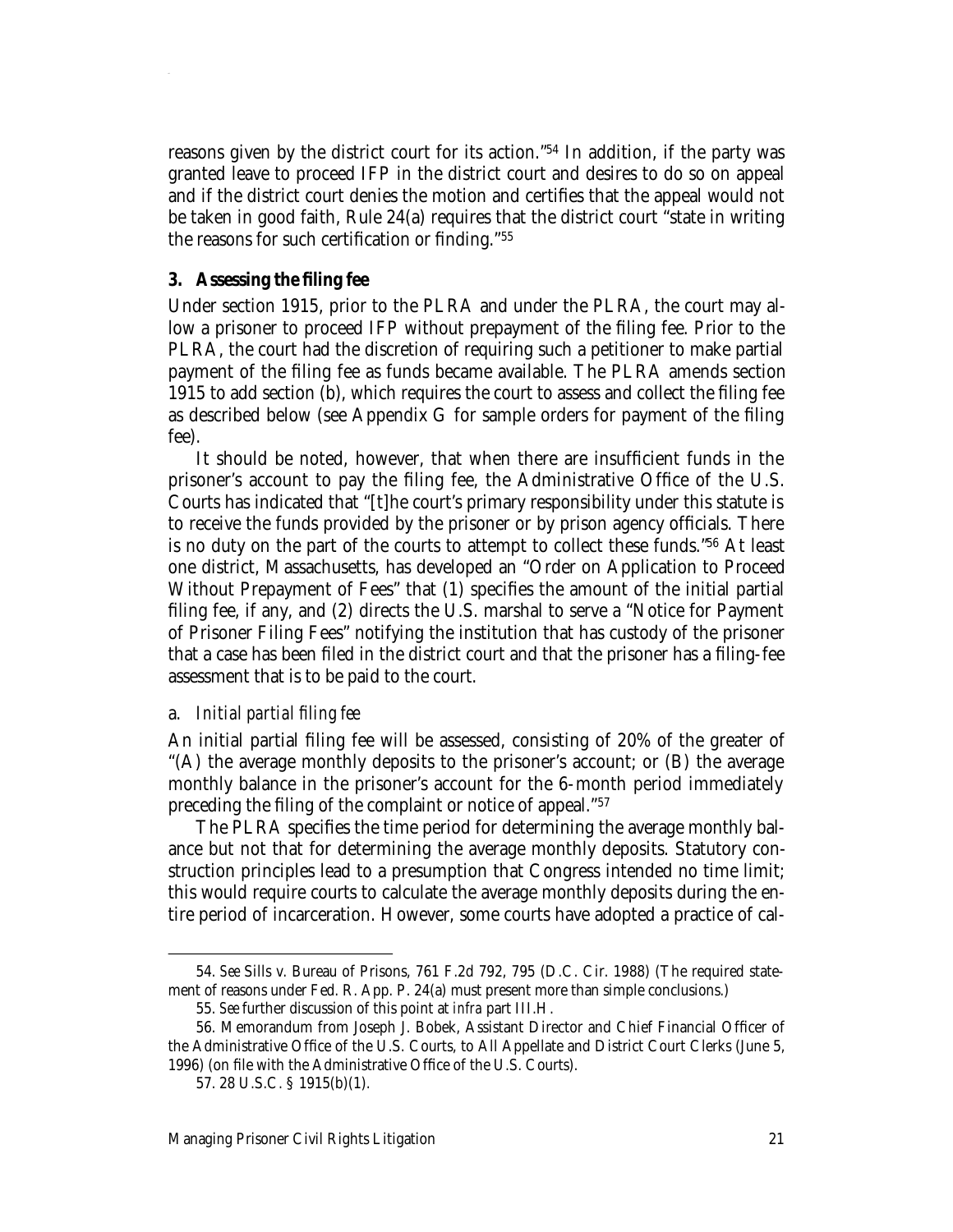reasons given by the district court for its action."54 In addition, if the party was granted leave to proceed IFP in the district court and desires to do so on appeal and if the district court denies the motion and certifies that the appeal would not be taken in good faith, Rule 24(a) requires that the district court "state in writing the reasons for such certification or finding."55

#### **3. Assessing the filing fee**

Under section 1915, prior to the PLRA and under the PLRA, the court may allow a prisoner to proceed IFP without prepayment of the filing fee. Prior to the PLRA, the court had the discretion of requiring such a petitioner to make partial payment of the filing fee as funds became available. The PLRA amends section 1915 to add section (b), which requires the court to assess and collect the filing fee as described below (see Appendix G for sample orders for payment of the filing fee).

It should be noted, however, that when there are insufficient funds in the prisoner's account to pay the filing fee, the Administrative Office of the U.S. Courts has indicated that "[t]he court's primary responsibility under this statute is to receive the funds provided by the prisoner or by prison agency officials. There is no duty on the part of the courts to attempt to collect these funds."56 At least one district, Massachusetts, has developed an "Order on Application to Proceed Without Prepayment of Fees" that (1) specifies the amount of the initial partial filing fee, if any, and (2) directs the U.S. marshal to serve a "Notice for Payment of Prisoner Filing Fees" notifying the institution that has custody of the prisoner that a case has been filed in the district court and that the prisoner has a filing-fee assessment that is to be paid to the court.

#### a. *Initial partial filing fee*

An initial partial filing fee will be assessed, consisting of 20% of the greater of "(A) the average monthly deposits to the prisoner's account; or (B) the average monthly balance in the prisoner's account for the 6-month period immediately preceding the filing of the complaint or notice of appeal."57

The PLRA specifies the time period for determining the average monthly balance but not that for determining the average monthly deposits. Statutory construction principles lead to a presumption that Congress intended no time limit; this would require courts to calculate the average monthly deposits during the entire period of incarceration. However, some courts have adopted a practice of cal-

 <sup>54.</sup> *See* Sills v. Bureau of Prisons, 761 F.2d 792, 795 (D.C. Cir. 1988) (The required statement of reasons under Fed. R. App. P. 24(a) must present more than simple conclusions.)

<sup>55.</sup> *See* further discussion of this point at *infra* part III.H.

<sup>56.</sup> Memorandum from Joseph J. Bobek, Assistant Director and Chief Financial Officer of the Administrative Office of the U.S. Courts, to All Appellate and District Court Clerks (June 5, 1996) (on file with the Administrative Office of the U.S. Courts).

<sup>57. 28</sup> U.S.C. § 1915(b)(1).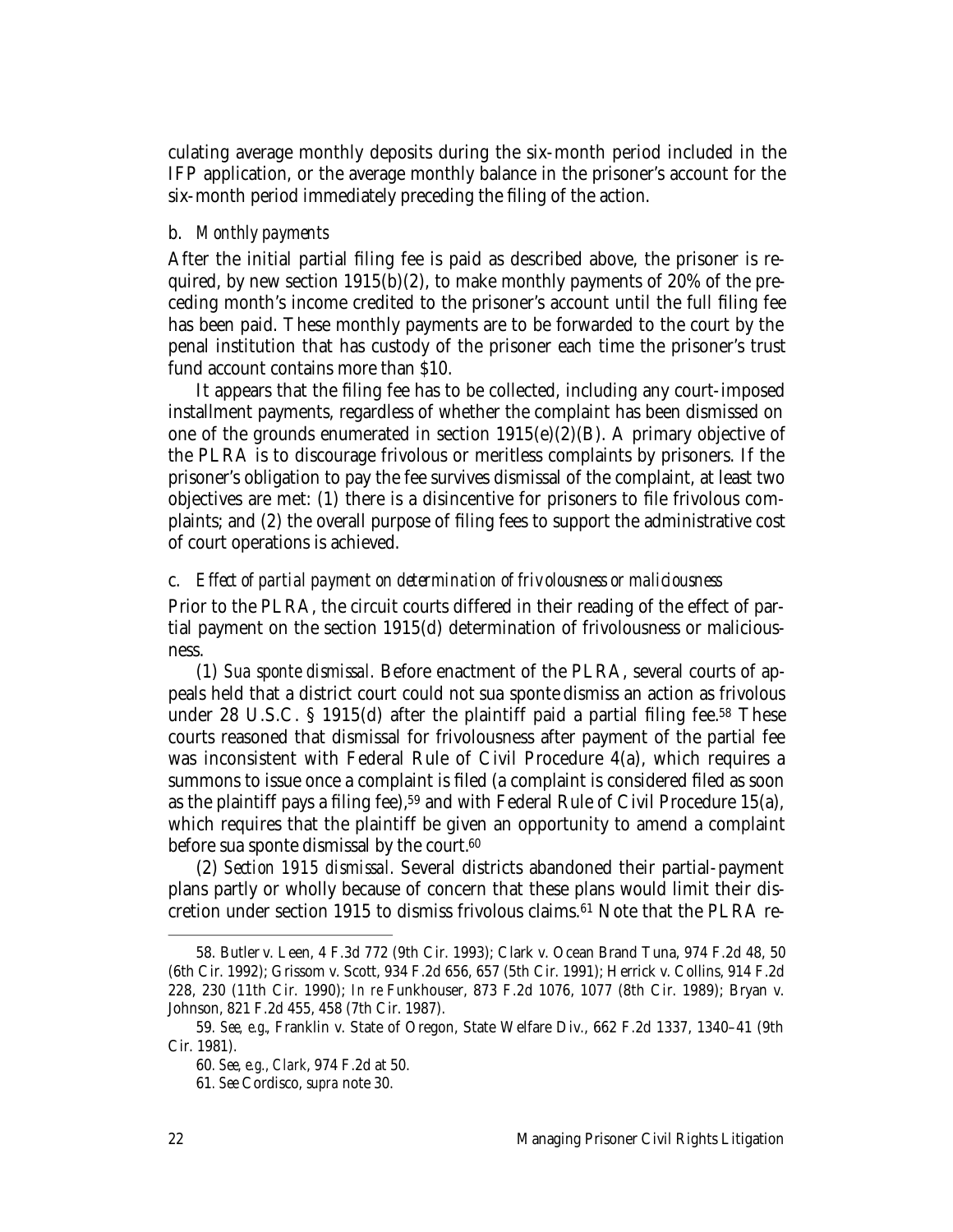culating average monthly deposits during the six-month period included in the IFP application, or the average monthly balance in the prisoner's account for the six-month period immediately preceding the filing of the action.

#### b. *Monthly payments*

After the initial partial filing fee is paid as described above, the prisoner is required, by new section 1915(b)(2), to make monthly payments of 20% of the preceding month's income credited to the prisoner's account until the full filing fee has been paid. These monthly payments are to be forwarded to the court by the penal institution that has custody of the prisoner each time the prisoner's trust fund account contains more than \$10.

It appears that the filing fee has to be collected, including any court-imposed installment payments, regardless of whether the complaint has been dismissed on one of the grounds enumerated in section 1915(e)(2)(B). A primary objective of the PLRA is to discourage frivolous or meritless complaints by prisoners. If the prisoner's obligation to pay the fee survives dismissal of the complaint, at least two objectives are met: (1) there is a disincentive for prisoners to file frivolous complaints; and (2) the overall purpose of filing fees to support the administrative cost of court operations is achieved.

#### c. *Effect of partial payment on determination of frivolousness or maliciousness*

Prior to the PLRA, the circuit courts differed in their reading of the effect of partial payment on the section 1915(d) determination of frivolousness or maliciousness.

(1) *Sua sponte dismissal.* Before enactment of the PLRA, several courts of appeals held that a district court could not sua sponte dismiss an action as frivolous under 28 U.S.C. § 1915(d) after the plaintiff paid a partial filing fee.58 These courts reasoned that dismissal for frivolousness after payment of the partial fee was inconsistent with Federal Rule of Civil Procedure 4(a), which requires a summons to issue once a complaint is filed (a complaint is considered filed as soon as the plaintiff pays a filing fee),<sup>59</sup> and with Federal Rule of Civil Procedure 15(a), which requires that the plaintiff be given an opportunity to amend a complaint before sua sponte dismissal by the court.<sup>60</sup>

(2) *Section 1915 dismissal.* Several districts abandoned their partial-payment plans partly or wholly because of concern that these plans would limit their discretion under section 1915 to dismiss frivolous claims.61 Note that the PLRA re-

 <sup>58.</sup> Butler v. Leen, 4 F.3d 772 (9th Cir. 1993); Clark v. Ocean Brand Tuna, 974 F.2d 48, 50 (6th Cir. 1992); Grissom v. Scott, 934 F.2d 656, 657 (5th Cir. 1991); Herrick v. Collins, 914 F.2d 228, 230 (11th Cir. 1990); *In re* Funkhouser, 873 F.2d 1076, 1077 (8th Cir. 1989); Bryan v. Johnson, 821 F.2d 455, 458 (7th Cir. 1987).

<sup>59</sup>*. See, e.g.*, Franklin v. State of Oregon, State Welfare Div., 662 F.2d 1337, 1340–41 (9th Cir. 1981).

<sup>60</sup>*. See, e.g., Clark*, 974 F.2d at 50.

<sup>61</sup>*. See* Cordisco, *supra* note 30.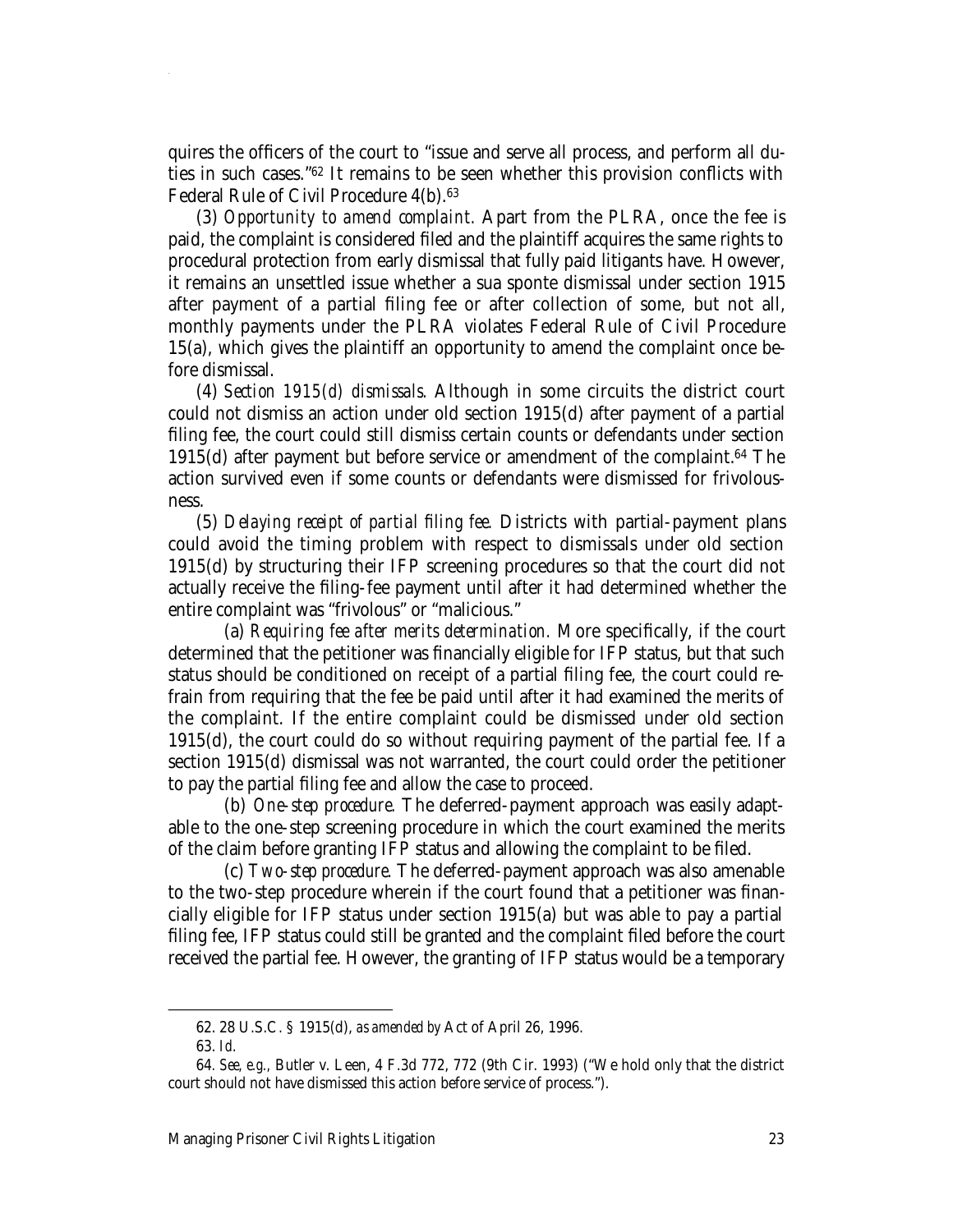quires the officers of the court to "issue and serve all process, and perform all duties in such cases."62 It remains to be seen whether this provision conflicts with Federal Rule of Civil Procedure 4(b).<sup>63</sup>

(3) *Opportunity to amend complaint.* Apart from the PLRA, once the fee is paid, the complaint is considered filed and the plaintiff acquires the same rights to procedural protection from early dismissal that fully paid litigants have. However, it remains an unsettled issue whether a sua sponte dismissal under section 1915 after payment of a partial filing fee or after collection of some, but not all, monthly payments under the PLRA violates Federal Rule of Civil Procedure 15(a), which gives the plaintiff an opportunity to amend the complaint once before dismissal.

(4) *Section 1915(d) dismissals.* Although in some circuits the district court could not dismiss an action under old section 1915(d) after payment of a partial filing fee, the court could still dismiss certain counts or defendants under section 1915(d) after payment but before service or amendment of the complaint.64 The action survived even if some counts or defendants were dismissed for frivolousness.

(5) *Delaying receipt of partial filing fee.* Districts with partial-payment plans could avoid the timing problem with respect to dismissals under old section 1915(d) by structuring their IFP screening procedures so that the court did not actually receive the filing-fee payment until after it had determined whether the entire complaint was "frivolous" or "malicious."

(a) *Requiring fee after merits determination.* More specifically, if the court determined that the petitioner was financially eligible for IFP status, but that such status should be conditioned on receipt of a partial filing fee, the court could refrain from requiring that the fee be paid until after it had examined the merits of the complaint. If the entire complaint could be dismissed under old section 1915(d), the court could do so without requiring payment of the partial fee. If a section 1915(d) dismissal was not warranted, the court could order the petitioner to pay the partial filing fee and allow the case to proceed.

(b) *One-step procedure.* The deferred-payment approach was easily adaptable to the one-step screening procedure in which the court examined the merits of the claim before granting IFP status and allowing the complaint to be filed.

(c) *Two-step procedure.* The deferred-payment approach was also amenable to the two-step procedure wherein if the court found that a petitioner was financially eligible for IFP status under section 1915(a) but was able to pay a partial filing fee, IFP status could still be granted and the complaint filed before the court received the partial fee. However, the granting of IFP status would be a temporary

 <sup>62. 28</sup> U.S.C. § 1915(d), *as amended by* Act of April 26, 1996.

<sup>63.</sup> *Id*.

<sup>64</sup>*. See, e.g.,* Butler v. Leen, 4 F.3d 772, 772 (9th Cir. 1993) ("We hold only that the district court should not have dismissed this action before service of process.").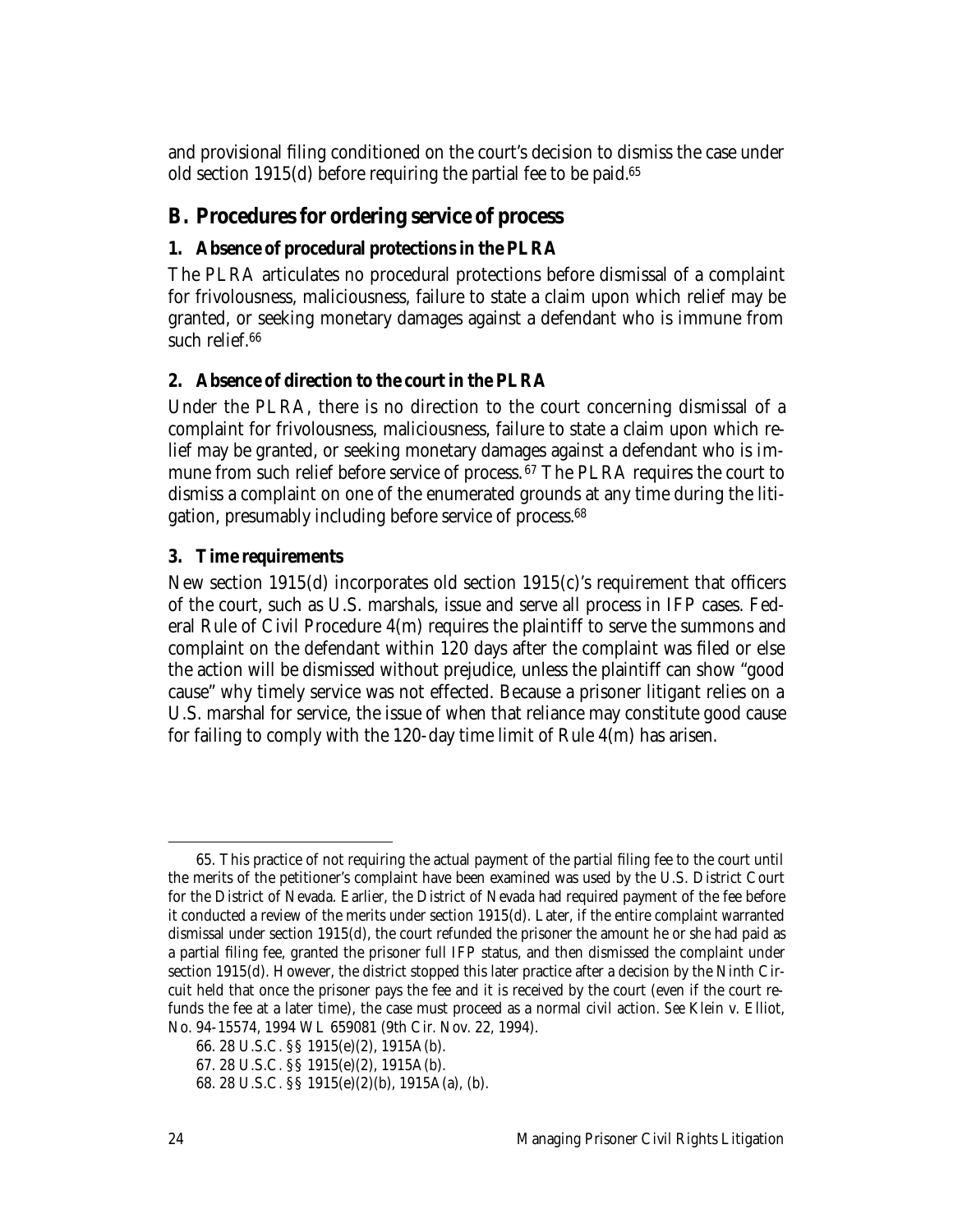and provisional filing conditioned on the court's decision to dismiss the case under old section 1915(d) before requiring the partial fee to be paid. $65$ 

# **B. Procedures for ordering service of process**

#### **1. Absence of procedural protections in the PLRA**

The PLRA articulates no procedural protections before dismissal of a complaint for frivolousness, maliciousness, failure to state a claim upon which relief may be granted, or seeking monetary damages against a defendant who is immune from such relief.<sup>66</sup>

### **2. Absence of direction to the court in the PLRA**

Under the PLRA, there is no direction to the court concerning dismissal of a complaint for frivolousness, maliciousness, failure to state a claim upon which relief may be granted, or seeking monetary damages against a defendant who is immune from such relief before service of process.<sup>67</sup> The PLRA requires the court to dismiss a complaint on one of the enumerated grounds at any time during the litigation, presumably including before service of process.68

#### **3. Time requirements**

New section 1915(d) incorporates old section 1915(c)'s requirement that officers of the court, such as U.S. marshals, issue and serve all process in IFP cases. Federal Rule of Civil Procedure 4(m) requires the plaintiff to serve the summons and complaint on the defendant within 120 days after the complaint was filed or else the action will be dismissed without prejudice, unless the plaintiff can show "good cause" why timely service was not effected. Because a prisoner litigant relies on a U.S. marshal for service, the issue of when that reliance may constitute good cause for failing to comply with the 120-day time limit of Rule 4(m) has arisen.

 <sup>65.</sup> This practice of not requiring the actual payment of the partial filing fee to the court until the merits of the petitioner's complaint have been examined was used by the U.S. District Court for the District of Nevada. Earlier, the District of Nevada had required payment of the fee before it conducted a review of the merits under section 1915(d). Later, if the entire complaint warranted dismissal under section 1915(d), the court refunded the prisoner the amount he or she had paid as a partial filing fee, granted the prisoner full IFP status, and then dismissed the complaint under section 1915(d). However, the district stopped this later practice after a decision by the Ninth Circuit held that once the prisoner pays the fee and it is received by the court (even if the court refunds the fee at a later time), the case must proceed as a normal civil action. *See* Klein v. Elliot, No. 94-15574, 1994 WL 659081 (9th Cir. Nov. 22, 1994).

<sup>66. 28</sup> U.S.C. §§ 1915(e)(2), 1915A(b).

<sup>67. 28</sup> U.S.C. §§ 1915(e)(2), 1915A(b).

<sup>68. 28</sup> U.S.C. §§ 1915(e)(2)(b), 1915A(a), (b).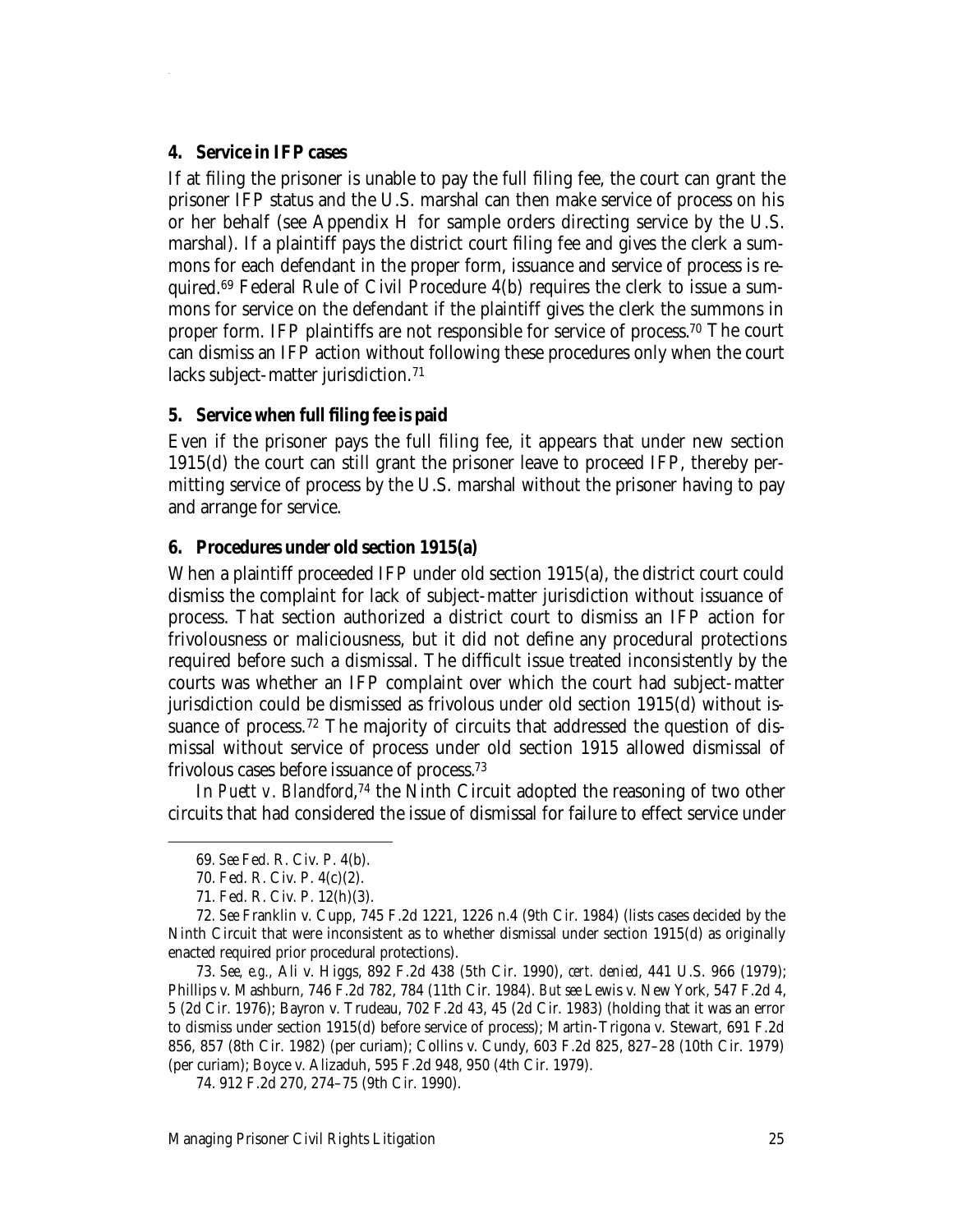#### **4. Service in IFP cases**

If at filing the prisoner is unable to pay the full filing fee, the court can grant the prisoner IFP status and the U.S. marshal can then make service of process on his or her behalf (see Appendix H for sample orders directing service by the U.S. marshal). If a plaintiff pays the district court filing fee and gives the clerk a summons for each defendant in the proper form, issuance and service of process is required.69 Federal Rule of Civil Procedure 4(b) requires the clerk to issue a summons for service on the defendant if the plaintiff gives the clerk the summons in proper form. IFP plaintiffs are not responsible for service of process.70 The court can dismiss an IFP action without following these procedures only when the court lacks subject-matter jurisdiction.<sup>71</sup>

#### **5. Service when full filing fee is paid**

Even if the prisoner pays the full filing fee, it appears that under new section 1915(d) the court can still grant the prisoner leave to proceed IFP, thereby permitting service of process by the U.S. marshal without the prisoner having to pay and arrange for service.

#### **6. Procedures under old section 1915(a)**

When a plaintiff proceeded IFP under old section 1915(a), the district court could dismiss the complaint for lack of subject-matter jurisdiction without issuance of process. That section authorized a district court to dismiss an IFP action for frivolousness or maliciousness, but it did not define any procedural protections required before such a dismissal. The difficult issue treated inconsistently by the courts was whether an IFP complaint over which the court had subject-matter jurisdiction could be dismissed as frivolous under old section 1915(d) without issuance of process.72 The majority of circuits that addressed the question of dismissal without service of process under old section 1915 allowed dismissal of frivolous cases before issuance of process.73

In *Puett v. Blandford*,<sup>74</sup> the Ninth Circuit adopted the reasoning of two other circuits that had considered the issue of dismissal for failure to effect service under

 <sup>69</sup>*. See* Fed. R. Civ. P. 4(b).

<sup>70.</sup> Fed. R. Civ. P. 4(c)(2).

<sup>71.</sup> Fed. R. Civ. P. 12(h)(3).

<sup>72</sup>*. See* Franklin v. Cupp, 745 F.2d 1221, 1226 n.4 (9th Cir. 1984) (lists cases decided by the Ninth Circuit that were inconsistent as to whether dismissal under section 1915(d) as originally enacted required prior procedural protections).

<sup>73.</sup> *See, e.g.,* Ali v. Higgs, 892 F.2d 438 (5th Cir. 1990), *cert. denied*, 441 U.S. 966 (1979); Phillips v. Mashburn, 746 F.2d 782, 784 (11th Cir. 1984). *But see* Lewis v. New York, 547 F.2d 4, 5 (2d Cir. 1976); Bayron v. Trudeau, 702 F.2d 43, 45 (2d Cir. 1983) (holding that it was an error to dismiss under section 1915(d) before service of process); Martin-Trigona v. Stewart, 691 F.2d 856, 857 (8th Cir. 1982) (per curiam); Collins v. Cundy, 603 F.2d 825, 827–28 (10th Cir. 1979) (per curiam); Boyce v. Alizaduh, 595 F.2d 948, 950 (4th Cir. 1979).

<sup>74. 912</sup> F.2d 270, 274–75 (9th Cir. 1990).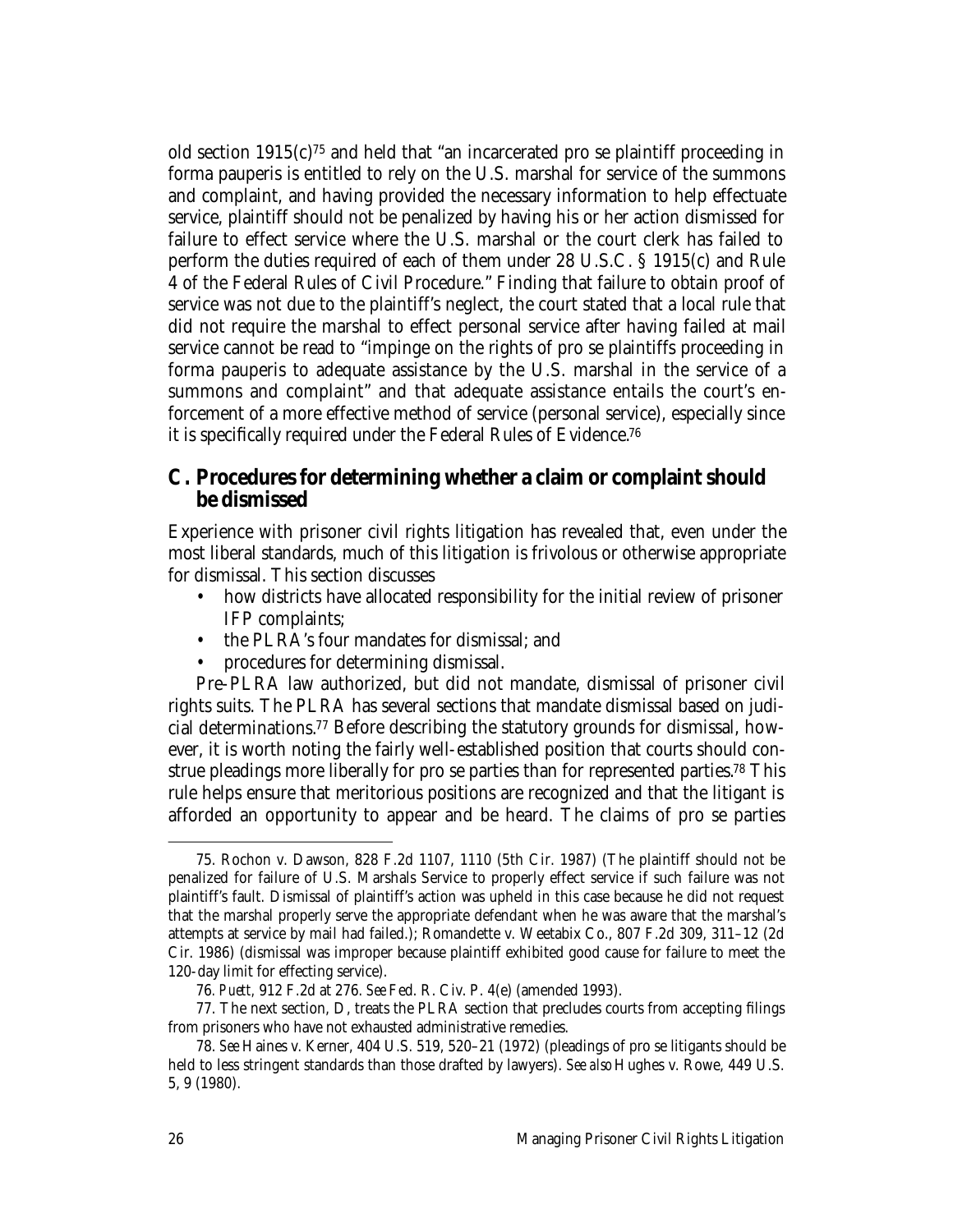old section  $1915(c)^{75}$  and held that "an incarcerated pro se plaintiff proceeding in forma pauperis is entitled to rely on the U.S. marshal for service of the summons and complaint, and having provided the necessary information to help effectuate service, plaintiff should not be penalized by having his or her action dismissed for failure to effect service where the U.S. marshal or the court clerk has failed to perform the duties required of each of them under 28 U.S.C. § 1915(c) and Rule 4 of the Federal Rules of Civil Procedure." Finding that failure to obtain proof of service was not due to the plaintiff's neglect, the court stated that a local rule that did not require the marshal to effect personal service after having failed at mail service cannot be read to "impinge on the rights of pro se plaintiffs proceeding in forma pauperis to adequate assistance by the U.S. marshal in the service of a summons and complaint" and that adequate assistance entails the court's enforcement of a more effective method of service (personal service), especially since it is specifically required under the Federal Rules of Evidence.76

#### **C. Procedures for determining whether a claim or complaint should be dismissed**

Experience with prisoner civil rights litigation has revealed that, even under the most liberal standards, much of this litigation is frivolous or otherwise appropriate for dismissal. This section discusses

- how districts have allocated responsibility for the initial review of prisoner IFP complaints;
- the PLRA's four mandates for dismissal; and
- procedures for determining dismissal.

Pre-PLRA law authorized, but did not mandate, dismissal of prisoner civil rights suits. The PLRA has several sections that mandate dismissal based on judicial determinations.77 Before describing the statutory grounds for dismissal, however, it is worth noting the fairly well-established position that courts should construe pleadings more liberally for pro se parties than for represented parties.78 This rule helps ensure that meritorious positions are recognized and that the litigant is afforded an opportunity to appear and be heard. The claims of pro se parties

 <sup>75.</sup> Rochon v. Dawson, 828 F.2d 1107, 1110 (5th Cir. 1987) (The plaintiff should not be penalized for failure of U.S. Marshals Service to properly effect service if such failure was not plaintiff's fault. Dismissal of plaintiff's action was upheld in this case because he did not request that the marshal properly serve the appropriate defendant when he was aware that the marshal's attempts at service by mail had failed.); Romandette v. Weetabix Co., 807 F.2d 309, 311–12 (2d Cir. 1986) (dismissal was improper because plaintiff exhibited good cause for failure to meet the 120-day limit for effecting service).

<sup>76</sup>*. Puett,* 912 F.2d at 276. *See* Fed. R. Civ. P. 4(e) (amended 1993).

<sup>77.</sup> The next section, D, treats the PLRA section that precludes courts from accepting filings from prisoners who have not exhausted administrative remedies.

<sup>78.</sup> *See* Haines v. Kerner, 404 U.S. 519, 520–21 (1972) (pleadings of pro se litigants should be held to less stringent standards than those drafted by lawyers). *See also* Hughes v. Rowe, 449 U.S. 5, 9 (1980).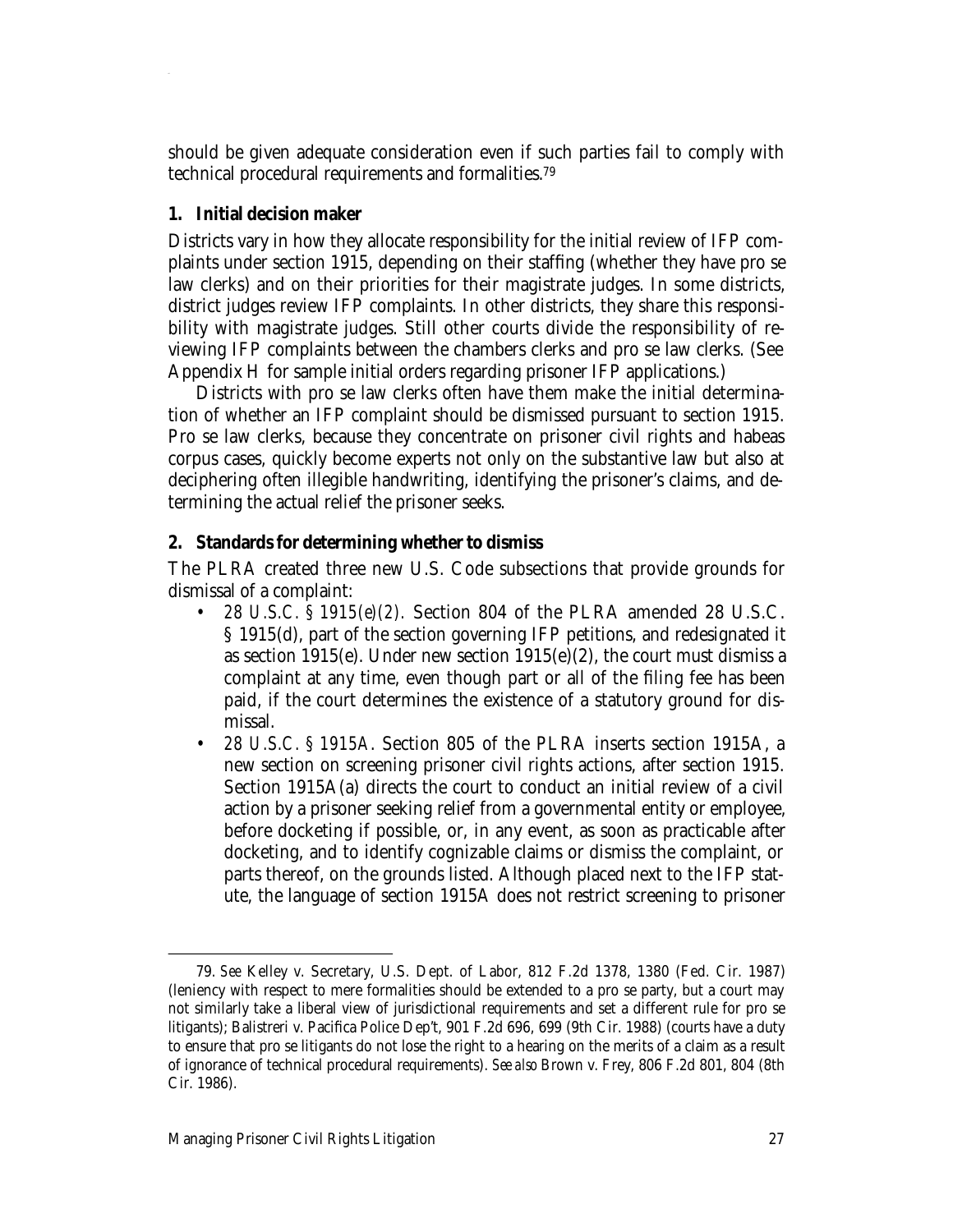should be given adequate consideration even if such parties fail to comply with technical procedural requirements and formalities.79

### **1. Initial decision maker**

Districts vary in how they allocate responsibility for the initial review of IFP complaints under section 1915, depending on their staffing (whether they have pro se law clerks) and on their priorities for their magistrate judges. In some districts, district judges review IFP complaints. In other districts, they share this responsibility with magistrate judges. Still other courts divide the responsibility of reviewing IFP complaints between the chambers clerks and pro se law clerks. (See Appendix H for sample initial orders regarding prisoner IFP applications.)

Districts with pro se law clerks often have them make the initial determination of whether an IFP complaint should be dismissed pursuant to section 1915. Pro se law clerks, because they concentrate on prisoner civil rights and habeas corpus cases, quickly become experts not only on the substantive law but also at deciphering often illegible handwriting, identifying the prisoner's claims, and determining the actual relief the prisoner seeks.

### **2. Standards for determining whether to dismiss**

The PLRA created three new U.S. Code subsections that provide grounds for dismissal of a complaint:

- *28 U.S.C. § 1915(e)(2).* Section 804 of the PLRA amended 28 U.S.C. § 1915(d), part of the section governing IFP petitions, and redesignated it as section 1915(e). Under new section 1915(e)(2), the court must dismiss a complaint at any time, even though part or all of the filing fee has been paid, if the court determines the existence of a statutory ground for dismissal.
- *28 U.S.C. § 1915A*. Section 805 of the PLRA inserts section 1915A, a new section on screening prisoner civil rights actions, after section 1915. Section 1915A(a) directs the court to conduct an initial review of a civil action by a prisoner seeking relief from a governmental entity or employee, before docketing if possible, or, in any event, as soon as practicable after docketing, and to identify cognizable claims or dismiss the complaint, or parts thereof, on the grounds listed. Although placed next to the IFP statute, the language of section 1915A does not restrict screening to prisoner

 <sup>79.</sup> *See* Kelley v. Secretary, U.S. Dept. of Labor, 812 F.2d 1378, 1380 (Fed. Cir. 1987) (leniency with respect to mere formalities should be extended to a pro se party, but a court may not similarly take a liberal view of jurisdictional requirements and set a different rule for pro se litigants); Balistreri v. Pacifica Police Dep't, 901 F.2d 696, 699 (9th Cir. 1988) (courts have a duty to ensure that pro se litigants do not lose the right to a hearing on the merits of a claim as a result of ignorance of technical procedural requirements). *See also* Brown v. Frey, 806 F.2d 801, 804 (8th Cir. 1986).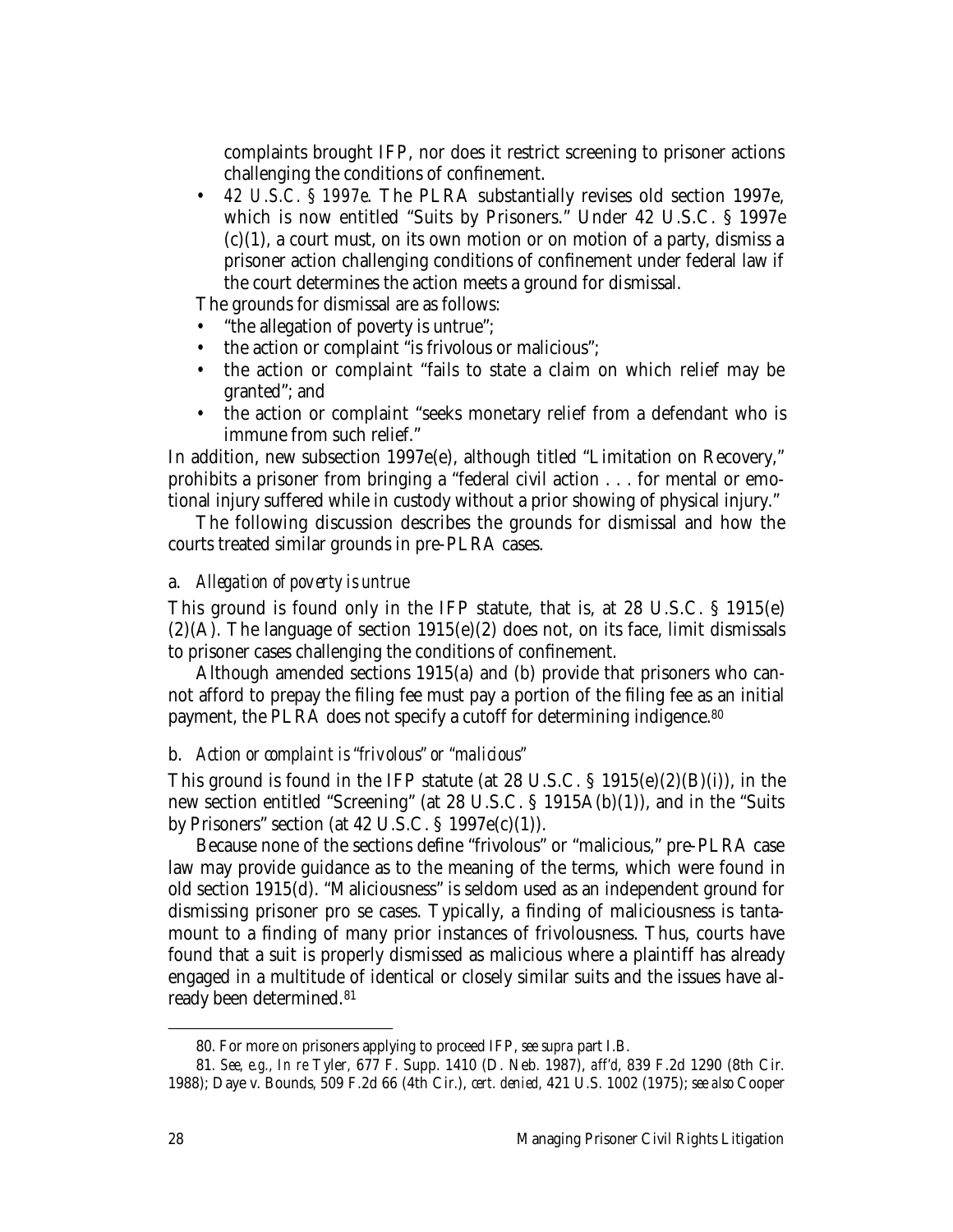complaints brought IFP, nor does it restrict screening to prisoner actions challenging the conditions of confinement.

• *42 U.S.C. § 1997e*. The PLRA substantially revises old section 1997e, which is now entitled "Suits by Prisoners." Under 42 U.S.C. § 1997e  $(c)(1)$ , a court must, on its own motion or on motion of a party, dismiss a prisoner action challenging conditions of confinement under federal law if the court determines the action meets a ground for dismissal.

The grounds for dismissal are as follows:

- "the allegation of poverty is untrue":
- the action or complaint "is frivolous or malicious";
- the action or complaint "fails to state a claim on which relief may be granted"; and
- the action or complaint "seeks monetary relief from a defendant who is immune from such relief."

In addition, new subsection 1997e(e), although titled "Limitation on Recovery," prohibits a prisoner from bringing a "federal civil action . . . for mental or emotional injury suffered while in custody without a prior showing of physical injury."

The following discussion describes the grounds for dismissal and how the courts treated similar grounds in pre-PLRA cases.

### a. *Allegation of poverty is untrue*

This ground is found only in the IFP statute, that is, at 28 U.S.C. § 1915(e)  $(2)(A)$ . The language of section 1915(e)(2) does not, on its face, limit dismissals to prisoner cases challenging the conditions of confinement.

Although amended sections 1915(a) and (b) provide that prisoners who cannot afford to prepay the filing fee must pay a portion of the filing fee as an initial payment, the PLRA does not specify a cutoff for determining indigence.80

### b. *Action or complaint is "frivolous" or "malicious"*

This ground is found in the IFP statute (at  $28 \text{ U.S.C. }$  §  $1915(e)(2)(B)(i)$ ), in the new section entitled "Screening" (at 28 U.S.C. § 1915A(b)(1)), and in the "Suits by Prisoners" section (at  $42$  U.S.C.  $\S$  1997 $e(c)(1)$ ).

Because none of the sections define "frivolous" or "malicious," pre-PLRA case law may provide guidance as to the meaning of the terms, which were found in old section 1915(d). "Maliciousness" is seldom used as an independent ground for dismissing prisoner pro se cases. Typically, a finding of maliciousness is tantamount to a finding of many prior instances of frivolousness. Thus, courts have found that a suit is properly dismissed as malicious where a plaintiff has already engaged in a multitude of identical or closely similar suits and the issues have already been determined.81

 $\overline{a}$ 

<sup>80.</sup> For more on prisoners applying to proceed IFP, *see supra* part I.B.

<sup>81</sup>*. See, e.g., In re* Tyler*,* 677 F. Supp. 1410 (D. Neb. 1987), *aff'd*, 839 F.2d 1290 (8th Cir. 1988); Daye v. Bounds*,* 509 F.2d 66 (4th Cir.), *cert. denied,* 421 U.S. 1002 (1975); *see also* Cooper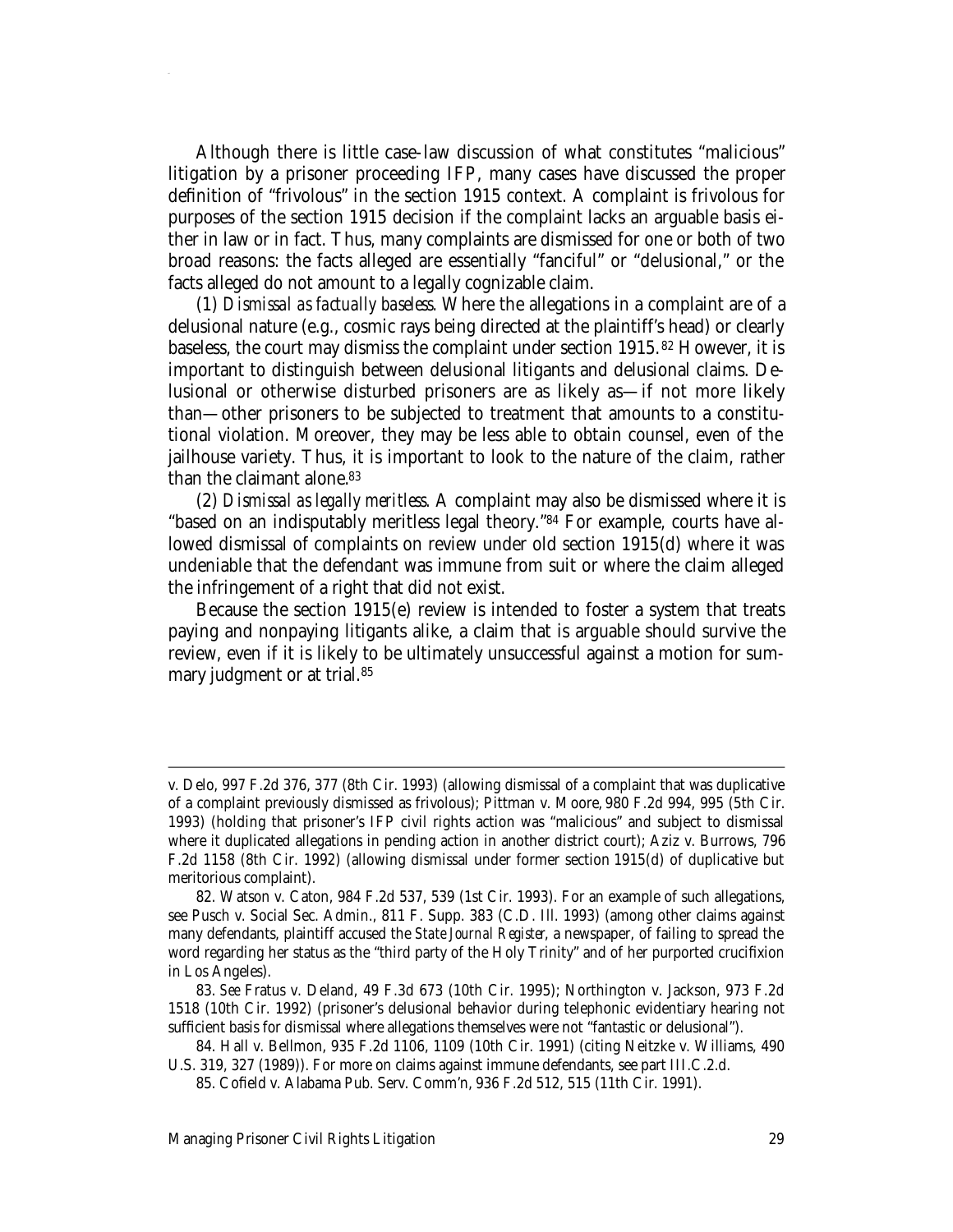Although there is little case-law discussion of what constitutes "malicious" litigation by a prisoner proceeding IFP, many cases have discussed the proper definition of "frivolous" in the section 1915 context. A complaint is frivolous for purposes of the section 1915 decision if the complaint lacks an arguable basis either in law or in fact. Thus, many complaints are dismissed for one or both of two broad reasons: the facts alleged are essentially "fanciful" or "delusional," or the facts alleged do not amount to a legally cognizable claim.

(1) *Dismissal as factually baseless.* Where the allegations in a complaint are of a delusional nature (e.g., cosmic rays being directed at the plaintiff's head) or clearly baseless, the court may dismiss the complaint under section 1915.82 However, it is important to distinguish between delusional litigants and delusional claims. Delusional or otherwise disturbed prisoners are as likely as—if not more likely than—other prisoners to be subjected to treatment that amounts to a constitutional violation. Moreover, they may be less able to obtain counsel, even of the jailhouse variety. Thus, it is important to look to the nature of the claim, rather than the claimant alone.83

(2) *Dismissal as legally meritless.* A complaint may also be dismissed where it is "based on an indisputably meritless legal theory."84 For example, courts have allowed dismissal of complaints on review under old section 1915(d) where it was undeniable that the defendant was immune from suit or where the claim alleged the infringement of a right that did not exist.

Because the section 1915(e) review is intended to foster a system that treats paying and nonpaying litigants alike, a claim that is arguable should survive the review, even if it is likely to be ultimately unsuccessful against a motion for summary judgment or at trial.85

 $\overline{a}$ 

v. Delo, 997 F.2d 376, 377 (8th Cir. 1993) (allowing dismissal of a complaint that was duplicative of a complaint previously dismissed as frivolous); Pittman v. Moore, 980 F.2d 994, 995 (5th Cir. 1993) (holding that prisoner's IFP civil rights action was "malicious" and subject to dismissal where it duplicated allegations in pending action in another district court); Aziz v. Burrows, 796 F.2d 1158 (8th Cir. 1992) (allowing dismissal under former section 1915(d) of duplicative but meritorious complaint).

<sup>82.</sup> Watson v. Caton, 984 F.2d 537, 539 (1st Cir. 1993). For an example of such allegations, see Pusch v. Social Sec. Admin., 811 F. Supp. 383 (C.D. Ill. 1993) (among other claims against many defendants, plaintiff accused the *State Journal Register*, a newspaper, of failing to spread the word regarding her status as the "third party of the Holy Trinity" and of her purported crucifixion in Los Angeles).

<sup>83.</sup> *See* Fratus v. Deland, 49 F.3d 673 (10th Cir. 1995); Northington v. Jackson, 973 F.2d 1518 (10th Cir. 1992) (prisoner's delusional behavior during telephonic evidentiary hearing not sufficient basis for dismissal where allegations themselves were not "fantastic or delusional").

<sup>84.</sup> Hall v. Bellmon, 935 F.2d 1106, 1109 (10th Cir. 1991) (citing Neitzke v. Williams, 490 U.S. 319, 327 (1989)). For more on claims against immune defendants, see part III.C.2.d.

<sup>85.</sup> Cofield v. Alabama Pub. Serv. Comm'n, 936 F.2d 512, 515 (11th Cir. 1991).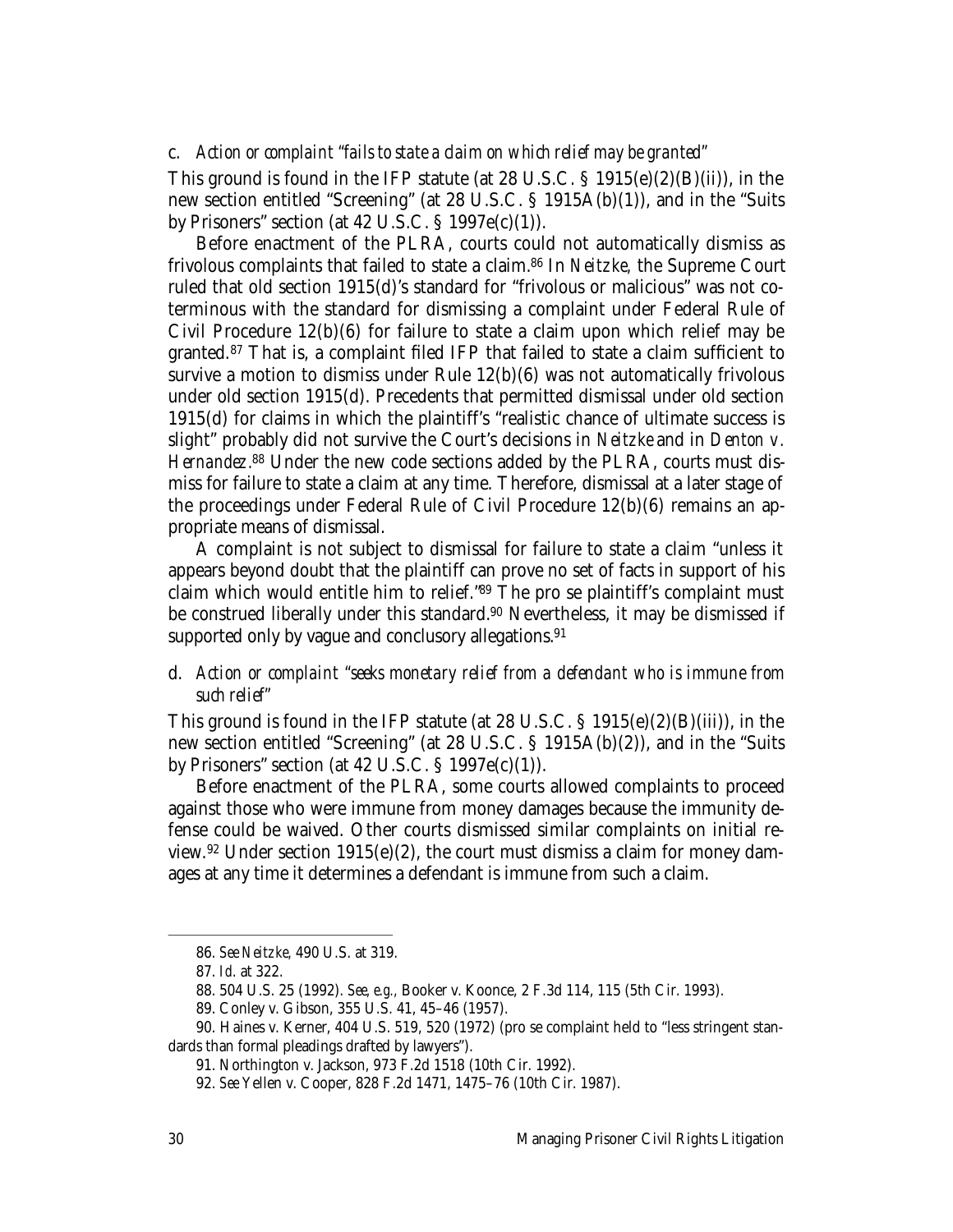#### c. *Action or complaint "fails to state a claim on which relief may be granted"*

This ground is found in the IFP statute (at  $28$  U.S.C.  $\S$  1915(e)(2)(B)(ii)), in the new section entitled "Screening" (at 28 U.S.C. § 1915A(b)(1)), and in the "Suits by Prisoners" section (at  $42$  U.S.C. §  $1997e(c)(1)$ ).

Before enactment of the PLRA, courts could not automatically dismiss as frivolous complaints that failed to state a claim.86 In *Neitzke,* the Supreme Court ruled that old section 1915(d)'s standard for "frivolous or malicious" was not coterminous with the standard for dismissing a complaint under Federal Rule of Civil Procedure 12(b)(6) for failure to state a claim upon which relief may be granted.87 That is, a complaint filed IFP that failed to state a claim sufficient to survive a motion to dismiss under Rule  $12(b)(6)$  was not automatically frivolous under old section 1915(d). Precedents that permitted dismissal under old section 1915(d) for claims in which the plaintiff's "realistic chance of ultimate success is slight" probably did not survive the Court's decisions in *Neitzke* and in *Denton v. Hernandez.*88 Under the new code sections added by the PLRA, courts must dismiss for failure to state a claim at any time. Therefore, dismissal at a later stage of the proceedings under Federal Rule of Civil Procedure 12(b)(6) remains an appropriate means of dismissal.

A complaint is not subject to dismissal for failure to state a claim "unless it appears beyond doubt that the plaintiff can prove no set of facts in support of his claim which would entitle him to relief."89 The pro se plaintiff's complaint must be construed liberally under this standard.<sup>90</sup> Nevertheless, it may be dismissed if supported only by vague and conclusory allegations.<sup>91</sup>

#### d. *Action or complaint "seeks monetary relief from a defendant who is immune from such relief"*

This ground is found in the IFP statute (at  $28 \text{ U.S.C.}$  §  $1915(e)(2)(B)(iii)$ ), in the new section entitled "Screening" (at 28 U.S.C. § 1915A(b)(2)), and in the "Suits by Prisoners" section (at  $42$  U.S.C. §  $1997e(c)(1)$ ).

Before enactment of the PLRA, some courts allowed complaints to proceed against those who were immune from money damages because the immunity defense could be waived. Other courts dismissed similar complaints on initial review.<sup>92</sup> Under section 1915(e)(2), the court must dismiss a claim for money damages at any time it determines a defendant is immune from such a claim.

 <sup>86.</sup> *See Neitzke,* 490 U.S. at 319.

<sup>87.</sup> *Id*. at 322.

<sup>88. 504</sup> U.S. 25 (1992). *See, e.g.,* Booker v. Koonce, 2 F.3d 114, 115 (5th Cir. 1993).

<sup>89.</sup> Conley v. Gibson, 355 U.S. 41, 45–46 (1957).

<sup>90.</sup> Haines v. Kerner, 404 U.S. 519, 520 (1972) (pro se complaint held to "less stringent standards than formal pleadings drafted by lawyers").

<sup>91.</sup> Northington v. Jackson, 973 F.2d 1518 (10th Cir. 1992).

<sup>92.</sup> *See* Yellen v. Cooper, 828 F.2d 1471, 1475–76 (10th Cir. 1987).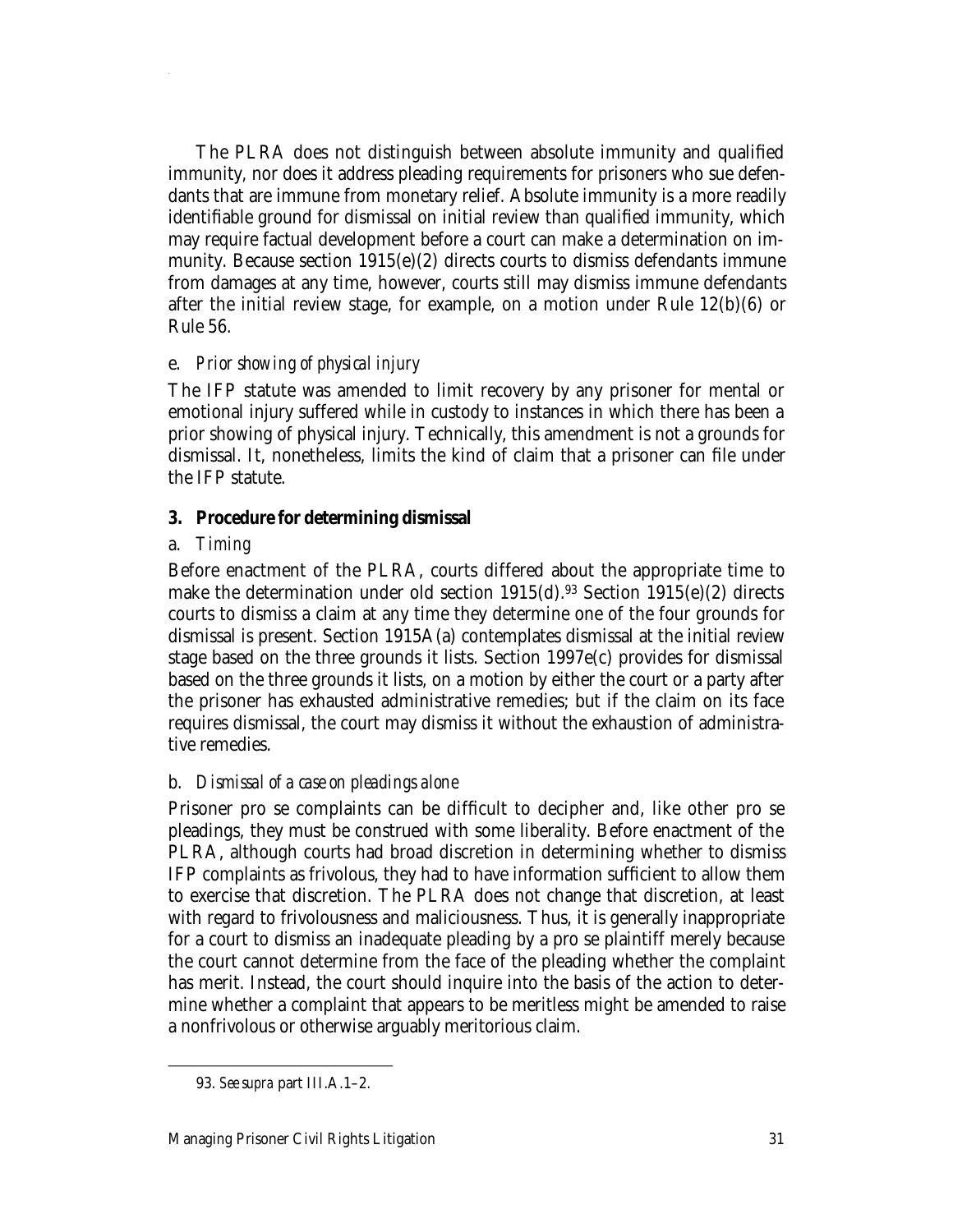The PLRA does not distinguish between absolute immunity and qualified immunity, nor does it address pleading requirements for prisoners who sue defendants that are immune from monetary relief. Absolute immunity is a more readily identifiable ground for dismissal on initial review than qualified immunity, which may require factual development before a court can make a determination on immunity. Because section 1915(e)(2) directs courts to dismiss defendants immune from damages at any time, however, courts still may dismiss immune defendants after the initial review stage, for example, on a motion under Rule 12(b)(6) or Rule 56.

## e. *Prior showing of physical injury*

The IFP statute was amended to limit recovery by any prisoner for mental or emotional injury suffered while in custody to instances in which there has been a prior showing of physical injury. Technically, this amendment is not a grounds for dismissal. It, nonetheless, limits the kind of claim that a prisoner can file under the IFP statute.

### **3. Procedure for determining dismissal**

### a. *Timing*

Before enactment of the PLRA, courts differed about the appropriate time to make the determination under old section 1915(d).<sup>93</sup> Section 1915(e)(2) directs courts to dismiss a claim at any time they determine one of the four grounds for dismissal is present. Section 1915A(a) contemplates dismissal at the initial review stage based on the three grounds it lists. Section 1997e(c) provides for dismissal based on the three grounds it lists, on a motion by either the court or a party after the prisoner has exhausted administrative remedies; but if the claim on its face requires dismissal, the court may dismiss it without the exhaustion of administrative remedies.

## b. *Dismissal of a case on pleadings alone*

Prisoner pro se complaints can be difficult to decipher and, like other pro se pleadings, they must be construed with some liberality. Before enactment of the PLRA, although courts had broad discretion in determining whether to dismiss IFP complaints as frivolous, they had to have information sufficient to allow them to exercise that discretion. The PLRA does not change that discretion, at least with regard to frivolousness and maliciousness. Thus, it is generally inappropriate for a court to dismiss an inadequate pleading by a pro se plaintiff merely because the court cannot determine from the face of the pleading whether the complaint has merit. Instead, the court should inquire into the basis of the action to determine whether a complaint that appears to be meritless might be amended to raise a nonfrivolous or otherwise arguably meritorious claim.

 <sup>93.</sup> *See supra* part III.A.1–2.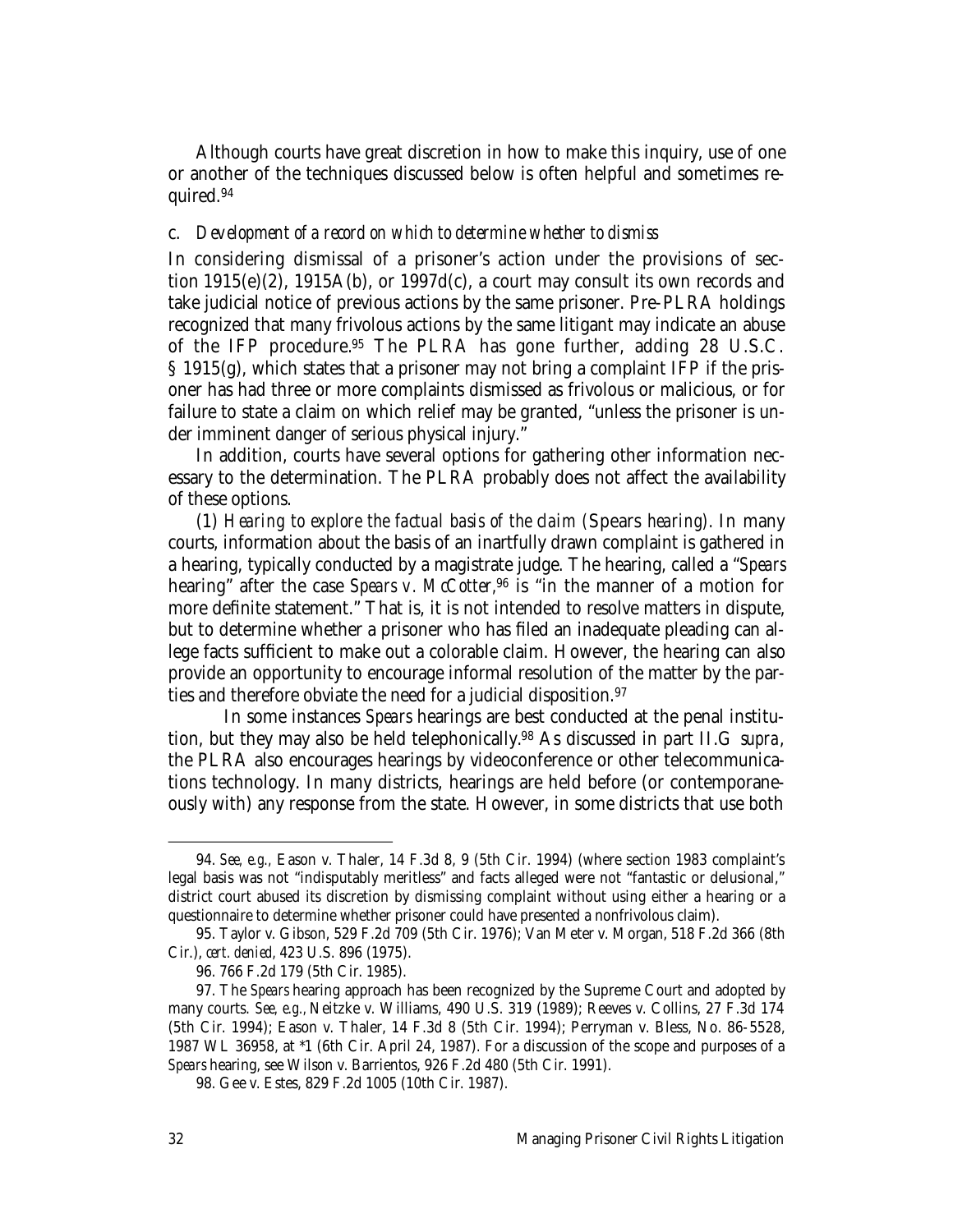Although courts have great discretion in how to make this inquiry, use of one or another of the techniques discussed below is often helpful and sometimes required.94

### c. *Development of a record on which to determine whether to dismiss*

In considering dismissal of a prisoner's action under the provisions of section  $1915(e)(2)$ ,  $1915A(b)$ , or  $1997d(c)$ , a court may consult its own records and take judicial notice of previous actions by the same prisoner. Pre-PLRA holdings recognized that many frivolous actions by the same litigant may indicate an abuse of the IFP procedure.95 The PLRA has gone further, adding 28 U.S.C. § 1915(g), which states that a prisoner may not bring a complaint IFP if the prisoner has had three or more complaints dismissed as frivolous or malicious, or for failure to state a claim on which relief may be granted, "unless the prisoner is under imminent danger of serious physical injury."

In addition, courts have several options for gathering other information necessary to the determination. The PLRA probably does not affect the availability of these options.

(1) *Hearing to explore the factual basis of the claim (*Spears *hearing).* In many courts, information about the basis of an inartfully drawn complaint is gathered in a hearing, typically conducted by a magistrate judge. The hearing, called a "*Spears* hearing" after the case *Spears v. McCotter,*96 is "in the manner of a motion for more definite statement." That is, it is not intended to resolve matters in dispute, but to determine whether a prisoner who has filed an inadequate pleading can allege facts sufficient to make out a colorable claim. However, the hearing can also provide an opportunity to encourage informal resolution of the matter by the parties and therefore obviate the need for a judicial disposition.<sup>97</sup>

In some instances *Spears* hearings are best conducted at the penal institution, but they may also be held telephonically.98 As discussed in part II.G *supra*, the PLRA also encourages hearings by videoconference or other telecommunications technology. In many districts, hearings are held before (or contemporaneously with) any response from the state. However, in some districts that use both

 <sup>94.</sup> *See, e.g.,* Eason v. Thaler, 14 F.3d 8, 9 (5th Cir. 1994) (where section 1983 complaint's legal basis was not "indisputably meritless" and facts alleged were not "fantastic or delusional," district court abused its discretion by dismissing complaint without using either a hearing or a questionnaire to determine whether prisoner could have presented a nonfrivolous claim).

<sup>95.</sup> Taylor v. Gibson, 529 F.2d 709 (5th Cir. 1976); Van Meter v. Morgan, 518 F.2d 366 (8th Cir.), *cert. denied,* 423 U.S. 896 (1975).

<sup>96. 766</sup> F.2d 179 (5th Cir. 1985).

<sup>97.</sup> The *Spears* hearing approach has been recognized by the Supreme Court and adopted by many courts. *See, e.g.,* Neitzke v. Williams, 490 U.S. 319 (1989); Reeves v. Collins, 27 F.3d 174 (5th Cir. 1994); Eason v. Thaler, 14 F.3d 8 (5th Cir. 1994); Perryman v. Bless, No. 86-5528, 1987 WL 36958, at \*1 (6th Cir. April 24, 1987). For a discussion of the scope and purposes of a *Spears* hearing, see Wilson v. Barrientos, 926 F.2d 480 (5th Cir. 1991).

<sup>98.</sup> Gee v. Estes, 829 F.2d 1005 (10th Cir. 1987).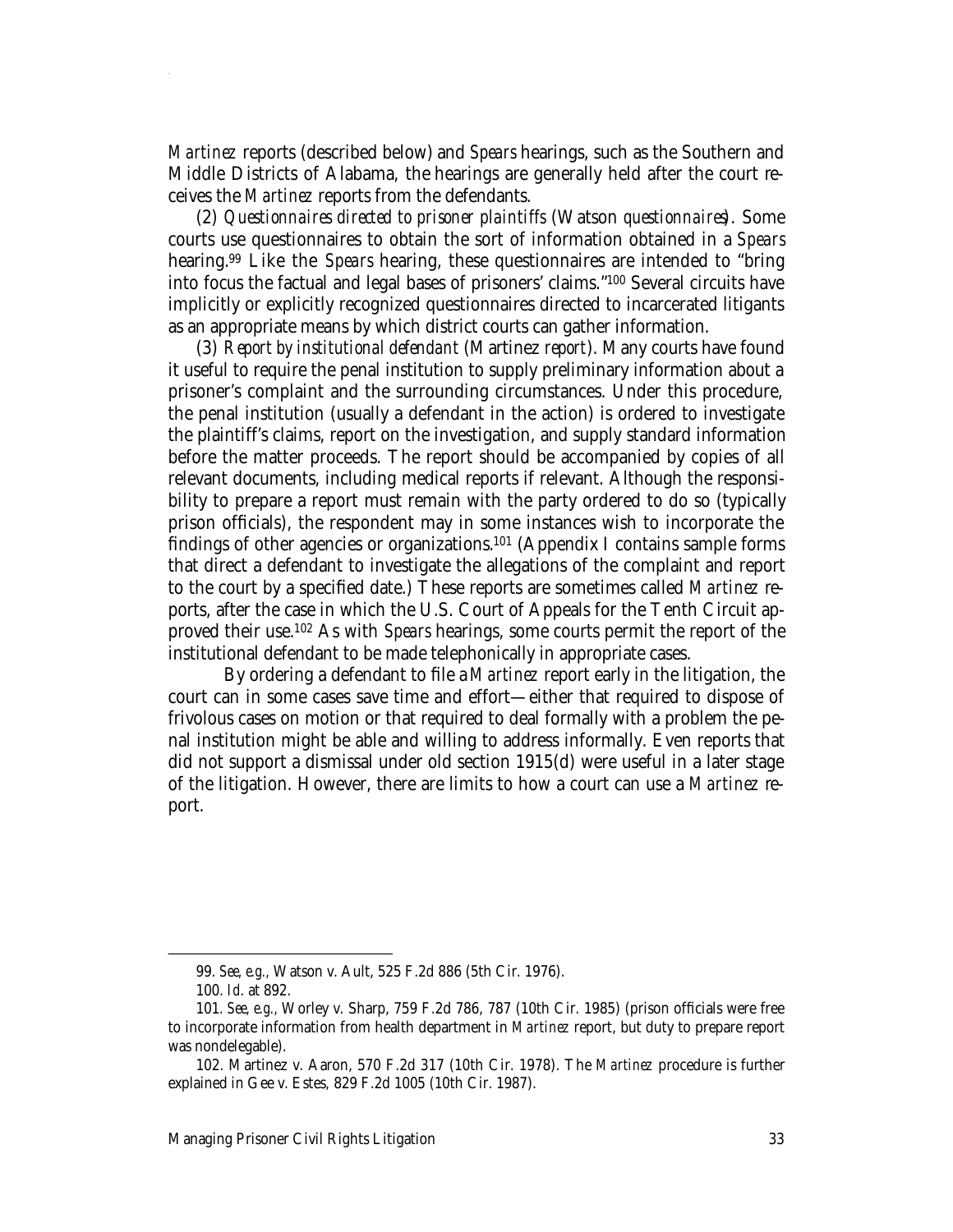*Martinez* reports (described below) and *Spears* hearings, such as the Southern and Middle Districts of Alabama, the hearings are generally held after the court receives the *Martinez* reports from the defendants.

(2) *Questionnaires directed to prisoner plaintiffs* (Watson *questionnaires*). Some courts use questionnaires to obtain the sort of information obtained in a *Spears* hearing.99 Like the *Spears* hearing, these questionnaires are intended to "bring into focus the factual and legal bases of prisoners' claims."100 Several circuits have implicitly or explicitly recognized questionnaires directed to incarcerated litigants as an appropriate means by which district courts can gather information.

(3) *Report by institutional defendant* (Martinez *report*). Many courts have found it useful to require the penal institution to supply preliminary information about a prisoner's complaint and the surrounding circumstances. Under this procedure, the penal institution (usually a defendant in the action) is ordered to investigate the plaintiff's claims, report on the investigation, and supply standard information before the matter proceeds. The report should be accompanied by copies of all relevant documents, including medical reports if relevant. Although the responsibility to prepare a report must remain with the party ordered to do so (typically prison officials), the respondent may in some instances wish to incorporate the findings of other agencies or organizations.101 (Appendix I contains sample forms that direct a defendant to investigate the allegations of the complaint and report to the court by a specified date.) These reports are sometimes called *Martinez* reports, after the case in which the U.S. Court of Appeals for the Tenth Circuit approved their use.102 As with *Spears* hearings, some courts permit the report of the institutional defendant to be made telephonically in appropriate cases.

By ordering a defendant to file a *Martinez* report early in the litigation, the court can in some cases save time and effort—either that required to dispose of frivolous cases on motion or that required to deal formally with a problem the penal institution might be able and willing to address informally. Even reports that did not support a dismissal under old section 1915(d) were useful in a later stage of the litigation. However, there are limits to how a court can use a *Martinez* report.

 <sup>99.</sup> *See, e.g.,* Watson v. Ault, 525 F.2d 886 (5th Cir. 1976).

<sup>100.</sup> *Id*. at 892.

<sup>101</sup>*. See, e.g.,* Worley v. Sharp, 759 F.2d 786, 787 (10th Cir. 1985) (prison officials were free to incorporate information from health department in *Martinez* report, but duty to prepare report was nondelegable).

<sup>102.</sup> Martinez v. Aaron, 570 F.2d 317 (10th Cir. 1978). The *Martinez* procedure is further explained in Gee v. Estes*,* 829 F.2d 1005 (10th Cir. 1987).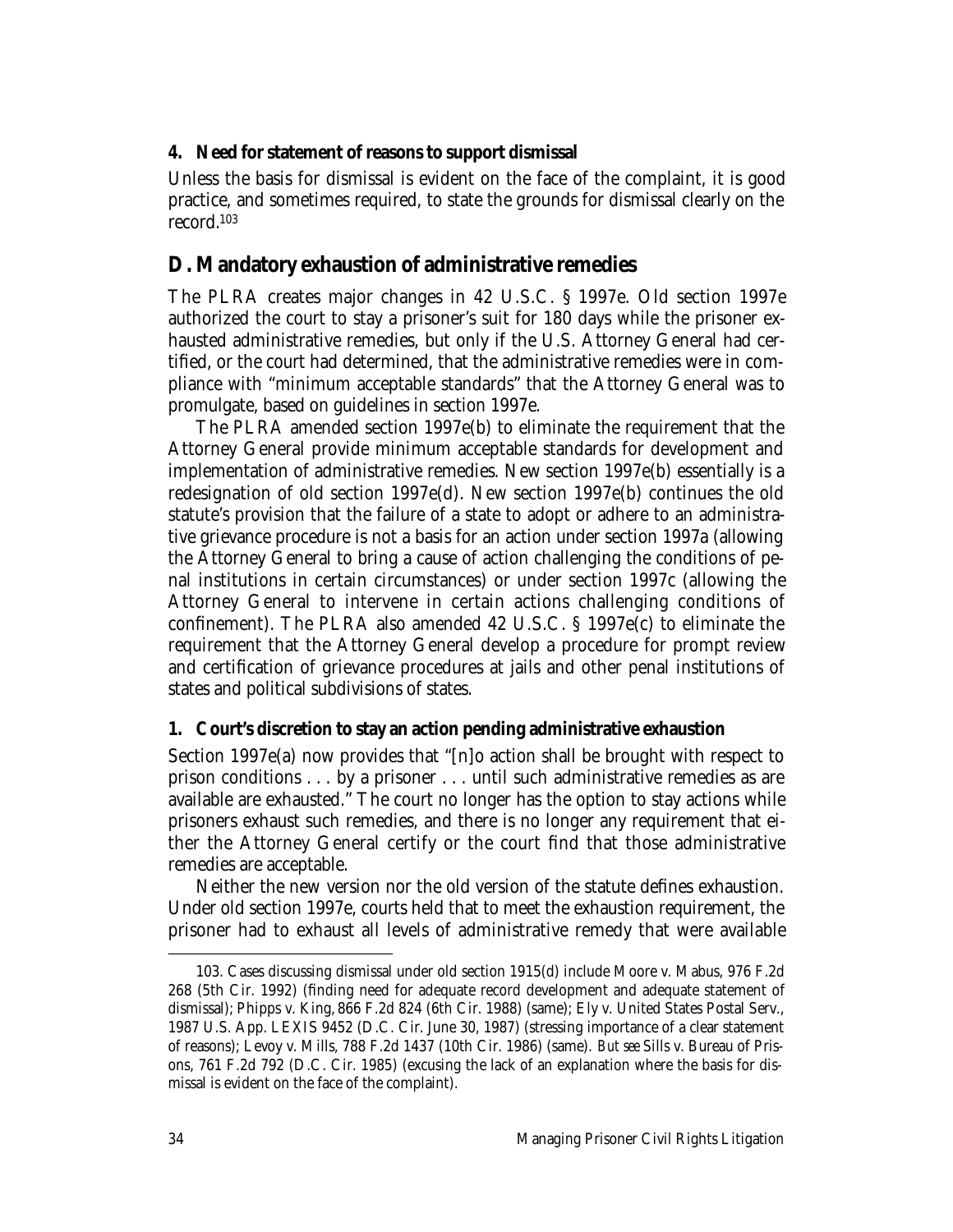### **4. Need for statement of reasons to support dismissal**

Unless the basis for dismissal is evident on the face of the complaint, it is good practice, and sometimes required, to state the grounds for dismissal clearly on the record.103

# **D. Mandatory exhaustion of administrative remedies**

The PLRA creates major changes in 42 U.S.C. § 1997e. Old section 1997e authorized the court to stay a prisoner's suit for 180 days while the prisoner exhausted administrative remedies, but only if the U.S. Attorney General had certified, or the court had determined, that the administrative remedies were in compliance with "minimum acceptable standards" that the Attorney General was to promulgate, based on guidelines in section 1997e.

The PLRA amended section 1997e(b) to eliminate the requirement that the Attorney General provide minimum acceptable standards for development and implementation of administrative remedies. New section 1997e(b) essentially is a redesignation of old section 1997e(d). New section 1997e(b) continues the old statute's provision that the failure of a state to adopt or adhere to an administrative grievance procedure is not a basis for an action under section 1997a (allowing the Attorney General to bring a cause of action challenging the conditions of penal institutions in certain circumstances) or under section 1997c (allowing the Attorney General to intervene in certain actions challenging conditions of confinement). The PLRA also amended 42 U.S.C. § 1997e(c) to eliminate the requirement that the Attorney General develop a procedure for prompt review and certification of grievance procedures at jails and other penal institutions of states and political subdivisions of states.

### **1. Court's discretion to stay an action pending administrative exhaustion**

Section 1997e(a) now provides that "[n]o action shall be brought with respect to prison conditions . . . by a prisoner . . . until such administrative remedies as are available are exhausted." The court no longer has the option to stay actions while prisoners exhaust such remedies, and there is no longer any requirement that either the Attorney General certify or the court find that those administrative remedies are acceptable.

Neither the new version nor the old version of the statute defines exhaustion. Under old section 1997e, courts held that to meet the exhaustion requirement, the prisoner had to exhaust all levels of administrative remedy that were available

 <sup>103.</sup> Cases discussing dismissal under old section 1915(d) include Moore v. Mabus, 976 F.2d 268 (5th Cir. 1992) (finding need for adequate record development and adequate statement of dismissal); Phipps v. King, 866 F.2d 824 (6th Cir. 1988) (same); Ely v. United States Postal Serv., 1987 U.S. App. LEXIS 9452 (D.C. Cir. June 30, 1987) (stressing importance of a clear statement of reasons); Levoy v. Mills, 788 F.2d 1437 (10th Cir. 1986) (same). *But see* Sills v. Bureau of Prisons, 761 F.2d 792 (D.C. Cir. 1985) (excusing the lack of an explanation where the basis for dismissal is evident on the face of the complaint).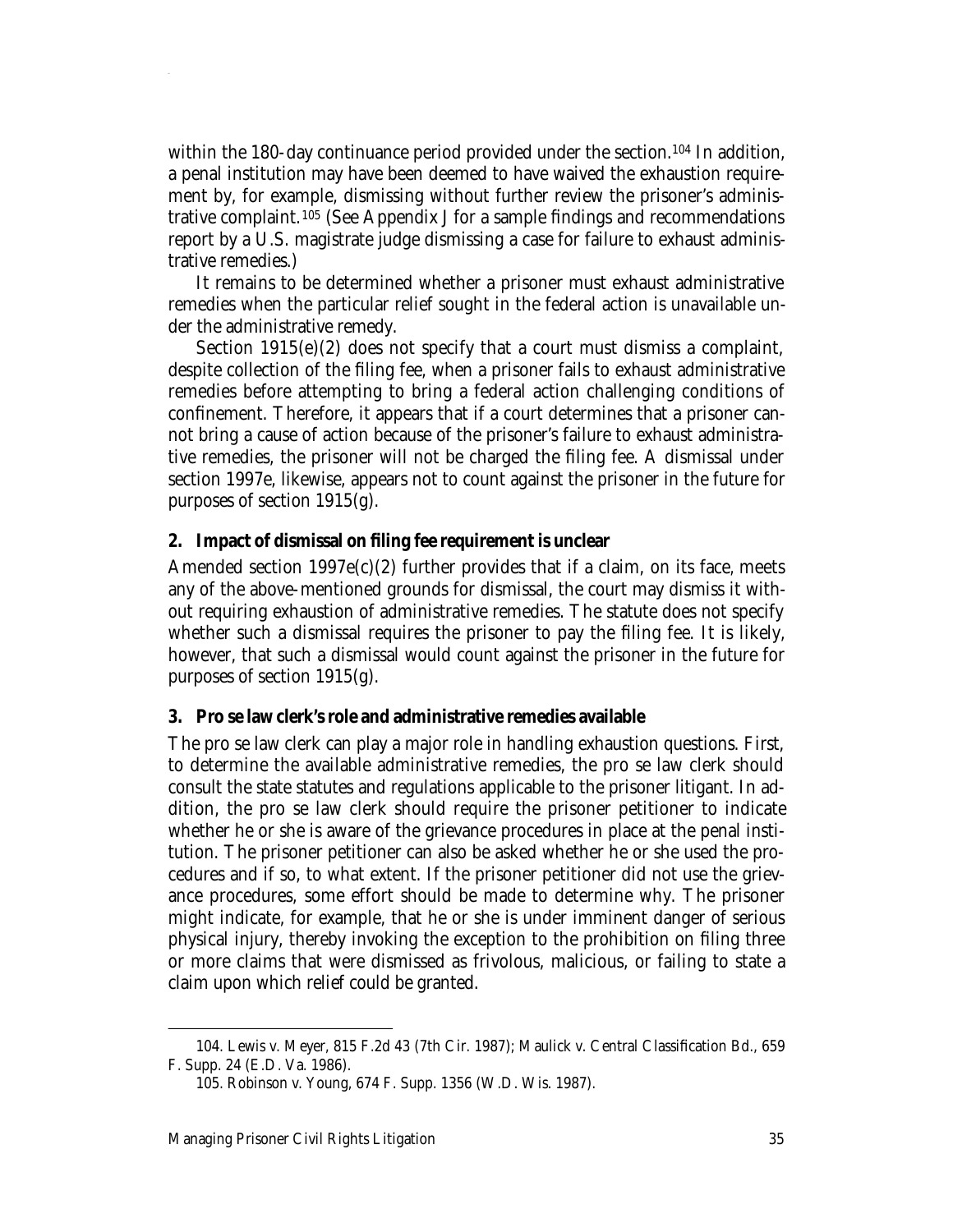within the 180-day continuance period provided under the section.<sup>104</sup> In addition, a penal institution may have been deemed to have waived the exhaustion requirement by, for example, dismissing without further review the prisoner's administrative complaint.105 (See Appendix J for a sample findings and recommendations report by a U.S. magistrate judge dismissing a case for failure to exhaust administrative remedies.)

It remains to be determined whether a prisoner must exhaust administrative remedies when the particular relief sought in the federal action is unavailable under the administrative remedy.

Section  $1915(e)(2)$  does not specify that a court must dismiss a complaint, despite collection of the filing fee, when a prisoner fails to exhaust administrative remedies before attempting to bring a federal action challenging conditions of confinement. Therefore, it appears that if a court determines that a prisoner cannot bring a cause of action because of the prisoner's failure to exhaust administrative remedies, the prisoner will not be charged the filing fee. A dismissal under section 1997e, likewise, appears not to count against the prisoner in the future for purposes of section 1915(g).

### **2. Impact of dismissal on filing fee requirement is unclear**

Amended section 1997e(c)(2) further provides that if a claim, on its face*,* meets any of the above-mentioned grounds for dismissal, the court may dismiss it without requiring exhaustion of administrative remedies. The statute does not specify whether such a dismissal requires the prisoner to pay the filing fee. It is likely, however, that such a dismissal would count against the prisoner in the future for purposes of section 1915(g).

#### **3. Pro se law clerk's role and administrative remedies available**

The pro se law clerk can play a major role in handling exhaustion questions. First, to determine the available administrative remedies, the pro se law clerk should consult the state statutes and regulations applicable to the prisoner litigant. In addition, the pro se law clerk should require the prisoner petitioner to indicate whether he or she is aware of the grievance procedures in place at the penal institution. The prisoner petitioner can also be asked whether he or she used the procedures and if so, to what extent. If the prisoner petitioner did not use the grievance procedures, some effort should be made to determine why. The prisoner might indicate, for example, that he or she is under imminent danger of serious physical injury, thereby invoking the exception to the prohibition on filing three or more claims that were dismissed as frivolous, malicious, or failing to state a claim upon which relief could be granted.

 <sup>104.</sup> Lewis v. Meyer, 815 F.2d 43 (7th Cir. 1987); Maulick v. Central Classification Bd., 659 F. Supp. 24 (E.D. Va. 1986).

<sup>105.</sup> Robinson v. Young, 674 F. Supp. 1356 (W.D. Wis. 1987).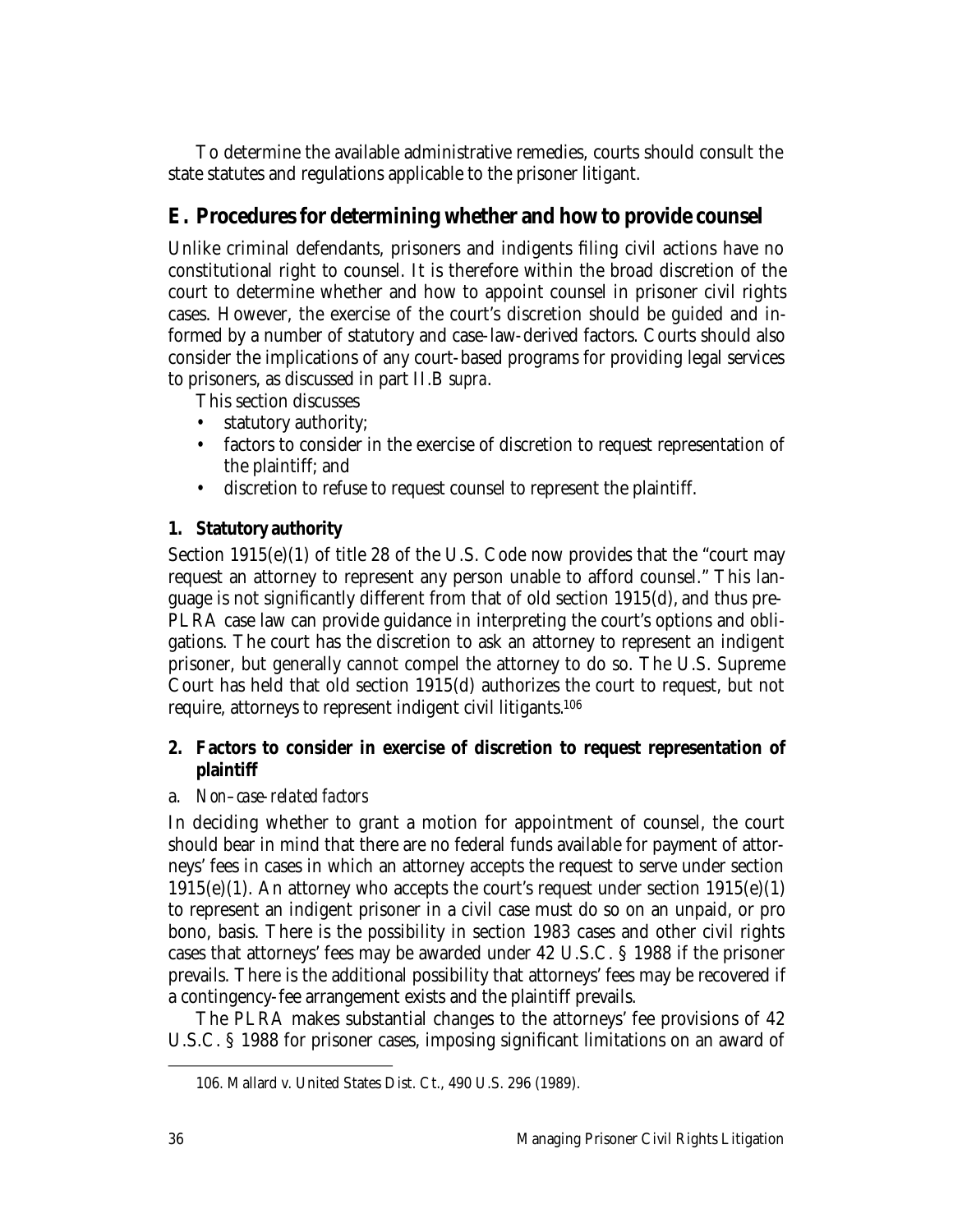To determine the available administrative remedies, courts should consult the state statutes and regulations applicable to the prisoner litigant.

# **E. Procedures for determining whether and how to provide counsel**

Unlike criminal defendants, prisoners and indigents filing civil actions have no constitutional right to counsel. It is therefore within the broad discretion of the court to determine whether and how to appoint counsel in prisoner civil rights cases. However, the exercise of the court's discretion should be guided and informed by a number of statutory and case-law-derived factors. Courts should also consider the implications of any court-based programs for providing legal services to prisoners, as discussed in part II.B *supra*.

This section discusses

- statutory authority;
- factors to consider in the exercise of discretion to request representation of the plaintiff; and
- discretion to refuse to request counsel to represent the plaintiff.

## **1. Statutory authority**

Section 1915(e)(1) of title 28 of the U.S. Code now provides that the "court may request an attorney to represent any person unable to afford counsel." This language is not significantly different from that of old section 1915(d), and thus pre-PLRA case law can provide guidance in interpreting the court's options and obligations. The court has the discretion to ask an attorney to represent an indigent prisoner, but generally cannot compel the attorney to do so. The U.S. Supreme Court has held that old section 1915(d) authorizes the court to request, but not require, attorneys to represent indigent civil litigants.106

## **2. Factors to consider in exercise of discretion to request representation of plaintiff**

a. *Non–case-related factors*

In deciding whether to grant a motion for appointment of counsel, the court should bear in mind that there are no federal funds available for payment of attorneys' fees in cases in which an attorney accepts the request to serve under section 1915(e)(1). An attorney who accepts the court's request under section  $1915(e)(1)$ to represent an indigent prisoner in a civil case must do so on an unpaid, or pro bono, basis. There is the possibility in section 1983 cases and other civil rights cases that attorneys' fees may be awarded under 42 U.S.C. § 1988 if the prisoner prevails. There is the additional possibility that attorneys' fees may be recovered if a contingency-fee arrangement exists and the plaintiff prevails.

The PLRA makes substantial changes to the attorneys' fee provisions of 42 U.S.C. § 1988 for prisoner cases, imposing significant limitations on an award of

 <sup>106.</sup> Mallard v. United States Dist. Ct., 490 U.S. 296 (1989).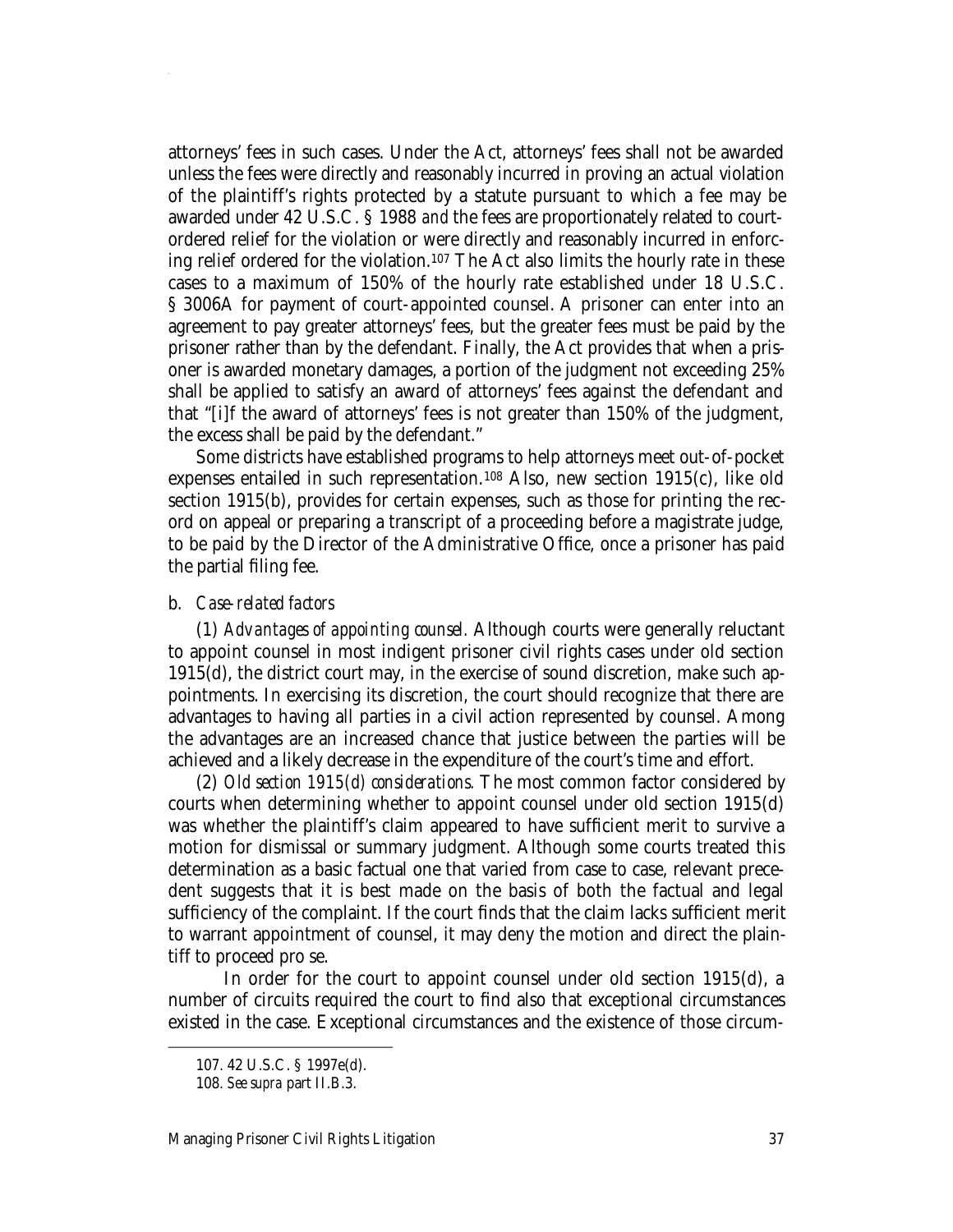attorneys' fees in such cases. Under the Act, attorneys' fees shall not be awarded unless the fees were directly and reasonably incurred in proving an actual violation of the plaintiff's rights protected by a statute pursuant to which a fee may be awarded under 42 U.S.C. § 1988 *and* the fees are proportionately related to courtordered relief for the violation or were directly and reasonably incurred in enforcing relief ordered for the violation.107 The Act also limits the hourly rate in these cases to a maximum of 150% of the hourly rate established under 18 U.S.C. § 3006A for payment of court-appointed counsel. A prisoner can enter into an agreement to pay greater attorneys' fees, but the greater fees must be paid by the prisoner rather than by the defendant. Finally, the Act provides that when a prisoner is awarded monetary damages, a portion of the judgment not exceeding 25% shall be applied to satisfy an award of attorneys' fees against the defendant and that "[i]f the award of attorneys' fees is not greater than 150% of the judgment, the excess shall be paid by the defendant."

Some districts have established programs to help attorneys meet out-of-pocket expenses entailed in such representation.108 Also, new section 1915(c), like old section 1915(b), provides for certain expenses, such as those for printing the record on appeal or preparing a transcript of a proceeding before a magistrate judge, to be paid by the Director of the Administrative Office, once a prisoner has paid the partial filing fee.

#### b. *Case-related factors*

(1) *Advantages of appointing counsel.* Although courts were generally reluctant to appoint counsel in most indigent prisoner civil rights cases under old section 1915(d), the district court may, in the exercise of sound discretion, make such appointments. In exercising its discretion, the court should recognize that there are advantages to having all parties in a civil action represented by counsel. Among the advantages are an increased chance that justice between the parties will be achieved and a likely decrease in the expenditure of the court's time and effort.

(2) *Old section 1915(d) considerations.* The most common factor considered by courts when determining whether to appoint counsel under old section 1915(d) was whether the plaintiff's claim appeared to have sufficient merit to survive a motion for dismissal or summary judgment. Although some courts treated this determination as a basic factual one that varied from case to case, relevant precedent suggests that it is best made on the basis of both the factual and legal sufficiency of the complaint. If the court finds that the claim lacks sufficient merit to warrant appointment of counsel, it may deny the motion and direct the plaintiff to proceed pro se.

In order for the court to appoint counsel under old section 1915(d), a number of circuits required the court to find also that exceptional circumstances existed in the case. Exceptional circumstances and the existence of those circum-

 <sup>107. 42</sup> U.S.C. § 1997e(d).

<sup>108.</sup> *See supra* part II.B.3.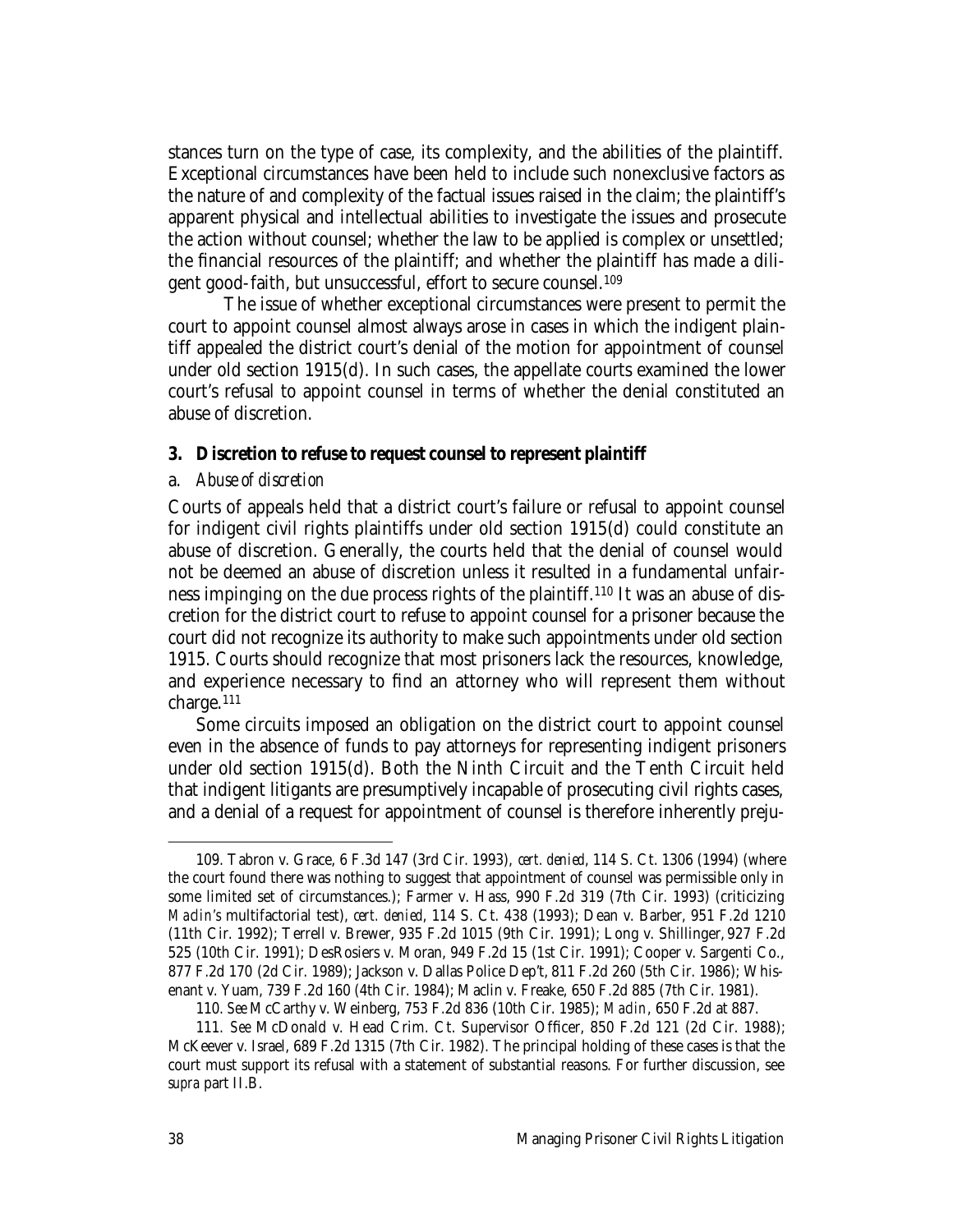stances turn on the type of case, its complexity, and the abilities of the plaintiff. Exceptional circumstances have been held to include such nonexclusive factors as the nature of and complexity of the factual issues raised in the claim; the plaintiff's apparent physical and intellectual abilities to investigate the issues and prosecute the action without counsel; whether the law to be applied is complex or unsettled; the financial resources of the plaintiff; and whether the plaintiff has made a diligent good-faith, but unsuccessful, effort to secure counsel.109

The issue of whether exceptional circumstances were present to permit the court to appoint counsel almost always arose in cases in which the indigent plaintiff appealed the district court's denial of the motion for appointment of counsel under old section 1915(d). In such cases, the appellate courts examined the lower court's refusal to appoint counsel in terms of whether the denial constituted an abuse of discretion.

#### **3. Discretion to refuse to request counsel to represent plaintiff**

#### a. *Abuse of discretion*

Courts of appeals held that a district court's failure or refusal to appoint counsel for indigent civil rights plaintiffs under old section 1915(d) could constitute an abuse of discretion. Generally, the courts held that the denial of counsel would not be deemed an abuse of discretion unless it resulted in a fundamental unfairness impinging on the due process rights of the plaintiff.110 It was an abuse of discretion for the district court to refuse to appoint counsel for a prisoner because the court did not recognize its authority to make such appointments under old section 1915. Courts should recognize that most prisoners lack the resources, knowledge, and experience necessary to find an attorney who will represent them without charge.111

Some circuits imposed an obligation on the district court to appoint counsel even in the absence of funds to pay attorneys for representing indigent prisoners under old section 1915(d). Both the Ninth Circuit and the Tenth Circuit held that indigent litigants are presumptively incapable of prosecuting civil rights cases, and a denial of a request for appointment of counsel is therefore inherently preju-

 <sup>109.</sup> Tabron v. Grace, 6 F.3d 147 (3rd Cir. 1993), *cert. denied*, 114 S. Ct. 1306 (1994) (where the court found there was nothing to suggest that appointment of counsel was permissible only in some limited set of circumstances.); Farmer v. Hass, 990 F.2d 319 (7th Cir. 1993) (criticizing *Maclin's* multifactorial test), *cert. denied*, 114 S. Ct. 438 (1993); Dean v. Barber, 951 F.2d 1210 (11th Cir. 1992); Terrell v. Brewer, 935 F.2d 1015 (9th Cir. 1991); Long v. Shillinger, 927 F.2d 525 (10th Cir. 1991); DesRosiers v. Moran, 949 F.2d 15 (1st Cir. 1991); Cooper v. Sargenti Co., 877 F.2d 170 (2d Cir. 1989); Jackson v. Dallas Police Dep't, 811 F.2d 260 (5th Cir. 1986); Whisenant v. Yuam, 739 F.2d 160 (4th Cir. 1984); Maclin v. Freake, 650 F.2d 885 (7th Cir. 1981).

<sup>110.</sup> *See* McCarthy v. Weinberg, 753 F.2d 836 (10th Cir. 1985); *Maclin*, 650 F.2d at 887.

<sup>111.</sup> *See* McDonald v. Head Crim. Ct. Supervisor Officer, 850 F.2d 121 (2d Cir. 1988); McKeever v. Israel, 689 F.2d 1315 (7th Cir. 1982). The principal holding of these cases is that the court must support its refusal with a statement of substantial reasons. For further discussion, see *supra* part II.B.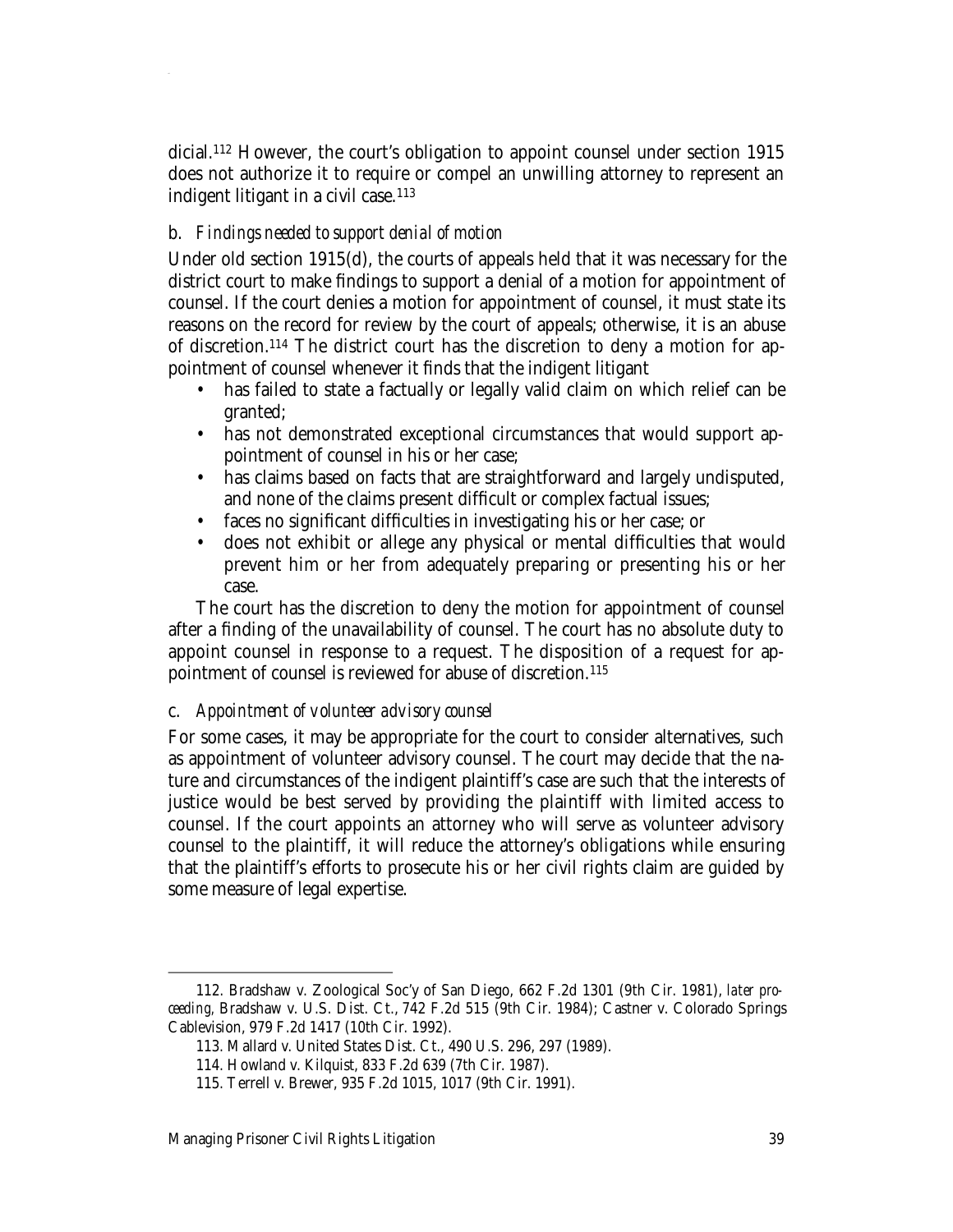dicial.112 However, the court's obligation to appoint counsel under section 1915 does not authorize it to require or compel an unwilling attorney to represent an indigent litigant in a civil case.<sup>113</sup>

## b. *Findings needed to support denial of motion*

Under old section 1915(d), the courts of appeals held that it was necessary for the district court to make findings to support a denial of a motion for appointment of counsel. If the court denies a motion for appointment of counsel, it must state its reasons on the record for review by the court of appeals; otherwise, it is an abuse of discretion.114 The district court has the discretion to deny a motion for appointment of counsel whenever it finds that the indigent litigant

- has failed to state a factually or legally valid claim on which relief can be granted;
- has not demonstrated exceptional circumstances that would support appointment of counsel in his or her case;
- has claims based on facts that are straightforward and largely undisputed, and none of the claims present difficult or complex factual issues;
- faces no significant difficulties in investigating his or her case; or
- does not exhibit or allege any physical or mental difficulties that would prevent him or her from adequately preparing or presenting his or her case.

The court has the discretion to deny the motion for appointment of counsel after a finding of the unavailability of counsel. The court has no absolute duty to appoint counsel in response to a request. The disposition of a request for appointment of counsel is reviewed for abuse of discretion.115

## c. *Appointment of volunteer advisory counsel*

For some cases, it may be appropriate for the court to consider alternatives, such as appointment of volunteer advisory counsel. The court may decide that the nature and circumstances of the indigent plaintiff's case are such that the interests of justice would be best served by providing the plaintiff with limited access to counsel. If the court appoints an attorney who will serve as volunteer advisory counsel to the plaintiff, it will reduce the attorney's obligations while ensuring that the plaintiff's efforts to prosecute his or her civil rights claim are guided by some measure of legal expertise.

 <sup>112.</sup> Bradshaw v. Zoological Soc'y of San Diego, 662 F.2d 1301 (9th Cir. 1981), *later proceeding,* Bradshaw v. U.S. Dist. Ct., 742 F.2d 515 (9th Cir. 1984); Castner v. Colorado Springs Cablevision, 979 F.2d 1417 (10th Cir. 1992).

<sup>113.</sup> Mallard v. United States Dist. Ct., 490 U.S. 296, 297 (1989).

<sup>114.</sup> Howland v. Kilquist, 833 F.2d 639 (7th Cir. 1987).

<sup>115.</sup> Terrell v. Brewer, 935 F.2d 1015, 1017 (9th Cir. 1991).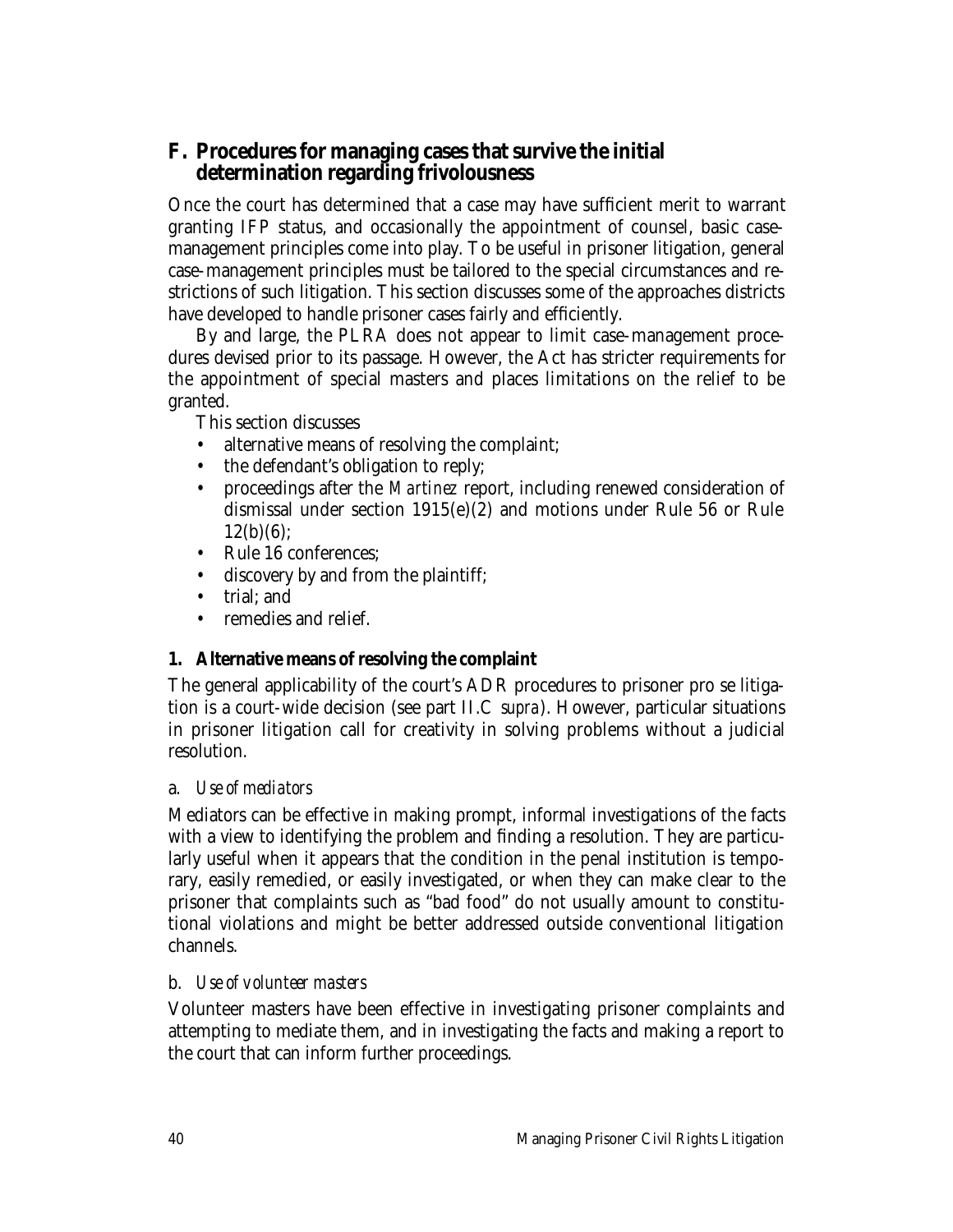# **F. Procedures for managing cases that survive the initial determination regarding frivolousness**

Once the court has determined that a case may have sufficient merit to warrant granting IFP status, and occasionally the appointment of counsel, basic casemanagement principles come into play. To be useful in prisoner litigation, general case-management principles must be tailored to the special circumstances and restrictions of such litigation. This section discusses some of the approaches districts have developed to handle prisoner cases fairly and efficiently.

By and large, the PLRA does not appear to limit case-management procedures devised prior to its passage. However, the Act has stricter requirements for the appointment of special masters and places limitations on the relief to be granted.

This section discusses

- alternative means of resolving the complaint;
- the defendant's obligation to reply;
- proceedings after the *Martinez* report, including renewed consideration of dismissal under section 1915(e)(2) and motions under Rule 56 or Rule 12(b)(6);
- Rule 16 conferences;
- discovery by and from the plaintiff;
- trial; and
- remedies and relief.

# **1. Alternative means of resolving the complaint**

The general applicability of the court's ADR procedures to prisoner pro se litigation is a court-wide decision (see part II.C *supra*). However, particular situations in prisoner litigation call for creativity in solving problems without a judicial resolution.

## a. *Use of mediators*

Mediators can be effective in making prompt, informal investigations of the facts with a view to identifying the problem and finding a resolution. They are particularly useful when it appears that the condition in the penal institution is temporary, easily remedied, or easily investigated, or when they can make clear to the prisoner that complaints such as "bad food" do not usually amount to constitutional violations and might be better addressed outside conventional litigation channels.

## b. *Use of volunteer masters*

Volunteer masters have been effective in investigating prisoner complaints and attempting to mediate them, and in investigating the facts and making a report to the court that can inform further proceedings.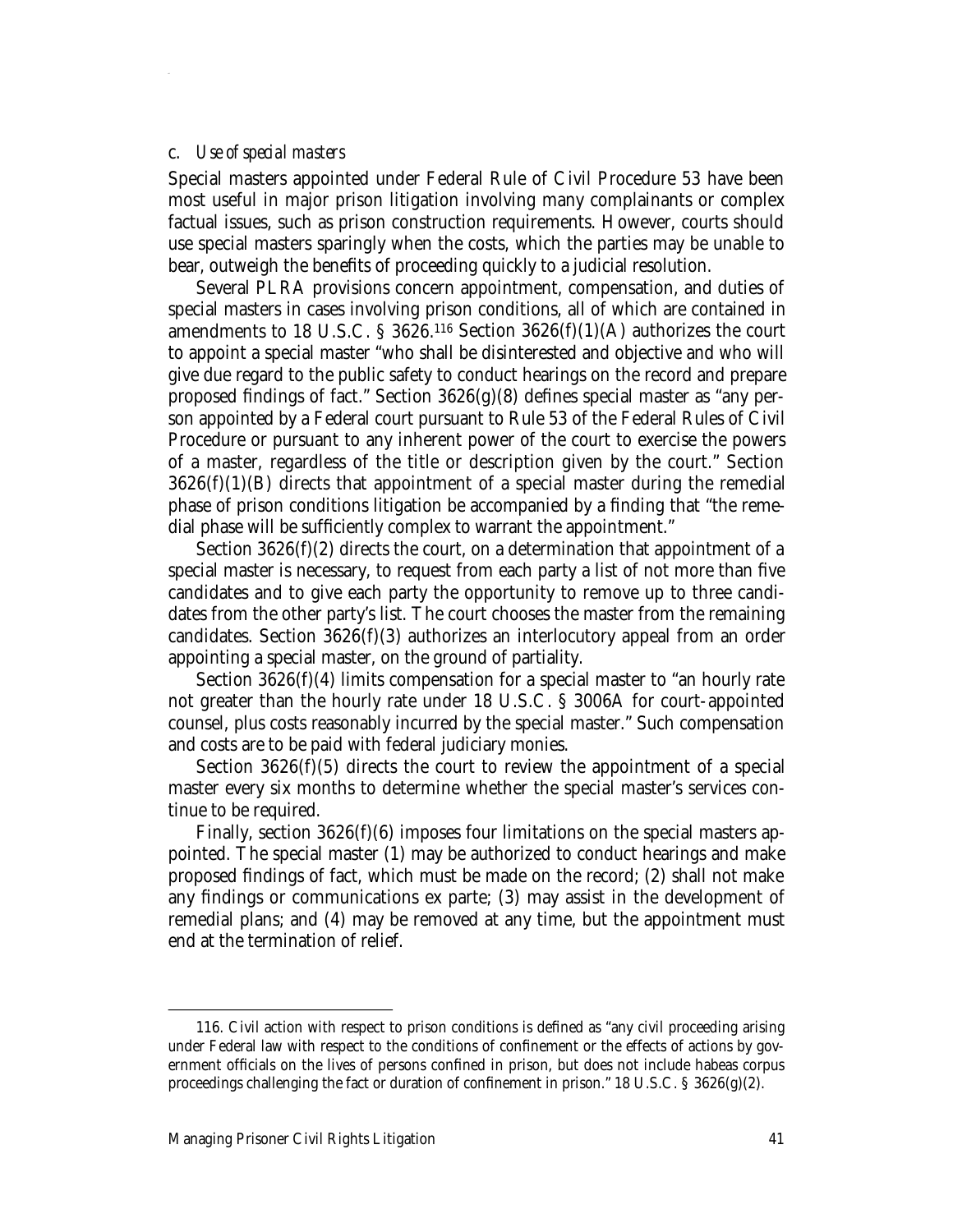#### c. *Use of special masters*

Special masters appointed under Federal Rule of Civil Procedure 53 have been most useful in major prison litigation involving many complainants or complex factual issues, such as prison construction requirements. However, courts should use special masters sparingly when the costs, which the parties may be unable to bear, outweigh the benefits of proceeding quickly to a judicial resolution.

Several PLRA provisions concern appointment, compensation, and duties of special masters in cases involving prison conditions, all of which are contained in amendments to 18 U.S.C.  $\S$  3626.<sup>116</sup> Section 3626(f)(1)(A) authorizes the court to appoint a special master "who shall be disinterested and objective and who will give due regard to the public safety to conduct hearings on the record and prepare proposed findings of fact." Section 3626(g)(8) defines special master as "any person appointed by a Federal court pursuant to Rule 53 of the Federal Rules of Civil Procedure or pursuant to any inherent power of the court to exercise the powers of a master, regardless of the title or description given by the court." Section  $3626(f)(1)(B)$  directs that appointment of a special master during the remedial phase of prison conditions litigation be accompanied by a finding that "the remedial phase will be sufficiently complex to warrant the appointment."

Section  $3626(f)(2)$  directs the court, on a determination that appointment of a special master is necessary, to request from each party a list of not more than five candidates and to give each party the opportunity to remove up to three candidates from the other party's list. The court chooses the master from the remaining candidates. Section  $3626(f)(3)$  authorizes an interlocutory appeal from an order appointing a special master, on the ground of partiality.

Section 3626(f)(4) limits compensation for a special master to "an hourly rate not greater than the hourly rate under 18 U.S.C. § 3006A for court-appointed counsel, plus costs reasonably incurred by the special master." Such compensation and costs are to be paid with federal judiciary monies.

Section  $3626(f)(5)$  directs the court to review the appointment of a special master every six months to determine whether the special master's services continue to be required.

Finally, section  $3626(f)(6)$  imposes four limitations on the special masters appointed. The special master (1) may be authorized to conduct hearings and make proposed findings of fact, which must be made on the record; (2) shall not make any findings or communications ex parte; (3) may assist in the development of remedial plans; and (4) may be removed at any time, but the appointment must end at the termination of relief.

 <sup>116.</sup> Civil action with respect to prison conditions is defined as "any civil proceeding arising under Federal law with respect to the conditions of confinement or the effects of actions by government officials on the lives of persons confined in prison, but does not include habeas corpus proceedings challenging the fact or duration of confinement in prison." 18 U.S.C.  $\frac{5}{3626(g)(2)}$ .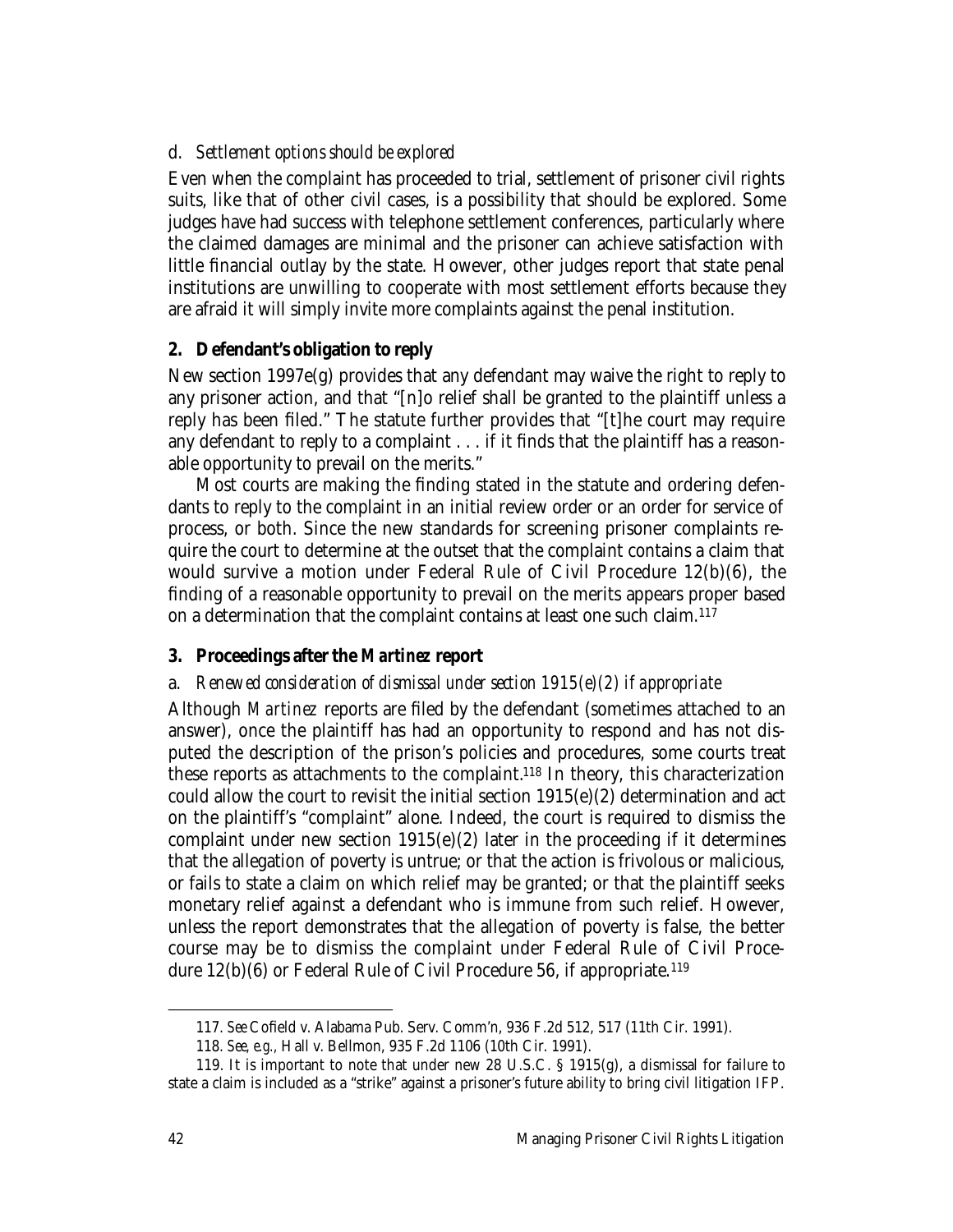### d. *Settlement options should be explored*

Even when the complaint has proceeded to trial, settlement of prisoner civil rights suits, like that of other civil cases, is a possibility that should be explored. Some judges have had success with telephone settlement conferences, particularly where the claimed damages are minimal and the prisoner can achieve satisfaction with little financial outlay by the state. However, other judges report that state penal institutions are unwilling to cooperate with most settlement efforts because they are afraid it will simply invite more complaints against the penal institution.

### **2. Defendant's obligation to reply**

New section 1997e(g) provides that any defendant may waive the right to reply to any prisoner action, and that "[n]o relief shall be granted to the plaintiff unless a reply has been filed." The statute further provides that "[t]he court may require any defendant to reply to a complaint . . . if it finds that the plaintiff has a reasonable opportunity to prevail on the merits."

Most courts are making the finding stated in the statute and ordering defendants to reply to the complaint in an initial review order or an order for service of process, or both. Since the new standards for screening prisoner complaints require the court to determine at the outset that the complaint contains a claim that would survive a motion under Federal Rule of Civil Procedure 12(b)(6), the finding of a reasonable opportunity to prevail on the merits appears proper based on a determination that the complaint contains at least one such claim.117

### **3. Proceedings after the** *Martinez* **report**

### a. *Renewed consideration of dismissal under section 1915(e)(2) if appropriate*

Although *Martinez* reports are filed by the defendant (sometimes attached to an answer), once the plaintiff has had an opportunity to respond and has not disputed the description of the prison's policies and procedures, some courts treat these reports as attachments to the complaint.118 In theory, this characterization could allow the court to revisit the initial section 1915(e)(2) determination and act on the plaintiff's "complaint" alone. Indeed, the court is required to dismiss the complaint under new section  $1915(e)(2)$  later in the proceeding if it determines that the allegation of poverty is untrue; or that the action is frivolous or malicious, or fails to state a claim on which relief may be granted; or that the plaintiff seeks monetary relief against a defendant who is immune from such relief. However, unless the report demonstrates that the allegation of poverty is false, the better course may be to dismiss the complaint under Federal Rule of Civil Procedure 12(b)(6) or Federal Rule of Civil Procedure 56, if appropriate.<sup>119</sup>

 $\overline{a}$ 

<sup>117.</sup> *See* Cofield v. Alabama Pub. Serv. Comm'n, 936 F.2d 512, 517 (11th Cir. 1991).

<sup>118.</sup> *See, e.g.,* Hall v. Bellmon, 935 F.2d 1106 (10th Cir. 1991).

<sup>119.</sup> It is important to note that under new 28 U.S.C. § 1915(g), a dismissal for failure to state a claim is included as a "strike" against a prisoner's future ability to bring civil litigation IFP.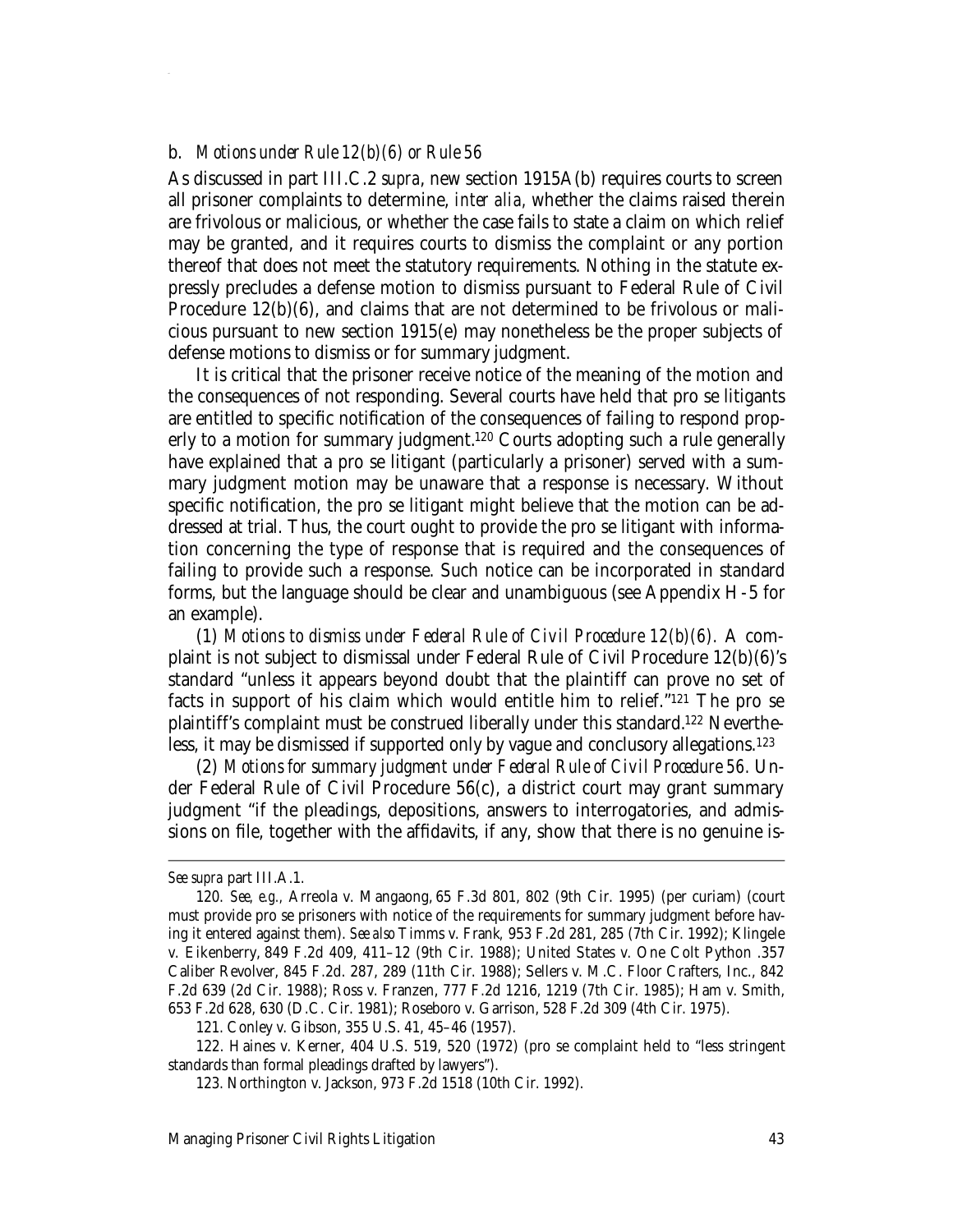#### b. *Motions under Rule 12(b)(6) or Rule 56*

As discussed in part III.C.2 *supra*, new section 1915A(b) requires courts to screen all prisoner complaints to determine, *inter alia,* whether the claims raised therein are frivolous or malicious, or whether the case fails to state a claim on which relief may be granted, and it requires courts to dismiss the complaint or any portion thereof that does not meet the statutory requirements. Nothing in the statute expressly precludes a defense motion to dismiss pursuant to Federal Rule of Civil Procedure 12(b)(6), and claims that are not determined to be frivolous or malicious pursuant to new section 1915(e) may nonetheless be the proper subjects of defense motions to dismiss or for summary judgment.

It is critical that the prisoner receive notice of the meaning of the motion and the consequences of not responding. Several courts have held that pro se litigants are entitled to specific notification of the consequences of failing to respond properly to a motion for summary judgment.120 Courts adopting such a rule generally have explained that a pro se litigant (particularly a prisoner) served with a summary judgment motion may be unaware that a response is necessary. Without specific notification, the pro se litigant might believe that the motion can be addressed at trial. Thus, the court ought to provide the pro se litigant with information concerning the type of response that is required and the consequences of failing to provide such a response. Such notice can be incorporated in standard forms, but the language should be clear and unambiguous (see Appendix H-5 for an example).

(1) *Motions to dismiss under Federal Rule of Civil Procedure 12(b)(6).* A complaint is not subject to dismissal under Federal Rule of Civil Procedure 12(b)(6)'s standard "unless it appears beyond doubt that the plaintiff can prove no set of facts in support of his claim which would entitle him to relief."121 The pro se plaintiff's complaint must be construed liberally under this standard.122 Nevertheless, it may be dismissed if supported only by vague and conclusory allegations.123

(2) *Motions for summary judgment under Federal Rule of Civil Procedure 56.* Under Federal Rule of Civil Procedure 56(c), a district court may grant summary judgment "if the pleadings, depositions, answers to interrogatories, and admissions on file, together with the affidavits, if any, show that there is no genuine is-

 $\overline{a}$ 

*See supra* part III.A.1.

<sup>120.</sup> *See, e.g.,* Arreola v. Mangaong, 65 F.3d 801, 802 (9th Cir. 1995) (per curiam) (court must provide pro se prisoners with notice of the requirements for summary judgment before having it entered against them). *See also* Timms v. Frank*,* 953 F.2d 281, 285 (7th Cir. 1992); Klingele v. Eikenberry, 849 F.2d 409, 411–12 (9th Cir. 1988); United States v. One Colt Python .357 Caliber Revolver, 845 F.2d. 287, 289 (11th Cir. 1988); Sellers v. M.C. Floor Crafters, Inc., 842 F.2d 639 (2d Cir. 1988); Ross v. Franzen, 777 F.2d 1216, 1219 (7th Cir. 1985); Ham v. Smith, 653 F.2d 628, 630 (D.C. Cir. 1981); Roseboro v. Garrison, 528 F.2d 309 (4th Cir. 1975).

<sup>121.</sup> Conley v. Gibson, 355 U.S. 41, 45–46 (1957).

<sup>122.</sup> Haines v. Kerner, 404 U.S. 519, 520 (1972) (pro se complaint held to "less stringent standards than formal pleadings drafted by lawyers").

<sup>123.</sup> Northington v. Jackson, 973 F.2d 1518 (10th Cir. 1992).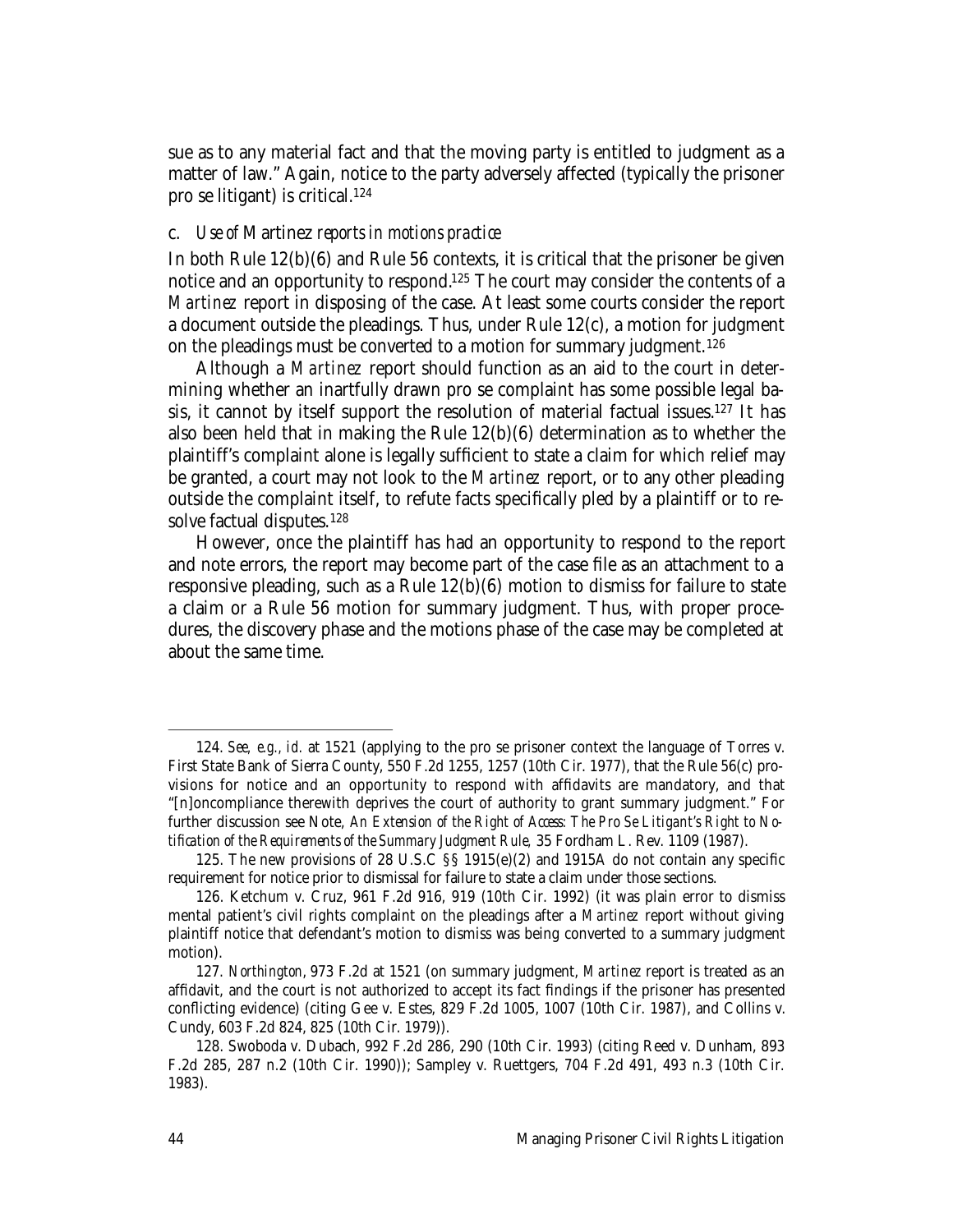sue as to any material fact and that the moving party is entitled to judgment as a matter of law." Again, notice to the party adversely affected (typically the prisoner pro se litigant) is critical.124

#### c. *Use of* Martinez *reports in motions practice*

In both Rule 12(b)(6) and Rule 56 contexts, it is critical that the prisoner be given notice and an opportunity to respond.125 The court may consider the contents of a *Martinez* report in disposing of the case. At least some courts consider the report a document outside the pleadings. Thus, under Rule 12(c), a motion for judgment on the pleadings must be converted to a motion for summary judgment.126

Although a *Martinez* report should function as an aid to the court in determining whether an inartfully drawn pro se complaint has some possible legal basis, it cannot by itself support the resolution of material factual issues.127 It has also been held that in making the Rule 12(b)(6) determination as to whether the plaintiff's complaint alone is legally sufficient to state a claim for which relief may be granted, a court may not look to the *Martinez* report, or to any other pleading outside the complaint itself, to refute facts specifically pled by a plaintiff or to resolve factual disputes.128

However, once the plaintiff has had an opportunity to respond to the report and note errors, the report may become part of the case file as an attachment to a responsive pleading, such as a Rule 12(b)(6) motion to dismiss for failure to state a claim or a Rule 56 motion for summary judgment. Thus, with proper procedures, the discovery phase and the motions phase of the case may be completed at about the same time.

 <sup>124.</sup> *See, e.g., id.* at 1521 (applying to the pro se prisoner context the language of Torres v. First State Bank of Sierra County, 550 F.2d 1255, 1257 (10th Cir. 1977), that the Rule 56(c) provisions for notice and an opportunity to respond with affidavits are mandatory, and that "[n]oncompliance therewith deprives the court of authority to grant summary judgment." For further discussion see Note, *An Extension of the Right of Access: The Pro Se Litigant's Right to Notification of the Requirements of the Summary Judgment Rule,* 35 Fordham L. Rev. 1109 (1987).

<sup>125.</sup> The new provisions of 28 U.S.C  $\S$  1915(e)(2) and 1915A do not contain any specific requirement for notice prior to dismissal for failure to state a claim under those sections.

<sup>126.</sup> Ketchum v. Cruz, 961 F.2d 916, 919 (10th Cir. 1992) (it was plain error to dismiss mental patient's civil rights complaint on the pleadings after a *Martinez* report without giving plaintiff notice that defendant's motion to dismiss was being converted to a summary judgment motion).

<sup>127.</sup> *Northington*, 973 F.2d at 1521 (on summary judgment, *Martinez* report is treated as an affidavit, and the court is not authorized to accept its fact findings if the prisoner has presented conflicting evidence) (citing Gee v. Estes, 829 F.2d 1005, 1007 (10th Cir. 1987), and Collins v. Cundy, 603 F.2d 824, 825 (10th Cir. 1979)).

<sup>128.</sup> Swoboda v. Dubach, 992 F.2d 286, 290 (10th Cir. 1993) (citing Reed v. Dunham, 893 F.2d 285, 287 n.2 (10th Cir. 1990)); Sampley v. Ruettgers, 704 F.2d 491, 493 n.3 (10th Cir. 1983).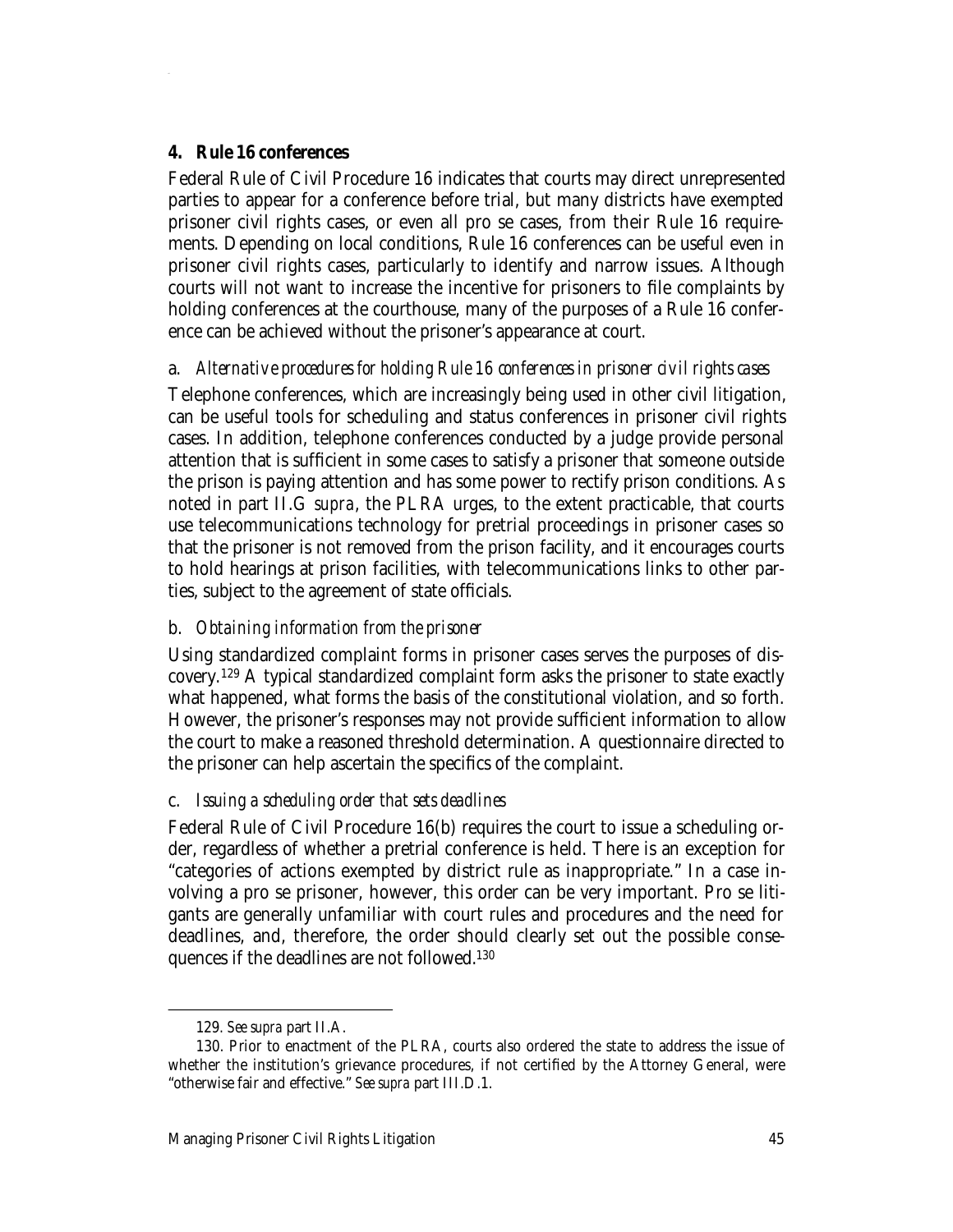### **4. Rule 16 conferences**

Federal Rule of Civil Procedure 16 indicates that courts may direct unrepresented parties to appear for a conference before trial, but many districts have exempted prisoner civil rights cases, or even all pro se cases, from their Rule 16 requirements. Depending on local conditions, Rule 16 conferences can be useful even in prisoner civil rights cases, particularly to identify and narrow issues. Although courts will not want to increase the incentive for prisoners to file complaints by holding conferences at the courthouse, many of the purposes of a Rule 16 conference can be achieved without the prisoner's appearance at court.

### a. *Alternative procedures for holding Rule 16 conferences in prisoner civil rights cases*

Telephone conferences, which are increasingly being used in other civil litigation, can be useful tools for scheduling and status conferences in prisoner civil rights cases. In addition, telephone conferences conducted by a judge provide personal attention that is sufficient in some cases to satisfy a prisoner that someone outside the prison is paying attention and has some power to rectify prison conditions. As noted in part II.G *supra*, the PLRA urges, to the extent practicable, that courts use telecommunications technology for pretrial proceedings in prisoner cases so that the prisoner is not removed from the prison facility, and it encourages courts to hold hearings at prison facilities, with telecommunications links to other parties, subject to the agreement of state officials.

## b. *Obtaining information from the prisoner*

Using standardized complaint forms in prisoner cases serves the purposes of discovery.129 A typical standardized complaint form asks the prisoner to state exactly what happened, what forms the basis of the constitutional violation, and so forth. However, the prisoner's responses may not provide sufficient information to allow the court to make a reasoned threshold determination. A questionnaire directed to the prisoner can help ascertain the specifics of the complaint.

## c. *Issuing a scheduling order that sets deadlines*

Federal Rule of Civil Procedure 16(b) requires the court to issue a scheduling order, regardless of whether a pretrial conference is held. There is an exception for "categories of actions exempted by district rule as inappropriate." In a case involving a pro se prisoner, however, this order can be very important. Pro se litigants are generally unfamiliar with court rules and procedures and the need for deadlines, and, therefore, the order should clearly set out the possible consequences if the deadlines are not followed.130

 $\overline{a}$ 

<sup>129.</sup> *See supra* part II.A.

<sup>130.</sup> Prior to enactment of the PLRA, courts also ordered the state to address the issue of whether the institution's grievance procedures, if not certified by the Attorney General, were "otherwise fair and effective." *See supra* part III.D.1.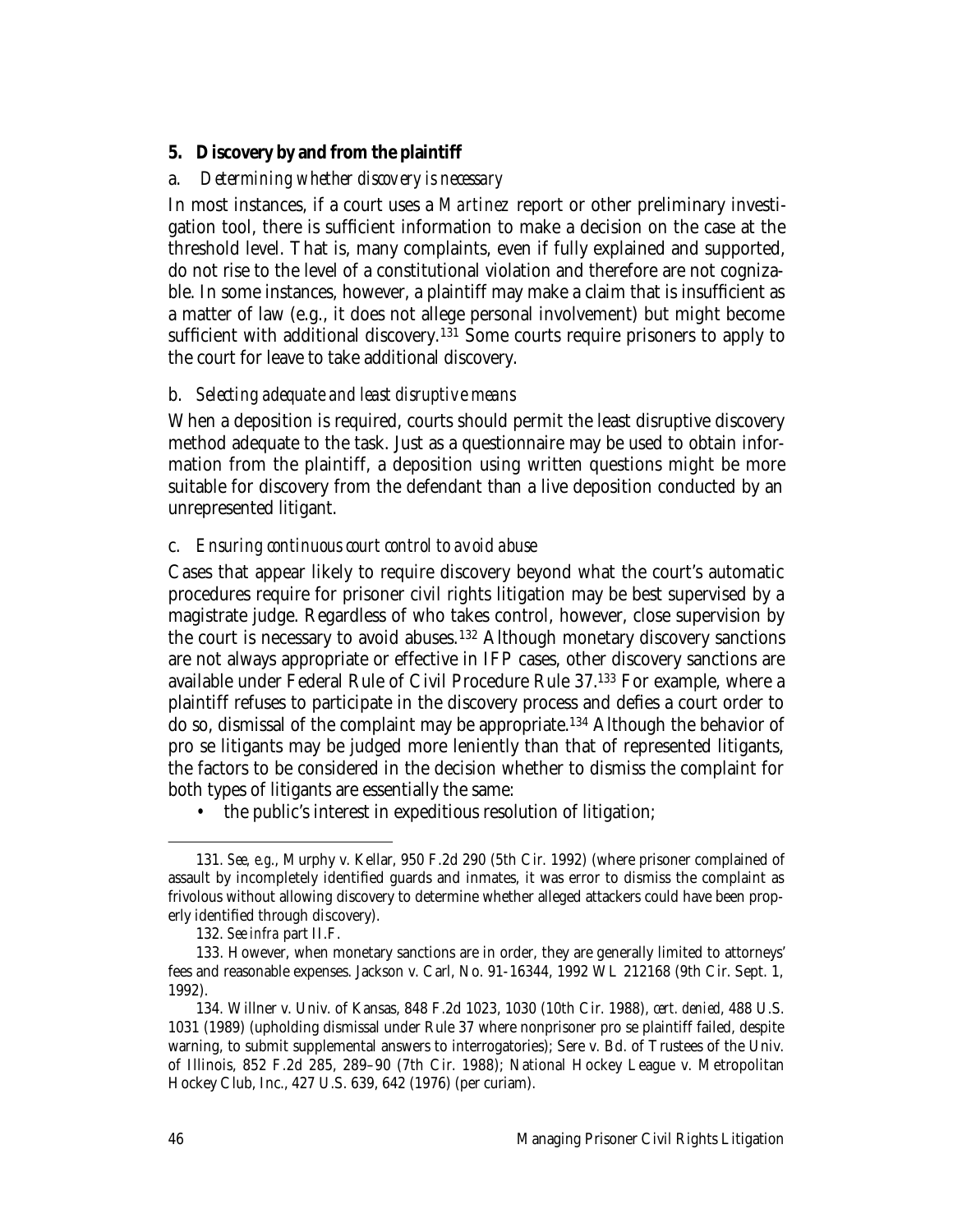### **5. Discovery by and from the plaintiff**

#### a. *Determining whether discovery is necessary*

In most instances, if a court uses a *Martinez* report or other preliminary investigation tool, there is sufficient information to make a decision on the case at the threshold level. That is, many complaints, even if fully explained and supported, do not rise to the level of a constitutional violation and therefore are not cognizable. In some instances, however, a plaintiff may make a claim that is insufficient as a matter of law (e.g., it does not allege personal involvement) but might become sufficient with additional discovery.<sup>131</sup> Some courts require prisoners to apply to the court for leave to take additional discovery.

#### b. *Selecting adequate and least disruptive means*

When a deposition is required, courts should permit the least disruptive discovery method adequate to the task. Just as a questionnaire may be used to obtain information from the plaintiff, a deposition using written questions might be more suitable for discovery from the defendant than a live deposition conducted by an unrepresented litigant.

#### c. *Ensuring continuous court control to avoid abuse*

Cases that appear likely to require discovery beyond what the court's automatic procedures require for prisoner civil rights litigation may be best supervised by a magistrate judge. Regardless of who takes control, however, close supervision by the court is necessary to avoid abuses.132 Although monetary discovery sanctions are not always appropriate or effective in IFP cases, other discovery sanctions are available under Federal Rule of Civil Procedure Rule 37.133 For example, where a plaintiff refuses to participate in the discovery process and defies a court order to do so, dismissal of the complaint may be appropriate.134 Although the behavior of pro se litigants may be judged more leniently than that of represented litigants, the factors to be considered in the decision whether to dismiss the complaint for both types of litigants are essentially the same:

• the public's interest in expeditious resolution of litigation;

 <sup>131.</sup> *See, e.g*., Murphy v. Kellar, 950 F.2d 290 (5th Cir. 1992) (where prisoner complained of assault by incompletely identified guards and inmates, it was error to dismiss the complaint as frivolous without allowing discovery to determine whether alleged attackers could have been properly identified through discovery).

<sup>132.</sup> *See infra* part II.F.

<sup>133.</sup> However, when monetary sanctions are in order, they are generally limited to attorneys' fees and reasonable expenses. Jackson v. Carl, No. 91-16344, 1992 WL 212168 (9th Cir. Sept. 1, 1992).

<sup>134.</sup> Willner v. Univ. of Kansas, 848 F.2d 1023, 1030 (10th Cir. 1988), *cert. denied*, 488 U.S. 1031 (1989) (upholding dismissal under Rule 37 where nonprisoner pro se plaintiff failed, despite warning, to submit supplemental answers to interrogatories); Sere v. Bd. of Trustees of the Univ. of Illinois, 852 F.2d 285, 289–90 (7th Cir. 1988); National Hockey League v. Metropolitan Hockey Club, Inc., 427 U.S. 639, 642 (1976) (per curiam).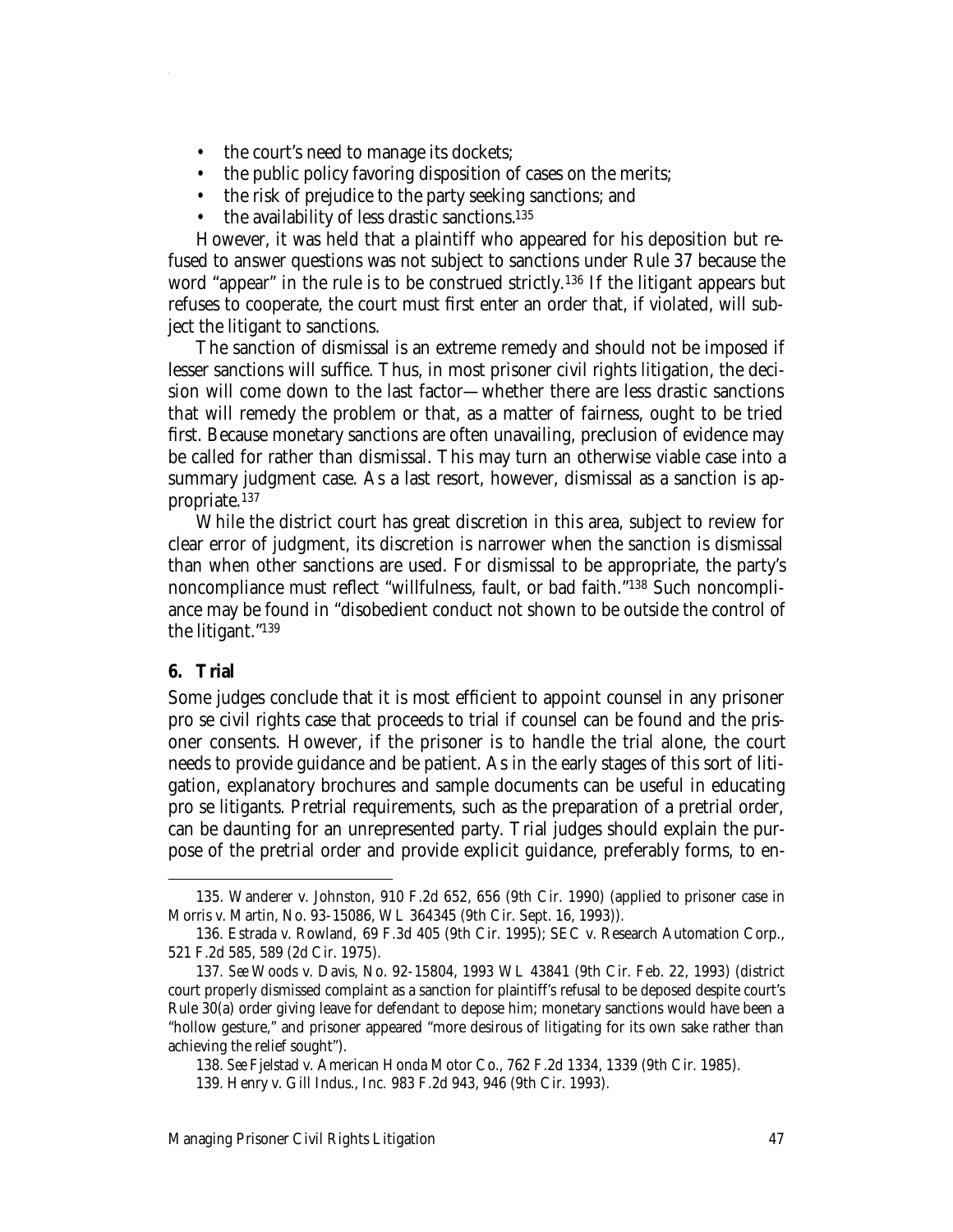- the court's need to manage its dockets;
- the public policy favoring disposition of cases on the merits;
- the risk of prejudice to the party seeking sanctions; and
- the availability of less drastic sanctions.<sup>135</sup>

However, it was held that a plaintiff who appeared for his deposition but refused to answer questions was not subject to sanctions under Rule 37 because the word "appear" in the rule is to be construed strictly.136 If the litigant appears but refuses to cooperate, the court must first enter an order that, if violated, will subject the litigant to sanctions.

The sanction of dismissal is an extreme remedy and should not be imposed if lesser sanctions will suffice. Thus, in most prisoner civil rights litigation, the decision will come down to the last factor—whether there are less drastic sanctions that will remedy the problem or that, as a matter of fairness, ought to be tried first. Because monetary sanctions are often unavailing, preclusion of evidence may be called for rather than dismissal. This may turn an otherwise viable case into a summary judgment case. As a last resort, however, dismissal as a sanction is appropriate.137

While the district court has great discretion in this area, subject to review for clear error of judgment, its discretion is narrower when the sanction is dismissal than when other sanctions are used. For dismissal to be appropriate, the party's noncompliance must reflect "willfulness, fault, or bad faith."138 Such noncompliance may be found in "disobedient conduct not shown to be outside the control of the litigant."139

#### **6. Trial**

Some judges conclude that it is most efficient to appoint counsel in any prisoner pro se civil rights case that proceeds to trial if counsel can be found and the prisoner consents. However, if the prisoner is to handle the trial alone, the court needs to provide guidance and be patient. As in the early stages of this sort of litigation, explanatory brochures and sample documents can be useful in educating pro se litigants. Pretrial requirements, such as the preparation of a pretrial order, can be daunting for an unrepresented party. Trial judges should explain the purpose of the pretrial order and provide explicit guidance, preferably forms, to en-

 <sup>135.</sup> Wanderer v. Johnston, 910 F.2d 652, 656 (9th Cir. 1990) (applied to prisoner case in Morris v. Martin, No. 93-15086, WL 364345 (9th Cir. Sept. 16, 1993)).

<sup>136.</sup> Estrada v. Rowland, 69 F.3d 405 (9th Cir. 1995); SEC v. Research Automation Corp., 521 F.2d 585, 589 (2d Cir. 1975).

<sup>137.</sup> *See* Woods v. Davis, No. 92-15804, 1993 WL 43841 (9th Cir. Feb. 22, 1993) (district court properly dismissed complaint as a sanction for plaintiff's refusal to be deposed despite court's Rule 30(a) order giving leave for defendant to depose him; monetary sanctions would have been a "hollow gesture," and prisoner appeared "more desirous of litigating for its own sake rather than achieving the relief sought").

<sup>138.</sup> *See* Fjelstad v. American Honda Motor Co., 762 F.2d 1334, 1339 (9th Cir. 1985).

<sup>139.</sup> Henry v. Gill Indus., Inc*.* 983 F.2d 943, 946 (9th Cir. 1993).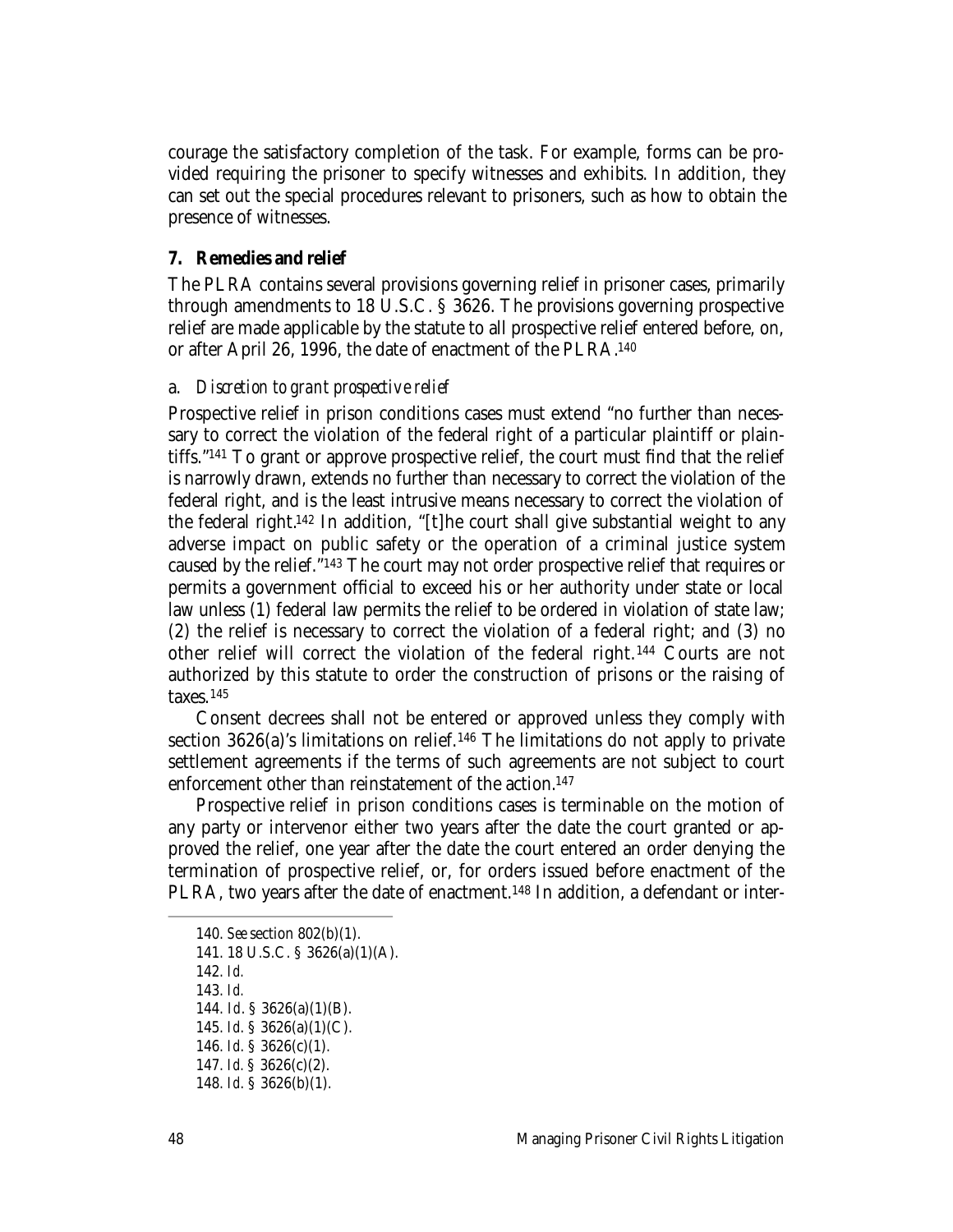courage the satisfactory completion of the task. For example, forms can be provided requiring the prisoner to specify witnesses and exhibits. In addition, they can set out the special procedures relevant to prisoners, such as how to obtain the presence of witnesses.

### **7. Remedies and relief**

The PLRA contains several provisions governing relief in prisoner cases, primarily through amendments to 18 U.S.C. § 3626. The provisions governing prospective relief are made applicable by the statute to all prospective relief entered before, on, or after April 26, 1996, the date of enactment of the PLRA.140

#### a. *Discretion to grant prospective relief*

Prospective relief in prison conditions cases must extend "no further than necessary to correct the violation of the federal right of a particular plaintiff or plaintiffs."141 To grant or approve prospective relief, the court must find that the relief is narrowly drawn, extends no further than necessary to correct the violation of the federal right, and is the least intrusive means necessary to correct the violation of the federal right.142 In addition, "[t]he court shall give substantial weight to any adverse impact on public safety or the operation of a criminal justice system caused by the relief."143 The court may not order prospective relief that requires or permits a government official to exceed his or her authority under state or local law unless (1) federal law permits the relief to be ordered in violation of state law; (2) the relief is necessary to correct the violation of a federal right; and (3) no other relief will correct the violation of the federal right.144 Courts are not authorized by this statute to order the construction of prisons or the raising of taxes.145

Consent decrees shall not be entered or approved unless they comply with section 3626(a)'s limitations on relief.146 The limitations do not apply to private settlement agreements if the terms of such agreements are not subject to court enforcement other than reinstatement of the action.<sup>147</sup>

Prospective relief in prison conditions cases is terminable on the motion of any party or intervenor either two years after the date the court granted or approved the relief, one year after the date the court entered an order denying the termination of prospective relief, or, for orders issued before enactment of the PLRA, two years after the date of enactment.<sup>148</sup> In addition, a defendant or inter-

- 140. *See* section 802(b)(1).
- 141. 18 U.S.C. § 3626(a)(1)(A).
- 142. *Id.*
- 143. *Id.*
- 144. *Id*. § 3626(a)(1)(B).
- 145. *Id*. § 3626(a)(1)(C).
- 146. *Id*. § 3626(c)(1).
- 147. *Id.* § 3626(c)(2).
- 148. *Id*. § 3626(b)(1).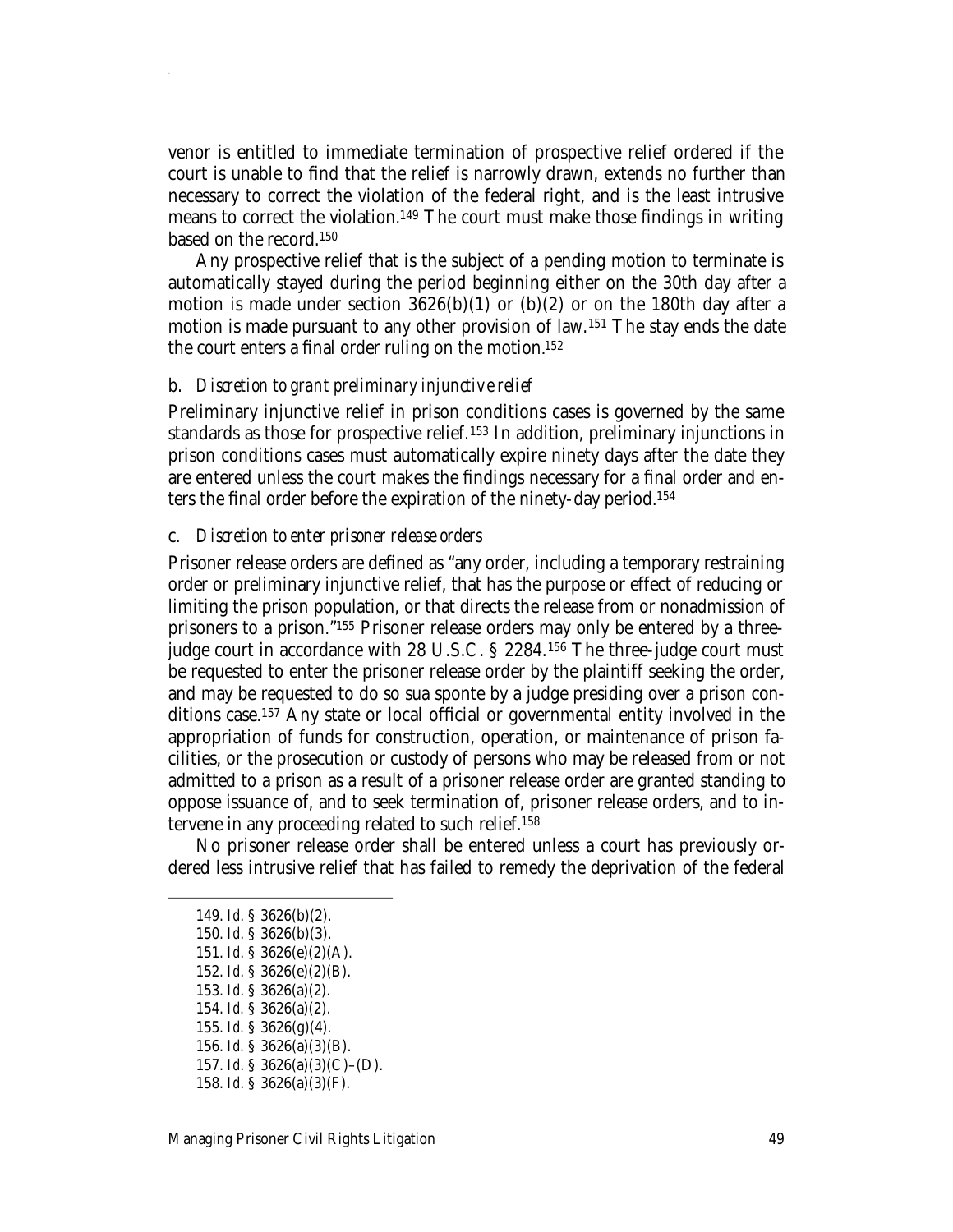venor is entitled to immediate termination of prospective relief ordered if the court is unable to find that the relief is narrowly drawn, extends no further than necessary to correct the violation of the federal right, and is the least intrusive means to correct the violation.149 The court must make those findings in writing based on the record.150

Any prospective relief that is the subject of a pending motion to terminate is automatically stayed during the period beginning either on the 30th day after a motion is made under section  $3626(b)(1)$  or (b)(2) or on the 180th day after a motion is made pursuant to any other provision of law.<sup>151</sup> The stay ends the date the court enters a final order ruling on the motion.152

#### b. *Discretion to grant preliminary injunctive relief*

Preliminary injunctive relief in prison conditions cases is governed by the same standards as those for prospective relief.<sup>153</sup> In addition, preliminary injunctions in prison conditions cases must automatically expire ninety days after the date they are entered unless the court makes the findings necessary for a final order and enters the final order before the expiration of the ninety-day period.154

#### c. *Discretion to enter prisoner release orders*

Prisoner release orders are defined as "any order, including a temporary restraining order or preliminary injunctive relief, that has the purpose or effect of reducing or limiting the prison population, or that directs the release from or nonadmission of prisoners to a prison."155 Prisoner release orders may only be entered by a threejudge court in accordance with 28 U.S.C. § 2284.156 The three-judge court must be requested to enter the prisoner release order by the plaintiff seeking the order, and may be requested to do so sua sponte by a judge presiding over a prison conditions case.157 Any state or local official or governmental entity involved in the appropriation of funds for construction, operation, or maintenance of prison facilities, or the prosecution or custody of persons who may be released from or not admitted to a prison as a result of a prisoner release order are granted standing to oppose issuance of, and to seek termination of, prisoner release orders, and to intervene in any proceeding related to such relief.158

No prisoner release order shall be entered unless a court has previously ordered less intrusive relief that has failed to remedy the deprivation of the federal

 149. *Id*. § 3626(b)(2). 150. *Id*. § 3626(b)(3). 151. *Id*. § 3626(e)(2)(A). 152. *Id*. § 3626(e)(2)(B). 153. *Id*. § 3626(a)(2). 154. *Id.* § 3626(a)(2). 155. *Id.* § 3626(g)(4). 156. *Id.* § 3626(a)(3)(B). 157. *Id*. § 3626(a)(3)(C)–(D). 158. *Id*. § 3626(a)(3)(F).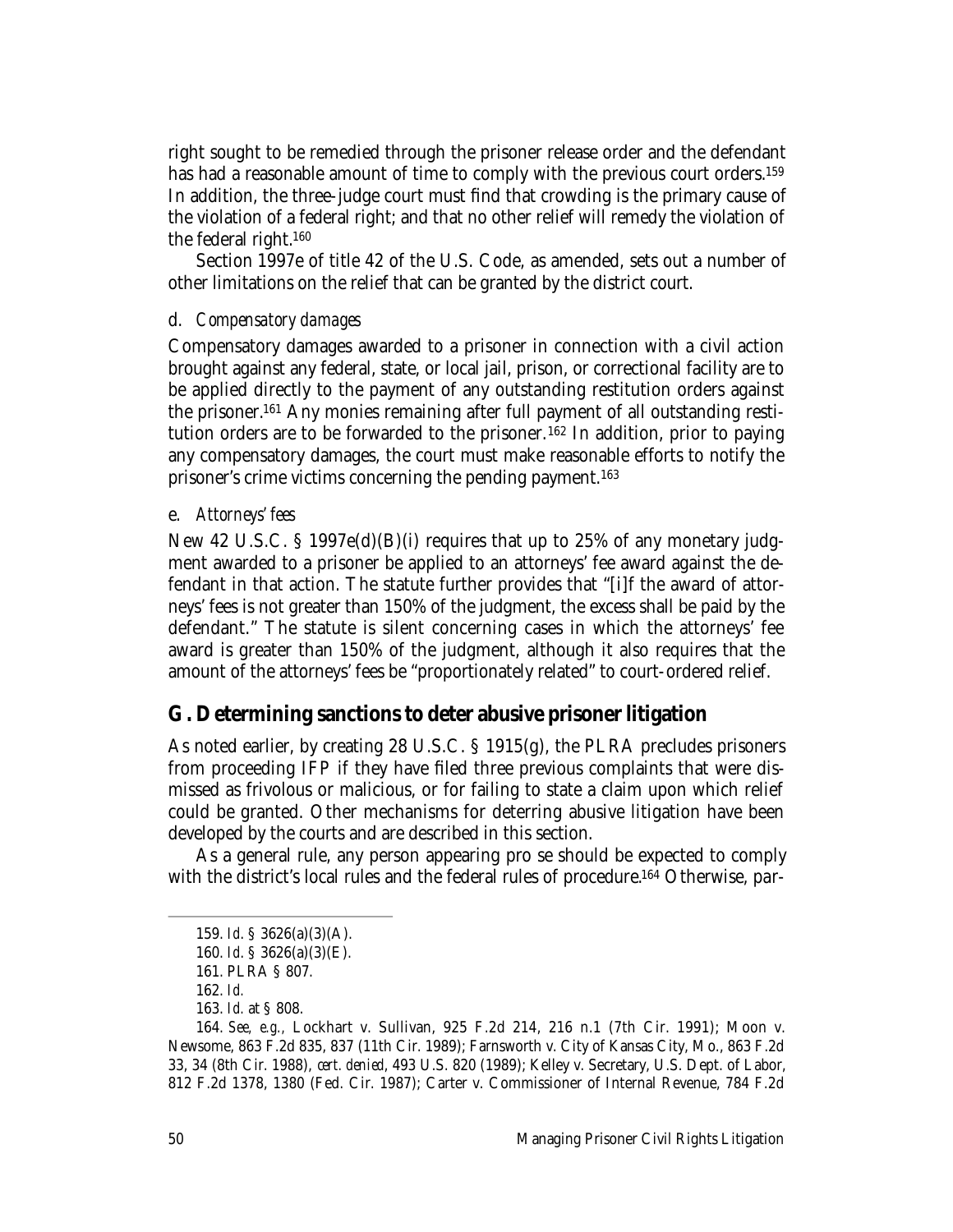right sought to be remedied through the prisoner release order and the defendant has had a reasonable amount of time to comply with the previous court orders.<sup>159</sup> In addition, the three-judge court must find that crowding is the primary cause of the violation of a federal right; and that no other relief will remedy the violation of the federal right.160

Section 1997e of title 42 of the U.S. Code, as amended, sets out a number of other limitations on the relief that can be granted by the district court.

### d. *Compensatory damages*

Compensatory damages awarded to a prisoner in connection with a civil action brought against any federal, state, or local jail, prison, or correctional facility are to be applied directly to the payment of any outstanding restitution orders against the prisoner.161 Any monies remaining after full payment of all outstanding restitution orders are to be forwarded to the prisoner.<sup>162</sup> In addition, prior to paying any compensatory damages, the court must make reasonable efforts to notify the prisoner's crime victims concerning the pending payment.163

### e. *Attorneys' fees*

New 42 U.S.C.  $\S$  1997e(d)(B)(i) requires that up to 25% of any monetary judgment awarded to a prisoner be applied to an attorneys' fee award against the defendant in that action. The statute further provides that "[i]f the award of attorneys' fees is not greater than 150% of the judgment, the excess shall be paid by the defendant." The statute is silent concerning cases in which the attorneys' fee award is greater than 150% of the judgment, although it also requires that the amount of the attorneys' fees be "proportionately related" to court-ordered relief.

# **G. Determining sanctions to deter abusive prisoner litigation**

As noted earlier, by creating 28 U.S.C. § 1915(g), the PLRA precludes prisoners from proceeding IFP if they have filed three previous complaints that were dismissed as frivolous or malicious, or for failing to state a claim upon which relief could be granted. Other mechanisms for deterring abusive litigation have been developed by the courts and are described in this section.

As a general rule, any person appearing pro se should be expected to comply with the district's local rules and the federal rules of procedure.<sup>164</sup> Otherwise, par-

 <sup>159.</sup> *Id*. § 3626(a)(3)(A).

<sup>160.</sup> *Id*. § 3626(a)(3)(E).

<sup>161.</sup> PLRA § 807.

<sup>162.</sup> *Id.*

<sup>163.</sup> *Id.* at § 808.

<sup>164.</sup> *See, e.g.,* Lockhart v. Sullivan, 925 F.2d 214, 216 n.1 (7th Cir. 1991); Moon v. Newsome, 863 F.2d 835, 837 (11th Cir. 1989); Farnsworth v. City of Kansas City, Mo., 863 F.2d 33, 34 (8th Cir. 1988), *cert. denied*, 493 U.S. 820 (1989); Kelley v. Secretary, U.S. Dept. of Labor, 812 F.2d 1378, 1380 (Fed. Cir. 1987); Carter v. Commissioner of Internal Revenue, 784 F.2d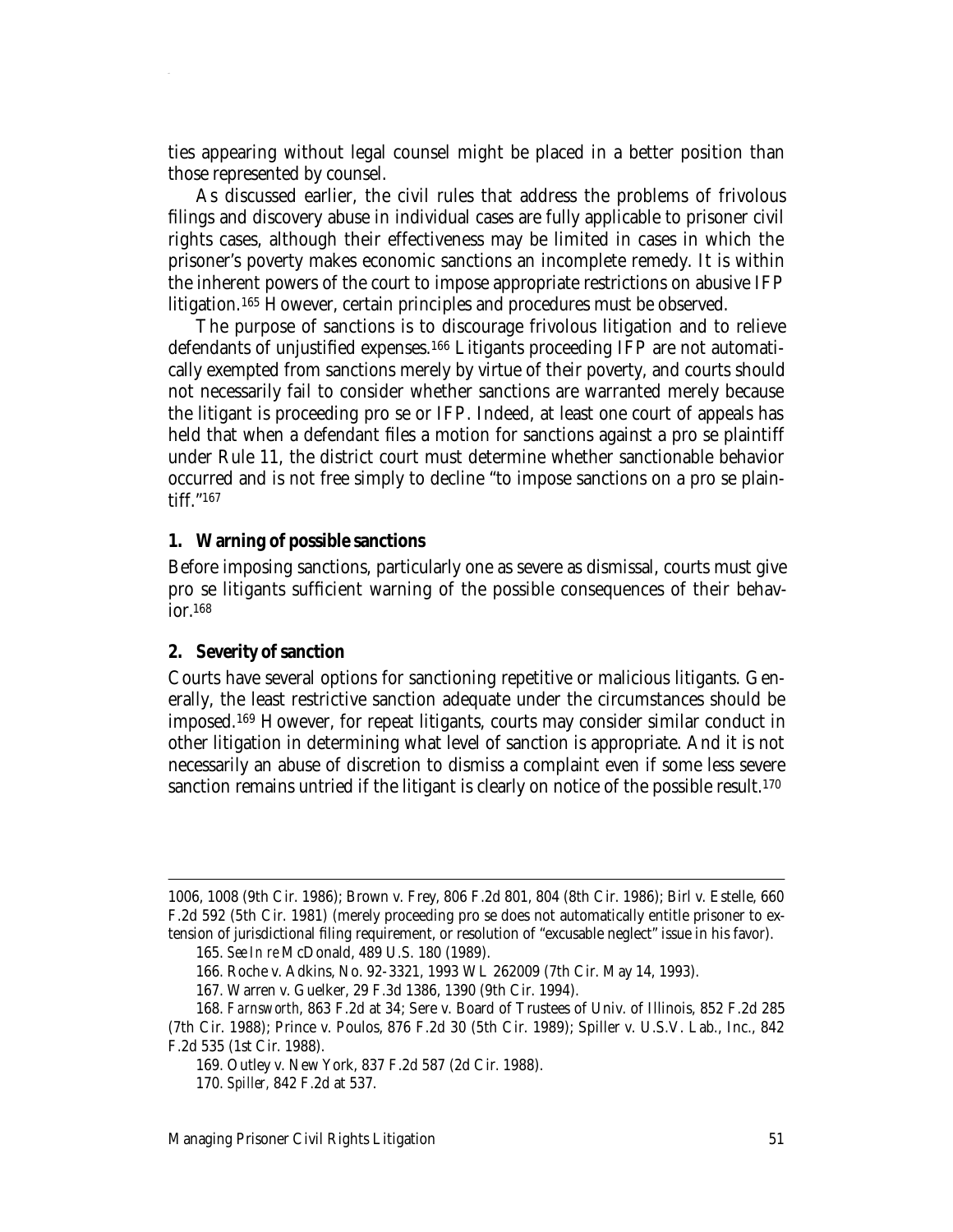ties appearing without legal counsel might be placed in a better position than those represented by counsel.

As discussed earlier, the civil rules that address the problems of frivolous filings and discovery abuse in individual cases are fully applicable to prisoner civil rights cases, although their effectiveness may be limited in cases in which the prisoner's poverty makes economic sanctions an incomplete remedy. It is within the inherent powers of the court to impose appropriate restrictions on abusive IFP litigation.165 However, certain principles and procedures must be observed.

The purpose of sanctions is to discourage frivolous litigation and to relieve defendants of unjustified expenses.166 Litigants proceeding IFP are not automatically exempted from sanctions merely by virtue of their poverty, and courts should not necessarily fail to consider whether sanctions are warranted merely because the litigant is proceeding pro se or IFP. Indeed, at least one court of appeals has held that when a defendant files a motion for sanctions against a pro se plaintiff under Rule 11, the district court must determine whether sanctionable behavior occurred and is not free simply to decline "to impose sanctions on a pro se plaintiff."167

#### **1. Warning of possible sanctions**

Before imposing sanctions, particularly one as severe as dismissal, courts must give pro se litigants sufficient warning of the possible consequences of their behavior.168

#### **2. Severity of sanction**

Courts have several options for sanctioning repetitive or malicious litigants. Generally, the least restrictive sanction adequate under the circumstances should be imposed.169 However, for repeat litigants, courts may consider similar conduct in other litigation in determining what level of sanction is appropriate. And it is not necessarily an abuse of discretion to dismiss a complaint even if some less severe sanction remains untried if the litigant is clearly on notice of the possible result.<sup>170</sup>

 $\overline{a}$ 1006, 1008 (9th Cir. 1986); Brown v. Frey, 806 F.2d 801, 804 (8th Cir. 1986); Birl v. Estelle, 660 F.2d 592 (5th Cir. 1981) (merely proceeding pro se does not automatically entitle prisoner to extension of jurisdictional filing requirement, or resolution of "excusable neglect" issue in his favor).

<sup>165.</sup> *See In re* McDonald, 489 U.S. 180 (1989).

<sup>166.</sup> Roche v. Adkins, No. 92-3321, 1993 WL 262009 (7th Cir. May 14, 1993).

<sup>167.</sup> Warren v. Guelker, 29 F.3d 1386, 1390 (9th Cir. 1994).

<sup>168.</sup> *Farnsworth*, 863 F.2d at 34; Sere v. Board of Trustees of Univ. of Illinois, 852 F.2d 285 (7th Cir. 1988); Prince v. Poulos, 876 F.2d 30 (5th Cir. 1989); Spiller v. U.S.V. Lab., Inc., 842 F.2d 535 (1st Cir. 1988).

<sup>169.</sup> Outley v. New York, 837 F.2d 587 (2d Cir. 1988).

<sup>170.</sup> *Spiller,* 842 F.2d at 537.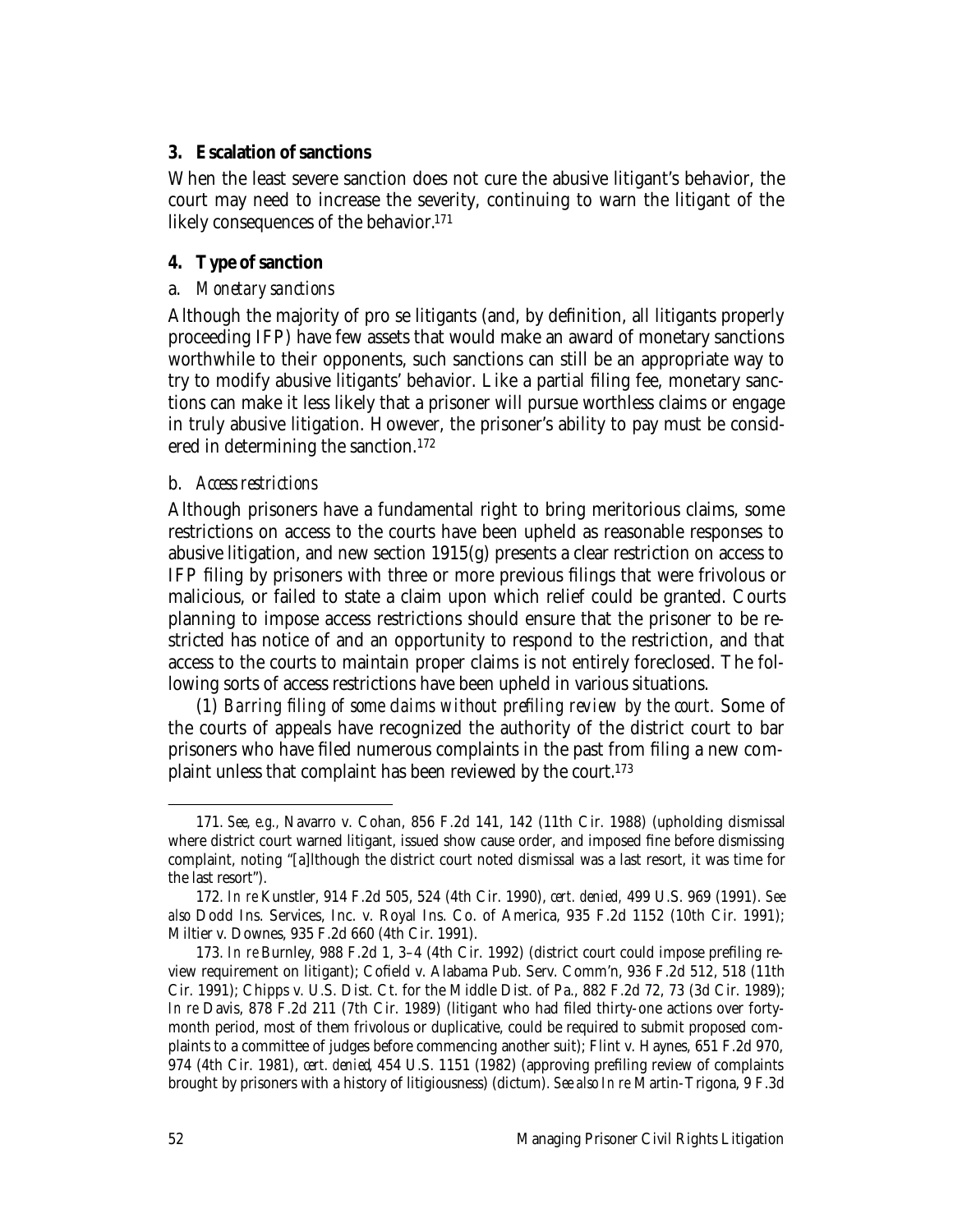#### **3. Escalation of sanctions**

When the least severe sanction does not cure the abusive litigant's behavior, the court may need to increase the severity, continuing to warn the litigant of the likely consequences of the behavior.171

### **4. Type of sanction**

### a. *Monetary sanctions*

Although the majority of pro se litigants (and, by definition, all litigants properly proceeding IFP) have few assets that would make an award of monetary sanctions worthwhile to their opponents, such sanctions can still be an appropriate way to try to modify abusive litigants' behavior. Like a partial filing fee, monetary sanctions can make it less likely that a prisoner will pursue worthless claims or engage in truly abusive litigation. However, the prisoner's ability to pay must be considered in determining the sanction.172

### b. *Access restrictions*

Although prisoners have a fundamental right to bring meritorious claims, some restrictions on access to the courts have been upheld as reasonable responses to abusive litigation, and new section 1915(g) presents a clear restriction on access to IFP filing by prisoners with three or more previous filings that were frivolous or malicious, or failed to state a claim upon which relief could be granted. Courts planning to impose access restrictions should ensure that the prisoner to be restricted has notice of and an opportunity to respond to the restriction, and that access to the courts to maintain proper claims is not entirely foreclosed. The following sorts of access restrictions have been upheld in various situations.

(1) *Barring filing of some claims without prefiling review by the court*. Some of the courts of appeals have recognized the authority of the district court to bar prisoners who have filed numerous complaints in the past from filing a new complaint unless that complaint has been reviewed by the court.173

 <sup>171.</sup> *See, e.g.,* Navarro v. Cohan, 856 F.2d 141, 142 (11th Cir. 1988) (upholding dismissal where district court warned litigant, issued show cause order, and imposed fine before dismissing complaint, noting "[a]lthough the district court noted dismissal was a last resort, it was time for the last resort").

<sup>172.</sup> *In re* Kunstler, 914 F.2d 505, 524 (4th Cir. 1990), *cert. denied,* 499 U.S. 969 (1991). *See also* Dodd Ins. Services, Inc. v. Royal Ins. Co. of America, 935 F.2d 1152 (10th Cir. 1991); Miltier v. Downes, 935 F.2d 660 (4th Cir. 1991).

<sup>173.</sup> *In re* Burnley, 988 F.2d 1, 3–4 (4th Cir. 1992) (district court could impose prefiling review requirement on litigant); Cofield v. Alabama Pub. Serv. Comm'n, 936 F.2d 512, 518 (11th Cir. 1991); Chipps v. U.S. Dist. Ct. for the Middle Dist. of Pa., 882 F.2d 72, 73 (3d Cir. 1989); *In re* Davis, 878 F.2d 211 (7th Cir. 1989) (litigant who had filed thirty-one actions over fortymonth period, most of them frivolous or duplicative, could be required to submit proposed complaints to a committee of judges before commencing another suit); Flint v. Haynes, 651 F.2d 970, 974 (4th Cir. 1981), *cert. denied*, 454 U.S. 1151 (1982) (approving prefiling review of complaints brought by prisoners with a history of litigiousness) (dictum). *See also In re* Martin-Trigona, 9 F.3d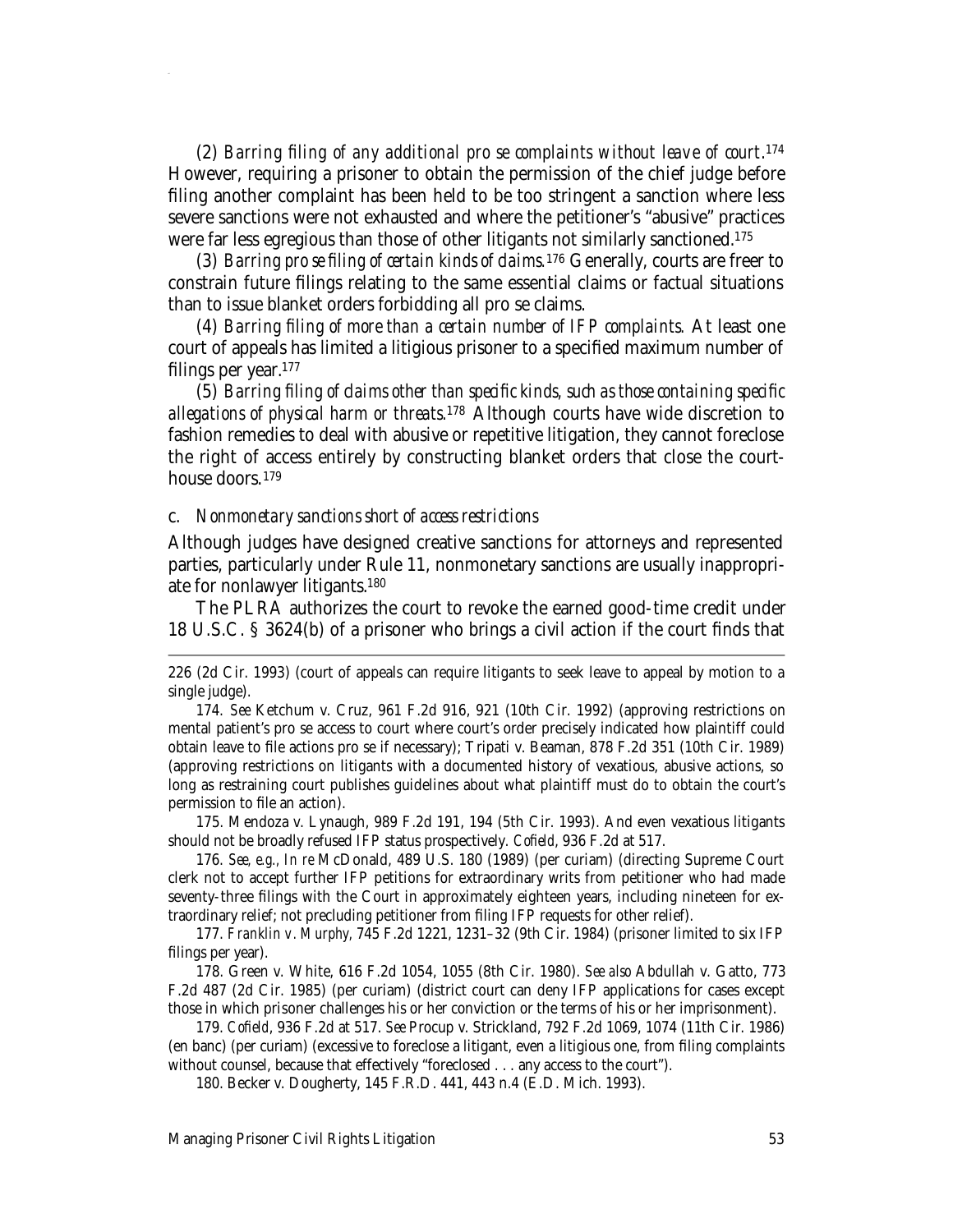(2) *Barring filing of any additional pro se complaints without leave of court*.174 However, requiring a prisoner to obtain the permission of the chief judge before filing another complaint has been held to be too stringent a sanction where less severe sanctions were not exhausted and where the petitioner's "abusive" practices were far less egregious than those of other litigants not similarly sanctioned.<sup>175</sup>

(3) *Barring pro se filing of certain kinds of claims.*176 Generally, courts are freer to constrain future filings relating to the same essential claims or factual situations than to issue blanket orders forbidding all pro se claims.

(4) *Barring filing of more than a certain number of IFP complaints.* At least one court of appeals has limited a litigious prisoner to a specified maximum number of filings per year.177

(5) *Barring filing of claims other than specific kinds, such as those containing specific allegations of physical harm or threats.*<sup>178</sup> Although courts have wide discretion to fashion remedies to deal with abusive or repetitive litigation, they cannot foreclose the right of access entirely by constructing blanket orders that close the courthouse doors.<sup>179</sup>

#### c. *Nonmonetary sanctions short of access restrictions*

 $\overline{a}$ 

Although judges have designed creative sanctions for attorneys and represented parties, particularly under Rule 11, nonmonetary sanctions are usually inappropriate for nonlawyer litigants.180

The PLRA authorizes the court to revoke the earned good-time credit under 18 U.S.C. § 3624(b) of a prisoner who brings a civil action if the court finds that

226 (2d Cir. 1993) (court of appeals can require litigants to seek leave to appeal by motion to a single judge).

174. *See* Ketchum v. Cruz, 961 F.2d 916, 921 (10th Cir. 1992) (approving restrictions on mental patient's pro se access to court where court's order precisely indicated how plaintiff could obtain leave to file actions pro se if necessary); Tripati v. Beaman, 878 F.2d 351 (10th Cir. 1989) (approving restrictions on litigants with a documented history of vexatious, abusive actions, so long as restraining court publishes guidelines about what plaintiff must do to obtain the court's permission to file an action).

175. Mendoza v. Lynaugh, 989 F.2d 191, 194 (5th Cir. 1993). And even vexatious litigants should not be broadly refused IFP status prospectively. *Cofield*, 936 F.2d at 517.

176. *See, e.g., In re* McDonald, 489 U.S. 180 (1989) (per curiam) (directing Supreme Court clerk not to accept further IFP petitions for extraordinary writs from petitioner who had made seventy-three filings with the Court in approximately eighteen years, including nineteen for extraordinary relief; not precluding petitioner from filing IFP requests for other relief).

177. *Franklin v. Murphy,* 745 F.2d 1221, 1231–32 (9th Cir. 1984) (prisoner limited to six IFP filings per year).

178. Green v. White, 616 F.2d 1054, 1055 (8th Cir. 1980). *See also* Abdullah v. Gatto, 773 F.2d 487 (2d Cir. 1985) (per curiam) (district court can deny IFP applications for cases except those in which prisoner challenges his or her conviction or the terms of his or her imprisonment).

179. *Cofield*, 936 F.2d at 517. *See* Procup v. Strickland, 792 F.2d 1069, 1074 (11th Cir. 1986) (en banc) (per curiam) (excessive to foreclose a litigant, even a litigious one, from filing complaints without counsel, because that effectively "foreclosed . . . any access to the court").

180. Becker v. Dougherty, 145 F.R.D. 441, 443 n.4 (E.D. Mich. 1993).

Managing Prisoner Civil Rights Litigation 53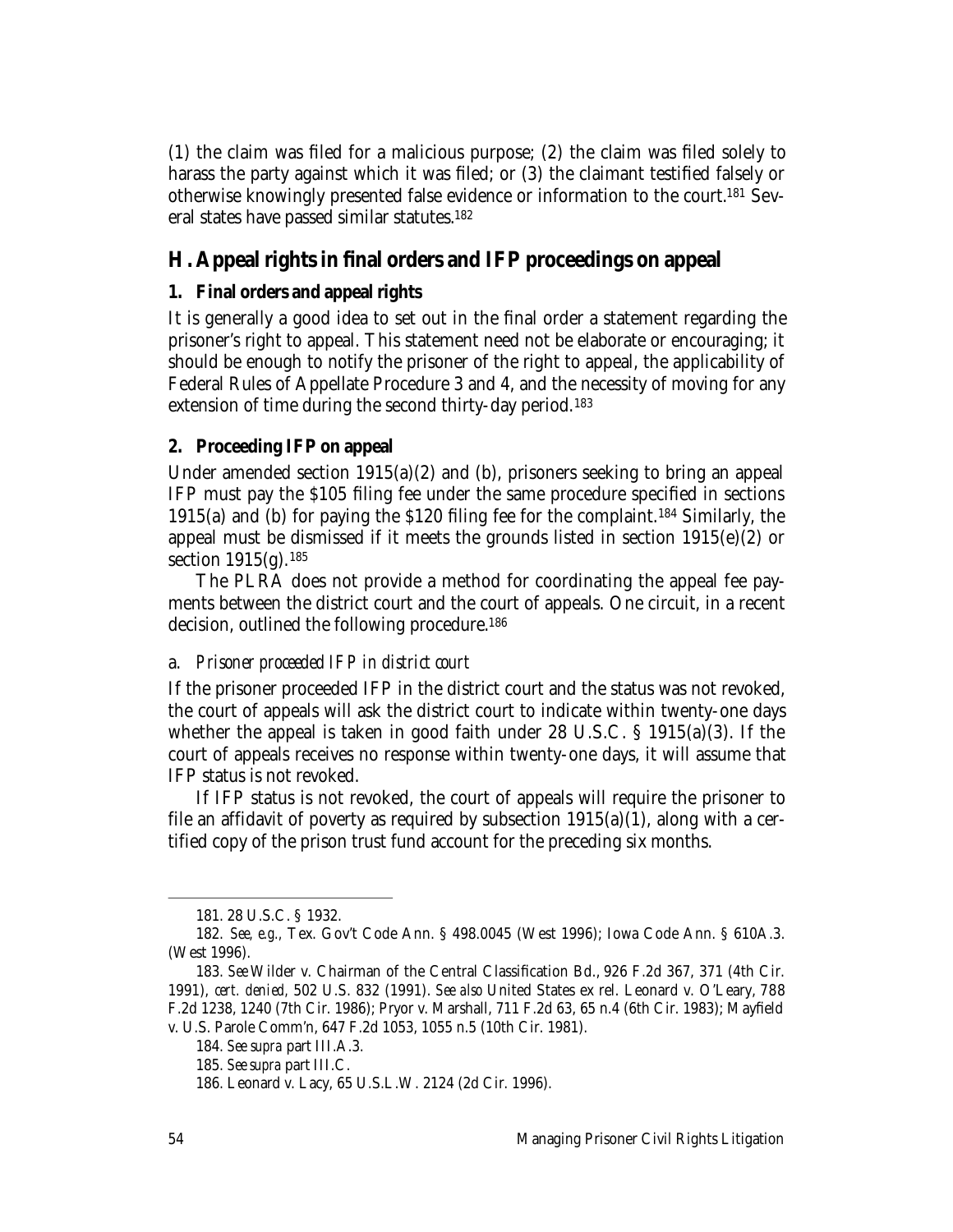(1) the claim was filed for a malicious purpose; (2) the claim was filed solely to harass the party against which it was filed; or (3) the claimant testified falsely or otherwise knowingly presented false evidence or information to the court.181 Several states have passed similar statutes.182

# **H. Appeal rights in final orders and IFP proceedings on appeal**

## **1. Final orders and appeal rights**

It is generally a good idea to set out in the final order a statement regarding the prisoner's right to appeal. This statement need not be elaborate or encouraging; it should be enough to notify the prisoner of the right to appeal, the applicability of Federal Rules of Appellate Procedure 3 and 4, and the necessity of moving for any extension of time during the second thirty-day period.<sup>183</sup>

### **2. Proceeding IFP on appeal**

Under amended section  $1915(a)(2)$  and (b), prisoners seeking to bring an appeal IFP must pay the \$105 filing fee under the same procedure specified in sections 1915(a) and (b) for paying the \$120 filing fee for the complaint.184 Similarly, the appeal must be dismissed if it meets the grounds listed in section 1915(e)(2) or section 1915(g).<sup>185</sup>

The PLRA does not provide a method for coordinating the appeal fee payments between the district court and the court of appeals. One circuit, in a recent decision, outlined the following procedure.186

### a. *Prisoner proceeded IFP in district court*

If the prisoner proceeded IFP in the district court and the status was not revoked, the court of appeals will ask the district court to indicate within twenty-one days whether the appeal is taken in good faith under 28 U.S.C. § 1915(a)(3). If the court of appeals receives no response within twenty-one days, it will assume that IFP status is not revoked.

If IFP status is not revoked, the court of appeals will require the prisoner to file an affidavit of poverty as required by subsection  $1915(a)(1)$ , along with a certified copy of the prison trust fund account for the preceding six months.

 <sup>181. 28</sup> U.S.C. § 1932.

<sup>182.</sup> *See, e.g.,* Tex. Gov't Code Ann. § 498.0045 (West 1996); Iowa Code Ann. § 610A.3. (West 1996).

<sup>183.</sup> *See* Wilder v. Chairman of the Central Classification Bd., 926 F.2d 367, 371 (4th Cir. 1991), *cert. denied,* 502 U.S. 832 (1991). *See also* United States ex rel. Leonard v. O'Leary, 788 F.2d 1238, 1240 (7th Cir. 1986); Pryor v. Marshall, 711 F.2d 63, 65 n.4 (6th Cir. 1983); Mayfield v. U.S. Parole Comm'n, 647 F.2d 1053, 1055 n.5 (10th Cir. 1981).

<sup>184.</sup> *See supra* part III.A.3.

<sup>185.</sup> *See supra* part III.C.

<sup>186.</sup> Leonard v. Lacy, 65 U.S.L.W. 2124 (2d Cir. 1996).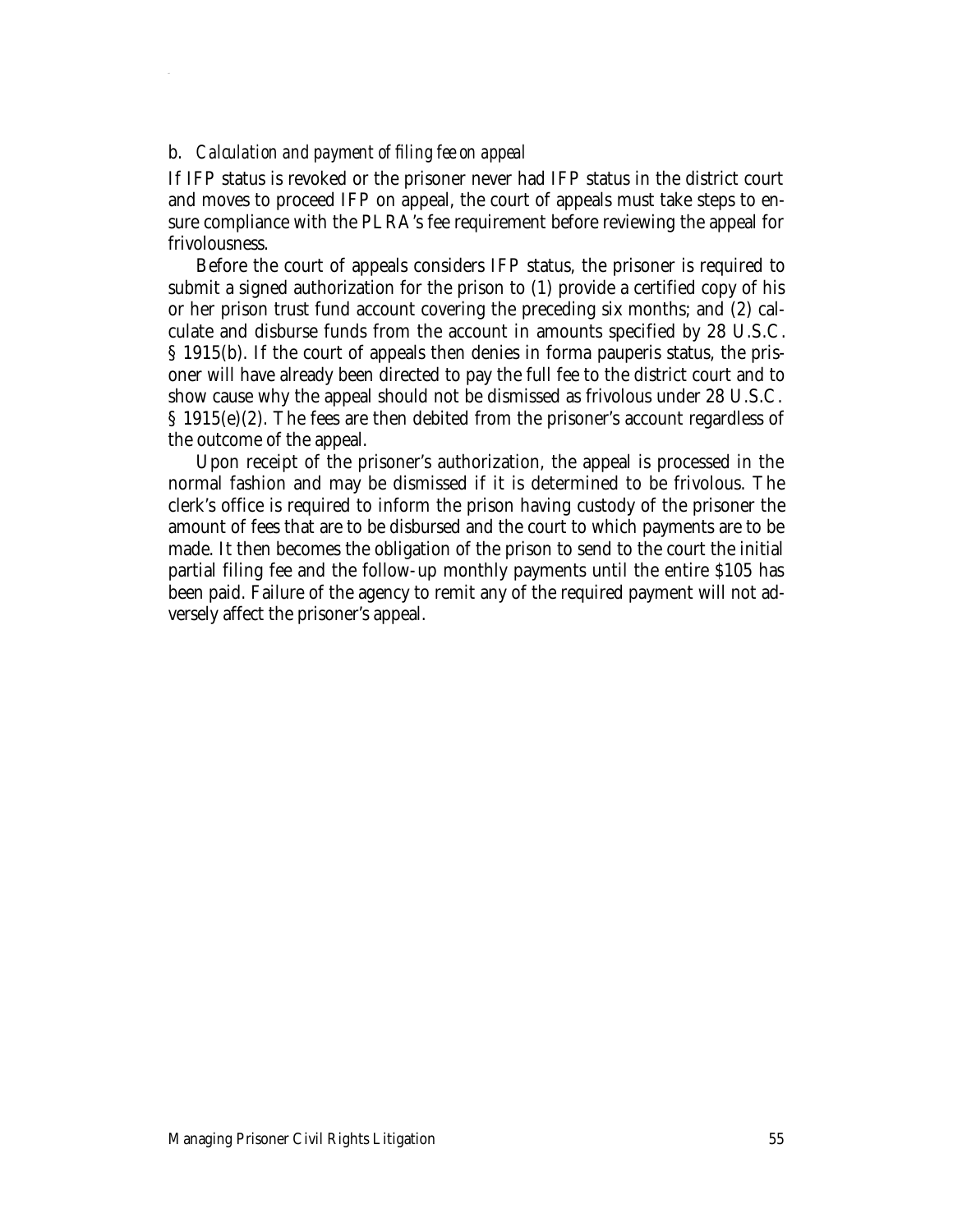#### b. *Calculation and payment of filing fee on appeal*

If IFP status is revoked or the prisoner never had IFP status in the district court and moves to proceed IFP on appeal, the court of appeals must take steps to ensure compliance with the PLRA's fee requirement before reviewing the appeal for frivolousness.

Before the court of appeals considers IFP status, the prisoner is required to submit a signed authorization for the prison to (1) provide a certified copy of his or her prison trust fund account covering the preceding six months; and (2) calculate and disburse funds from the account in amounts specified by 28 U.S.C. § 1915(b). If the court of appeals then denies in forma pauperis status, the prisoner will have already been directed to pay the full fee to the district court and to show cause why the appeal should not be dismissed as frivolous under 28 U.S.C. § 1915(e)(2). The fees are then debited from the prisoner's account regardless of the outcome of the appeal.

Upon receipt of the prisoner's authorization, the appeal is processed in the normal fashion and may be dismissed if it is determined to be frivolous. The clerk's office is required to inform the prison having custody of the prisoner the amount of fees that are to be disbursed and the court to which payments are to be made. It then becomes the obligation of the prison to send to the court the initial partial filing fee and the follow-up monthly payments until the entire \$105 has been paid. Failure of the agency to remit any of the required payment will not adversely affect the prisoner's appeal.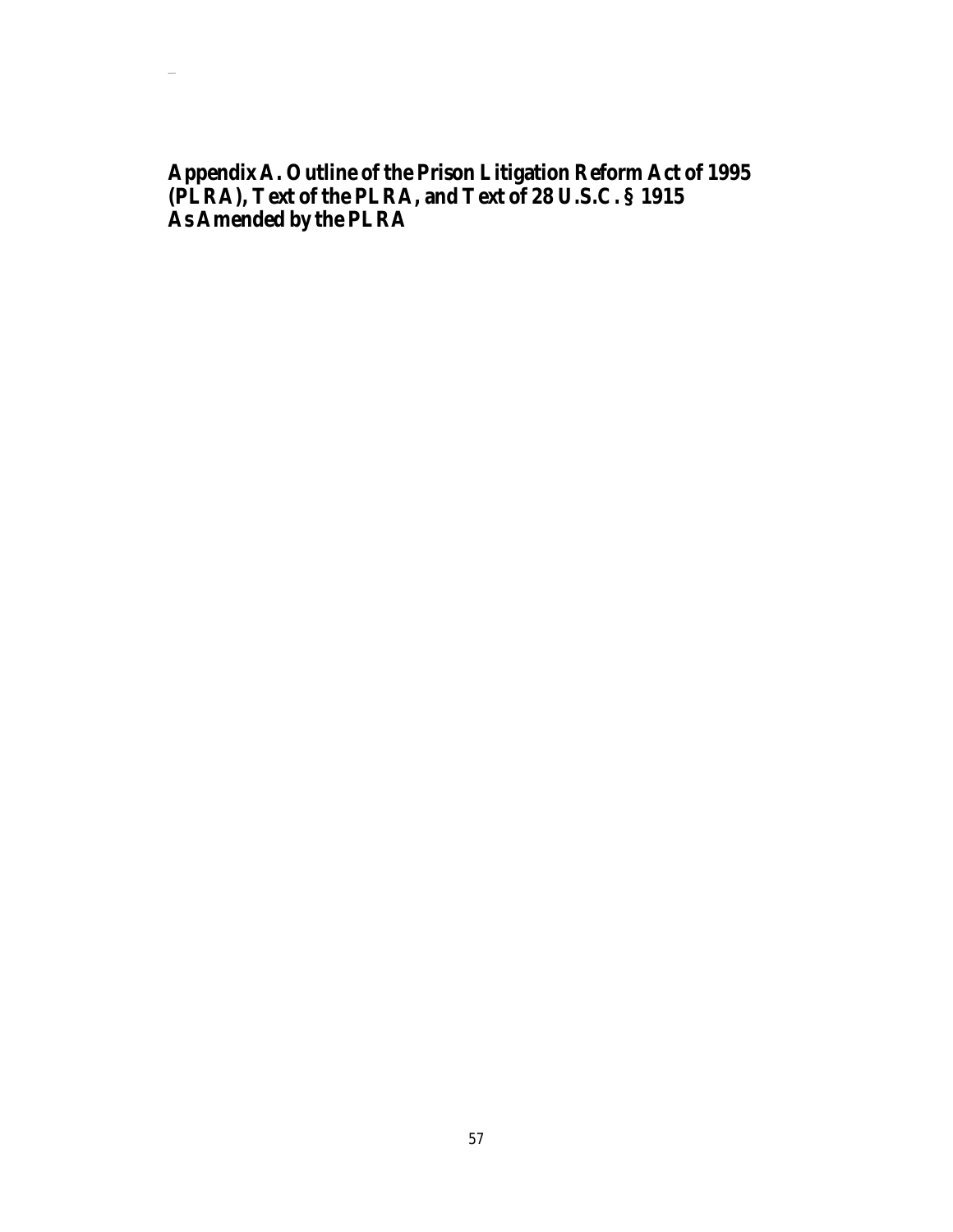**Appendix A. Outline of the Prison Litigation Reform Act of 1995 (PLRA), Text of the PLRA, and Text of 28 U.S.C. § 1915 As Amended by the PLRA**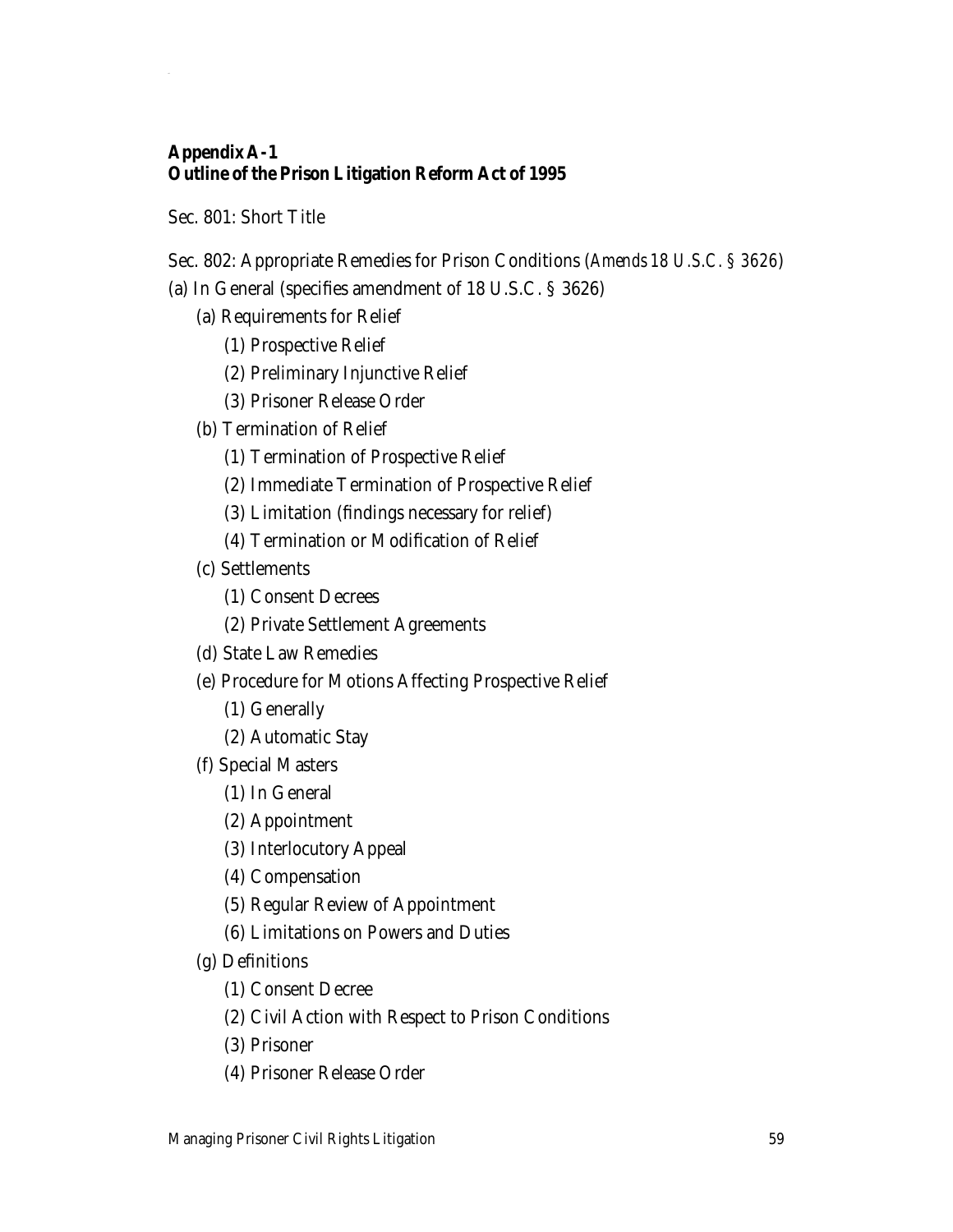## **Appendix A-1 Outline of the Prison Litigation Reform Act of 1995**

Sec. 801: Short Title

Sec. 802: Appropriate Remedies for Prison Conditions (*Amends 18 U.S.C. § 3626*)

- (a) In General (specifies amendment of 18 U.S.C. § 3626)
	- (a) Requirements for Relief
		- (1) Prospective Relief
		- (2) Preliminary Injunctive Relief
		- (3) Prisoner Release Order
	- (b) Termination of Relief
		- (1) Termination of Prospective Relief
		- (2) Immediate Termination of Prospective Relief
		- (3) Limitation (findings necessary for relief)
		- (4) Termination or Modification of Relief
	- (c) Settlements
		- (1) Consent Decrees
		- (2) Private Settlement Agreements
	- (d) State Law Remedies
	- (e) Procedure for Motions Affecting Prospective Relief
		- (1) Generally
		- (2) Automatic Stay
	- (f) Special Masters
		- (1) In General
		- (2) Appointment
		- (3) Interlocutory Appeal
		- (4) Compensation
		- (5) Regular Review of Appointment
		- (6) Limitations on Powers and Duties
	- (g) Definitions
		- (1) Consent Decree
		- (2) Civil Action with Respect to Prison Conditions
		- (3) Prisoner
		- (4) Prisoner Release Order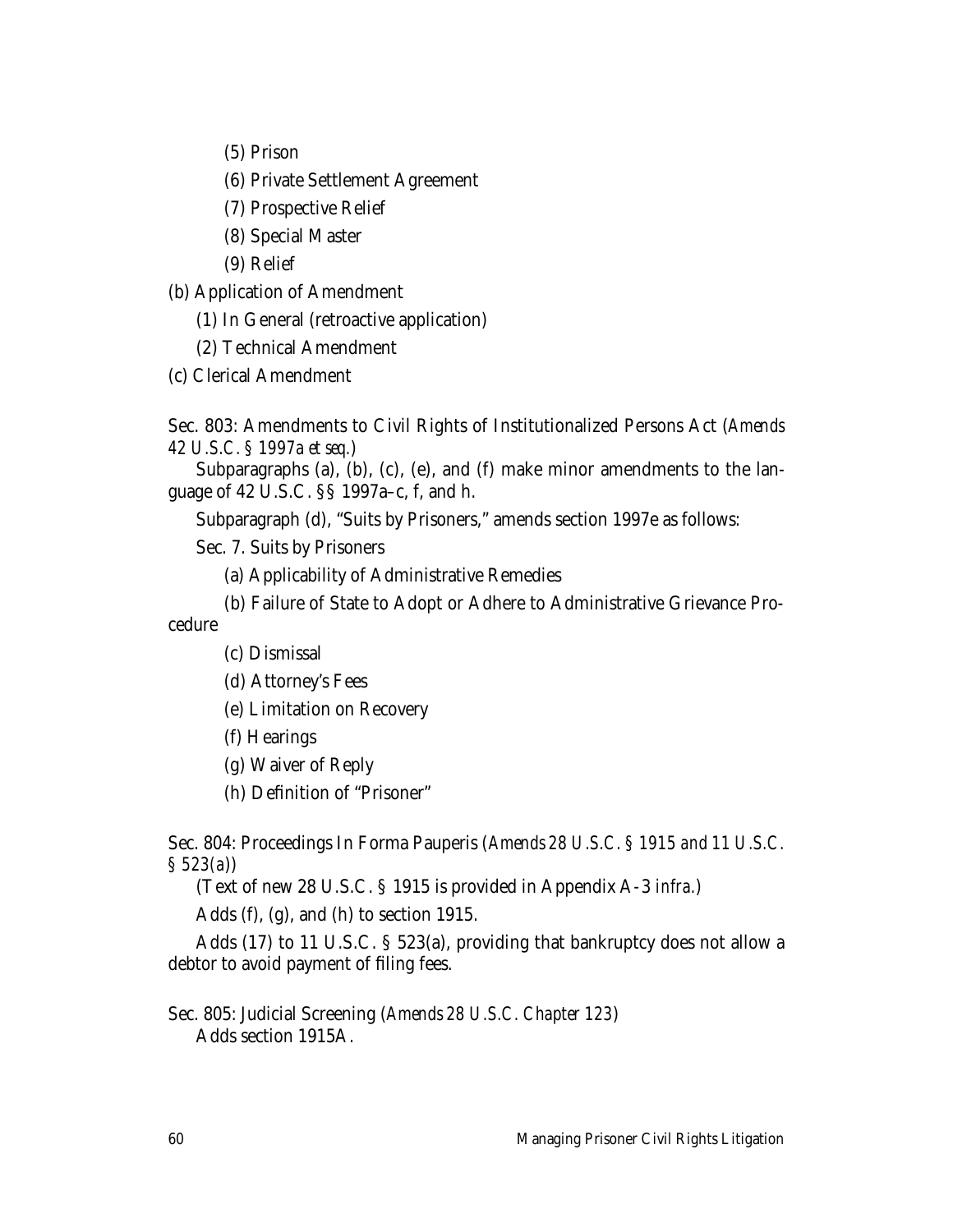(5) Prison

(6) Private Settlement Agreement

- (7) Prospective Relief
- (8) Special Master
- (9) Relief

(b) Application of Amendment

- (1) In General (retroactive application)
- (2) Technical Amendment
- (c) Clerical Amendment

Sec. 803: Amendments to Civil Rights of Institutionalized Persons Act (*Amends 42 U.S.C. § 1997a et seq.*)

Subparagraphs (a), (b), (c), (e), and (f) make minor amendments to the language of 42 U.S.C. §§ 1997a–c, f, and h.

Subparagraph (d), "Suits by Prisoners," amends section 1997e as follows:

Sec. 7. Suits by Prisoners

(a) Applicability of Administrative Remedies

(b) Failure of State to Adopt or Adhere to Administrative Grievance Pro-

cedure

- (c) Dismissal
- (d) Attorney's Fees
- (e) Limitation on Recovery
- (f) Hearings
- (g) Waiver of Reply
- (h) Definition of "Prisoner"

Sec. 804: Proceedings In Forma Pauperis (*Amends 28 U.S.C. § 1915 and 11 U.S.C. § 523(a*))

(Text of new 28 U.S.C. § 1915 is provided in Appendix A-3 *infra.*)

Adds (f), (g), and (h) to section 1915.

Adds (17) to 11 U.S.C. § 523(a), providing that bankruptcy does not allow a debtor to avoid payment of filing fees.

Sec. 805: Judicial Screening (*Amends 28 U.S.C. Chapter 123*) Adds section 1915A.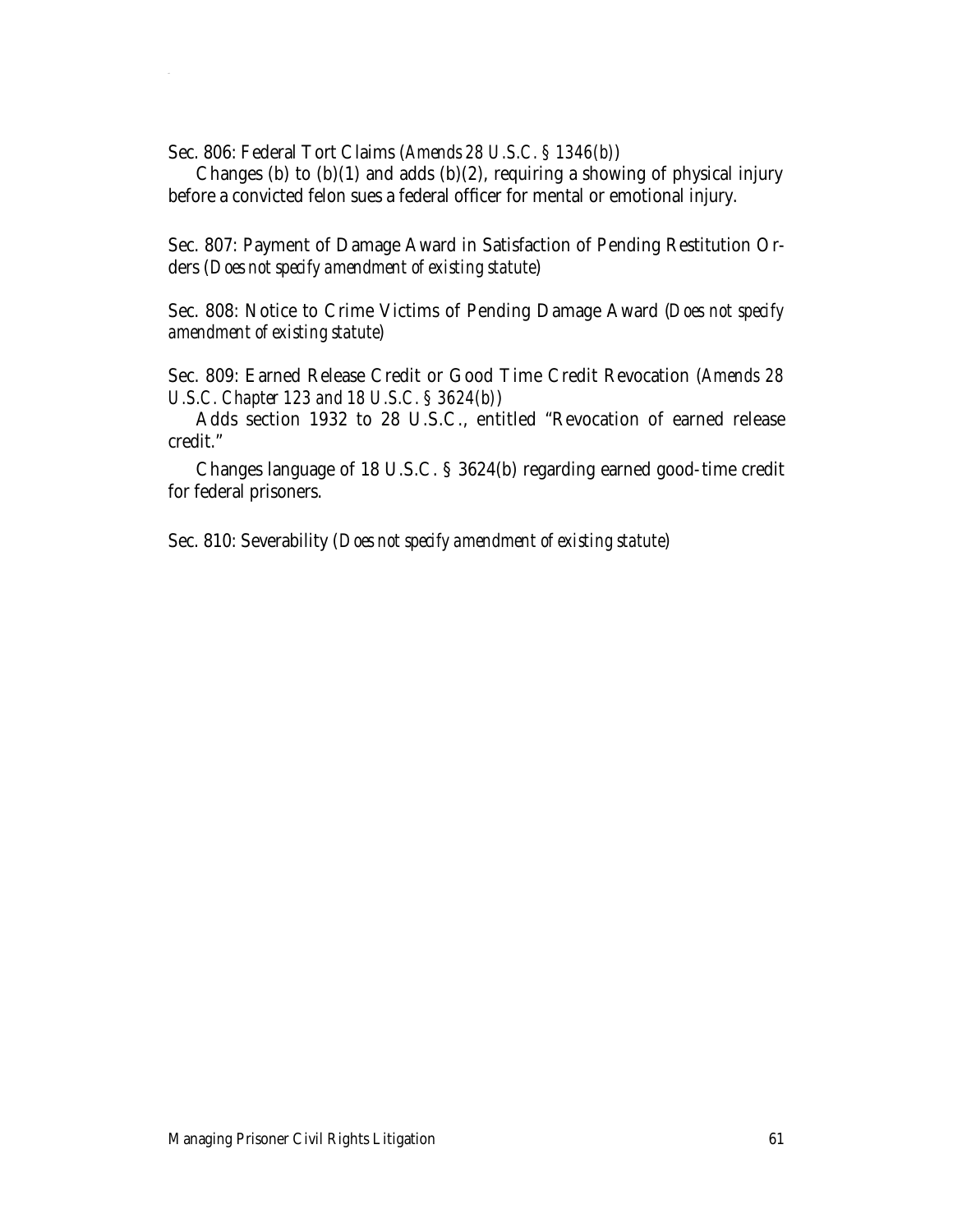Sec. 806: Federal Tort Claims (*Amends 28 U.S.C. § 1346(b)*)

Changes (b) to  $(b)(1)$  and adds  $(b)(2)$ , requiring a showing of physical injury before a convicted felon sues a federal officer for mental or emotional injury.

Sec. 807: Payment of Damage Award in Satisfaction of Pending Restitution Orders (*Does not specify amendment of existing statute*)

Sec. 808: Notice to Crime Victims of Pending Damage Award (*Does not specify amendment of existing statute*)

Sec. 809: Earned Release Credit or Good Time Credit Revocation (*Amends 28 U.S.C. Chapter 123 and 18 U.S.C. § 3624(b)*)

Adds section 1932 to 28 U.S.C., entitled "Revocation of earned release credit."

Changes language of 18 U.S.C. § 3624(b) regarding earned good-time credit for federal prisoners.

Sec. 810: Severability (*Does not specify amendment of existing statute*)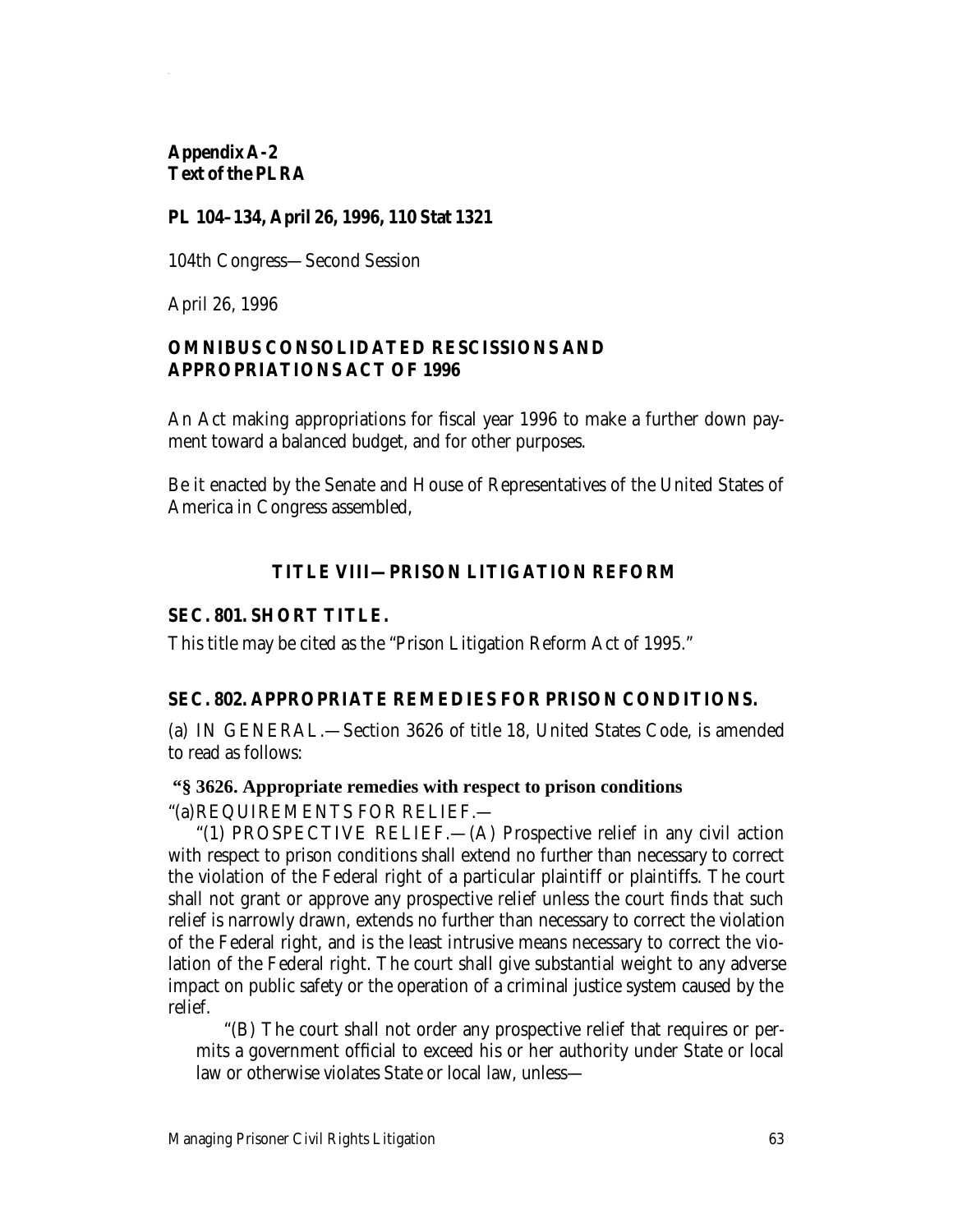**Appendix A-2 Text of the PLRA**

### **PL 104–134, April 26, 1996, 110 Stat 1321**

104th Congress—Second Session

April 26, 1996

# **OMNIBUS CONSOLIDATED RESCISSIONS AND APPROPRIATIONS ACT OF 1996**

An Act making appropriations for fiscal year 1996 to make a further down payment toward a balanced budget, and for other purposes.

Be it enacted by the Senate and House of Representatives of the United States of America in Congress assembled,

## **TITLE VIII—PRISON LITIGATION REFORM**

# **SEC. 801. SHORT TITLE.**

This title may be cited as the "Prison Litigation Reform Act of 1995."

#### **SEC. 802. APPROPRIATE REMEDIES FOR PRISON CONDITIONS.**

(a) IN GENERAL.—Section 3626 of title 18, United States Code, is amended to read as follows:

### **"§ 3626. Appropriate remedies with respect to prison conditions** "(a)REQUIREMENTS FOR RELIEF.—

"(1) PROSPECTIVE RELIEF.—(A) Prospective relief in any civil action with respect to prison conditions shall extend no further than necessary to correct the violation of the Federal right of a particular plaintiff or plaintiffs. The court shall not grant or approve any prospective relief unless the court finds that such relief is narrowly drawn, extends no further than necessary to correct the violation of the Federal right, and is the least intrusive means necessary to correct the violation of the Federal right. The court shall give substantial weight to any adverse impact on public safety or the operation of a criminal justice system caused by the relief.

"(B) The court shall not order any prospective relief that requires or permits a government official to exceed his or her authority under State or local law or otherwise violates State or local law, unless—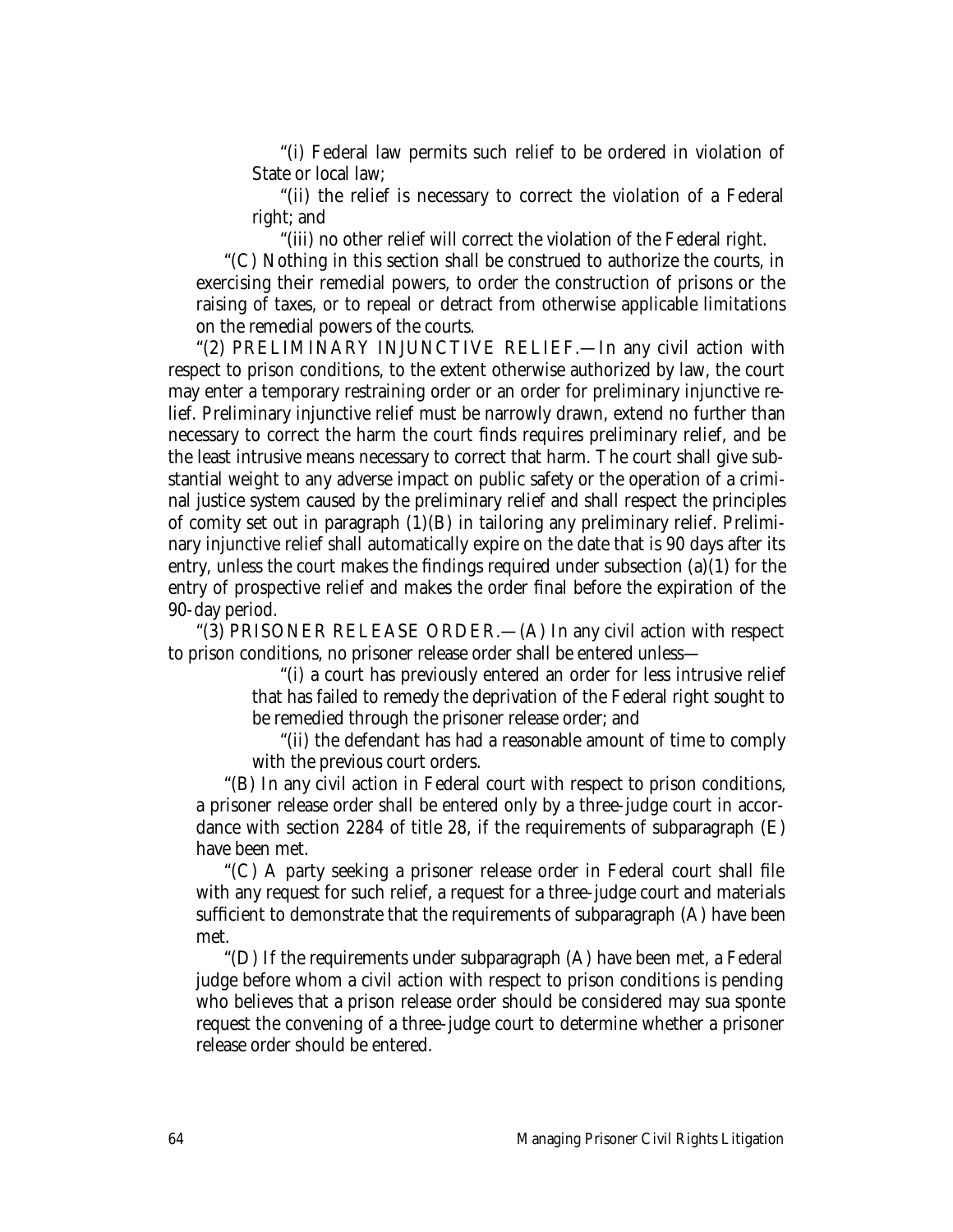"(i) Federal law permits such relief to be ordered in violation of State or local law;

"(ii) the relief is necessary to correct the violation of a Federal right; and

"(iii) no other relief will correct the violation of the Federal right.

"(C) Nothing in this section shall be construed to authorize the courts, in exercising their remedial powers, to order the construction of prisons or the raising of taxes, or to repeal or detract from otherwise applicable limitations on the remedial powers of the courts.

"(2) PRELIMINARY INJUNCTIVE RELIEF.—In any civil action with respect to prison conditions, to the extent otherwise authorized by law, the court may enter a temporary restraining order or an order for preliminary injunctive relief. Preliminary injunctive relief must be narrowly drawn, extend no further than necessary to correct the harm the court finds requires preliminary relief, and be the least intrusive means necessary to correct that harm. The court shall give substantial weight to any adverse impact on public safety or the operation of a criminal justice system caused by the preliminary relief and shall respect the principles of comity set out in paragraph  $(1)(B)$  in tailoring any preliminary relief. Preliminary injunctive relief shall automatically expire on the date that is 90 days after its entry, unless the court makes the findings required under subsection (a)(1) for the entry of prospective relief and makes the order final before the expiration of the 90-day period.

"(3) PRISONER RELEASE ORDER.—(A) In any civil action with respect to prison conditions, no prisoner release order shall be entered unless—

> "(i) a court has previously entered an order for less intrusive relief that has failed to remedy the deprivation of the Federal right sought to be remedied through the prisoner release order; and

> "(ii) the defendant has had a reasonable amount of time to comply with the previous court orders.

"(B) In any civil action in Federal court with respect to prison conditions, a prisoner release order shall be entered only by a three-judge court in accordance with section 2284 of title 28, if the requirements of subparagraph (E) have been met.

"(C) A party seeking a prisoner release order in Federal court shall file with any request for such relief, a request for a three-judge court and materials sufficient to demonstrate that the requirements of subparagraph (A) have been met.

"(D) If the requirements under subparagraph (A) have been met, a Federal judge before whom a civil action with respect to prison conditions is pending who believes that a prison release order should be considered may sua sponte request the convening of a three-judge court to determine whether a prisoner release order should be entered.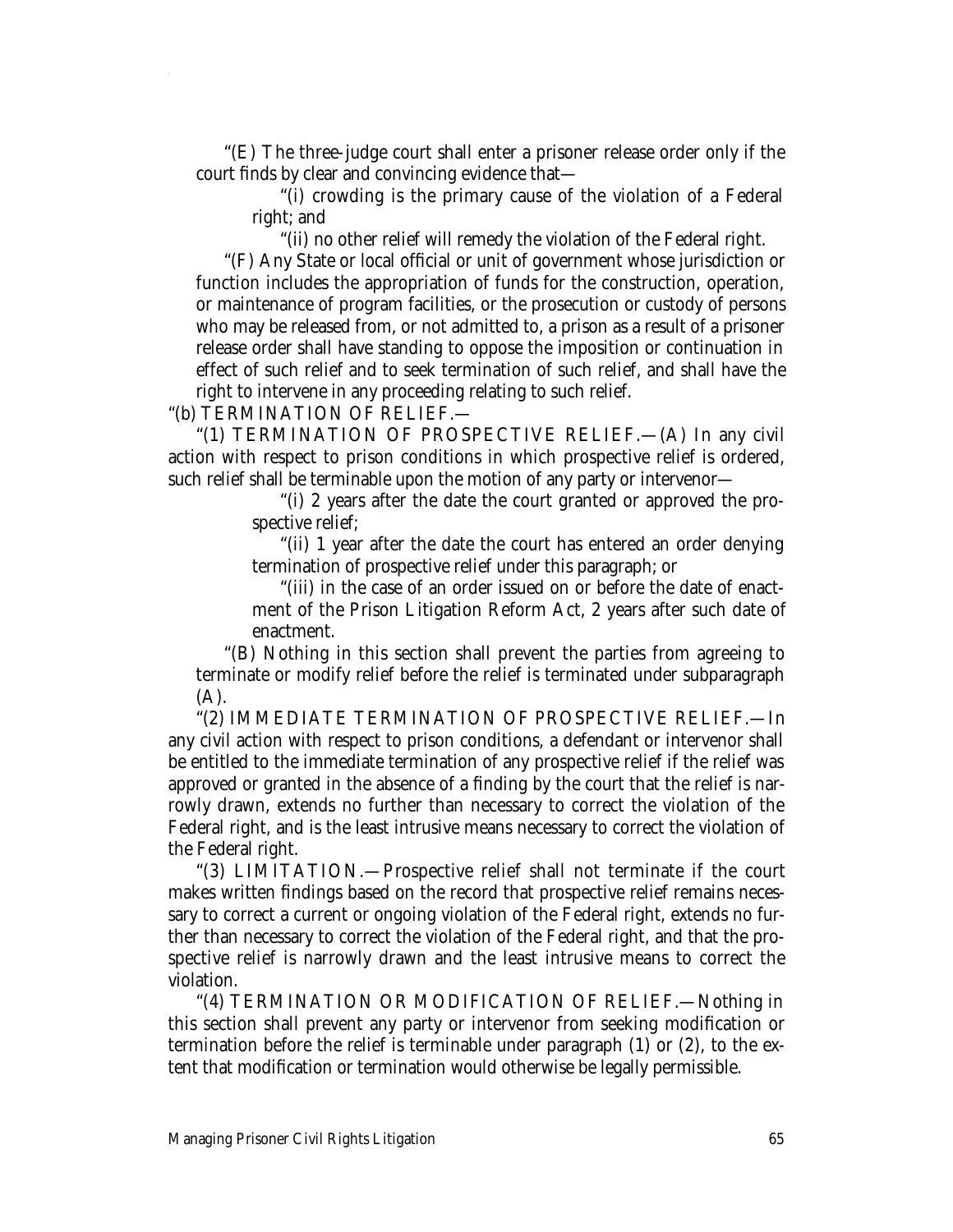"(E) The three-judge court shall enter a prisoner release order only if the court finds by clear and convincing evidence that—

"(i) crowding is the primary cause of the violation of a Federal right; and

"(ii) no other relief will remedy the violation of the Federal right.

"(F) Any State or local official or unit of government whose jurisdiction or function includes the appropriation of funds for the construction, operation, or maintenance of program facilities, or the prosecution or custody of persons who may be released from, or not admitted to, a prison as a result of a prisoner release order shall have standing to oppose the imposition or continuation in effect of such relief and to seek termination of such relief, and shall have the right to intervene in any proceeding relating to such relief.

"(b) TERMINATION OF RELIEF.—

"(1) TERMINATION OF PROSPECTIVE RELIEF.—(A) In any civil action with respect to prison conditions in which prospective relief is ordered, such relief shall be terminable upon the motion of any party or intervenor—

> "(i) 2 years after the date the court granted or approved the prospective relief;

> "(ii) 1 year after the date the court has entered an order denying termination of prospective relief under this paragraph; or

> "(iii) in the case of an order issued on or before the date of enactment of the Prison Litigation Reform Act, 2 years after such date of enactment.

"(B) Nothing in this section shall prevent the parties from agreeing to terminate or modify relief before the relief is terminated under subparagraph (A).

"(2) IMMEDIATE TERMINATION OF PROSPECTIVE RELIEF.—In any civil action with respect to prison conditions, a defendant or intervenor shall be entitled to the immediate termination of any prospective relief if the relief was approved or granted in the absence of a finding by the court that the relief is narrowly drawn, extends no further than necessary to correct the violation of the Federal right, and is the least intrusive means necessary to correct the violation of the Federal right.

"(3) LIMITATION.—Prospective relief shall not terminate if the court makes written findings based on the record that prospective relief remains necessary to correct a current or ongoing violation of the Federal right, extends no further than necessary to correct the violation of the Federal right, and that the prospective relief is narrowly drawn and the least intrusive means to correct the violation.

"(4) TERMINATION OR MODIFICATION OF RELIEF.—Nothing in this section shall prevent any party or intervenor from seeking modification or termination before the relief is terminable under paragraph (1) or (2), to the extent that modification or termination would otherwise be legally permissible.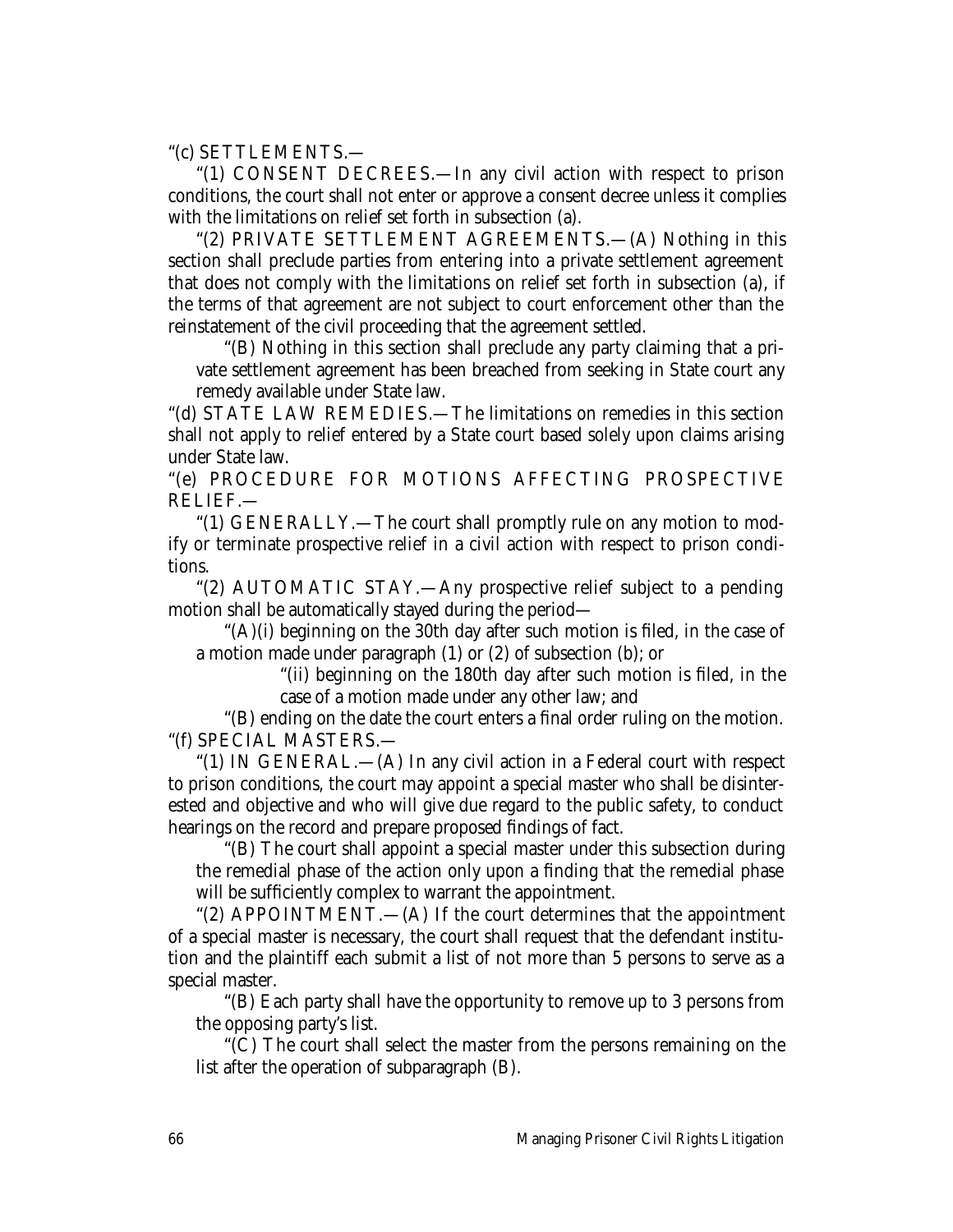"(c) SETTLEMENTS.—

"(1) CONSENT DECREES.—In any civil action with respect to prison conditions, the court shall not enter or approve a consent decree unless it complies with the limitations on relief set forth in subsection (a).

"(2) PRIVATE SETTLEMENT AGREEMENTS.—(A) Nothing in this section shall preclude parties from entering into a private settlement agreement that does not comply with the limitations on relief set forth in subsection (a), if the terms of that agreement are not subject to court enforcement other than the reinstatement of the civil proceeding that the agreement settled.

"(B) Nothing in this section shall preclude any party claiming that a private settlement agreement has been breached from seeking in State court any remedy available under State law.

"(d) STATE LAW REMEDIES.—The limitations on remedies in this section shall not apply to relief entered by a State court based solely upon claims arising under State law.

"(e) PROCEDURE FOR MOTIONS AFFECTING PROSPECTIVE RELIEF.—

"(1) GENERALLY.—The court shall promptly rule on any motion to modify or terminate prospective relief in a civil action with respect to prison conditions.

"(2) AUTOMATIC STAY.—Any prospective relief subject to a pending motion shall be automatically stayed during the period—

" $(A)(i)$  beginning on the 30th day after such motion is filed, in the case of a motion made under paragraph (1) or (2) of subsection (b); or

> "(ii) beginning on the 180th day after such motion is filed, in the case of a motion made under any other law; and

"(B) ending on the date the court enters a final order ruling on the motion. "(f) SPECIAL MASTERS.—

"(1) IN GENERAL.—(A) In any civil action in a Federal court with respect to prison conditions, the court may appoint a special master who shall be disinterested and objective and who will give due regard to the public safety, to conduct hearings on the record and prepare proposed findings of fact.

"(B) The court shall appoint a special master under this subsection during the remedial phase of the action only upon a finding that the remedial phase will be sufficiently complex to warrant the appointment.

"(2) APPOINTMENT.—(A) If the court determines that the appointment of a special master is necessary, the court shall request that the defendant institution and the plaintiff each submit a list of not more than 5 persons to serve as a special master.

"(B) Each party shall have the opportunity to remove up to 3 persons from the opposing party's list.

"(C) The court shall select the master from the persons remaining on the list after the operation of subparagraph (B).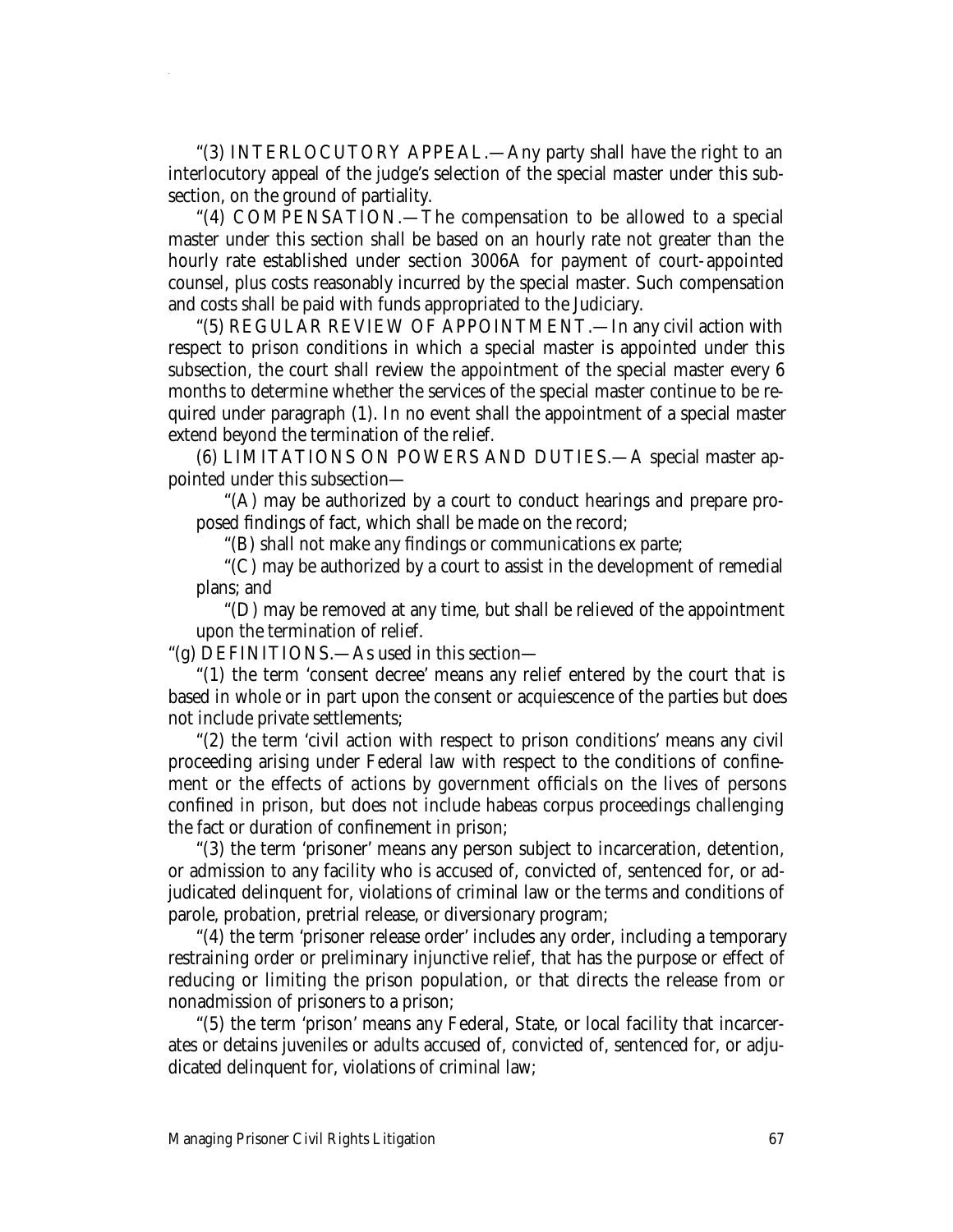"(3) INTERLOCUTORY APPEAL.—Any party shall have the right to an interlocutory appeal of the judge's selection of the special master under this subsection, on the ground of partiality.

"(4) COMPENSATION.—The compensation to be allowed to a special master under this section shall be based on an hourly rate not greater than the hourly rate established under section 3006A for payment of court-appointed counsel, plus costs reasonably incurred by the special master. Such compensation and costs shall be paid with funds appropriated to the Judiciary.

"(5) REGULAR REVIEW OF APPOINTMENT.—In any civil action with respect to prison conditions in which a special master is appointed under this subsection, the court shall review the appointment of the special master every 6 months to determine whether the services of the special master continue to be required under paragraph (1). In no event shall the appointment of a special master extend beyond the termination of the relief.

(6) LIMITATIONS ON POWERS AND DUTIES.—A special master appointed under this subsection—

"(A) may be authorized by a court to conduct hearings and prepare proposed findings of fact, which shall be made on the record;

"(B) shall not make any findings or communications ex parte;

"(C) may be authorized by a court to assist in the development of remedial plans; and

"(D) may be removed at any time, but shall be relieved of the appointment upon the termination of relief.

"(g) DEFINITIONS.—As used in this section—

"(1) the term 'consent decree' means any relief entered by the court that is based in whole or in part upon the consent or acquiescence of the parties but does not include private settlements;

"(2) the term 'civil action with respect to prison conditions' means any civil proceeding arising under Federal law with respect to the conditions of confinement or the effects of actions by government officials on the lives of persons confined in prison, but does not include habeas corpus proceedings challenging the fact or duration of confinement in prison;

"(3) the term 'prisoner' means any person subject to incarceration, detention, or admission to any facility who is accused of, convicted of, sentenced for, or adjudicated delinquent for, violations of criminal law or the terms and conditions of parole, probation, pretrial release, or diversionary program;

"(4) the term 'prisoner release order' includes any order, including a temporary restraining order or preliminary injunctive relief, that has the purpose or effect of reducing or limiting the prison population, or that directs the release from or nonadmission of prisoners to a prison;

"(5) the term 'prison' means any Federal, State, or local facility that incarcerates or detains juveniles or adults accused of, convicted of, sentenced for, or adjudicated delinquent for, violations of criminal law;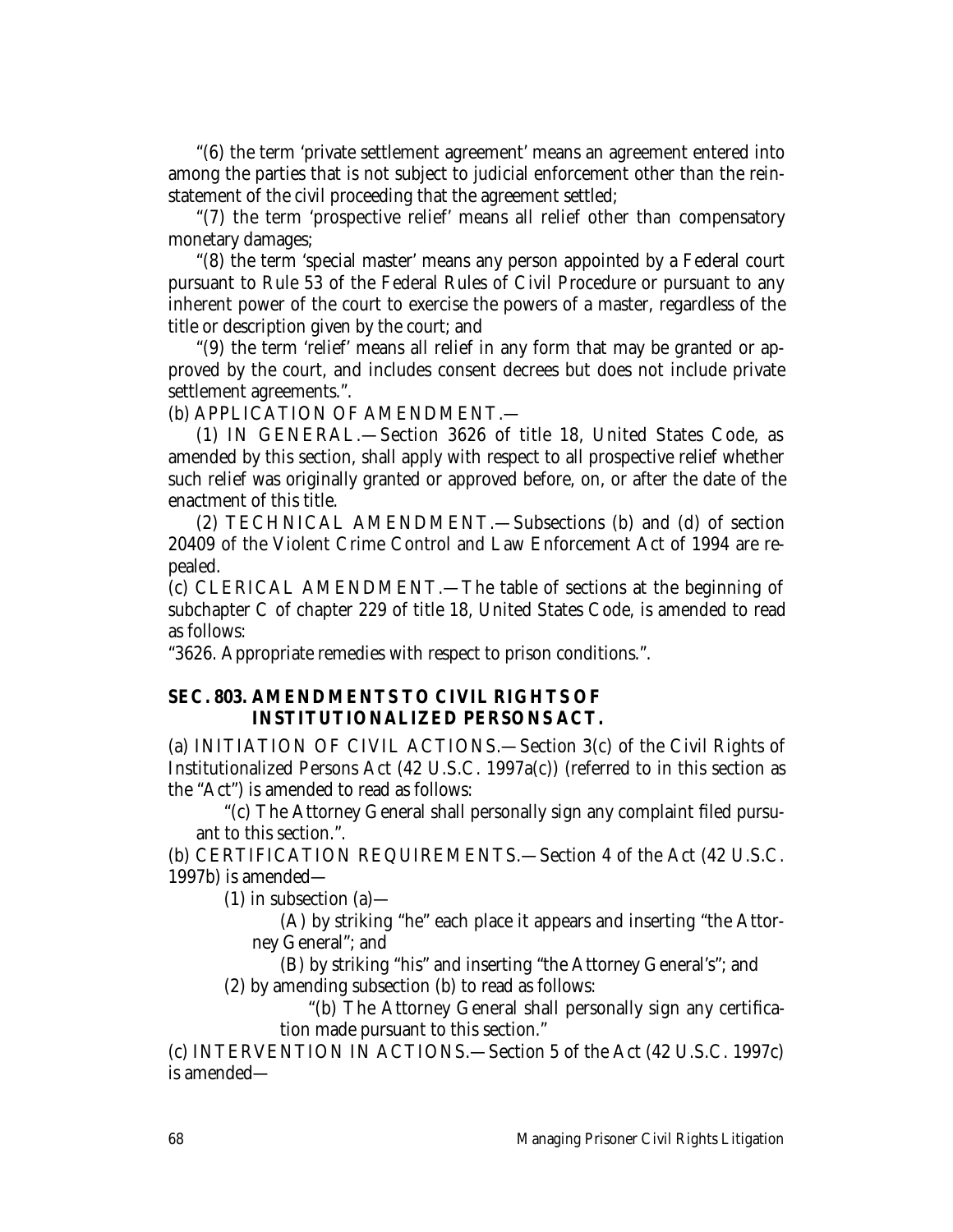"(6) the term 'private settlement agreement' means an agreement entered into among the parties that is not subject to judicial enforcement other than the reinstatement of the civil proceeding that the agreement settled;

"(7) the term 'prospective relief' means all relief other than compensatory monetary damages;

"(8) the term 'special master' means any person appointed by a Federal court pursuant to Rule 53 of the Federal Rules of Civil Procedure or pursuant to any inherent power of the court to exercise the powers of a master, regardless of the title or description given by the court; and

"(9) the term 'relief' means all relief in any form that may be granted or approved by the court, and includes consent decrees but does not include private settlement agreements.".

(b) APPLICATION OF AMENDMENT.—

(1) IN GENERAL.—Section 3626 of title 18, United States Code, as amended by this section, shall apply with respect to all prospective relief whether such relief was originally granted or approved before, on, or after the date of the enactment of this title.

(2) TECHNICAL AMENDMENT.—Subsections (b) and (d) of section 20409 of the Violent Crime Control and Law Enforcement Act of 1994 are repealed.

(c) CLERICAL AMENDMENT.—The table of sections at the beginning of subchapter C of chapter 229 of title 18, United States Code, is amended to read as follows:

"3626. Appropriate remedies with respect to prison conditions.".

## **SEC. 803. AMENDMENTS TO CIVIL RIGHTS OF INSTITUTIONALIZED PERSONS ACT.**

(a) INITIATION OF CIVIL ACTIONS.—Section 3(c) of the Civil Rights of Institutionalized Persons Act (42 U.S.C. 1997a(c)) (referred to in this section as the "Act") is amended to read as follows:

"(c) The Attorney General shall personally sign any complaint filed pursuant to this section.".

(b) CERTIFICATION REQUIREMENTS.—Section 4 of the Act (42 U.S.C. 1997b) is amended—

 $(1)$  in subsection  $(a)$ —

(A) by striking "he" each place it appears and inserting "the Attorney General"; and

(B) by striking "his" and inserting "the Attorney General's"; and (2) by amending subsection (b) to read as follows:

"(b) The Attorney General shall personally sign any certification made pursuant to this section."

(c) INTERVENTION IN ACTIONS.—Section 5 of the Act (42 U.S.C. 1997c) is amended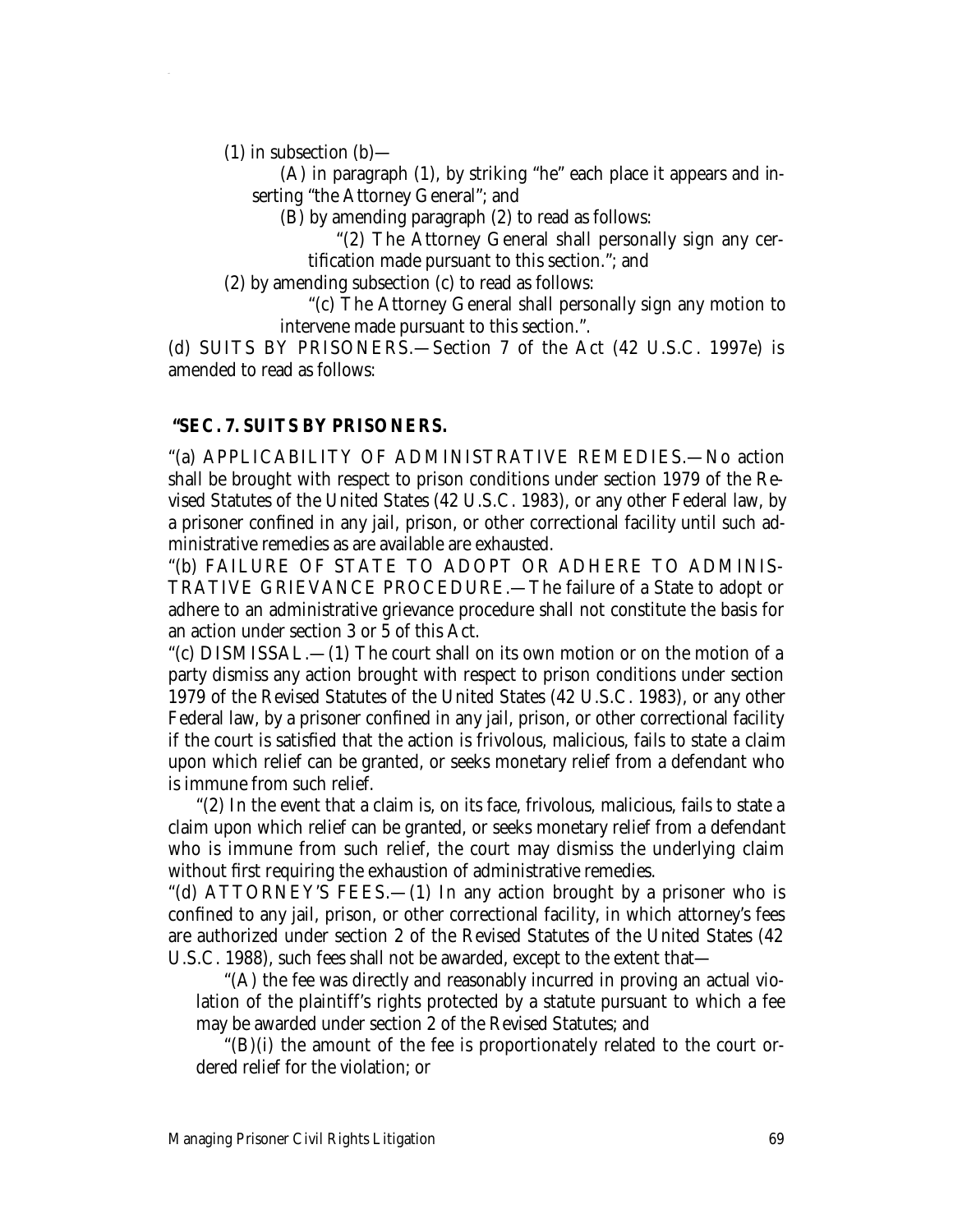$(1)$  in subsection  $(b)$ —

(A) in paragraph (1), by striking "he" each place it appears and inserting "the Attorney General"; and

(B) by amending paragraph (2) to read as follows:

"(2) The Attorney General shall personally sign any certification made pursuant to this section."; and

(2) by amending subsection (c) to read as follows:

"(c) The Attorney General shall personally sign any motion to intervene made pursuant to this section.".

(d) SUITS BY PRISONERS.—Section 7 of the Act (42 U.S.C. 1997e) is amended to read as follows:

### **"SEC. 7. SUITS BY PRISONERS.**

"(a) APPLICABILITY OF ADMINISTRATIVE REMEDIES.—No action shall be brought with respect to prison conditions under section 1979 of the Revised Statutes of the United States (42 U.S.C. 1983), or any other Federal law, by a prisoner confined in any jail, prison, or other correctional facility until such administrative remedies as are available are exhausted.

"(b) FAILURE OF STATE TO ADOPT OR ADHERE TO ADMINIS-TRATIVE GRIEVANCE PROCEDURE.—The failure of a State to adopt or adhere to an administrative grievance procedure shall not constitute the basis for an action under section 3 or 5 of this Act.

"(c) DISMISSAL.—(1) The court shall on its own motion or on the motion of a party dismiss any action brought with respect to prison conditions under section 1979 of the Revised Statutes of the United States (42 U.S.C. 1983), or any other Federal law, by a prisoner confined in any jail, prison, or other correctional facility if the court is satisfied that the action is frivolous, malicious, fails to state a claim upon which relief can be granted, or seeks monetary relief from a defendant who is immune from such relief.

"(2) In the event that a claim is, on its face, frivolous, malicious, fails to state a claim upon which relief can be granted, or seeks monetary relief from a defendant who is immune from such relief, the court may dismiss the underlying claim without first requiring the exhaustion of administrative remedies.

"(d) ATTORNEY'S FEES.—(1) In any action brought by a prisoner who is confined to any jail, prison, or other correctional facility, in which attorney's fees are authorized under section 2 of the Revised Statutes of the United States (42 U.S.C. 1988), such fees shall not be awarded, except to the extent that—

"(A) the fee was directly and reasonably incurred in proving an actual violation of the plaintiff's rights protected by a statute pursuant to which a fee may be awarded under section 2 of the Revised Statutes; and

"(B)(i) the amount of the fee is proportionately related to the court ordered relief for the violation; or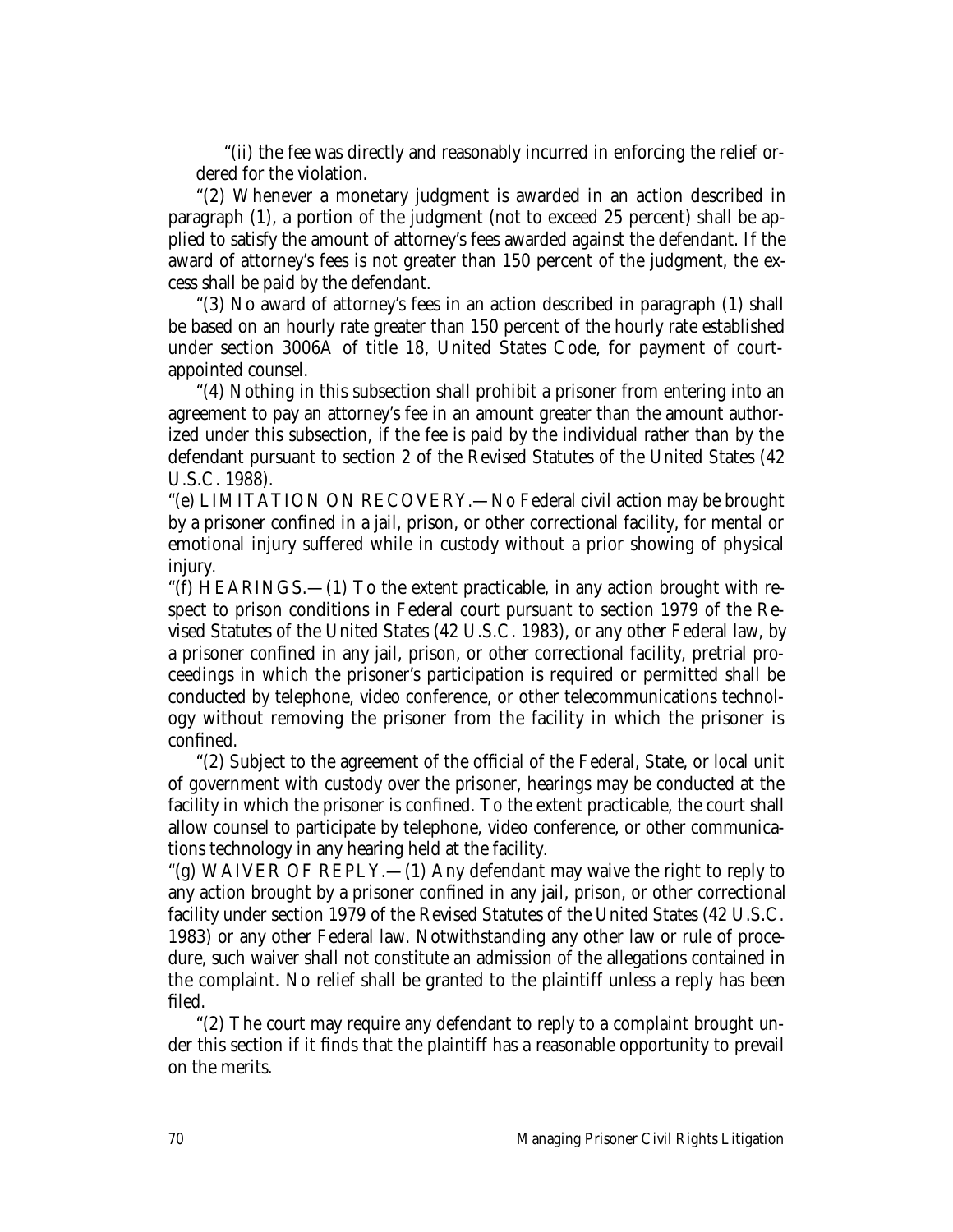"(ii) the fee was directly and reasonably incurred in enforcing the relief ordered for the violation.

"(2) Whenever a monetary judgment is awarded in an action described in paragraph (1), a portion of the judgment (not to exceed 25 percent) shall be applied to satisfy the amount of attorney's fees awarded against the defendant. If the award of attorney's fees is not greater than 150 percent of the judgment, the excess shall be paid by the defendant.

"(3) No award of attorney's fees in an action described in paragraph (1) shall be based on an hourly rate greater than 150 percent of the hourly rate established under section 3006A of title 18, United States Code, for payment of courtappointed counsel.

"(4) Nothing in this subsection shall prohibit a prisoner from entering into an agreement to pay an attorney's fee in an amount greater than the amount authorized under this subsection, if the fee is paid by the individual rather than by the defendant pursuant to section 2 of the Revised Statutes of the United States (42 U.S.C. 1988).

"(e) LIMITATION ON RECOVERY.—No Federal civil action may be brought by a prisoner confined in a jail, prison, or other correctional facility, for mental or emotional injury suffered while in custody without a prior showing of physical injury.

"(f) HEARINGS.—(1) To the extent practicable, in any action brought with respect to prison conditions in Federal court pursuant to section 1979 of the Revised Statutes of the United States (42 U.S.C. 1983), or any other Federal law, by a prisoner confined in any jail, prison, or other correctional facility, pretrial proceedings in which the prisoner's participation is required or permitted shall be conducted by telephone, video conference, or other telecommunications technology without removing the prisoner from the facility in which the prisoner is confined.

"(2) Subject to the agreement of the official of the Federal, State, or local unit of government with custody over the prisoner, hearings may be conducted at the facility in which the prisoner is confined. To the extent practicable, the court shall allow counsel to participate by telephone, video conference, or other communications technology in any hearing held at the facility.

"(g) WAIVER OF REPLY.—(1) Any defendant may waive the right to reply to any action brought by a prisoner confined in any jail, prison, or other correctional facility under section 1979 of the Revised Statutes of the United States (42 U.S.C. 1983) or any other Federal law. Notwithstanding any other law or rule of procedure, such waiver shall not constitute an admission of the allegations contained in the complaint. No relief shall be granted to the plaintiff unless a reply has been filed.

"(2) The court may require any defendant to reply to a complaint brought under this section if it finds that the plaintiff has a reasonable opportunity to prevail on the merits.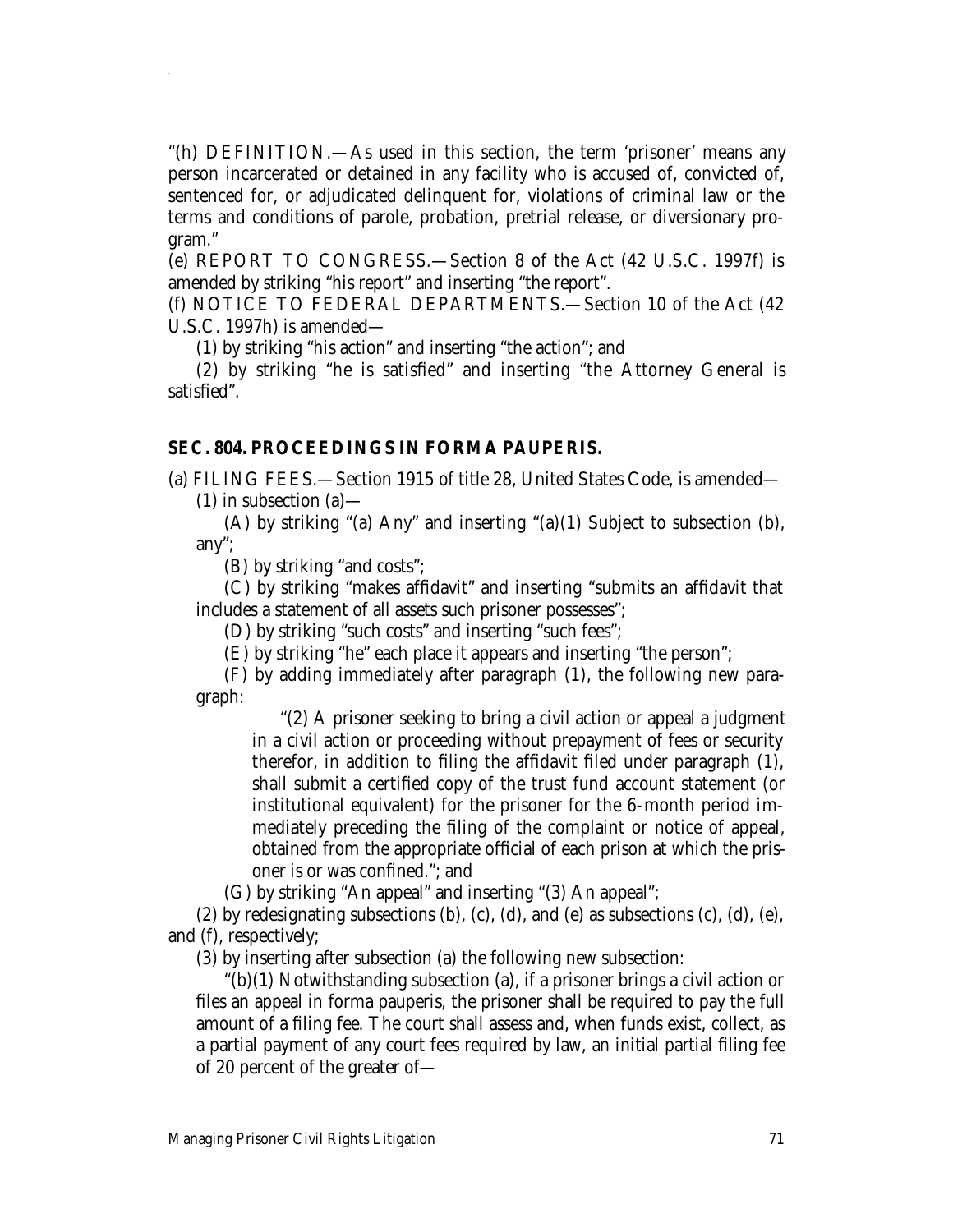"(h) DEFINITION.—As used in this section, the term 'prisoner' means any person incarcerated or detained in any facility who is accused of, convicted of, sentenced for, or adjudicated delinquent for, violations of criminal law or the terms and conditions of parole, probation, pretrial release, or diversionary program."

(e) REPORT TO CONGRESS.—Section 8 of the Act (42 U.S.C. 1997f) is amended by striking "his report" and inserting "the report".

(f) NOTICE TO FEDERAL DEPARTMENTS.—Section 10 of the Act (42 U.S.C. 1997h) is amended—

(1) by striking "his action" and inserting "the action"; and

(2) by striking "he is satisfied" and inserting "the Attorney General is satisfied".

### **SEC. 804. PROCEEDINGS IN FORMA PAUPERIS.**

(a) FILING FEES.—Section 1915 of title 28, United States Code, is amended— (1) in subsection (a)—

(A) by striking "(a) Any" and inserting "(a)(1) Subject to subsection (b), any";

(B) by striking "and costs";

(C) by striking "makes affidavit" and inserting "submits an affidavit that includes a statement of all assets such prisoner possesses";

(D) by striking "such costs" and inserting "such fees";

(E) by striking "he" each place it appears and inserting "the person";

(F) by adding immediately after paragraph (1), the following new paragraph:

"(2) A prisoner seeking to bring a civil action or appeal a judgment in a civil action or proceeding without prepayment of fees or security therefor, in addition to filing the affidavit filed under paragraph (1), shall submit a certified copy of the trust fund account statement (or institutional equivalent) for the prisoner for the 6-month period immediately preceding the filing of the complaint or notice of appeal, obtained from the appropriate official of each prison at which the prisoner is or was confined."; and

(G) by striking "An appeal" and inserting "(3) An appeal";

(2) by redesignating subsections (b), (c), (d), and (e) as subsections (c), (d), (e), and (f), respectively;

(3) by inserting after subsection (a) the following new subsection:

" $(b)(1)$  Notwithstanding subsection (a), if a prisoner brings a civil action or files an appeal in forma pauperis, the prisoner shall be required to pay the full amount of a filing fee. The court shall assess and, when funds exist, collect, as a partial payment of any court fees required by law, an initial partial filing fee of 20 percent of the greater of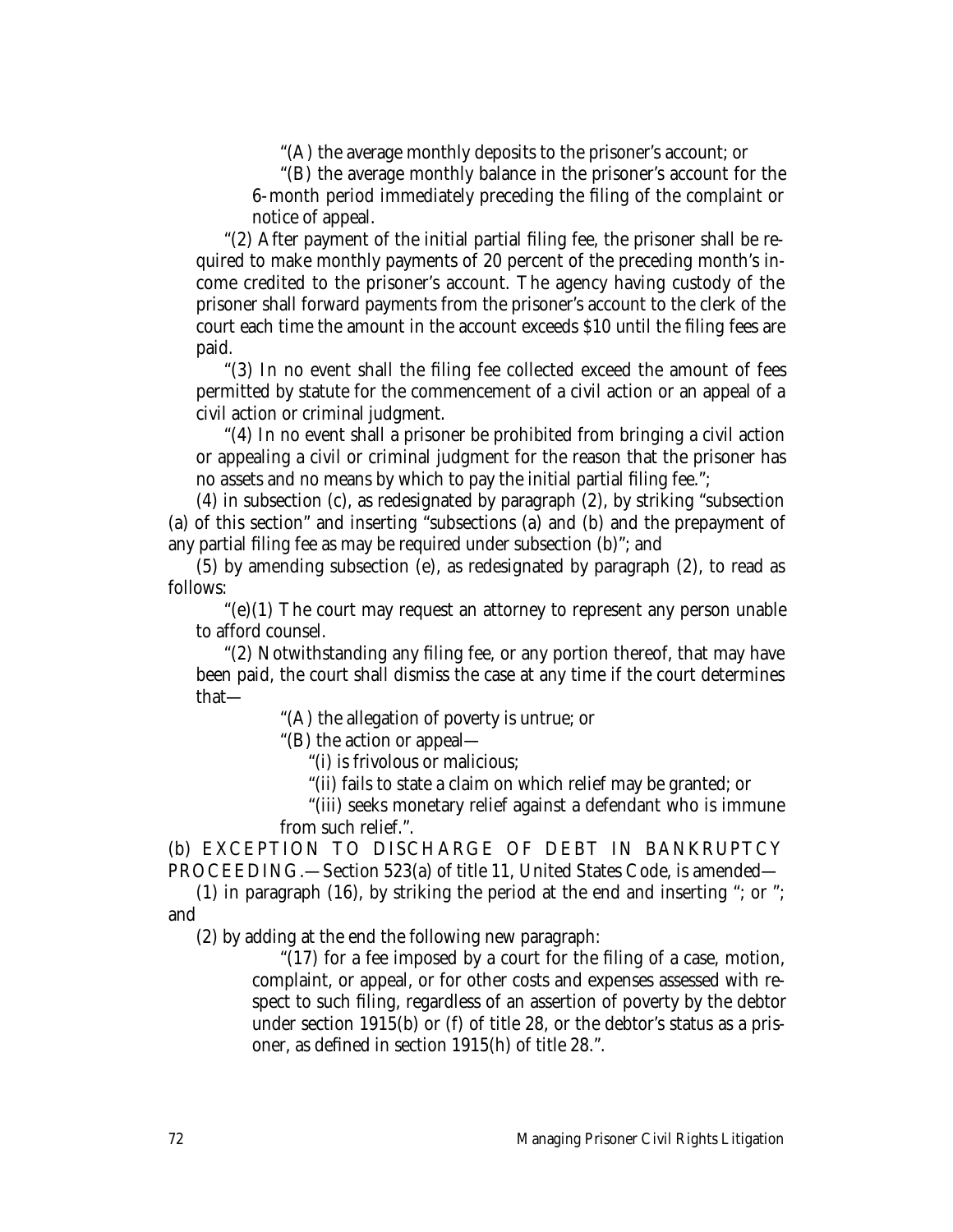"(A) the average monthly deposits to the prisoner's account; or

"(B) the average monthly balance in the prisoner's account for the 6-month period immediately preceding the filing of the complaint or notice of appeal.

"(2) After payment of the initial partial filing fee, the prisoner shall be required to make monthly payments of 20 percent of the preceding month's income credited to the prisoner's account. The agency having custody of the prisoner shall forward payments from the prisoner's account to the clerk of the court each time the amount in the account exceeds \$10 until the filing fees are paid.

"(3) In no event shall the filing fee collected exceed the amount of fees permitted by statute for the commencement of a civil action or an appeal of a civil action or criminal judgment.

"(4) In no event shall a prisoner be prohibited from bringing a civil action or appealing a civil or criminal judgment for the reason that the prisoner has no assets and no means by which to pay the initial partial filing fee.";

(4) in subsection (c), as redesignated by paragraph (2), by striking "subsection (a) of this section" and inserting "subsections (a) and (b) and the prepayment of any partial filing fee as may be required under subsection (b)"; and

(5) by amending subsection (e), as redesignated by paragraph (2), to read as follows:

"(e)(1) The court may request an attorney to represent any person unable to afford counsel.

"(2) Notwithstanding any filing fee, or any portion thereof, that may have been paid, the court shall dismiss the case at any time if the court determines that—

"(A) the allegation of poverty is untrue; or

"(B) the action or appeal—

"(i) is frivolous or malicious;

"(ii) fails to state a claim on which relief may be granted; or

"(iii) seeks monetary relief against a defendant who is immune from such relief.".

(b) EXCEPTION TO DISCHARGE OF DEBT IN BANKRUPTCY PROCEEDING.—Section 523(a) of title 11, United States Code, is amended—

(1) in paragraph (16), by striking the period at the end and inserting "; or "; and

(2) by adding at the end the following new paragraph:

"(17) for a fee imposed by a court for the filing of a case, motion, complaint, or appeal, or for other costs and expenses assessed with respect to such filing, regardless of an assertion of poverty by the debtor under section 1915(b) or (f) of title 28, or the debtor's status as a prisoner, as defined in section 1915(h) of title 28.".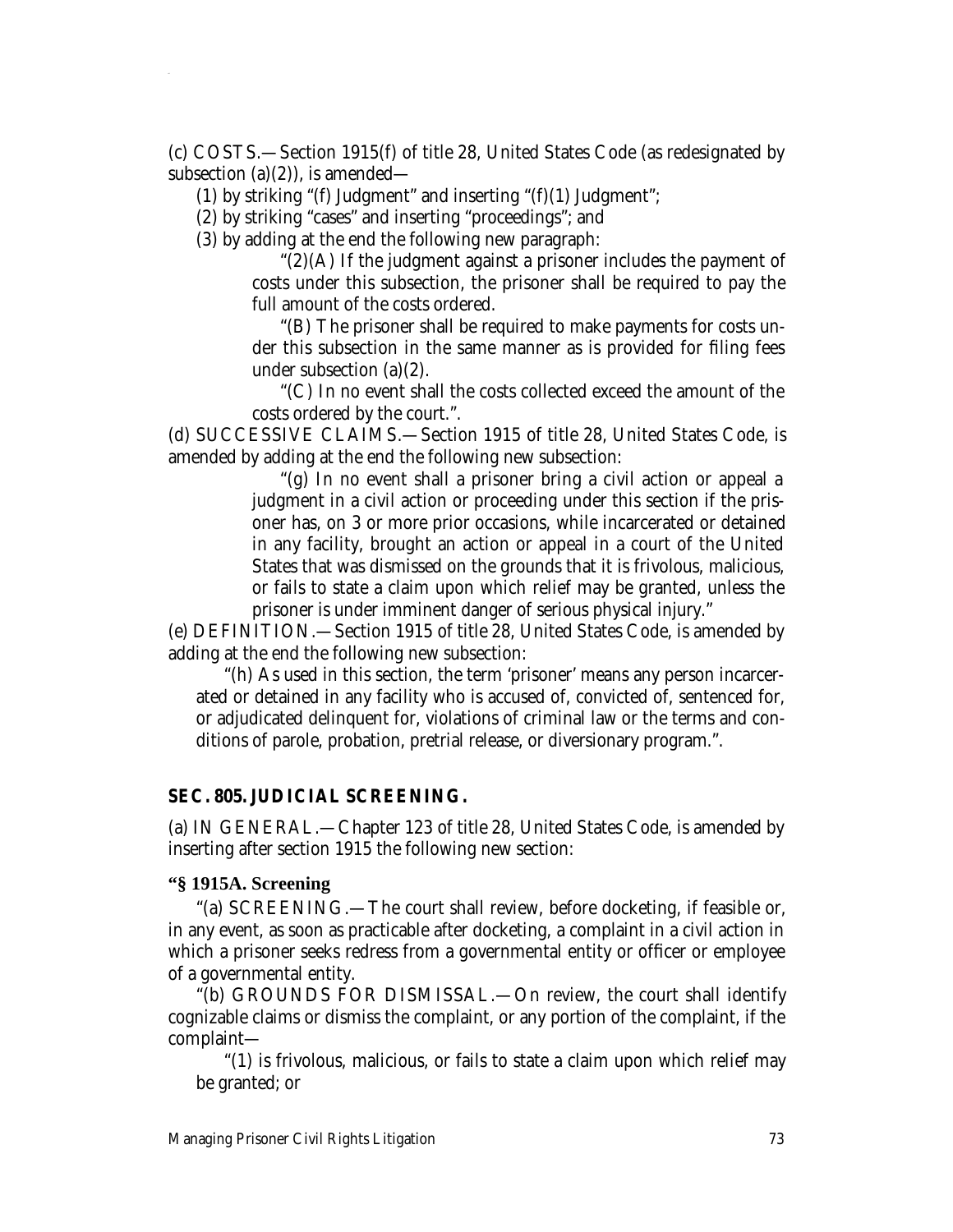(c) COSTS.—Section 1915(f) of title 28, United States Code (as redesignated by subsection  $(a)(2)$ , is amended—

(1) by striking "(f) Judgment" and inserting " $(f)(1)$  Judgment";

(2) by striking "cases" and inserting "proceedings"; and

(3) by adding at the end the following new paragraph:

" $(2)(A)$  If the judgment against a prisoner includes the payment of costs under this subsection, the prisoner shall be required to pay the full amount of the costs ordered.

 "(B) The prisoner shall be required to make payments for costs under this subsection in the same manner as is provided for filing fees under subsection (a)(2).

"(C) In no event shall the costs collected exceed the amount of the costs ordered by the court.".

(d) SUCCESSIVE CLAIMS.—Section 1915 of title 28, United States Code, is amended by adding at the end the following new subsection:

> "(g) In no event shall a prisoner bring a civil action or appeal a judgment in a civil action or proceeding under this section if the prisoner has, on 3 or more prior occasions, while incarcerated or detained in any facility, brought an action or appeal in a court of the United States that was dismissed on the grounds that it is frivolous, malicious, or fails to state a claim upon which relief may be granted, unless the prisoner is under imminent danger of serious physical injury."

(e) DEFINITION.—Section 1915 of title 28, United States Code, is amended by adding at the end the following new subsection:

"(h) As used in this section, the term 'prisoner' means any person incarcerated or detained in any facility who is accused of, convicted of, sentenced for, or adjudicated delinquent for, violations of criminal law or the terms and conditions of parole, probation, pretrial release, or diversionary program.".

#### **SEC. 805. JUDICIAL SCREENING.**

(a) IN GENERAL.—Chapter 123 of title 28, United States Code, is amended by inserting after section 1915 the following new section:

### **"§ 1915A. Screening**

"(a) SCREENING.—The court shall review, before docketing, if feasible or, in any event, as soon as practicable after docketing, a complaint in a civil action in which a prisoner seeks redress from a governmental entity or officer or employee of a governmental entity.

"(b) GROUNDS FOR DISMISSAL.—On review, the court shall identify cognizable claims or dismiss the complaint, or any portion of the complaint, if the complaint—

"(1) is frivolous, malicious, or fails to state a claim upon which relief may be granted; or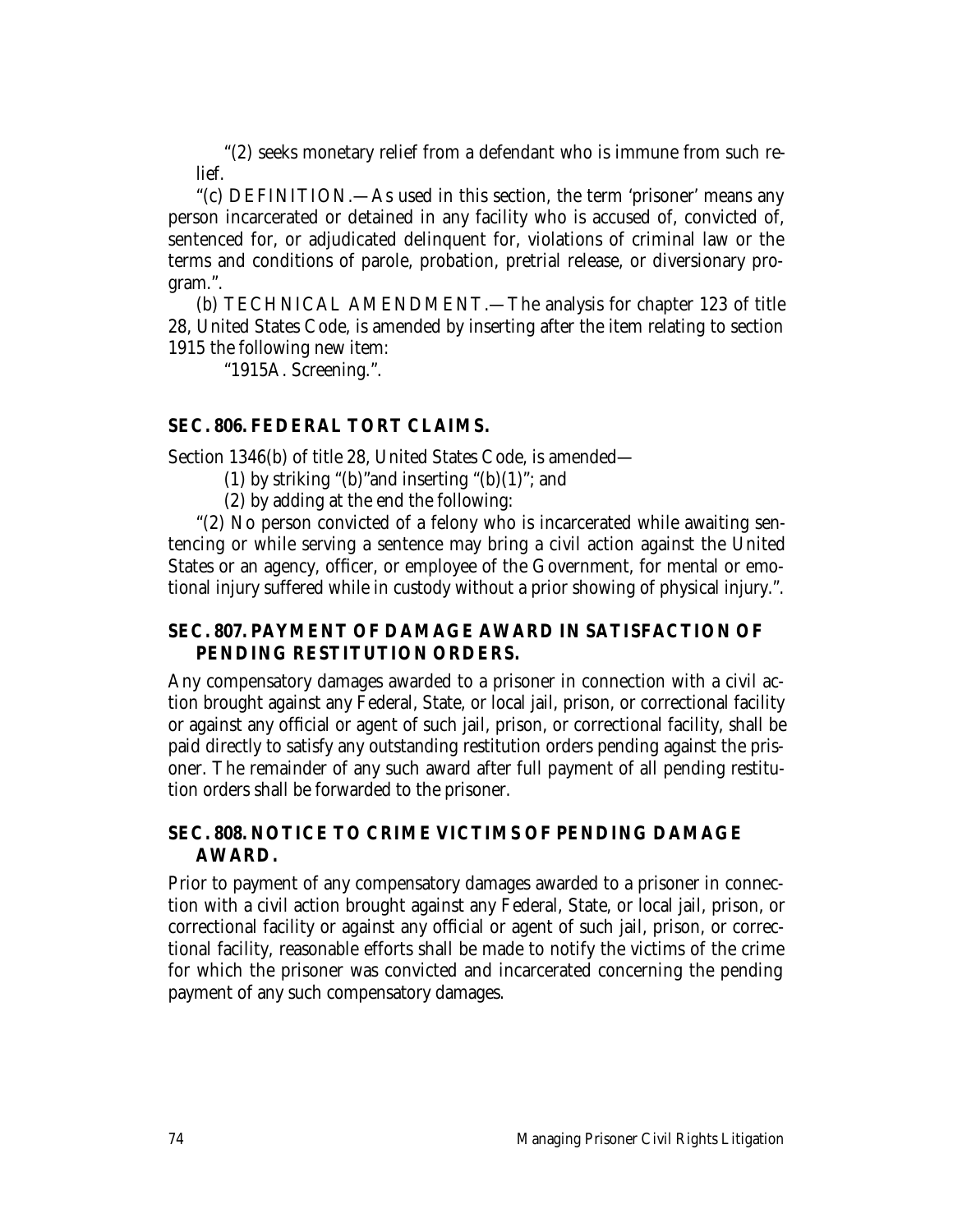"(2) seeks monetary relief from a defendant who is immune from such relief.

"(c) DEFINITION.—As used in this section, the term 'prisoner' means any person incarcerated or detained in any facility who is accused of, convicted of, sentenced for, or adjudicated delinquent for, violations of criminal law or the terms and conditions of parole, probation, pretrial release, or diversionary program.".

(b) TECHNICAL AMENDMENT.—The analysis for chapter 123 of title 28, United States Code, is amended by inserting after the item relating to section 1915 the following new item:

"1915A. Screening.".

### **SEC. 806. FEDERAL TORT CLAIMS.**

Section 1346(b) of title 28, United States Code, is amended—

(1) by striking "(b)" and inserting " $(b)(1)$ "; and

(2) by adding at the end the following:

"(2) No person convicted of a felony who is incarcerated while awaiting sentencing or while serving a sentence may bring a civil action against the United States or an agency, officer, or employee of the Government, for mental or emotional injury suffered while in custody without a prior showing of physical injury.".

### **SEC. 807. PAYMENT OF DAMAGE AWARD IN SATISFACTION OF PENDING RESTITUTION ORDERS.**

Any compensatory damages awarded to a prisoner in connection with a civil action brought against any Federal, State, or local jail, prison, or correctional facility or against any official or agent of such jail, prison, or correctional facility, shall be paid directly to satisfy any outstanding restitution orders pending against the prisoner. The remainder of any such award after full payment of all pending restitution orders shall be forwarded to the prisoner.

### **SEC. 808. NOTICE TO CRIME VICTIMS OF PENDING DAMAGE AWARD.**

Prior to payment of any compensatory damages awarded to a prisoner in connection with a civil action brought against any Federal, State, or local jail, prison, or correctional facility or against any official or agent of such jail, prison, or correctional facility, reasonable efforts shall be made to notify the victims of the crime for which the prisoner was convicted and incarcerated concerning the pending payment of any such compensatory damages.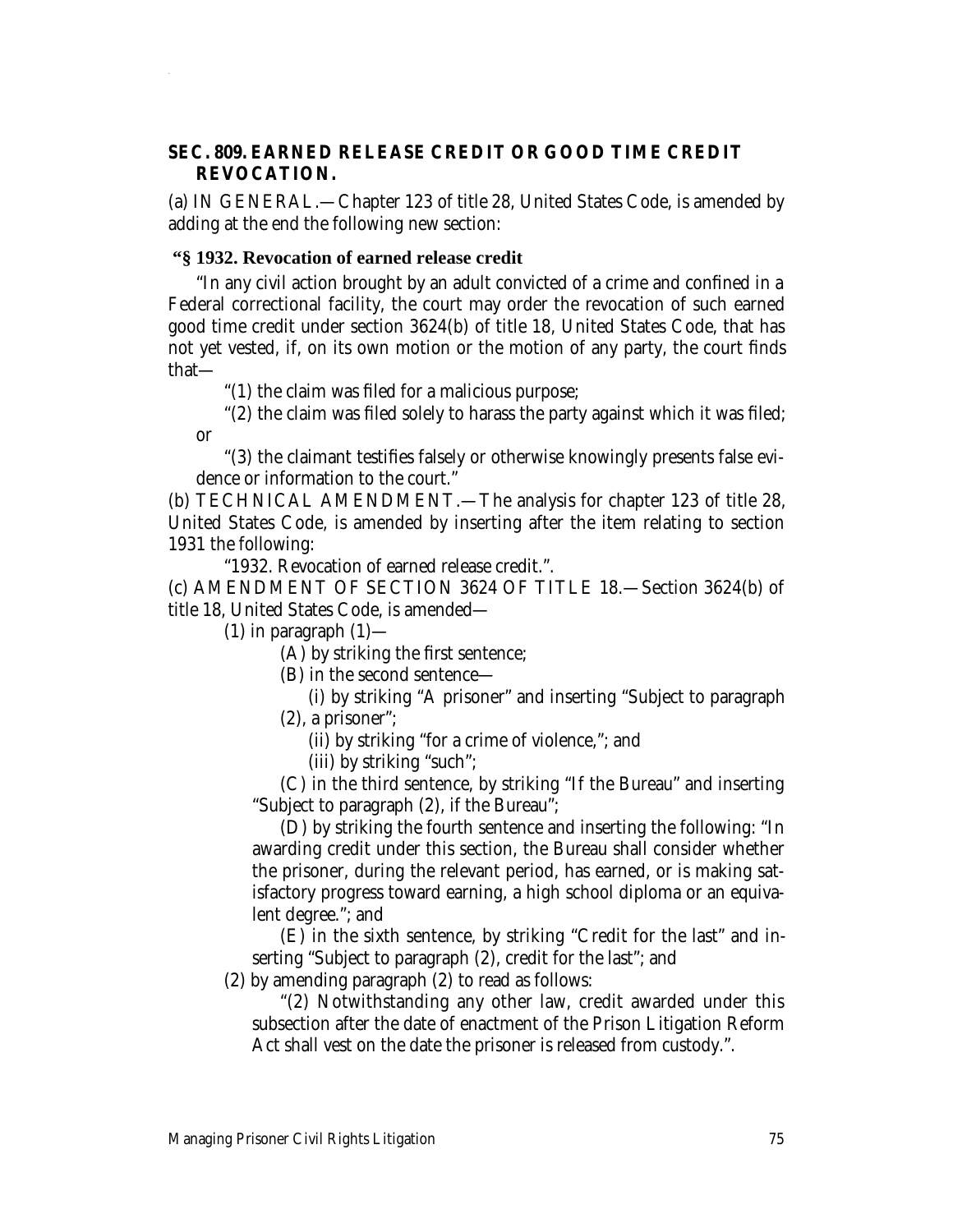## **SEC. 809. EARNED RELEASE CREDIT OR GOOD TIME CREDIT REVOCATION.**

(a) IN GENERAL.—Chapter 123 of title 28, United States Code, is amended by adding at the end the following new section:

#### **"§ 1932. Revocation of earned release credit**

"In any civil action brought by an adult convicted of a crime and confined in a Federal correctional facility, the court may order the revocation of such earned good time credit under section 3624(b) of title 18, United States Code, that has not yet vested, if, on its own motion or the motion of any party, the court finds that—

"(1) the claim was filed for a malicious purpose;

"(2) the claim was filed solely to harass the party against which it was filed; or

"(3) the claimant testifies falsely or otherwise knowingly presents false evidence or information to the court."

(b) TECHNICAL AMENDMENT.—The analysis for chapter 123 of title 28, United States Code, is amended by inserting after the item relating to section 1931 the following:

"1932. Revocation of earned release credit.".

(c) AMENDMENT OF SECTION 3624 OF TITLE 18.—Section 3624(b) of title 18, United States Code, is amended—

(1) in paragraph  $(1)$ —

(A) by striking the first sentence;

(B) in the second sentence—

(i) by striking "A prisoner" and inserting "Subject to paragraph (2), a prisoner";

(ii) by striking "for a crime of violence,"; and

(iii) by striking "such";

(C) in the third sentence, by striking "If the Bureau" and inserting "Subject to paragraph (2), if the Bureau";

(D) by striking the fourth sentence and inserting the following: "In awarding credit under this section, the Bureau shall consider whether the prisoner, during the relevant period, has earned, or is making satisfactory progress toward earning, a high school diploma or an equivalent degree."; and

(E) in the sixth sentence, by striking "Credit for the last" and inserting "Subject to paragraph (2), credit for the last"; and

(2) by amending paragraph (2) to read as follows:

"(2) Notwithstanding any other law, credit awarded under this subsection after the date of enactment of the Prison Litigation Reform Act shall vest on the date the prisoner is released from custody.".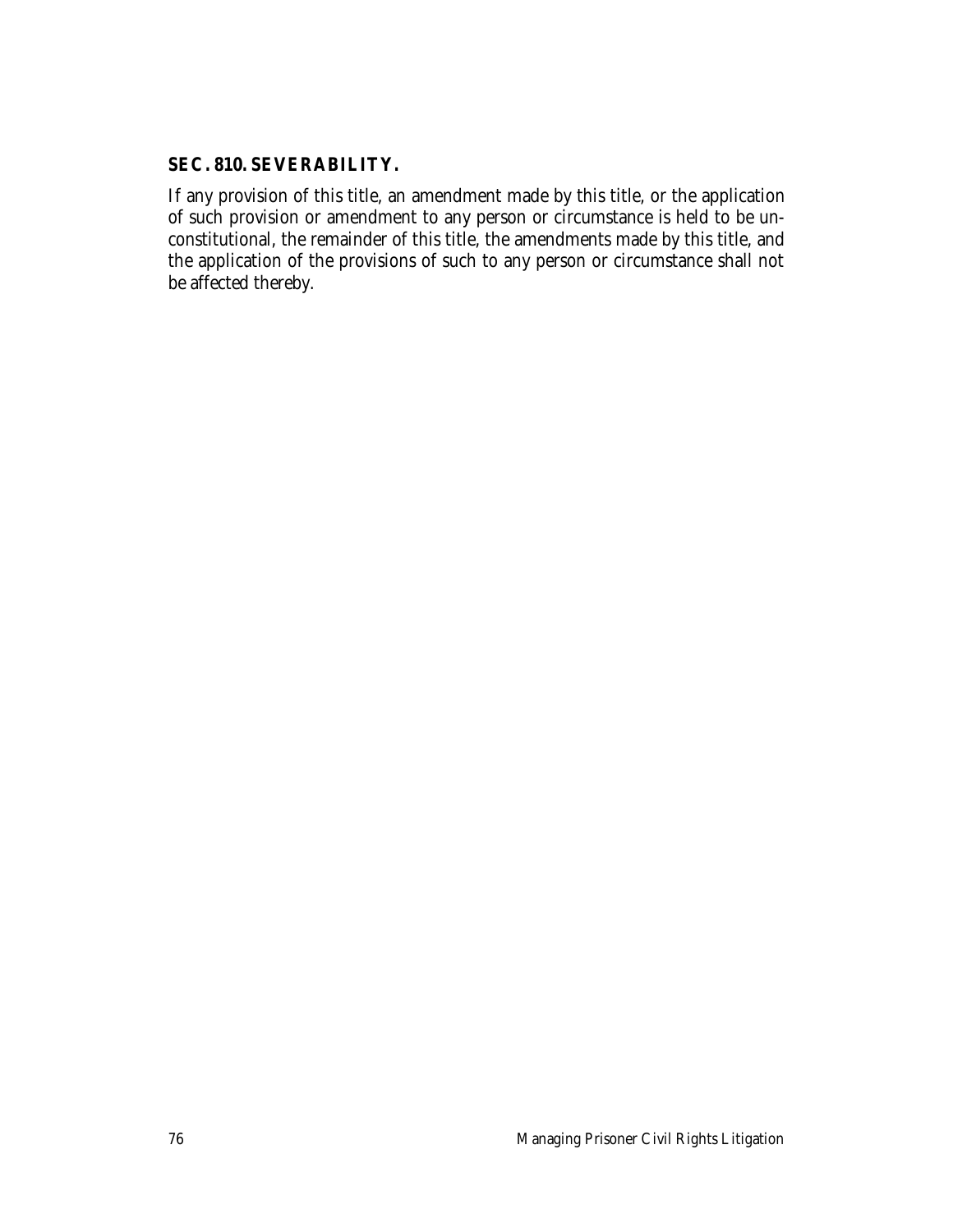# **SEC. 810. SEVERABILITY.**

If any provision of this title, an amendment made by this title, or the application of such provision or amendment to any person or circumstance is held to be unconstitutional, the remainder of this title, the amendments made by this title, and the application of the provisions of such to any person or circumstance shall not be affected thereby.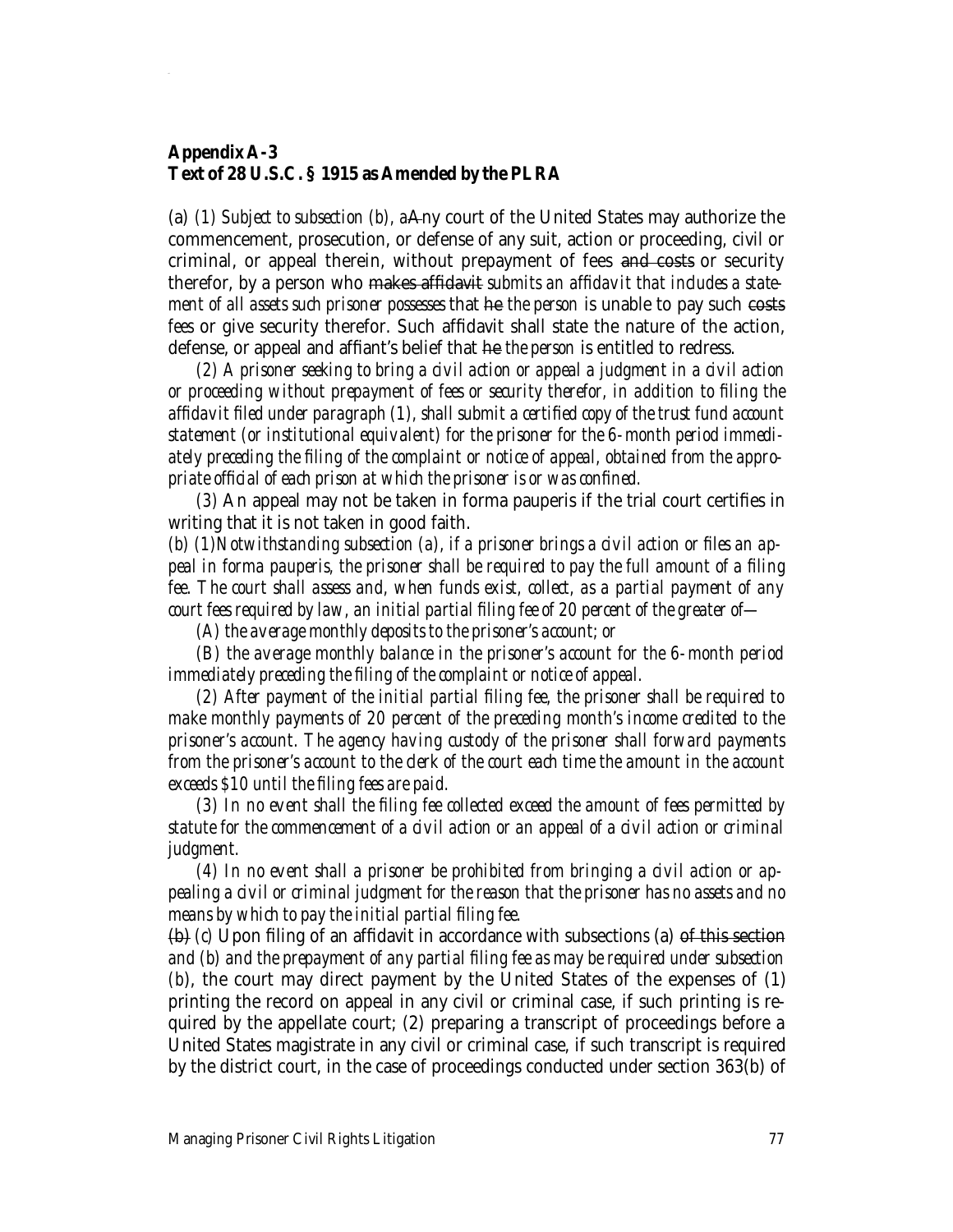# **Appendix A-3 Text of 28 U.S.C. § 1915 as Amended by the PLRA**

(a) *(1) Subject to subsection (b), a*Any court of the United States may authorize the commencement, prosecution, or defense of any suit, action or proceeding, civil or criminal, or appeal therein, without prepayment of fees and costs or security therefor, by a person who makes affidavit *submits an affidavit that includes a statement of all assets such prisoner possesses* that he *the person* is unable to pay such costs *fees* or give security therefor. Such affidavit shall state the nature of the action, defense, or appeal and affiant's belief that he *the person* is entitled to redress.

*(2) A prisoner seeking to bring a civil action or appeal a judgment in a civil action or proceeding without prepayment of fees or security therefor, in addition to filing the affidavit filed under paragraph (1), shall submit a certified copy of the trust fund account statement (or institutional equivalent) for the prisoner for the 6-month period immediately preceding the filing of the complaint or notice of appeal, obtained from the appropriate official of each prison at which the prisoner is or was confined.*

*(3)* An appeal may not be taken in forma pauperis if the trial court certifies in writing that it is not taken in good faith.

*(b) (1)Notwithstanding subsection (a), if a prisoner brings a civil action or files an appeal in forma pauperis, the prisoner shall be required to pay the full amount of a filing fee. The court shall assess and, when funds exist, collect, as a partial payment of any court fees required by law, an initial partial filing fee of 20 percent of the greater of—*

*(A) the average monthly deposits to the prisoner's account; or*

*(B) the average monthly balance in the prisoner's account for the 6-month period immediately preceding the filing of the complaint or notice of appeal.*

*(2) After payment of the initial partial filing fee, the prisoner shall be required to make monthly payments of 20 percent of the preceding month's income credited to the prisoner's account. The agency having custody of the prisoner shall forward payments from the prisoner's account to the clerk of the court each time the amount in the account exceeds \$10 until the filing fees are paid.*

*(3) In no event shall the filing fee collected exceed the amount of fees permitted by statute for the commencement of a civil action or an appeal of a civil action or criminal judgment.*

*(4) In no event shall a prisoner be prohibited from bringing a civil action or appealing a civil or criminal judgment for the reason that the prisoner has no assets and no means by which to pay the initial partial filing fee.*

(b) *(c)* Upon filing of an affidavit in accordance with subsection*s* (a) of this section *and (b) and the prepayment of any partial filing fee as may be required under subsection (b)*, the court may direct payment by the United States of the expenses of (1) printing the record on appeal in any civil or criminal case, if such printing is required by the appellate court; (2) preparing a transcript of proceedings before a United States magistrate in any civil or criminal case, if such transcript is required by the district court, in the case of proceedings conducted under section 363(b) of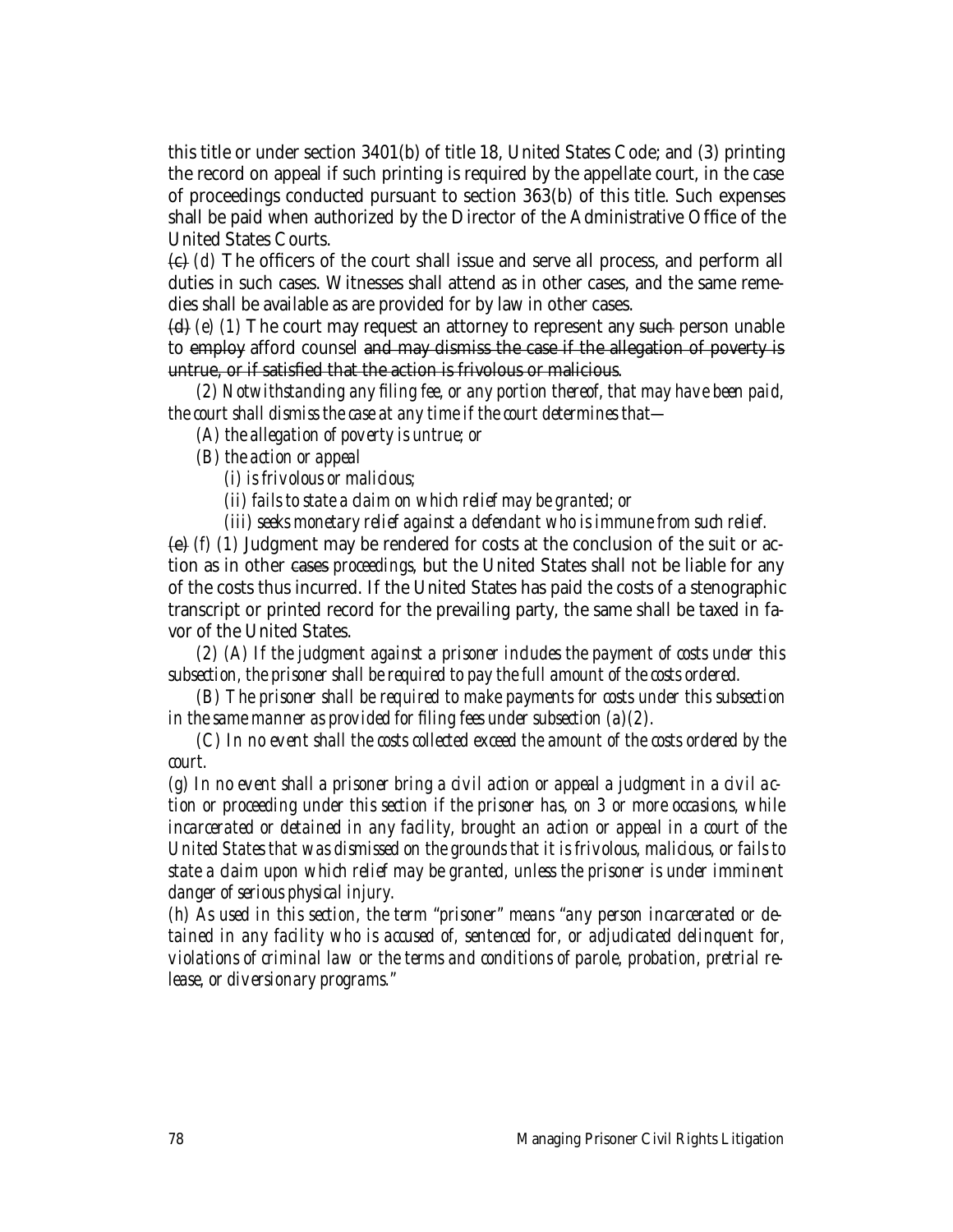this title or under section 3401(b) of title 18, United States Code; and (3) printing the record on appeal if such printing is required by the appellate court, in the case of proceedings conducted pursuant to section 363(b) of this title. Such expenses shall be paid when authorized by the Director of the Administrative Office of the United States Courts.

(c) *(d)* The officers of the court shall issue and serve all process, and perform all duties in such cases. Witnesses shall attend as in other cases, and the same remedies shall be available as are provided for by law in other cases.

(d) *(e) (1)* The court may request an attorney to represent any such person unable to employ afford counsel and may dismiss the case if the allegation of poverty is untrue, or if satisfied that the action is frivolous or malicious.

*(2) Notwithstanding any filing fee, or any portion thereof, that may have been paid, the court shall dismiss the case at any time if the court determines that—*

*(A) the allegation of poverty is untrue; or*

*(B) the action or appeal*

*(i) is frivolous or malicious;*

*(ii) fails to state a claim on which relief may be granted; or*

*(iii) seeks monetary relief against a defendant who is immune from such relief.*

(e) *(f) (1)* Judgment may be rendered for costs at the conclusion of the suit or action as in other cases *proceedings*, but the United States shall not be liable for any of the costs thus incurred. If the United States has paid the costs of a stenographic transcript or printed record for the prevailing party, the same shall be taxed in favor of the United States.

*(2) (A) If the judgment against a prisoner includes the payment of costs under this subsection, the prisoner shall be required to pay the full amount of the costs ordered.*

*(B) The prisoner shall be required to make payments for costs under this subsection in the same manner as provided for filing fees under subsection (a)(2).*

*(C) In no event shall the costs collected exceed the amount of the costs ordered by the court.*

*(g) In no event shall a prisoner bring a civil action or appeal a judgment in a civil action or proceeding under this section if the prisoner has, on 3 or more occasions, while incarcerated or detained in any facility, brought an action or appeal in a court of the United States that was dismissed on the grounds that it is frivolous, malicious, or fails to state a claim upon which relief may be granted, unless the prisoner is under imminent danger of serious physical injury.*

*(h) As used in this section, the term "prisoner" means "any person incarcerated or detained in any facility who is accused of, sentenced for, or adjudicated delinquent for, violations of criminal law or the terms and conditions of parole, probation, pretrial release, or diversionary programs."*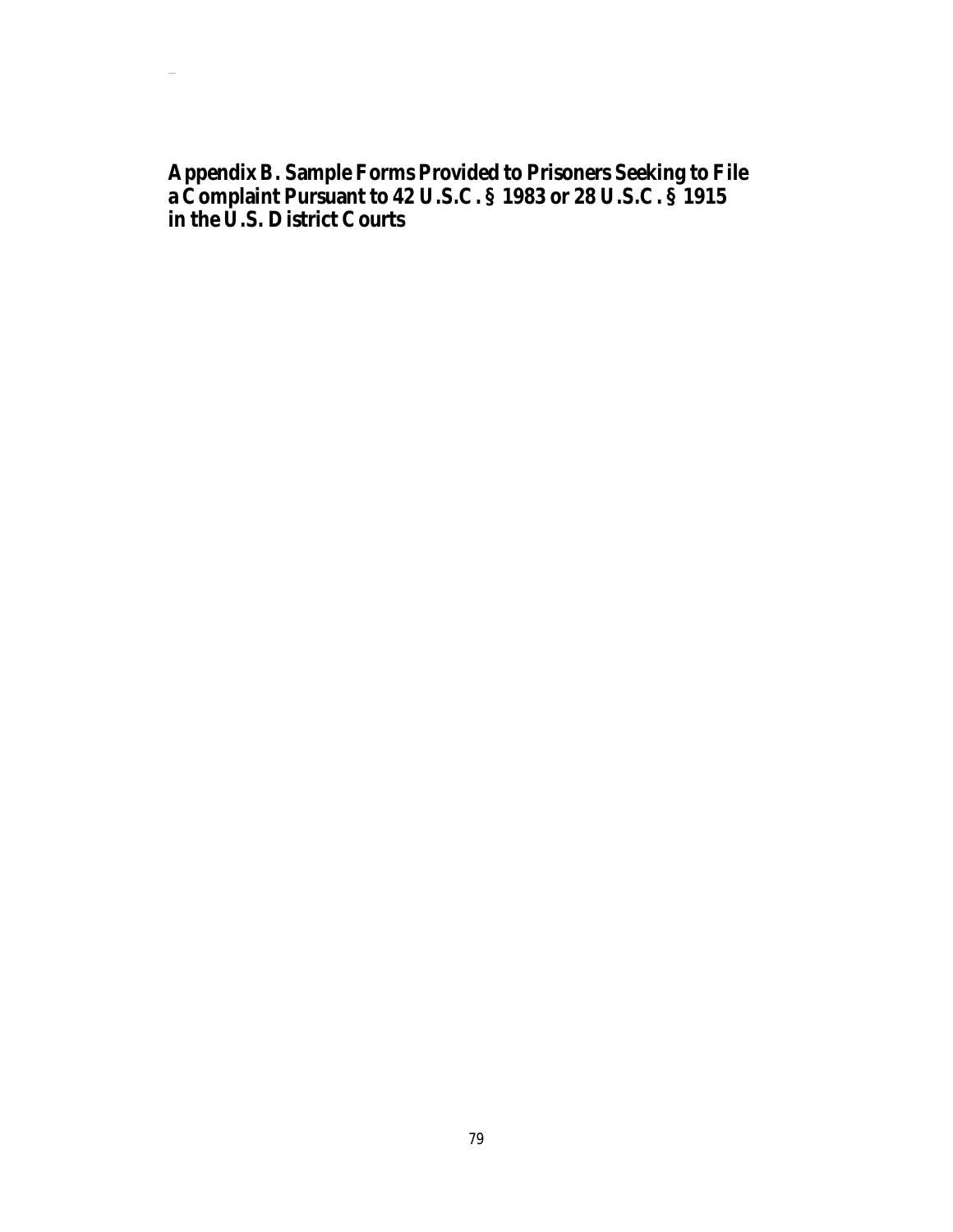**Appendix B. Sample Forms Provided to Prisoners Seeking to File a Complaint Pursuant to 42 U.S.C. § 1983 or 28 U.S.C. § 1915 in the U.S. District Courts**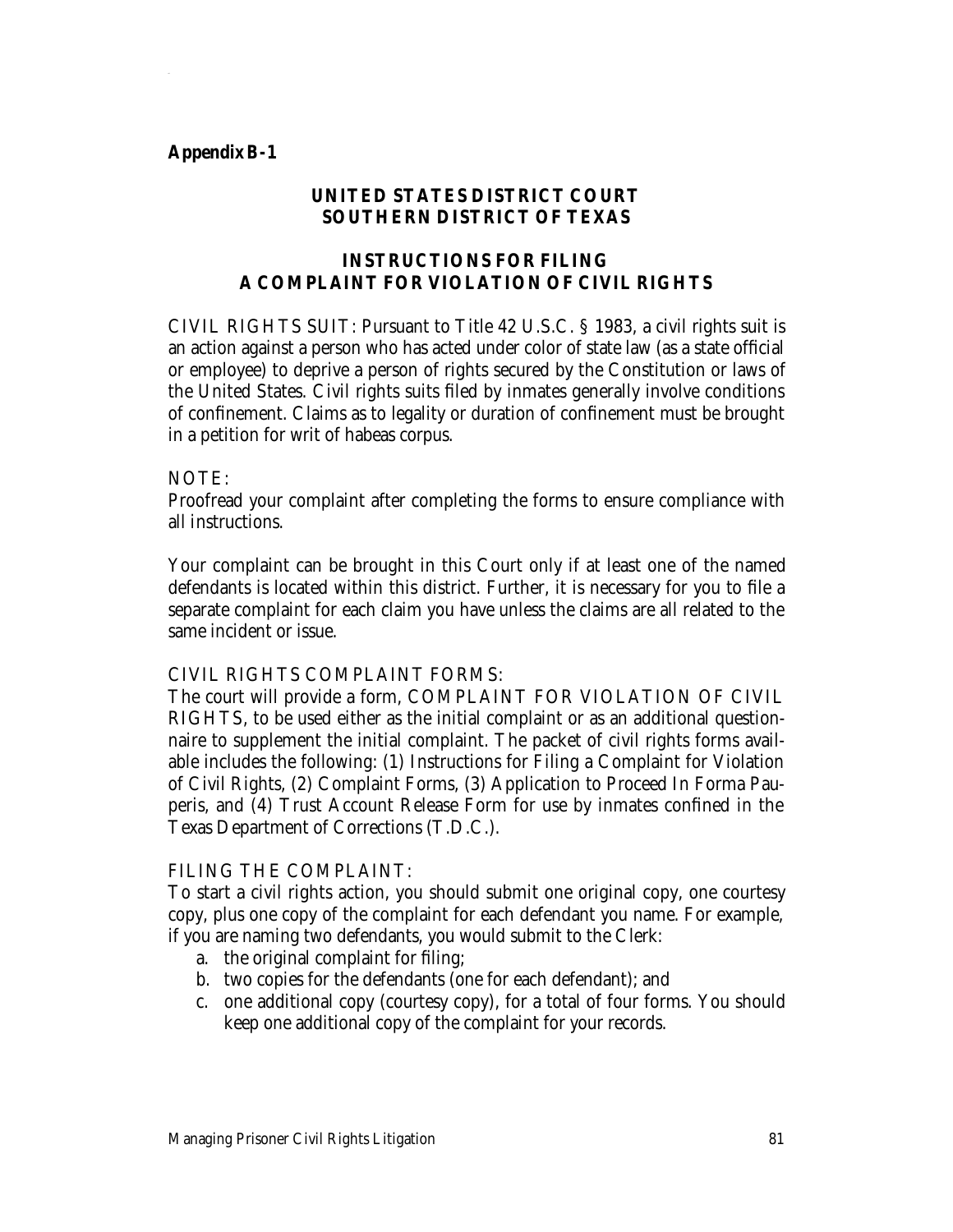## **Appendix B-1**

# **UNITED STATES DISTRICT COURT SOUTHERN DISTRICT OF TEXAS**

# **INSTRUCTIONS FOR FILING A COMPLAINT FOR VIOLATION OF CIVIL RIGHTS**

CIVIL RIGHTS SUIT: Pursuant to Title 42 U.S.C. § 1983, a civil rights suit is an action against a person who has acted under color of state law (as a state official or employee) to deprive a person of rights secured by the Constitution or laws of the United States. Civil rights suits filed by inmates generally involve conditions of confinement. Claims as to legality or duration of confinement must be brought in a petition for writ of habeas corpus.

### NOTE:

Proofread your complaint after completing the forms to ensure compliance with all instructions.

Your complaint can be brought in this Court only if at least one of the named defendants is located within this district. Further, it is necessary for you to file a separate complaint for each claim you have unless the claims are all related to the same incident or issue.

## CIVIL RIGHTS COMPLAINT FORMS:

The court will provide a form, COMPLAINT FOR VIOLATION OF CIVIL RIGHTS, to be used either as the initial complaint or as an additional questionnaire to supplement the initial complaint. The packet of civil rights forms available includes the following: (1) Instructions for Filing a Complaint for Violation of Civil Rights, (2) Complaint Forms, (3) Application to Proceed In Forma Pauperis, and (4) Trust Account Release Form for use by inmates confined in the Texas Department of Corrections (T.D.C.).

# FILING THE COMPLAINT:

To start a civil rights action, you should submit one original copy, one courtesy copy, plus one copy of the complaint for each defendant you name. For example, if you are naming two defendants, you would submit to the Clerk:

- a. the original complaint for filing;
- b. two copies for the defendants (one for each defendant); and
- c. one additional copy (courtesy copy), for a total of four forms. You should keep one additional copy of the complaint for your records.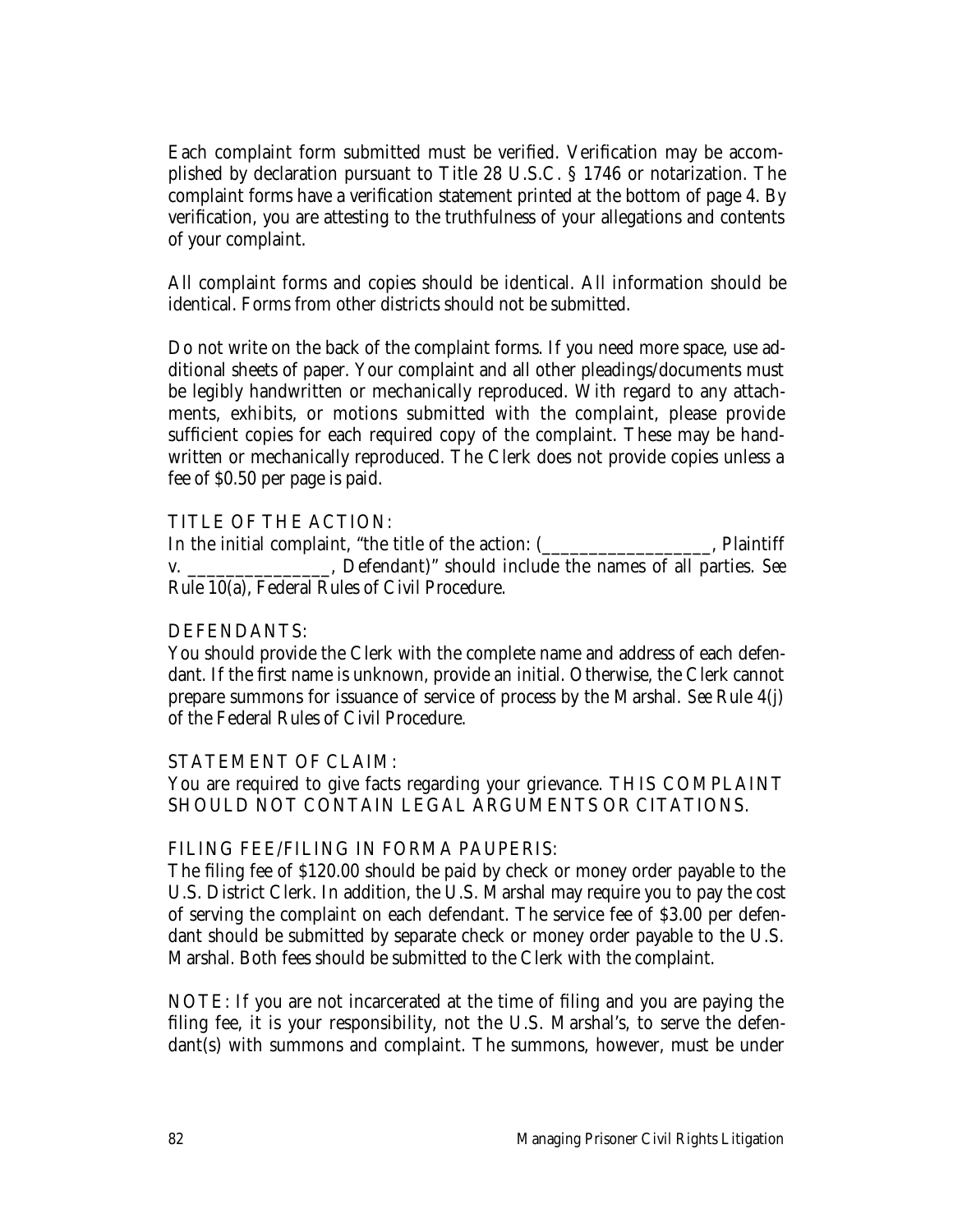Each complaint form submitted must be verified. Verification may be accomplished by declaration pursuant to Title 28 U.S.C. § 1746 or notarization. The complaint forms have a verification statement printed at the bottom of page 4. By verification, you are attesting to the truthfulness of your allegations and contents of your complaint.

All complaint forms and copies should be identical. All information should be identical. Forms from other districts should not be submitted.

Do not write on the back of the complaint forms. If you need more space, use additional sheets of paper. Your complaint and all other pleadings/documents must be legibly handwritten or mechanically reproduced. With regard to any attachments, exhibits, or motions submitted with the complaint, please provide sufficient copies for each required copy of the complaint. These may be handwritten or mechanically reproduced. The Clerk does not provide copies unless a fee of \$0.50 per page is paid.

## TITLE OF THE ACTION:

In the initial complaint, "the title of the action: ( \_\_\_\_\_\_\_\_\_\_\_\_\_\_, Plaintiff v. \_\_\_\_\_\_\_\_\_\_\_\_\_\_\_, Defendant)" should include the names of all parties. *See* Rule 10(a), Federal Rules of Civil Procedure.

# DEFENDANTS:

You should provide the Clerk with the complete name and address of each defendant. If the first name is unknown, provide an initial. Otherwise, the Clerk cannot prepare summons for issuance of service of process by the Marshal. *See* Rule 4(j) of the Federal Rules of Civil Procedure.

## STATEMENT OF CLAIM:

You are required to give facts regarding your grievance. THIS COMPLAINT SHOULD NOT CONTAIN LEGAL ARGUMENTS OR CITATIONS.

# FILING FEE/FILING IN FORMA PAUPERIS:

The filing fee of \$120.00 should be paid by check or money order payable to the U.S. District Clerk. In addition, the U.S. Marshal may require you to pay the cost of serving the complaint on each defendant. The service fee of \$3.00 per defendant should be submitted by separate check or money order payable to the U.S. Marshal. Both fees should be submitted to the Clerk with the complaint.

NOTE: If you are not incarcerated at the time of filing and you are paying the filing fee, it is your responsibility, not the U.S. Marshal's, to serve the defendant(s) with summons and complaint. The summons, however, must be under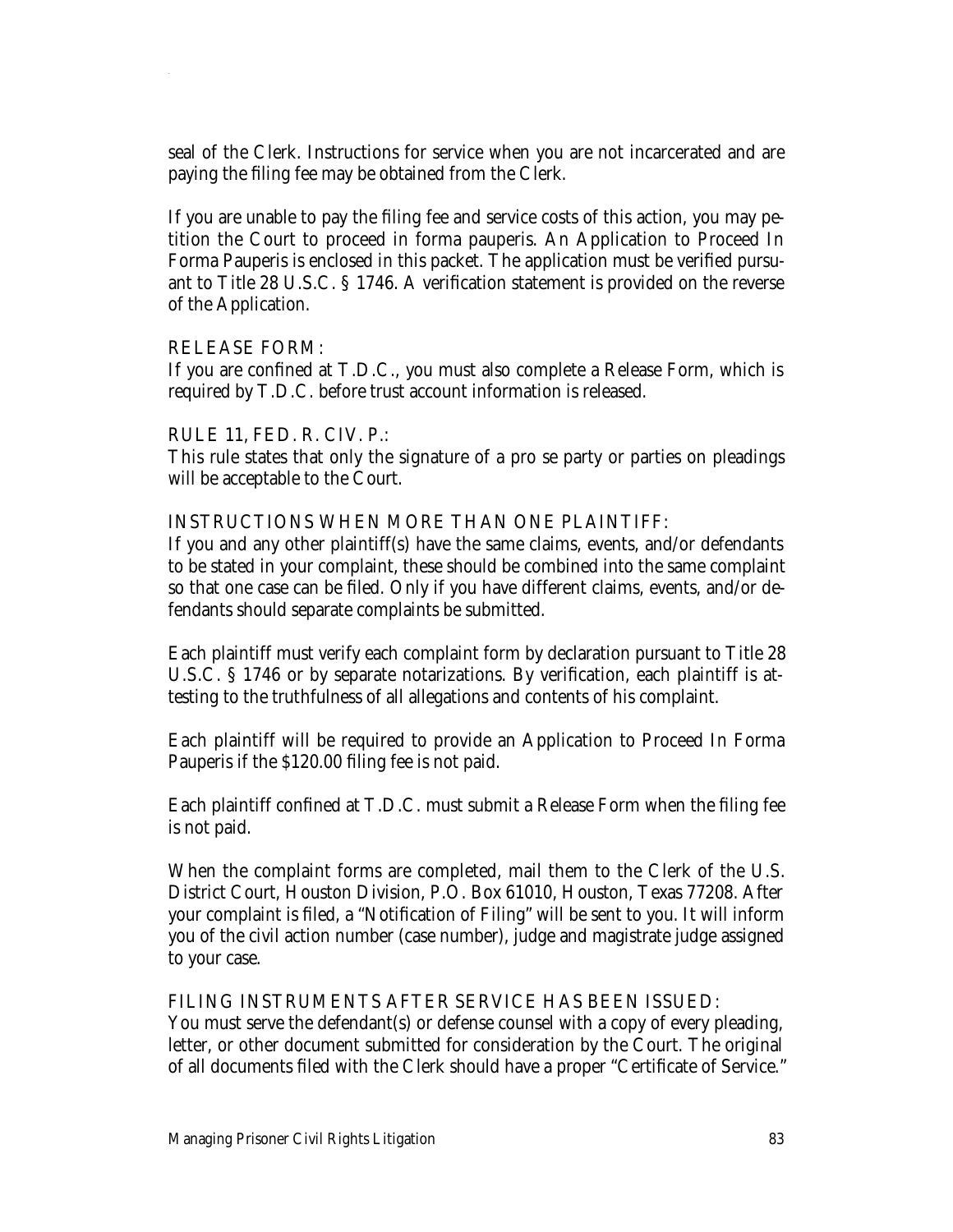seal of the Clerk. Instructions for service when you are not incarcerated and are paying the filing fee may be obtained from the Clerk.

If you are unable to pay the filing fee and service costs of this action, you may petition the Court to proceed in forma pauperis. An Application to Proceed In Forma Pauperis is enclosed in this packet. The application must be verified pursuant to Title 28 U.S.C. § 1746. A verification statement is provided on the reverse of the Application.

### RELEASE FORM:

If you are confined at T.D.C., you must also complete a Release Form, which is required by T.D.C. before trust account information is released.

### RULE 11, FED. R. CIV. P.:

This rule states that only the signature of a pro se party or parties on pleadings will be acceptable to the Court.

### INSTRUCTIONS WHEN MORE THAN ONE PLAINTIFF:

If you and any other plaintiff(s) have the same claims, events, and/or defendants to be stated in your complaint, these should be combined into the same complaint so that one case can be filed. Only if you have different claims, events, and/or defendants should separate complaints be submitted.

Each plaintiff must verify each complaint form by declaration pursuant to Title 28 U.S.C. § 1746 or by separate notarizations. By verification, each plaintiff is attesting to the truthfulness of all allegations and contents of his complaint.

Each plaintiff will be required to provide an Application to Proceed In Forma Pauperis if the \$120.00 filing fee is not paid.

Each plaintiff confined at T.D.C. must submit a Release Form when the filing fee is not paid.

When the complaint forms are completed, mail them to the Clerk of the U.S. District Court, Houston Division, P.O. Box 61010, Houston, Texas 77208. After your complaint is filed, a "Notification of Filing" will be sent to you. It will inform you of the civil action number (case number), judge and magistrate judge assigned to your case.

## FILING INSTRUMENTS AFTER SERVICE HAS BEEN ISSUED:

You must serve the defendant(s) or defense counsel with a copy of every pleading, letter, or other document submitted for consideration by the Court. The original of all documents filed with the Clerk should have a proper "Certificate of Service."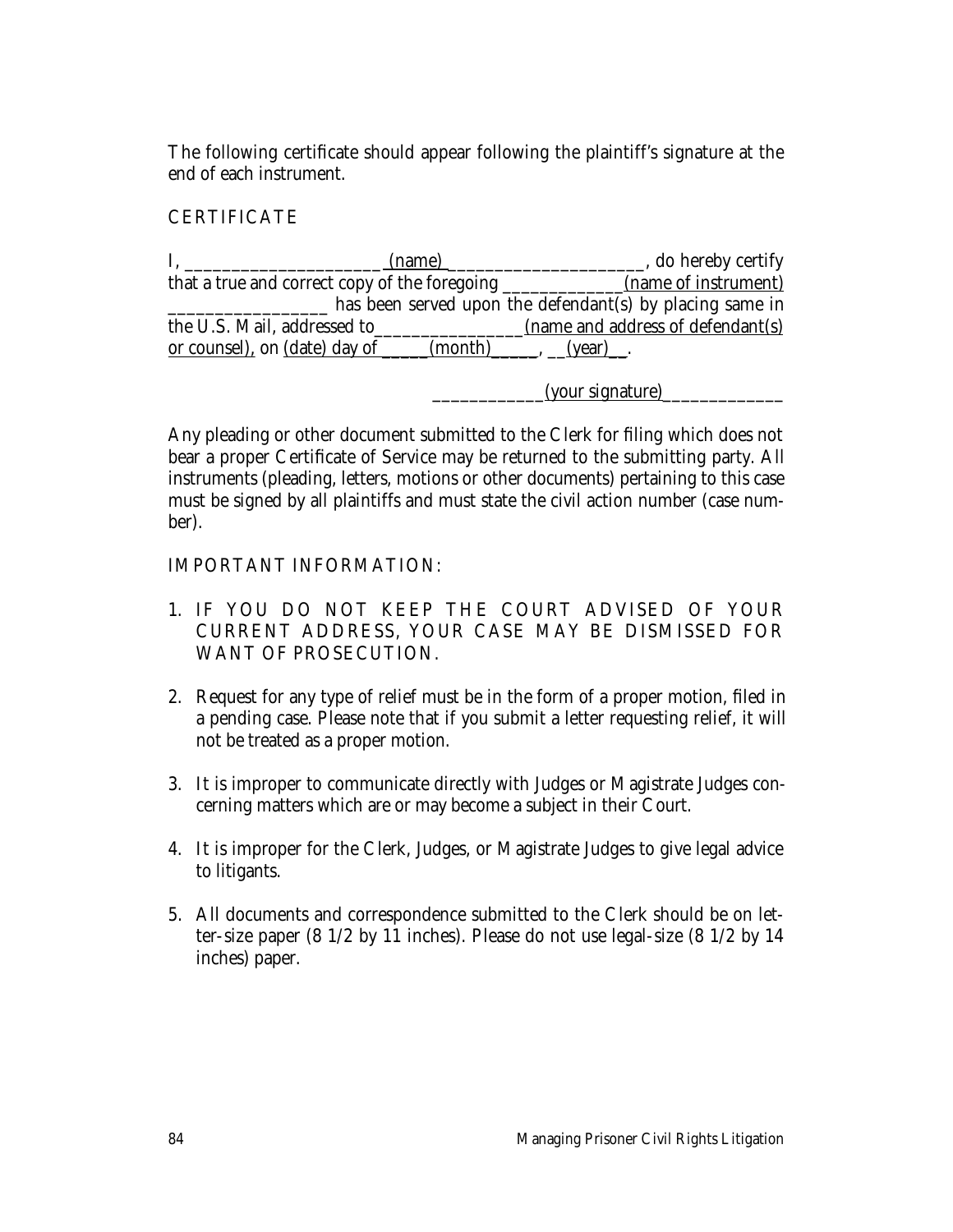The following certificate should appear following the plaintiff's signature at the end of each instrument.

## **CERTIFICATE**

|                               | (name)      |            | do hereby certify do                                     |
|-------------------------------|-------------|------------|----------------------------------------------------------|
|                               |             |            | (name of instrument)                                     |
|                               |             |            | has been served upon the defendant(s) by placing same in |
| the U.S. Mail, addressed to   |             |            | (name and address of defendant(s)                        |
| or counsel), on (date) day of | $(month)$ , | $(year)$ . |                                                          |
|                               |             |            |                                                          |

 $(vour$  signature)

Any pleading or other document submitted to the Clerk for filing which does not bear a proper Certificate of Service may be returned to the submitting party. All instruments (pleading, letters, motions or other documents) pertaining to this case must be signed by all plaintiffs and must state the civil action number (case number).

## IMPORTANT INFORMATION:

- 1. IF YOU DO NOT KEEP THE COURT ADVISED OF YOUR CURRENT ADDRESS, YOUR CASE MAY BE DISMISSED FOR WANT OF PROSECUTION.
- 2. Request for any type of relief must be in the form of a proper motion, filed in a pending case. Please note that if you submit a letter requesting relief, it will not be treated as a proper motion.
- 3. It is improper to communicate directly with Judges or Magistrate Judges concerning matters which are or may become a subject in their Court.
- 4. It is improper for the Clerk, Judges, or Magistrate Judges to give legal advice to litigants.
- 5. All documents and correspondence submitted to the Clerk should be on letter-size paper (8 1/2 by 11 inches). Please do not use legal-size (8 1/2 by 14 inches) paper.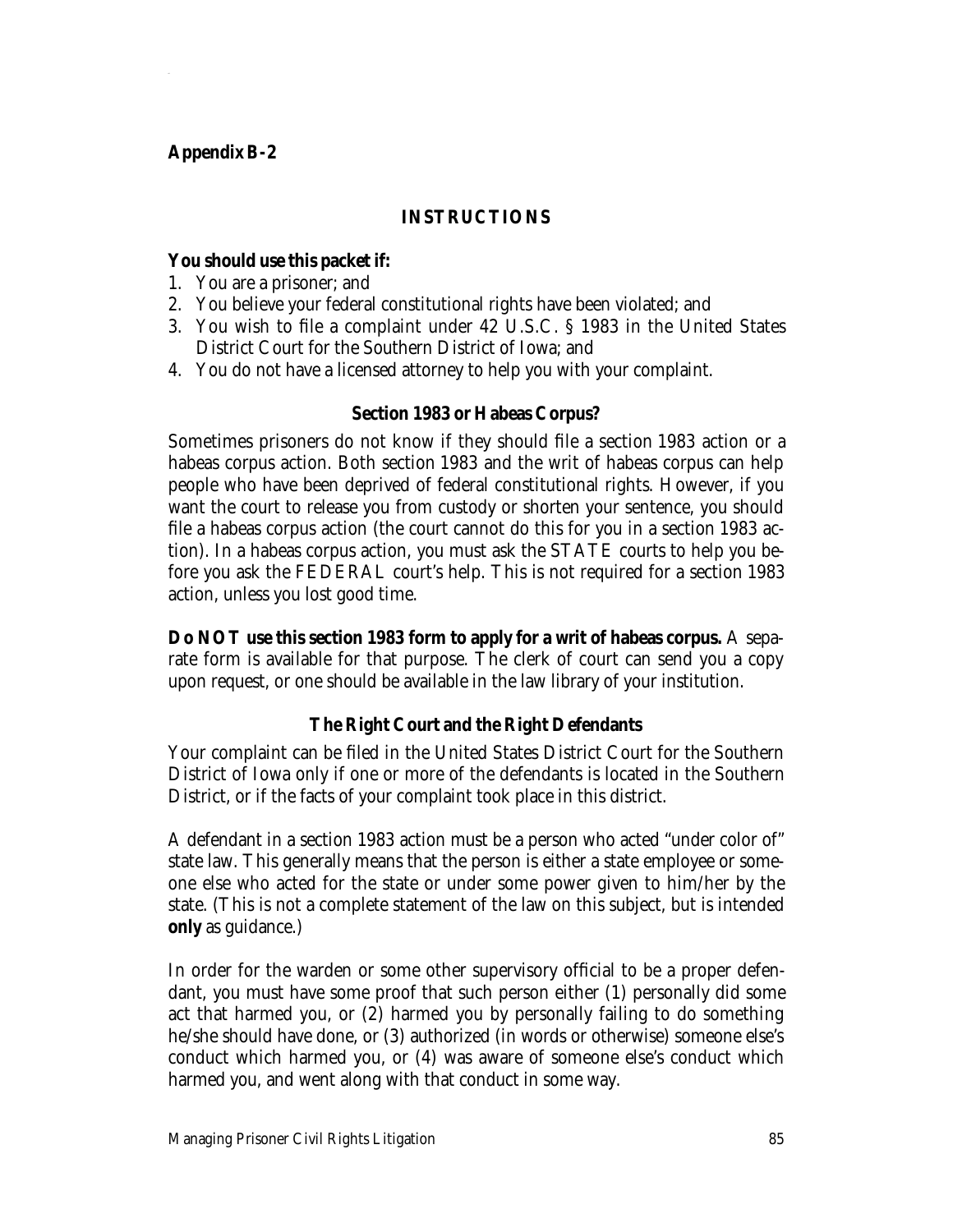# **Appendix B-2**

# **INSTRUCTIONS**

## **You should use this packet if:**

- 1. You are a prisoner; and
- 2. You believe your federal constitutional rights have been violated; and
- 3. You wish to file a complaint under 42 U.S.C. § 1983 in the United States District Court for the Southern District of Iowa; and
- 4. You do not have a licensed attorney to help you with your complaint.

## **Section 1983 or Habeas Corpus?**

Sometimes prisoners do not know if they should file a section 1983 action or a habeas corpus action. Both section 1983 and the writ of habeas corpus can help people who have been deprived of federal constitutional rights. However, if you want the court to release you from custody or shorten your sentence, you should file a habeas corpus action (the court cannot do this for you in a section 1983 action). In a habeas corpus action, you must ask the STATE courts to help you before you ask the FEDERAL court's help. This is not required for a section 1983 action, unless you lost good time.

**Do NOT use this section 1983 form to apply for a writ of habeas corpus.** A separate form is available for that purpose. The clerk of court can send you a copy upon request, or one should be available in the law library of your institution.

# **The Right Court and the Right Defendants**

Your complaint can be filed in the United States District Court for the Southern District of Iowa only if one or more of the defendants is located in the Southern District, or if the facts of your complaint took place in this district.

A defendant in a section 1983 action must be a person who acted "under color of" state law. This generally means that the person is either a state employee or someone else who acted for the state or under some power given to him/her by the state. (This is not a complete statement of the law on this subject, but is intended **only** as guidance.)

In order for the warden or some other supervisory official to be a proper defendant, you must have some proof that such person either (1) personally did some act that harmed you, or (2) harmed you by personally failing to do something he/she should have done, or (3) authorized (in words or otherwise) someone else's conduct which harmed you, or (4) was aware of someone else's conduct which harmed you, and went along with that conduct in some way.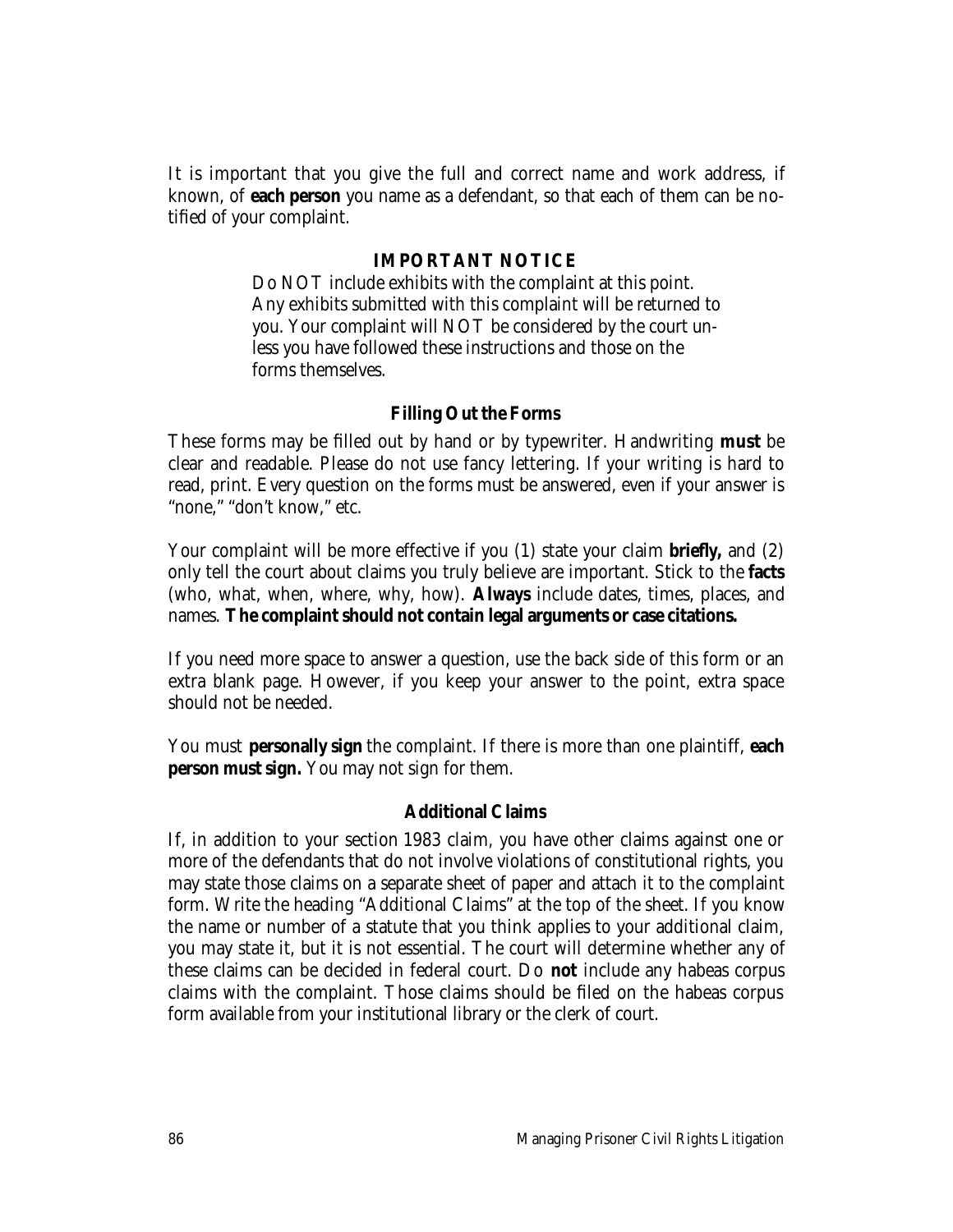It is important that you give the full and correct name and work address, if known, of **each person** you name as a defendant, so that each of them can be notified of your complaint.

#### **IMPORTANT NOTICE**

Do NOT include exhibits with the complaint at this point. Any exhibits submitted with this complaint will be returned to you. Your complaint will NOT be considered by the court unless you have followed these instructions and those on the forms themselves.

#### **Filling Out the Forms**

These forms may be filled out by hand or by typewriter. Handwriting **must** be clear and readable. Please do not use fancy lettering. If your writing is hard to read, print. Every question on the forms must be answered, even if your answer is "none," "don't know," etc.

Your complaint will be more effective if you (1) state your claim **briefly,** and (2) only tell the court about claims you truly believe are important. Stick to the **facts** (who, what, when, where, why, how). **Always** include dates, times, places, and names. **The complaint should not contain legal arguments or case citations.**

If you need more space to answer a question, use the back side of this form or an extra blank page. However, if you keep your answer to the point, extra space should not be needed.

You must **personally sign** the complaint. If there is more than one plaintiff, **each person must sign.** You may not sign for them.

#### **Additional Claims**

If, in addition to your section 1983 claim, you have other claims against one or more of the defendants that do not involve violations of constitutional rights, you may state those claims on a separate sheet of paper and attach it to the complaint form. Write the heading "Additional Claims" at the top of the sheet. If you know the name or number of a statute that you think applies to your additional claim, you may state it, but it is not essential. The court will determine whether any of these claims can be decided in federal court. Do **not** include any habeas corpus claims with the complaint. Those claims should be filed on the habeas corpus form available from your institutional library or the clerk of court.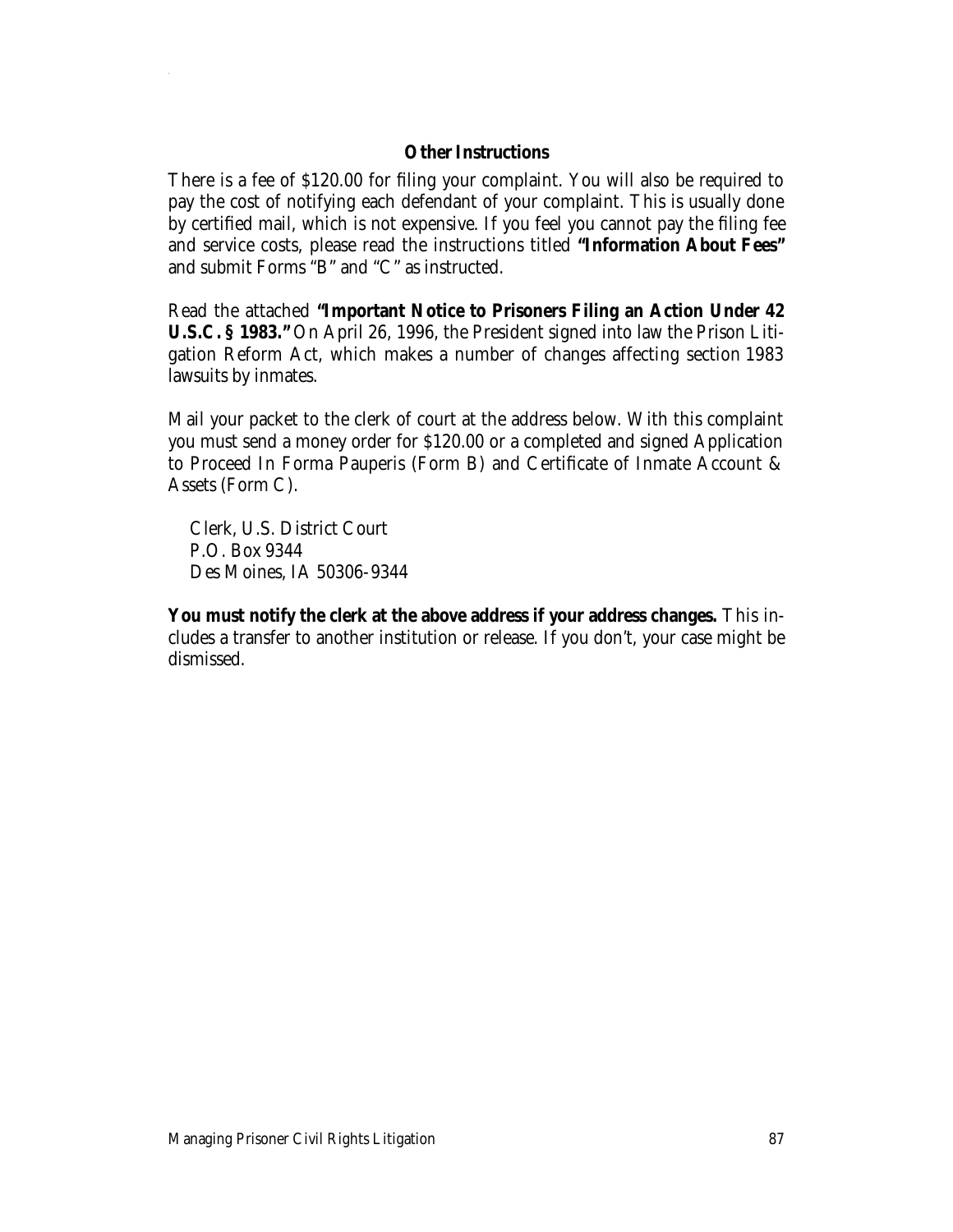### **Other Instructions**

There is a fee of \$120.00 for filing your complaint. You will also be required to pay the cost of notifying each defendant of your complaint. This is usually done by certified mail, which is not expensive. If you feel you cannot pay the filing fee and service costs, please read the instructions titled **"Information About Fees"** and submit Forms "B" and "C" as instructed.

Read the attached **"Important Notice to Prisoners Filing an Action Under 42 U.S.C. § 1983."** On April 26, 1996, the President signed into law the Prison Litigation Reform Act, which makes a number of changes affecting section 1983 lawsuits by inmates.

Mail your packet to the clerk of court at the address below. With this complaint you must send a money order for \$120.00 or a completed and signed Application to Proceed In Forma Pauperis (Form B) and Certificate of Inmate Account & Assets (Form C).

Clerk, U.S. District Court P.O. Box 9344 Des Moines, IA 50306-9344

**You must notify the clerk at the above address if your address changes.** This includes a transfer to another institution or release. If you don't, your case might be dismissed.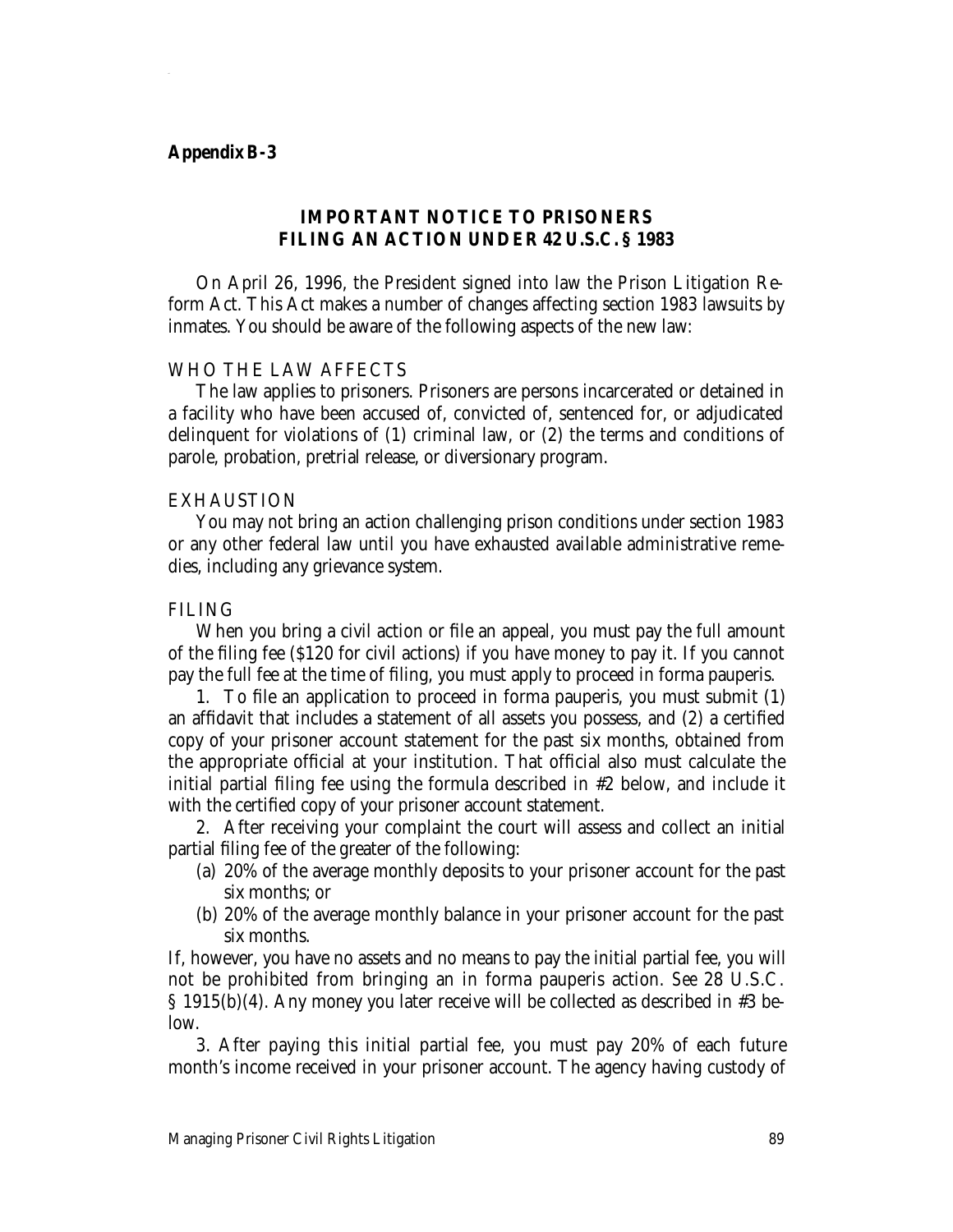#### **Appendix B-3**

## **IMPORTANT NOTICE TO PRISONERS FILING AN ACTION UNDER 42 U.S.C. § 1983**

On April 26, 1996, the President signed into law the Prison Litigation Reform Act. This Act makes a number of changes affecting section 1983 lawsuits by inmates. You should be aware of the following aspects of the new law:

#### WHO THE LAW AFFECTS

The law applies to prisoners. Prisoners are persons incarcerated or detained in a facility who have been accused of, convicted of, sentenced for, or adjudicated delinquent for violations of (1) criminal law, or (2) the terms and conditions of parole, probation, pretrial release, or diversionary program.

#### EXHAUSTION

You may not bring an action challenging prison conditions under section 1983 or any other federal law until you have exhausted available administrative remedies, including any grievance system.

### FILING

When you bring a civil action or file an appeal, you must pay the full amount of the filing fee (\$120 for civil actions) if you have money to pay it. If you cannot pay the full fee at the time of filing, you must apply to proceed in forma pauperis.

1. To file an application to proceed in forma pauperis, you must submit (1) an affidavit that includes a statement of all assets you possess, and (2) a certified copy of your prisoner account statement for the past six months, obtained from the appropriate official at your institution. That official also must calculate the initial partial filing fee using the formula described in #2 below, and include it with the certified copy of your prisoner account statement.

2. After receiving your complaint the court will assess and collect an initial partial filing fee of the greater of the following:

- (a) 20% of the average monthly deposits to your prisoner account for the past six months; or
- (b) 20% of the average monthly balance in your prisoner account for the past six months.

If, however, you have no assets and no means to pay the initial partial fee, you will not be prohibited from bringing an in forma pauperis action. *See* 28 U.S.C. § 1915(b)(4). Any money you later receive will be collected as described in #3 below.

3. After paying this initial partial fee, you must pay 20% of each future month's income received in your prisoner account. The agency having custody of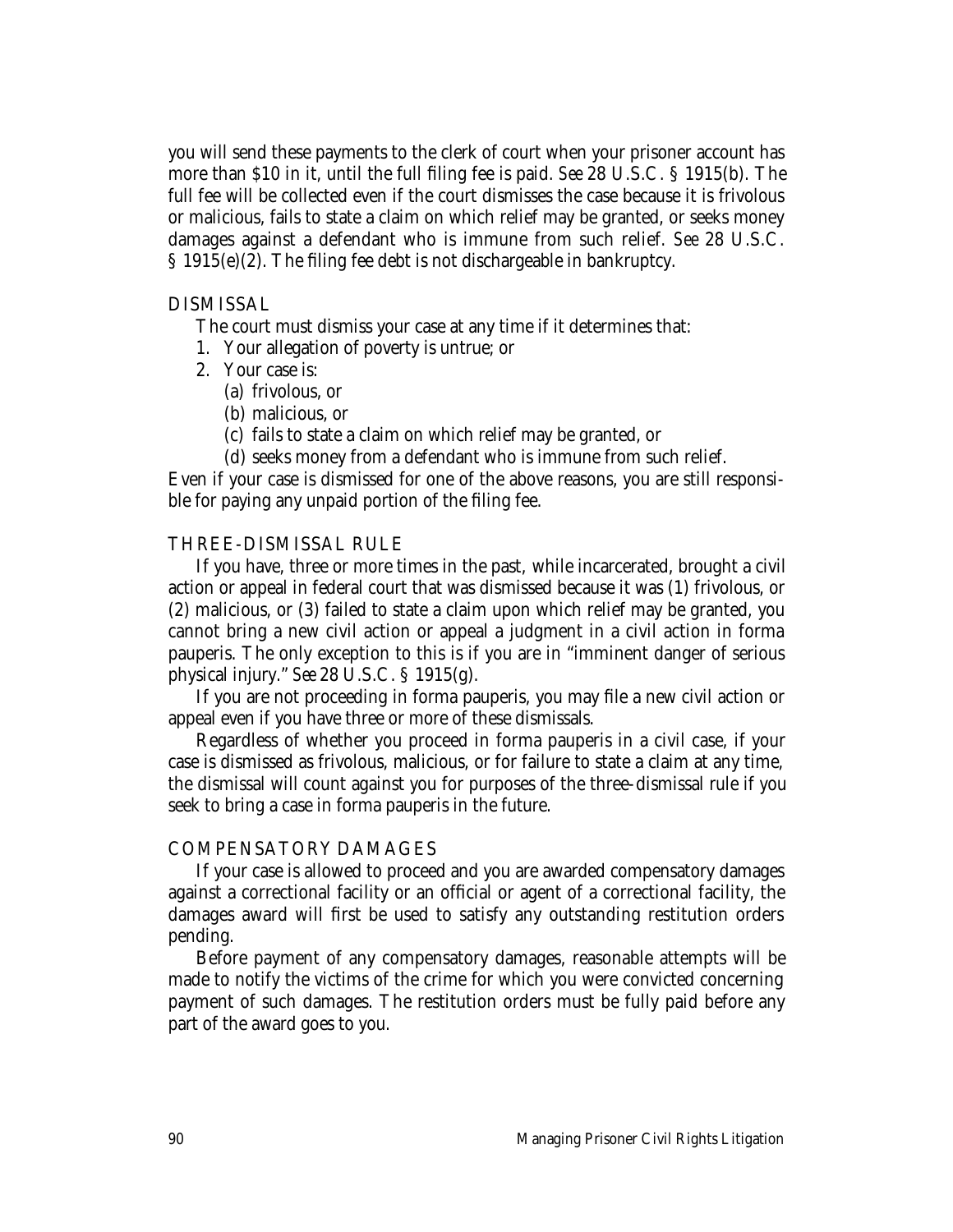you will send these payments to the clerk of court when your prisoner account has more than \$10 in it, until the full filing fee is paid. *See* 28 U.S.C. § 1915(b). The full fee will be collected even if the court dismisses the case because it is frivolous or malicious, fails to state a claim on which relief may be granted, or seeks money damages against a defendant who is immune from such relief. *See* 28 U.S.C. § 1915(e)(2). The filing fee debt is not dischargeable in bankruptcy.

#### DISMISSAL

The court must dismiss your case at any time if it determines that:

- 1. Your allegation of poverty is untrue; or
- 2. Your case is:
	- (a) frivolous, or
	- (b) malicious, or
	- (c) fails to state a claim on which relief may be granted, or
	- (d) seeks money from a defendant who is immune from such relief.

Even if your case is dismissed for one of the above reasons, you are still responsible for paying any unpaid portion of the filing fee.

#### THREE-DISMISSAL RULE

If you have, three or more times in the past, while incarcerated, brought a civil action or appeal in federal court that was dismissed because it was (1) frivolous, or (2) malicious, or (3) failed to state a claim upon which relief may be granted, you cannot bring a new civil action or appeal a judgment in a civil action in forma pauperis. The only exception to this is if you are in "imminent danger of serious physical injury." *See* 28 U.S.C. § 1915(g).

If you are not proceeding in forma pauperis, you may file a new civil action or appeal even if you have three or more of these dismissals.

Regardless of whether you proceed in forma pauperis in a civil case, if your case is dismissed as frivolous, malicious, or for failure to state a claim at any time, the dismissal will count against you for purposes of the three-dismissal rule if you seek to bring a case in forma pauperis in the future.

#### COMPENSATORY DAMAGES

If your case is allowed to proceed and you are awarded compensatory damages against a correctional facility or an official or agent of a correctional facility, the damages award will first be used to satisfy any outstanding restitution orders pending.

Before payment of any compensatory damages, reasonable attempts will be made to notify the victims of the crime for which you were convicted concerning payment of such damages. The restitution orders must be fully paid before any part of the award goes to you.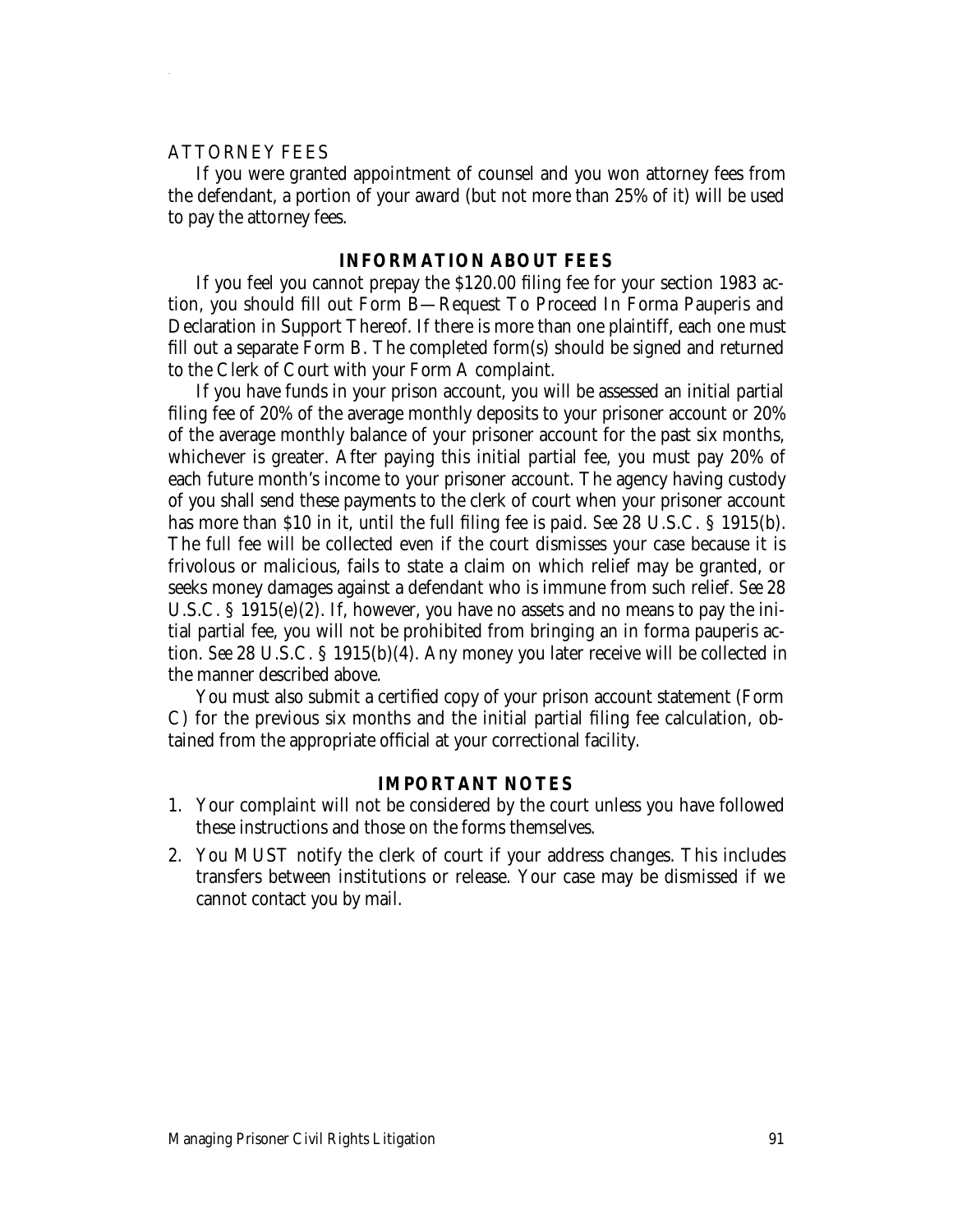#### ATTORNEY FEES

If you were granted appointment of counsel and you won attorney fees from the defendant, a portion of your award (but not more than 25% of it) will be used to pay the attorney fees.

#### **INFORMATION ABOUT FEES**

If you feel you cannot prepay the \$120.00 filing fee for your section 1983 action, you should fill out Form B—Request To Proceed In Forma Pauperis and Declaration in Support Thereof. If there is more than one plaintiff, each one must fill out a separate Form B. The completed form(s) should be signed and returned to the Clerk of Court with your Form A complaint.

If you have funds in your prison account, you will be assessed an initial partial filing fee of 20% of the average monthly deposits to your prisoner account or 20% of the average monthly balance of your prisoner account for the past six months, whichever is greater. After paying this initial partial fee, you must pay 20% of each future month's income to your prisoner account. The agency having custody of you shall send these payments to the clerk of court when your prisoner account has more than \$10 in it, until the full filing fee is paid. *See* 28 U.S.C. § 1915(b). The full fee will be collected even if the court dismisses your case because it is frivolous or malicious, fails to state a claim on which relief may be granted, or seeks money damages against a defendant who is immune from such relief. *See* 28 U.S.C.  $\S$  1915(e)(2). If, however, you have no assets and no means to pay the initial partial fee, you will not be prohibited from bringing an in forma pauperis action. *See* 28 U.S.C. § 1915(b)(4). Any money you later receive will be collected in the manner described above.

You must also submit a certified copy of your prison account statement (Form C) for the previous six months and the initial partial filing fee calculation, obtained from the appropriate official at your correctional facility.

### **IMPORTANT NOTES**

- 1. Your complaint will not be considered by the court unless you have followed these instructions and those on the forms themselves.
- 2. You MUST notify the clerk of court if your address changes. This includes transfers between institutions or release. Your case may be dismissed if we cannot contact you by mail.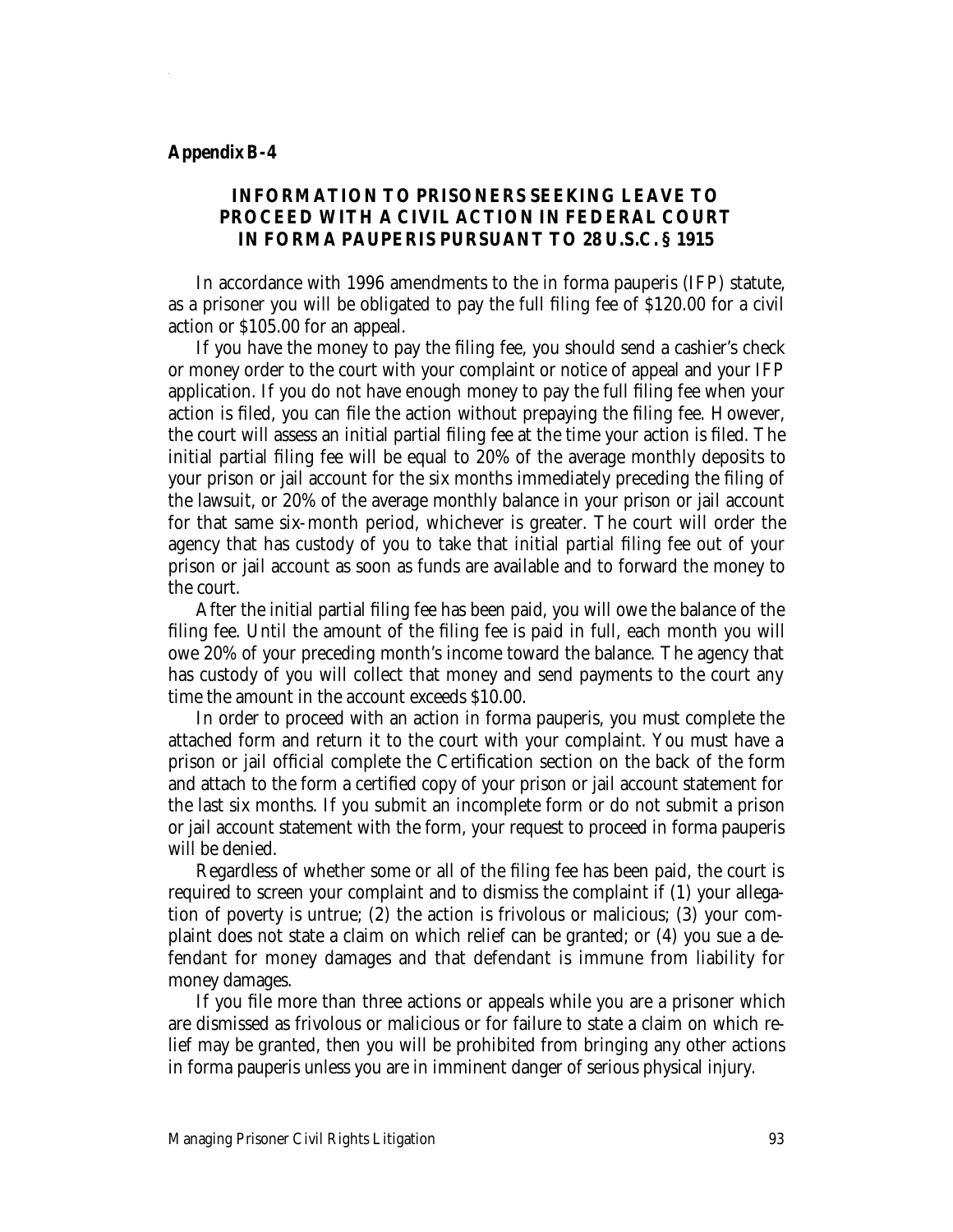#### **Appendix B-4**

# **INFORMATION TO PRISONERS SEEKING LEAVE TO PROCEED WITH A CIVIL ACTION IN FEDERAL COURT IN FORMA PAUPERIS PURSUANT TO 28 U.S.C. § 1915**

In accordance with 1996 amendments to the in forma pauperis (IFP) statute, as a prisoner you will be obligated to pay the full filing fee of \$120.00 for a civil action or \$105.00 for an appeal.

If you have the money to pay the filing fee, you should send a cashier's check or money order to the court with your complaint or notice of appeal and your IFP application. If you do not have enough money to pay the full filing fee when your action is filed, you can file the action without prepaying the filing fee. However, the court will assess an initial partial filing fee at the time your action is filed. The initial partial filing fee will be equal to 20% of the average monthly deposits to your prison or jail account for the six months immediately preceding the filing of the lawsuit, or 20% of the average monthly balance in your prison or jail account for that same six-month period, whichever is greater. The court will order the agency that has custody of you to take that initial partial filing fee out of your prison or jail account as soon as funds are available and to forward the money to the court.

After the initial partial filing fee has been paid, you will owe the balance of the filing fee. Until the amount of the filing fee is paid in full, each month you will owe 20% of your preceding month's income toward the balance. The agency that has custody of you will collect that money and send payments to the court any time the amount in the account exceeds \$10.00.

In order to proceed with an action in forma pauperis, you must complete the attached form and return it to the court with your complaint. You must have a prison or jail official complete the Certification section on the back of the form and attach to the form a certified copy of your prison or jail account statement for the last six months. If you submit an incomplete form or do not submit a prison or jail account statement with the form, your request to proceed in forma pauperis will be denied.

Regardless of whether some or all of the filing fee has been paid, the court is required to screen your complaint and to dismiss the complaint if (1) your allegation of poverty is untrue; (2) the action is frivolous or malicious; (3) your complaint does not state a claim on which relief can be granted; or (4) you sue a defendant for money damages and that defendant is immune from liability for money damages.

If you file more than three actions or appeals while you are a prisoner which are dismissed as frivolous or malicious or for failure to state a claim on which relief may be granted, then you will be prohibited from bringing any other actions in forma pauperis unless you are in imminent danger of serious physical injury.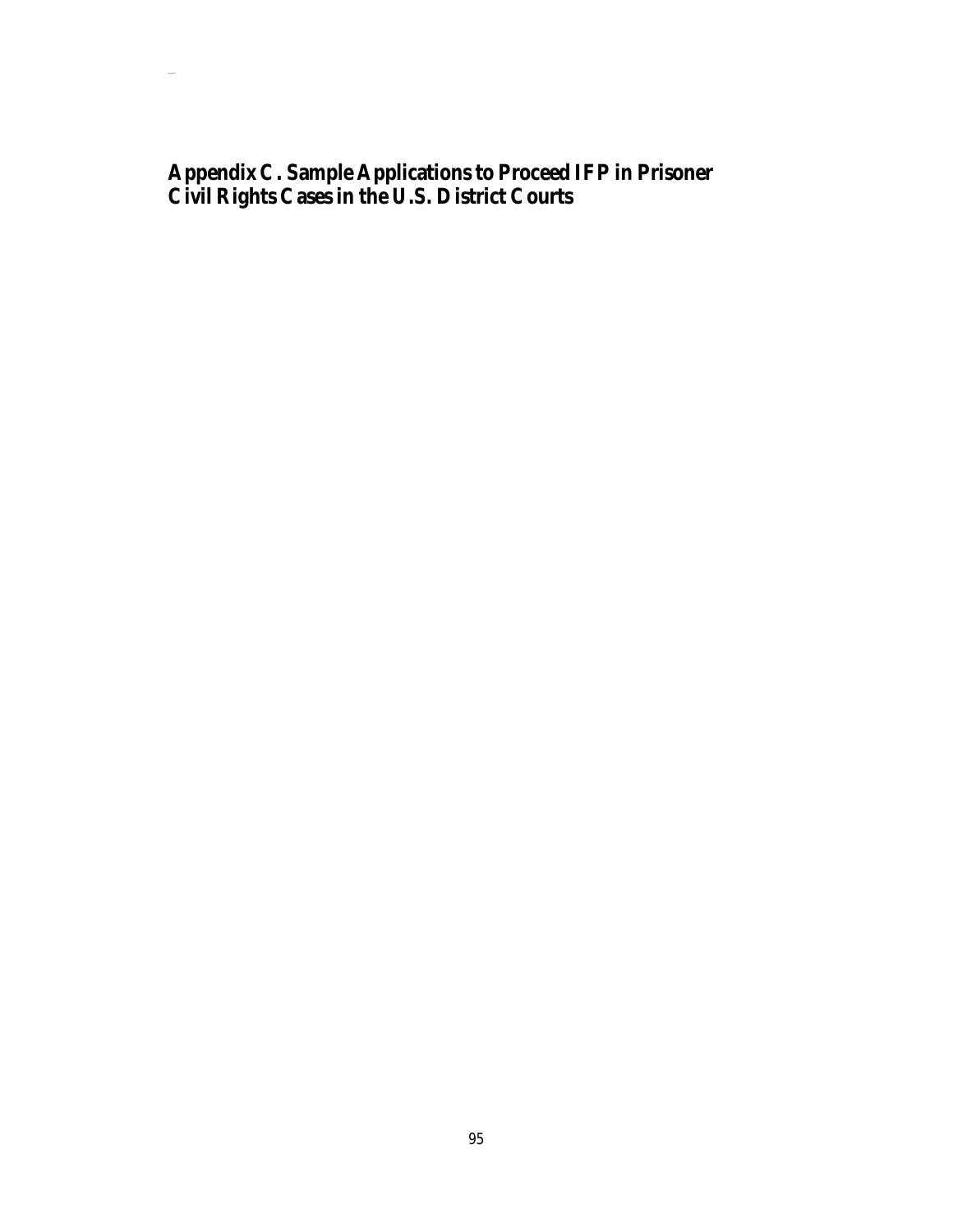**Appendix C. Sample Applications to Proceed IFP in Prisoner Civil Rights Cases in the U.S. District Courts**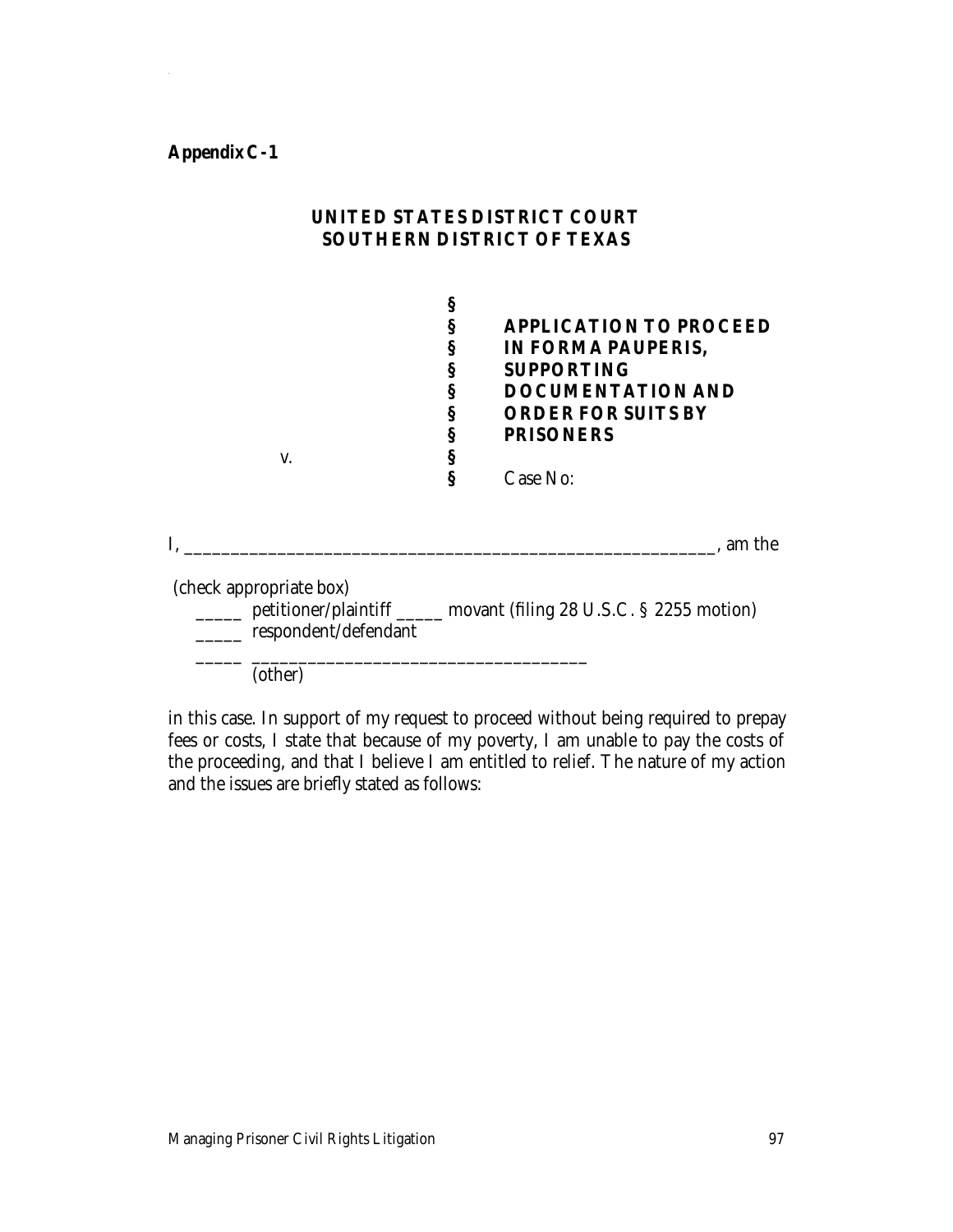**Appendix C-1**

|                                                                             |                                                               | UNITED STATES DISTRICT COURT                                                                                                                                      |
|-----------------------------------------------------------------------------|---------------------------------------------------------------|-------------------------------------------------------------------------------------------------------------------------------------------------------------------|
|                                                                             |                                                               | <b>SOUTHERN DISTRICT OF TEXAS</b>                                                                                                                                 |
| V.                                                                          | §<br>S<br>S<br>S<br>S<br>S<br>$\S$<br>S<br>$\hat{\mathbf{S}}$ | <b>APPLICATION TO PROCEED</b><br>IN FORMA PAUPERIS,<br><b>SUPPORTING</b><br><b>DOCUMENTATION AND</b><br><b>ORDER FOR SUITS BY</b><br><b>PRISONERS</b><br>Case No: |
| (check appropriate box)<br>$\overline{\phantom{a}}$<br>respondent/defendant |                                                               | $\_\_$ , am the<br>petitioner/plaintiff ______ movant (filing 28 U.S.C. § 2255 motion)                                                                            |
| (other)                                                                     |                                                               |                                                                                                                                                                   |

in this case. In support of my request to proceed without being required to prepay fees or costs, I state that because of my poverty, I am unable to pay the costs of the proceeding, and that I believe I am entitled to relief. The nature of my action and the issues are briefly stated as follows: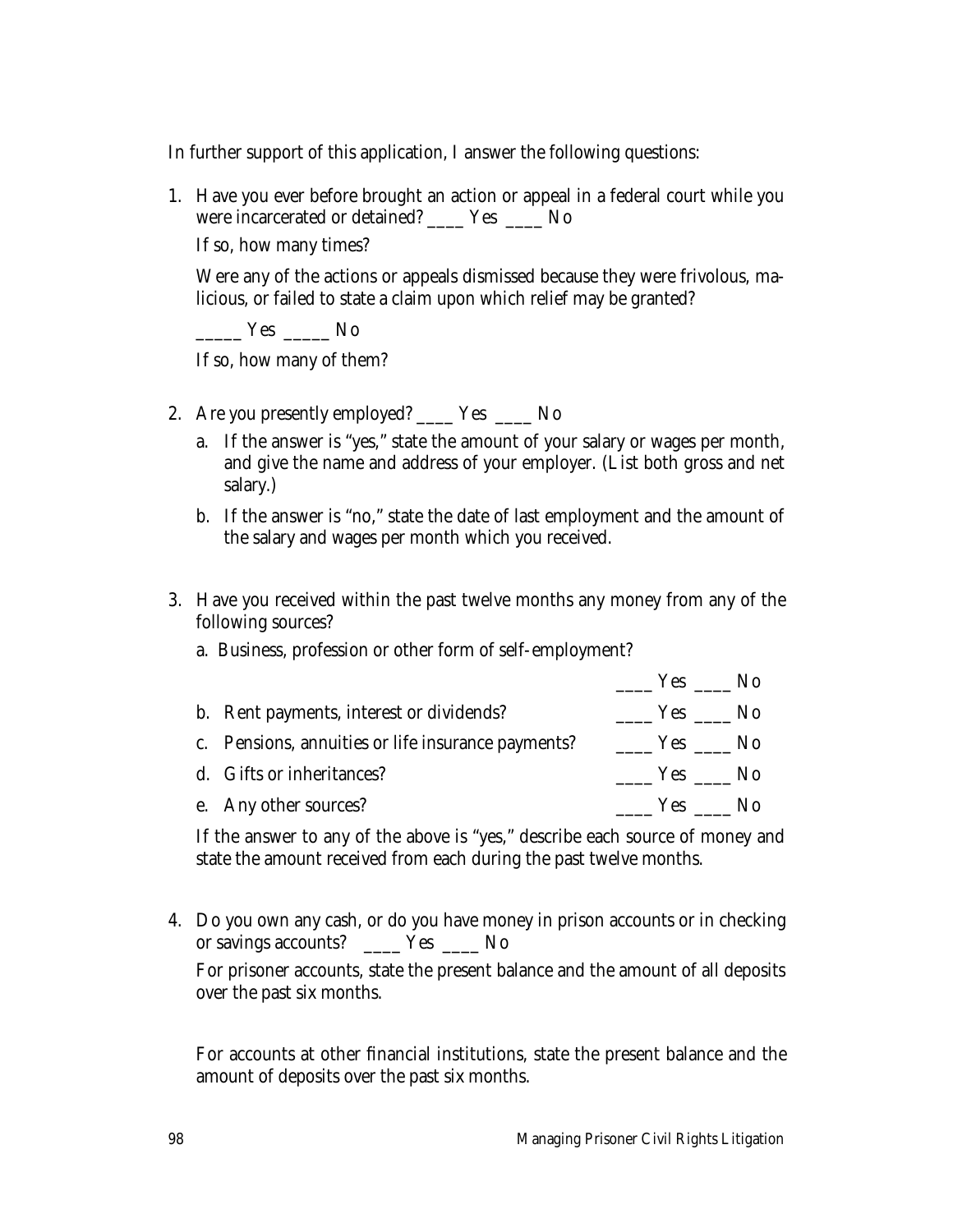In further support of this application, I answer the following questions:

1. Have you ever before brought an action or appeal in a federal court while you were incarcerated or detained? \_\_\_\_ Yes \_\_\_\_ No

If so, how many times?

Were any of the actions or appeals dismissed because they were frivolous, malicious, or failed to state a claim upon which relief may be granted?

\_\_\_\_\_ Yes \_\_\_\_\_ No

If so, how many of them?

- 2. Are you presently employed? \_\_\_\_ Yes \_\_\_\_ No
	- a. If the answer is "yes," state the amount of your salary or wages per month, and give the name and address of your employer. (List both gross and net salary.)
	- b. If the answer is "no," state the date of last employment and the amount of the salary and wages per month which you received.
- 3. Have you received within the past twelve months any money from any of the following sources?
	- a. Business, profession or other form of self-employment?

|                                          | Yes No |
|------------------------------------------|--------|
| b. Rent payments, interest or dividends? | Yes No |
|                                          |        |
| d. Gifts or inheritances?                | Yes No |
| e. Any other sources?                    | Yes No |

If the answer to any of the above is "yes," describe each source of money and state the amount received from each during the past twelve months.

4. Do you own any cash, or do you have money in prison accounts or in checking or savings accounts? \_\_\_\_ Yes \_\_\_\_ No For prisoner accounts, state the present balance and the amount of all deposits over the past six months.

For accounts at other financial institutions, state the present balance and the amount of deposits over the past six months.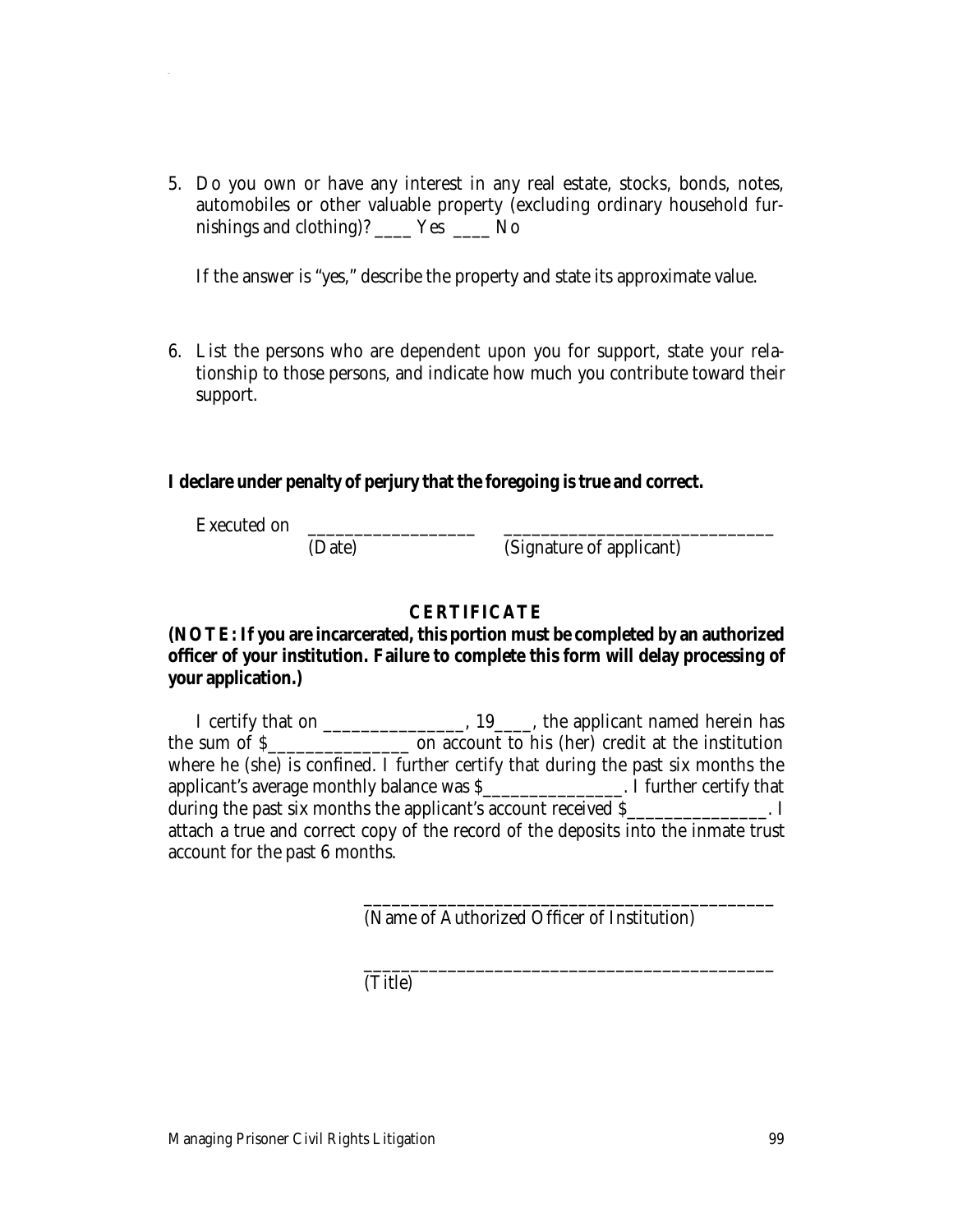5. Do you own or have any interest in any real estate, stocks, bonds, notes, automobiles or other valuable property (excluding ordinary household furnishings and clothing)? \_\_\_\_ Yes \_\_\_\_ No

If the answer is "yes," describe the property and state its approximate value.

6. List the persons who are dependent upon you for support, state your relationship to those persons, and indicate how much you contribute toward their support.

**I declare under penalty of perjury that the foregoing is true and correct.**

Executed on

(Date) (Signature of applicant)

## **CERTIFICATE**

**(NOTE: If you are incarcerated, this portion must be completed by an authorized officer of your institution. Failure to complete this form will delay processing of your application.)**

I certify that on \_\_\_\_\_\_\_\_\_\_\_\_\_\_\_, 19\_\_\_\_, the applicant named herein has the sum of \$\_\_\_\_\_\_\_\_\_\_\_\_\_\_\_ on account to his (her) credit at the institution where he (she) is confined. I further certify that during the past six months the applicant's average monthly balance was \$\_\_\_\_\_\_\_\_\_\_\_\_\_\_\_. I further certify that during the past six months the applicant's account received \$ attach a true and correct copy of the record of the deposits into the inmate trust account for the past 6 months.

> \_\_\_\_\_\_\_\_\_\_\_\_\_\_\_\_\_\_\_\_\_\_\_\_\_\_\_\_\_\_\_\_\_\_\_\_\_\_\_\_\_\_\_\_ (Name of Authorized Officer of Institution)

> \_\_\_\_\_\_\_\_\_\_\_\_\_\_\_\_\_\_\_\_\_\_\_\_\_\_\_\_\_\_\_\_\_\_\_\_\_\_\_\_\_\_\_\_ (Title)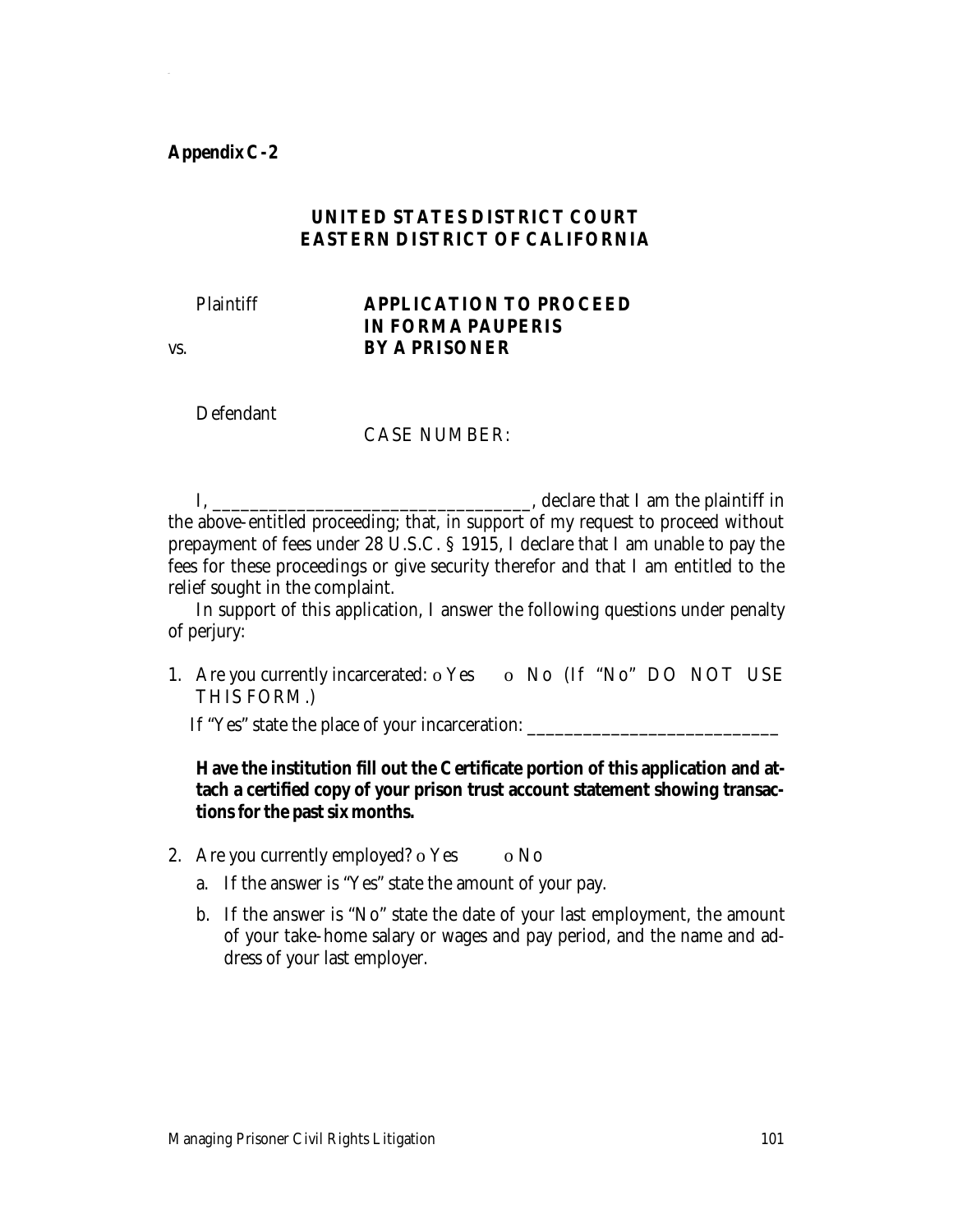**Appendix C-2**

## **UNITED STATES DISTRICT COURT EASTERN DISTRICT OF CALIFORNIA**

### Plaintiff **APPLICATION TO PROCEED IN FORMA PAUPERIS** vs. **BY A PRISONER**

Defendant

#### CASE NUMBER:

I, \_\_\_\_\_\_\_\_\_\_\_\_\_\_\_\_\_\_\_\_\_\_\_\_\_\_\_\_\_\_\_\_\_\_, declare that I am the plaintiff in the above-entitled proceeding; that, in support of my request to proceed without prepayment of fees under 28 U.S.C. § 1915, I declare that I am unable to pay the fees for these proceedings or give security therefor and that I am entitled to the relief sought in the complaint.

In support of this application, I answer the following questions under penalty of perjury:

1. Are you currently incarcerated: o Yes o No (If "No" DO NOT USE THIS FORM.)

If "Yes" state the place of your incarceration: \_\_\_\_\_\_\_\_\_\_\_\_\_\_\_\_\_\_\_\_\_\_\_\_\_\_\_\_\_\_\_\_

**Have the institution fill out the Certificate portion of this application and attach a certified copy of your prison trust account statement showing transactions for the past six months.**

- 2. Are you currently employed? o Yes o No
	- a. If the answer is "Yes" state the amount of your pay.
	- b. If the answer is "No" state the date of your last employment, the amount of your take-home salary or wages and pay period, and the name and address of your last employer.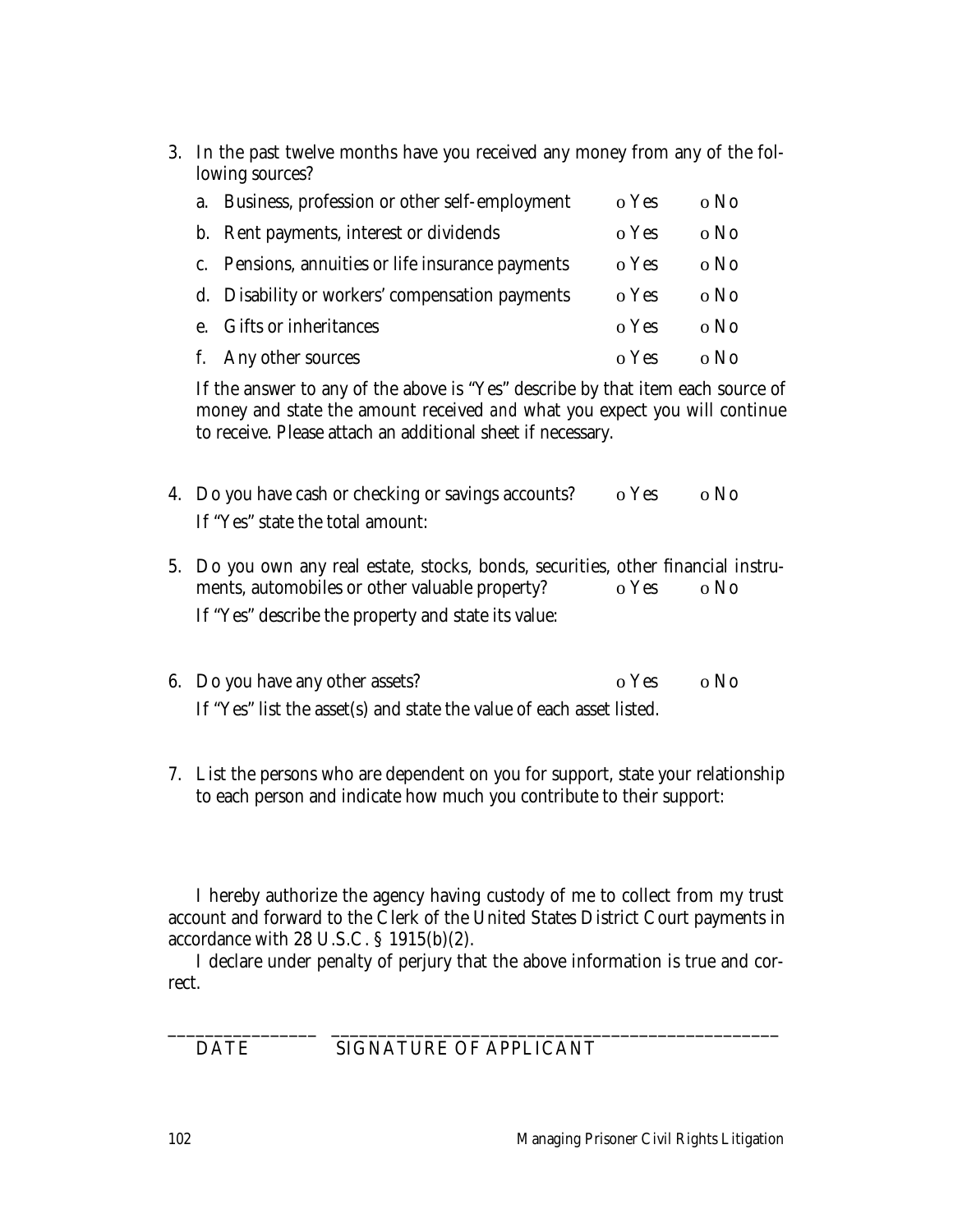3. In the past twelve months have you received any money from any of the following sources?

| a. Business, profession or other self-employment  | o Yes | o No |
|---------------------------------------------------|-------|------|
| b. Rent payments, interest or dividends           | o Yes | o No |
| c. Pensions, annuities or life insurance payments | o Yes | o No |
| d. Disability or workers' compensation payments   | o Yes | o No |
| e. Gifts or inheritances                          | o Yes | o No |
| f. Any other sources                              | o Yes | o No |

If the answer to any of the above is "Yes" describe by that item each source of money and state the amount received *and* what you expect you will continue to receive. Please attach an additional sheet if necessary.

- 4. Do you have cash or checking or savings accounts? o Yes o No If "Yes" state the total amount:
- 5. Do you own any real estate, stocks, bonds, securities, other financial instruments, automobiles or other valuable property?  $\qquad \qquad$  o Yes  $\qquad$  o No If "Yes" describe the property and state its value:
- 6. Do you have any other assets?  $\overline{\text{O}}$  Yes  $\overline{\text{O}}$  No If "Yes" list the asset(s) and state the value of each asset listed.
- 7. List the persons who are dependent on you for support, state your relationship to each person and indicate how much you contribute to their support:

I hereby authorize the agency having custody of me to collect from my trust account and forward to the Clerk of the United States District Court payments in accordance with 28 U.S.C. § 1915(b)(2).

I declare under penalty of perjury that the above information is true and correct.

\_\_\_\_\_\_\_\_\_\_\_\_\_\_\_\_ \_\_\_\_\_\_\_\_\_\_\_\_\_\_\_\_\_\_\_\_\_\_\_\_\_\_\_\_\_\_\_\_\_\_\_\_\_\_\_\_\_\_\_\_\_\_\_\_ DATE SIGNATURE OF APPLICANT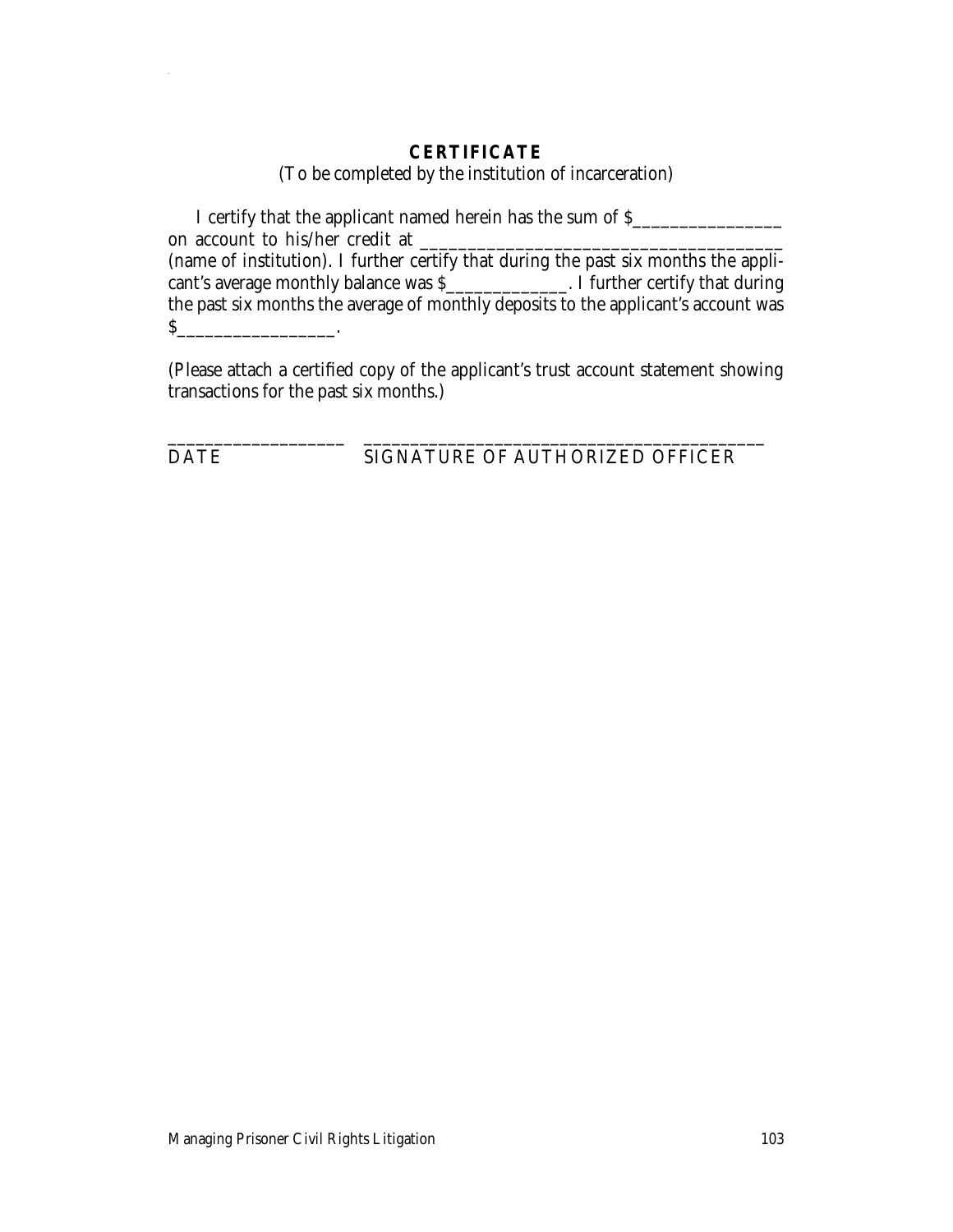### **CERTIFICATE**

(To be completed by the institution of incarceration)

I certify that the applicant named herein has the sum of \$\_\_\_\_\_\_\_\_\_\_\_\_\_\_\_\_\_\_\_\_\_\_ on account to his/her credit at (name of institution). I further certify that during the past six months the applicant's average monthly balance was \$\_\_\_\_\_\_\_\_\_\_\_\_. I further certify that during the past six months the average of monthly deposits to the applicant's account was  $\mathsf S$  .

(Please attach a certified copy of the applicant's trust account statement showing transactions for the past six months.)

\_\_\_\_\_\_\_\_\_\_\_\_\_\_\_\_\_\_\_ \_\_\_\_\_\_\_\_\_\_\_\_\_\_\_\_\_\_\_\_\_\_\_\_\_\_\_\_\_\_\_\_\_\_\_\_\_\_\_\_\_\_\_ DATE SIGNATURE OF AUTHORIZED OFFICER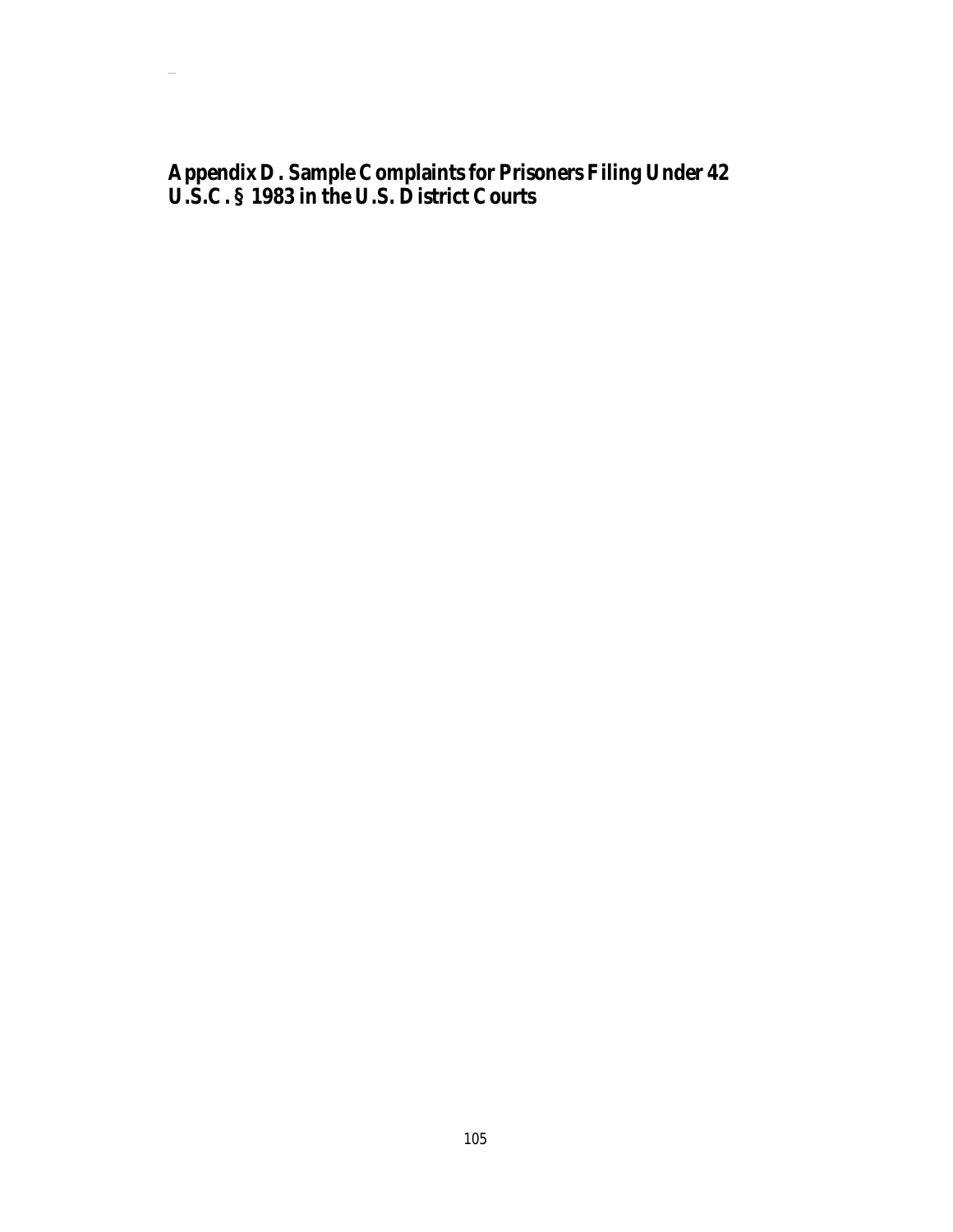**Appendix D. Sample Complaints for Prisoners Filing Under 42 U.S.C. § 1983 in the U.S. District Courts**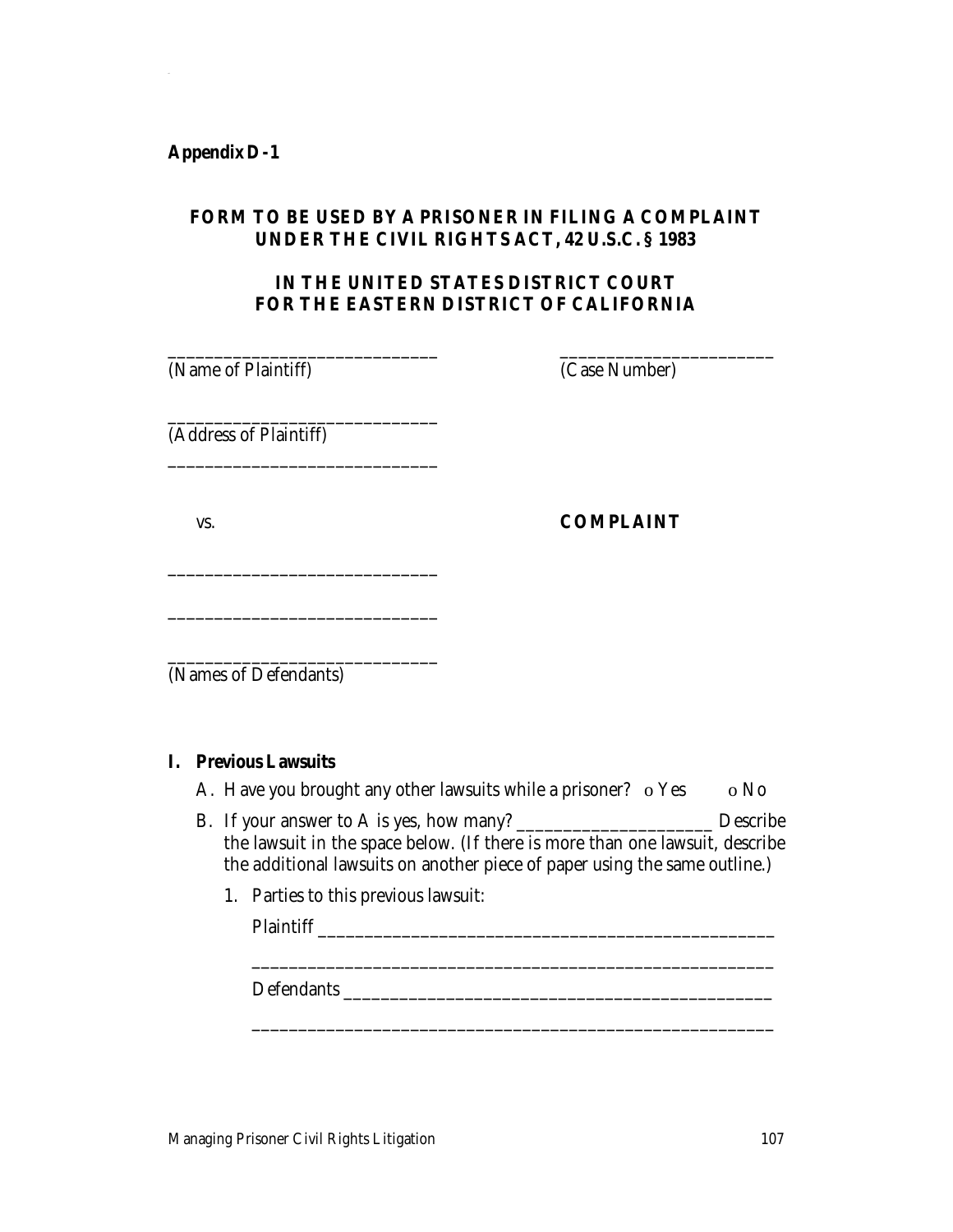**Appendix D-1**

## **FORM TO BE USED BY A PRISONER IN FILING A COMPLAINT UNDER THE CIVIL RIGHTS ACT, 42 U.S.C. § 1983**

## **IN THE UNITED STATES DISTRICT COURT FOR THE EASTERN DISTRICT OF CALIFORNIA**

|    |     | (Name of Plaintiff)                  | (Case Number)                                                                                                                                                                                                                                |      |
|----|-----|--------------------------------------|----------------------------------------------------------------------------------------------------------------------------------------------------------------------------------------------------------------------------------------------|------|
|    |     | (Address of Plaintiff)               |                                                                                                                                                                                                                                              |      |
|    | VS. |                                      | <b>COMPLAINT</b>                                                                                                                                                                                                                             |      |
|    |     |                                      |                                                                                                                                                                                                                                              |      |
|    |     | (Names of Defendants)                |                                                                                                                                                                                                                                              |      |
| I. |     | <b>Previous Lawsuits</b>             |                                                                                                                                                                                                                                              |      |
|    |     |                                      | A. Have you brought any other lawsuits while a prisoner? o Yes                                                                                                                                                                               | o No |
|    |     |                                      | B. If your answer to A is yes, how many? ____________________________ Describe<br>the lawsuit in the space below. (If there is more than one lawsuit, describe<br>the additional lawsuits on another piece of paper using the same outline.) |      |
|    |     | 1. Parties to this previous lawsuit: |                                                                                                                                                                                                                                              |      |
|    |     | <b>Defendants</b>                    |                                                                                                                                                                                                                                              |      |

\_\_\_\_\_\_\_\_\_\_\_\_\_\_\_\_\_\_\_\_\_\_\_\_\_\_\_\_\_\_\_\_\_\_\_\_\_\_\_\_\_\_\_\_\_\_\_\_\_\_\_\_\_\_\_\_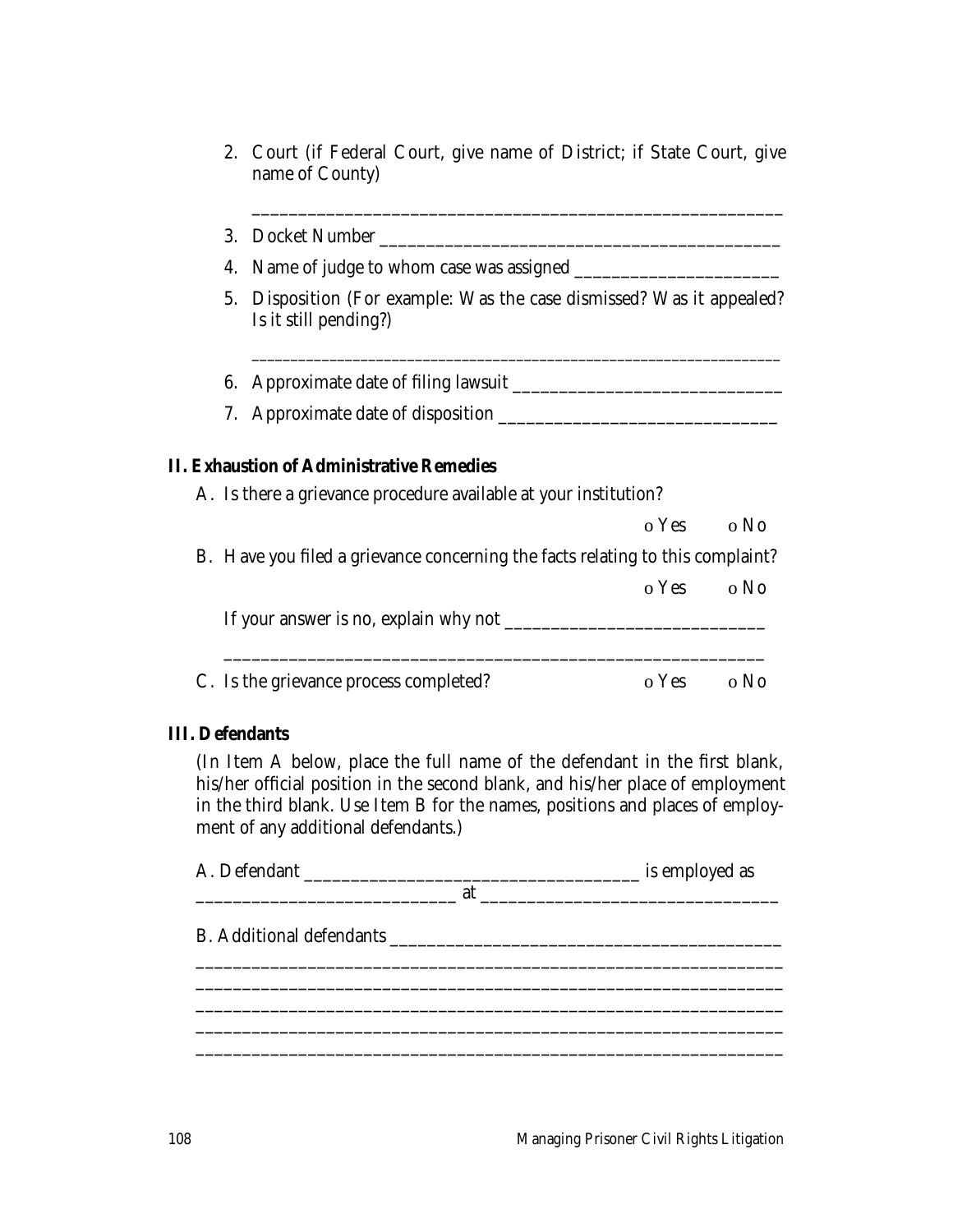|                        |                                                                                                   | 2. Court (if Federal Court, give name of District; if State Court, give<br>name of County)                                                                                                                                                                                           |            |      |  |
|------------------------|---------------------------------------------------------------------------------------------------|--------------------------------------------------------------------------------------------------------------------------------------------------------------------------------------------------------------------------------------------------------------------------------------|------------|------|--|
|                        |                                                                                                   |                                                                                                                                                                                                                                                                                      |            |      |  |
|                        | 4.                                                                                                |                                                                                                                                                                                                                                                                                      |            |      |  |
|                        | Disposition (For example: Was the case dismissed? Was it appealed?<br>5.<br>Is it still pending?) |                                                                                                                                                                                                                                                                                      |            |      |  |
|                        | 6.                                                                                                |                                                                                                                                                                                                                                                                                      |            |      |  |
|                        |                                                                                                   |                                                                                                                                                                                                                                                                                      |            |      |  |
|                        |                                                                                                   | <b>II. Exhaustion of Administrative Remedies</b>                                                                                                                                                                                                                                     |            |      |  |
|                        |                                                                                                   | A. Is there a grievance procedure available at your institution?                                                                                                                                                                                                                     |            |      |  |
|                        |                                                                                                   |                                                                                                                                                                                                                                                                                      | o Yes      | o No |  |
|                        |                                                                                                   | B. Have you filed a grievance concerning the facts relating to this complaint?                                                                                                                                                                                                       |            |      |  |
|                        |                                                                                                   |                                                                                                                                                                                                                                                                                      | o Yes      | o No |  |
|                        |                                                                                                   |                                                                                                                                                                                                                                                                                      |            |      |  |
|                        |                                                                                                   | C. Is the grievance process completed?                                                                                                                                                                                                                                               | o Yes o No |      |  |
| <b>III.</b> Defendants |                                                                                                   |                                                                                                                                                                                                                                                                                      |            |      |  |
|                        |                                                                                                   | (In Item A below, place the full name of the defendant in the first blank,<br>his/her official position in the second blank, and his/her place of employment<br>in the third blank. Use Item B for the names, positions and places of employ-<br>ment of any additional defendants.) |            |      |  |
|                        |                                                                                                   |                                                                                                                                                                                                                                                                                      |            |      |  |
|                        |                                                                                                   |                                                                                                                                                                                                                                                                                      |            |      |  |
|                        |                                                                                                   |                                                                                                                                                                                                                                                                                      |            |      |  |
|                        |                                                                                                   |                                                                                                                                                                                                                                                                                      |            |      |  |
|                        |                                                                                                   |                                                                                                                                                                                                                                                                                      |            |      |  |
|                        |                                                                                                   |                                                                                                                                                                                                                                                                                      |            |      |  |

\_\_\_\_\_\_\_\_\_\_\_\_\_\_\_\_\_\_\_\_\_\_\_\_\_\_\_\_\_\_\_\_\_\_\_\_\_\_\_\_\_\_\_\_\_\_\_\_\_\_\_\_\_\_\_\_\_\_\_\_\_\_\_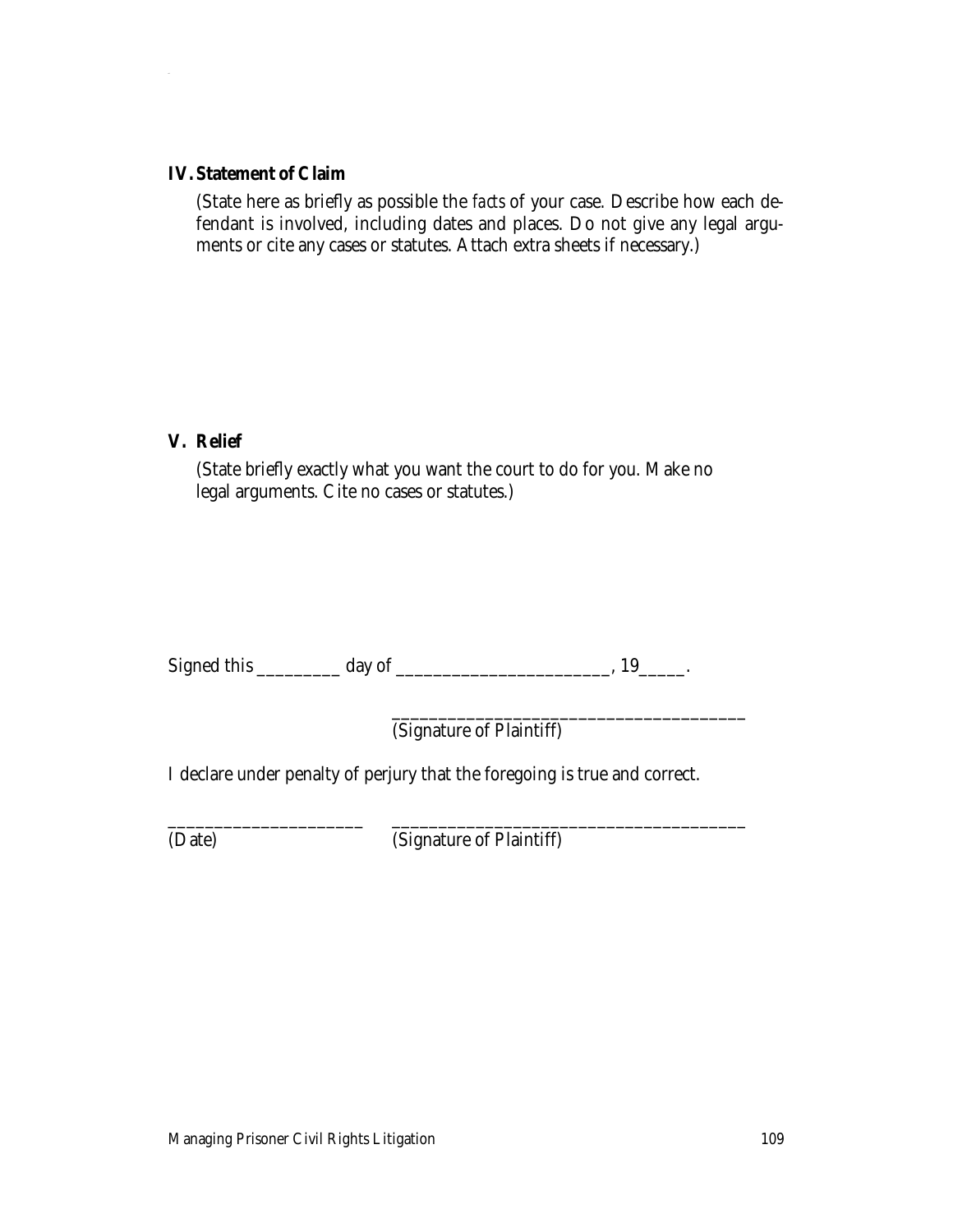### **IV. Statement of Claim**

(State here as briefly as possible the *facts* of your case. Describe how each defendant is involved, including dates and places. Do not give any legal arguments or cite any cases or statutes. Attach extra sheets if necessary.)

### **V. Relief**

(State briefly exactly what you want the court to do for you. Make no legal arguments. Cite no cases or statutes.)

Signed this \_\_\_\_\_\_\_\_\_\_ day of \_\_\_\_\_\_\_\_\_\_\_\_\_\_\_\_\_\_\_\_\_\_\_\_\_\_\_\_\_\_\_, 19\_\_\_\_\_\_\_.

\_\_\_\_\_\_\_\_\_\_\_\_\_\_\_\_\_\_\_\_\_\_\_\_\_\_\_\_\_\_\_\_\_\_\_\_\_\_ (Signature of Plaintiff)

I declare under penalty of perjury that the foregoing is true and correct.

\_\_\_\_\_\_\_\_\_\_\_\_\_\_\_\_\_\_\_\_\_ \_\_\_\_\_\_\_\_\_\_\_\_\_\_\_\_\_\_\_\_\_\_\_\_\_\_\_\_\_\_\_\_\_\_\_\_\_\_ (Date) (Signature of Plaintiff)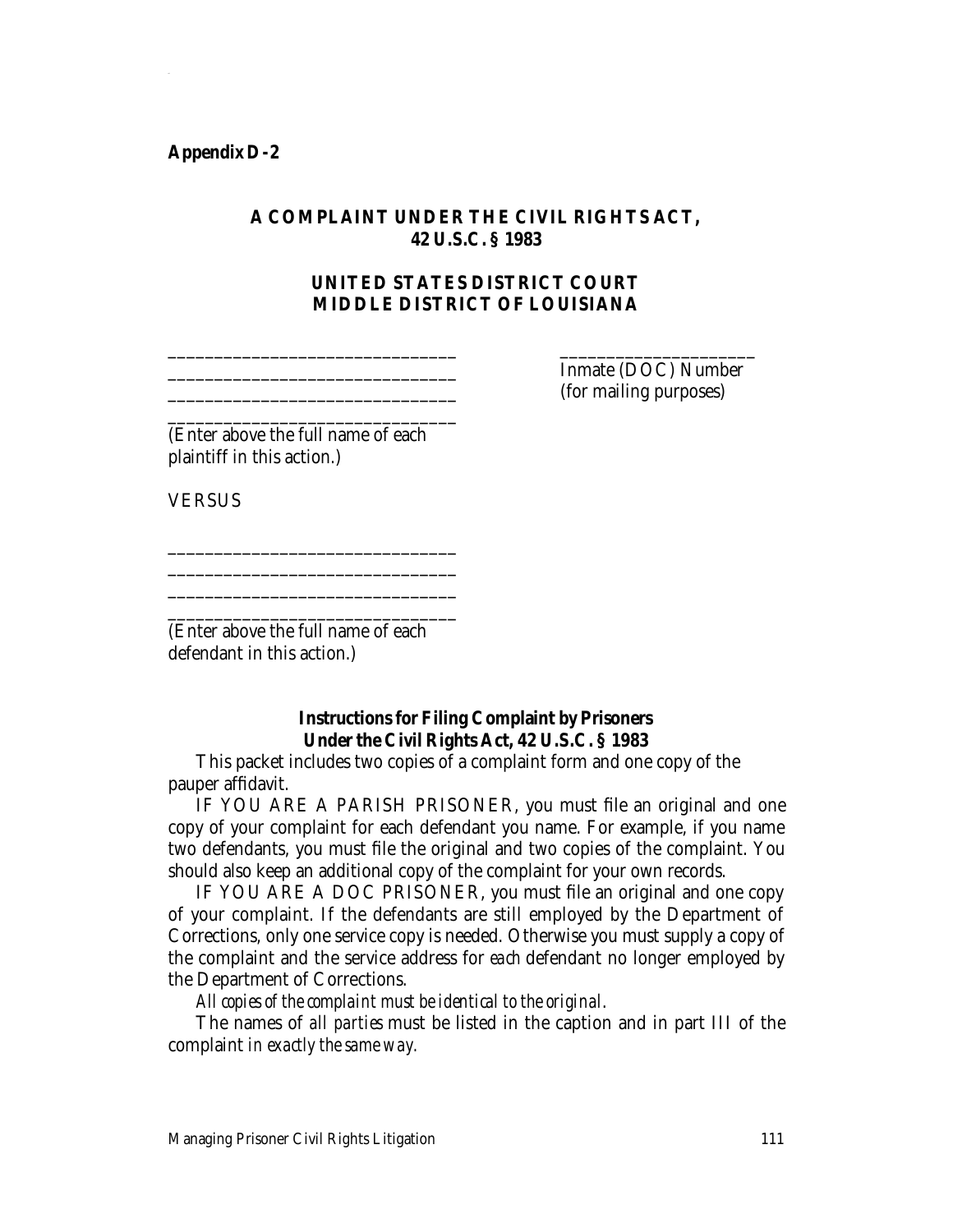**Appendix D-2**

## **A COMPLAINT UNDER THE CIVIL RIGHTS ACT, 42 U.S.C. § 1983**

## **UNITED STATES DISTRICT COURT MIDDLE DISTRICT OF LOUISIANA**

Inmate (DOC) Number

\_\_\_\_\_\_\_\_\_\_\_\_\_\_\_\_\_\_\_\_\_\_\_\_\_\_\_\_\_\_\_ \_\_\_\_\_\_\_\_\_\_\_\_\_\_\_\_\_\_\_\_\_

\_\_\_\_\_\_\_\_\_\_\_\_\_\_\_\_\_\_\_\_\_\_\_\_\_\_\_\_\_\_\_ (for mailing purposes)

\_\_\_\_\_\_\_\_\_\_\_\_\_\_\_\_\_\_\_\_\_\_\_\_\_\_\_\_\_\_\_ (Enter above the full name of each plaintiff in this action.)

\_\_\_\_\_\_\_\_\_\_\_\_\_\_\_\_\_\_\_\_\_\_\_\_\_\_\_\_\_\_\_ \_\_\_\_\_\_\_\_\_\_\_\_\_\_\_\_\_\_\_\_\_\_\_\_\_\_\_\_\_\_\_  $\mathcal{L}_\text{max}$  , and the set of the set of the set of the set of the set of the set of the set of the set of the set of the set of the set of the set of the set of the set of the set of the set of the set of the set of the \_\_\_\_\_\_\_\_\_\_\_\_\_\_\_\_\_\_\_\_\_\_\_\_\_\_\_\_\_\_\_

VERSUS

(Enter above the full name of each defendant in this action.)

## **Instructions for Filing Complaint by Prisoners Under the Civil Rights Act, 42 U.S.C. § 1983**

This packet includes two copies of a complaint form and one copy of the pauper affidavit.

IF YOU ARE A PARISH PRISONER, you must file an original and one copy of your complaint for each defendant you name. For example, if you name two defendants, you must file the original and two copies of the complaint. You should also keep an additional copy of the complaint for your own records.

IF YOU ARE A DOC PRISONER, you must file an original and one copy of your complaint. If the defendants are still employed by the Department of Corrections, only one service copy is needed. Otherwise you must supply a copy of the complaint and the service address for *each* defendant no longer employed by the Department of Corrections.

*All copies of the complaint must be identical to the original*.

The names of *all parties* must be listed in the caption and in part III of the complaint *in exactly the same way.*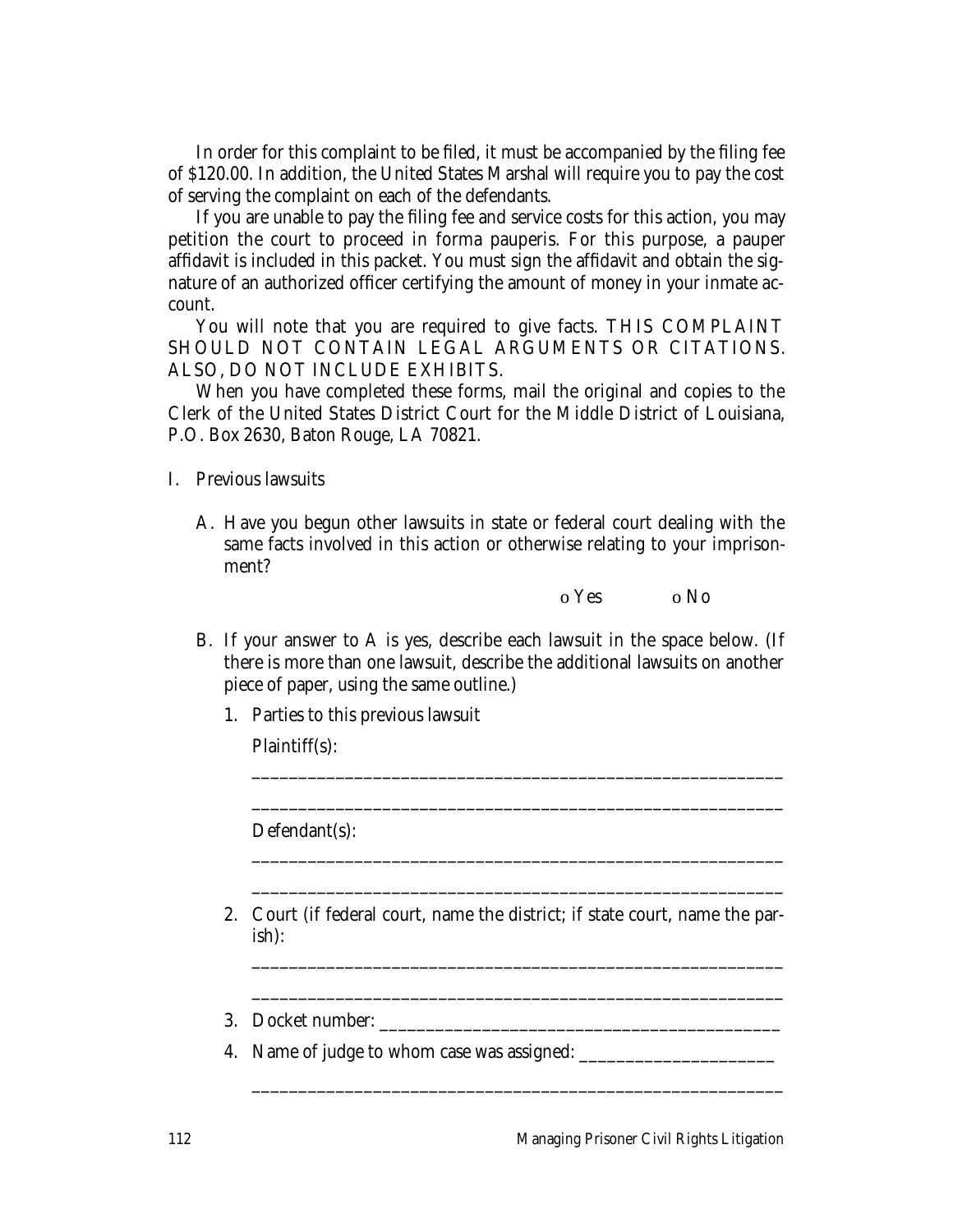In order for this complaint to be filed, it must be accompanied by the filing fee of \$120.00. In addition, the United States Marshal will require you to pay the cost of serving the complaint on each of the defendants.

If you are unable to pay the filing fee and service costs for this action, you may petition the court to proceed in forma pauperis. For this purpose, a pauper affidavit is included in this packet. You must sign the affidavit and obtain the signature of an authorized officer certifying the amount of money in your inmate account.

You will note that you are required to give facts. THIS COMPLAINT SHOULD NOT CONTAIN LEGAL ARGUMENTS OR CITATIONS. ALSO, DO NOT INCLUDE EXHIBITS.

When you have completed these forms, mail the original and copies to the Clerk of the United States District Court for the Middle District of Louisiana, P.O. Box 2630, Baton Rouge, LA 70821.

- I. Previous lawsuits
	- A. Have you begun other lawsuits in state or federal court dealing with the same facts involved in this action or otherwise relating to your imprisonment?

o Yes o No

- B. If your answer to A is yes, describe each lawsuit in the space below. (If there is more than one lawsuit, describe the additional lawsuits on another piece of paper, using the same outline.)
	- 1. Parties to this previous lawsuit

Plaintiff(s):

Defendant(s):

2. Court (if federal court, name the district; if state court, name the parish):

\_\_\_\_\_\_\_\_\_\_\_\_\_\_\_\_\_\_\_\_\_\_\_\_\_\_\_\_\_\_\_\_\_\_\_\_\_\_\_\_\_\_\_\_\_\_\_\_\_\_\_\_\_\_\_\_\_

\_\_\_\_\_\_\_\_\_\_\_\_\_\_\_\_\_\_\_\_\_\_\_\_\_\_\_\_\_\_\_\_\_\_\_\_\_\_\_\_\_\_\_\_\_\_\_\_\_\_\_\_\_\_\_\_\_

\_\_\_\_\_\_\_\_\_\_\_\_\_\_\_\_\_\_\_\_\_\_\_\_\_\_\_\_\_\_\_\_\_\_\_\_\_\_\_\_\_\_\_\_\_\_\_\_\_\_\_\_\_\_\_\_\_

\_\_\_\_\_\_\_\_\_\_\_\_\_\_\_\_\_\_\_\_\_\_\_\_\_\_\_\_\_\_\_\_\_\_\_\_\_\_\_\_\_\_\_\_\_\_\_\_\_\_\_\_\_\_\_\_\_

\_\_\_\_\_\_\_\_\_\_\_\_\_\_\_\_\_\_\_\_\_\_\_\_\_\_\_\_\_\_\_\_\_\_\_\_\_\_\_\_\_\_\_\_\_\_\_\_\_\_\_\_\_\_\_\_\_

\_\_\_\_\_\_\_\_\_\_\_\_\_\_\_\_\_\_\_\_\_\_\_\_\_\_\_\_\_\_\_\_\_\_\_\_\_\_\_\_\_\_\_\_\_\_\_\_\_\_\_\_\_\_\_\_\_

\_\_\_\_\_\_\_\_\_\_\_\_\_\_\_\_\_\_\_\_\_\_\_\_\_\_\_\_\_\_\_\_\_\_\_\_\_\_\_\_\_\_\_\_\_\_\_\_\_\_\_\_\_\_\_\_\_

- 3. Docket number:
- 4. Name of judge to whom case was assigned: \_\_\_\_\_\_\_\_\_\_\_\_\_\_\_\_\_\_\_\_\_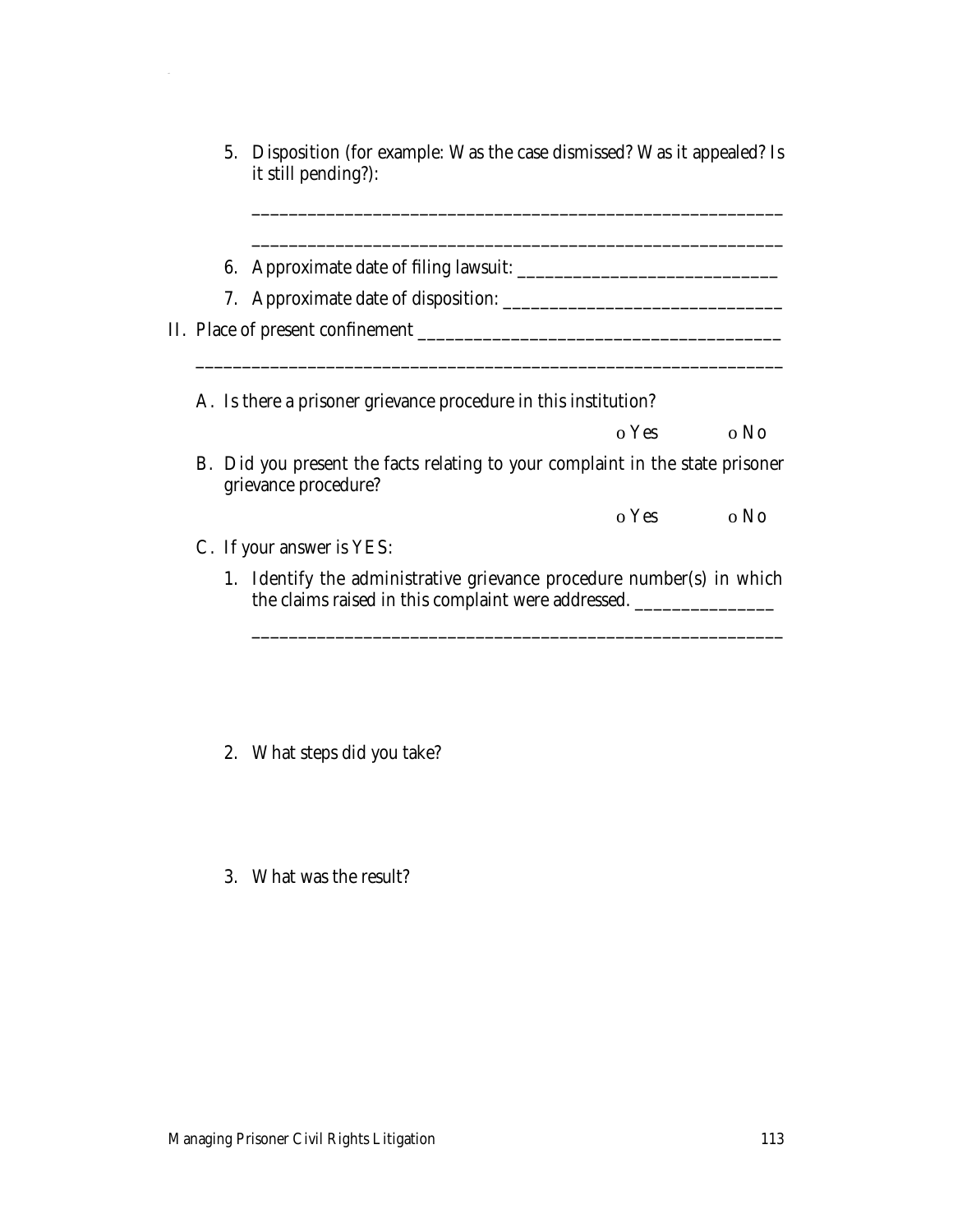|  | 5. Disposition (for example: Was the case dismissed? Was it appealed? Is<br>it still pending?):                                                                          |                |                     |
|--|--------------------------------------------------------------------------------------------------------------------------------------------------------------------------|----------------|---------------------|
|  |                                                                                                                                                                          |                |                     |
|  |                                                                                                                                                                          |                |                     |
|  |                                                                                                                                                                          |                |                     |
|  | A. Is there a prisoner grievance procedure in this institution?<br>B. Did you present the facts relating to your complaint in the state prisoner<br>grievance procedure? | o Yes<br>o Yes | o No<br>$\alpha$ No |
|  | C. If your answer is YES:                                                                                                                                                |                |                     |
|  | 1. Identify the administrative grievance procedure number(s) in which<br>the claims raised in this complaint were addressed. _____________________________               |                |                     |
|  |                                                                                                                                                                          |                |                     |

2. What steps did you take?

vii

3. What was the result?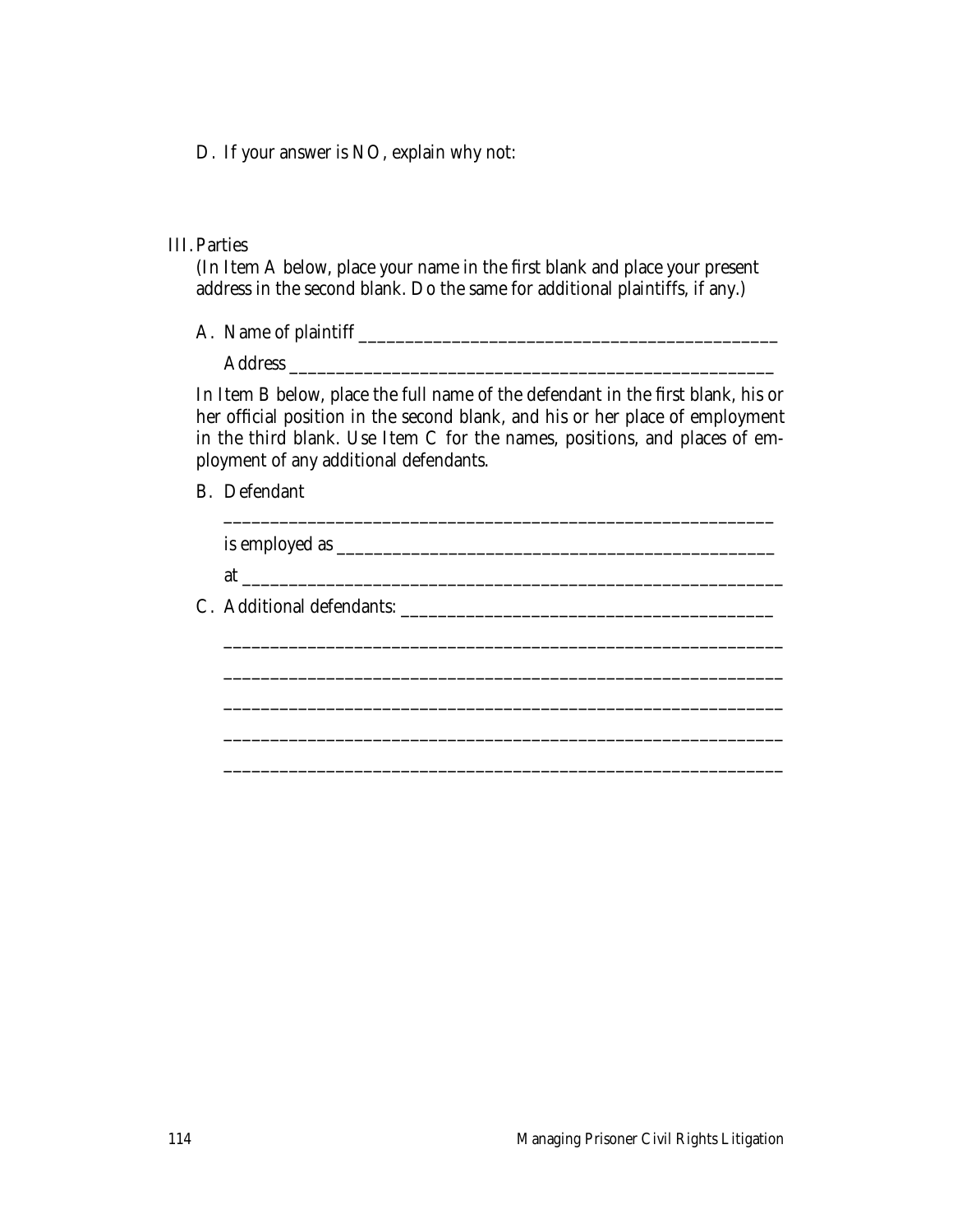D. If your answer is NO, explain why not:

### III. Parties

(In Item A below, place your name in the first blank and place your present address in the second blank. Do the same for additional plaintiffs, if any.)

A. Name of plaintiff \_\_\_\_\_\_\_\_\_\_\_\_\_\_\_\_\_\_\_\_\_\_\_\_\_\_\_\_\_\_\_\_\_\_\_\_\_\_\_\_\_\_\_\_\_

Address **and a set of the set of the set of the set of the set of the set of the set of the set of the set of the set of the set of the set of the set of the set of the set of the set of the set of the set of the set of th** 

In Item B below, place the full name of the defendant in the first blank, his or her official position in the second blank, and his or her place of employment in the third blank. Use Item C for the names, positions, and places of employment of any additional defendants.

### B. Defendant

\_\_\_\_\_\_\_\_\_\_\_\_\_\_\_\_\_\_\_\_\_\_\_\_\_\_\_\_\_\_\_\_\_\_\_\_\_\_\_\_\_\_\_\_\_\_\_\_\_\_\_\_\_\_\_\_\_\_\_\_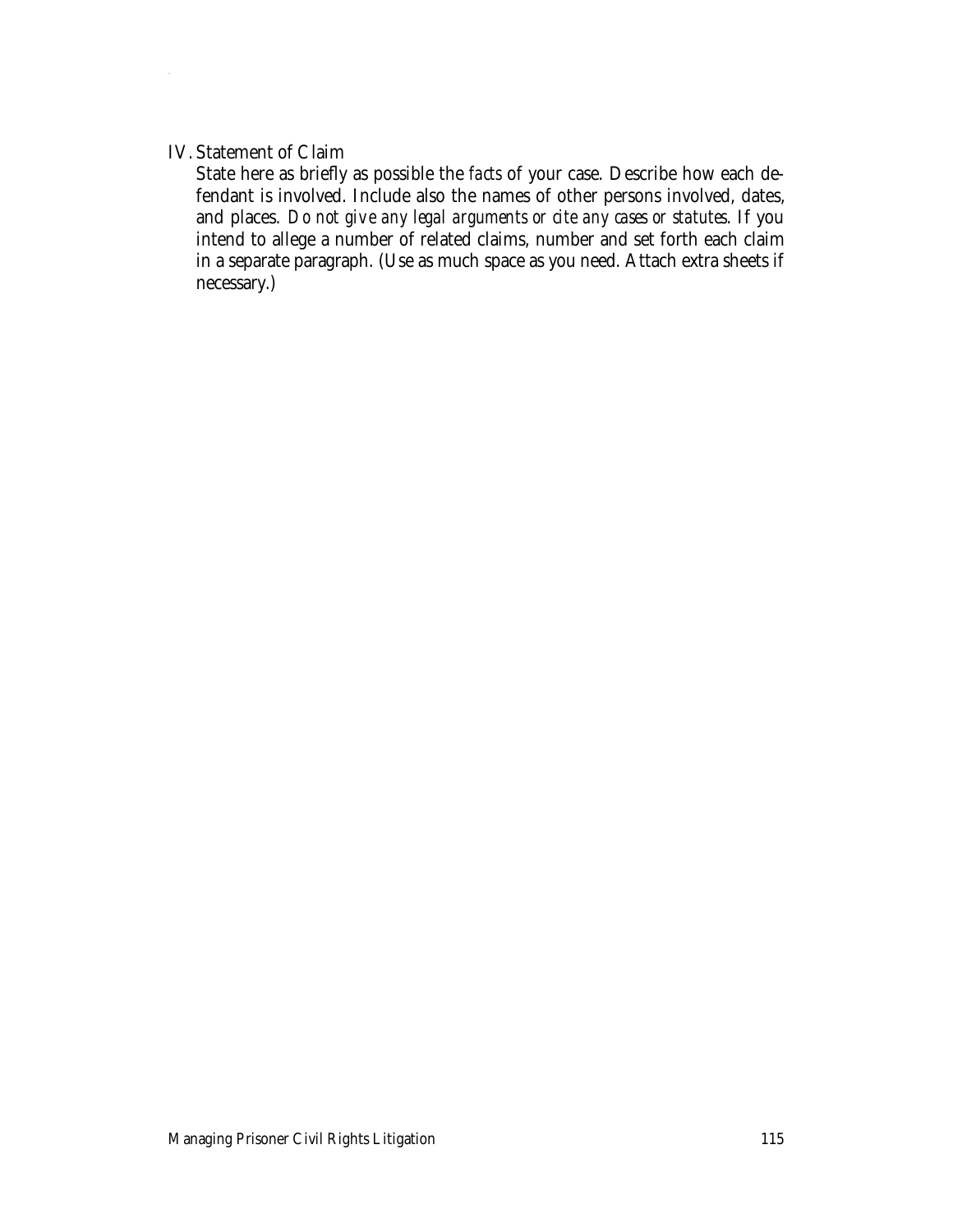## IV. Statement of Claim

State here as briefly as possible the *facts* of your case. Describe how each defendant is involved. Include also the names of other persons involved, dates, and places. *Do not give any legal arguments or cite any cases or statutes*. If you intend to allege a number of related claims, number and set forth each claim in a separate paragraph. (Use as much space as you need. Attach extra sheets if necessary.)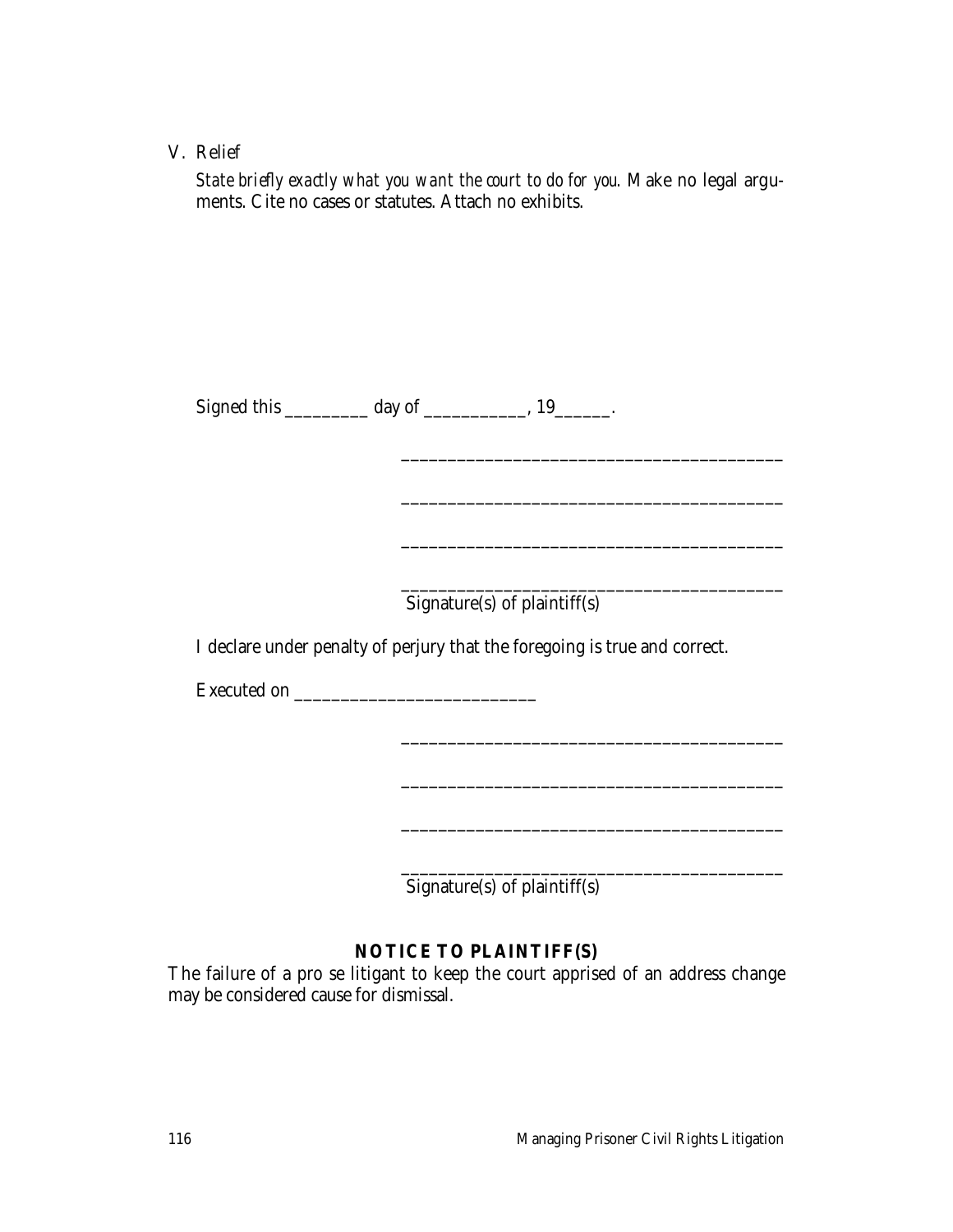### V. Relief

*State briefly exactly what you want the court to do for you*. Make no legal arguments. Cite no cases or statutes. Attach no exhibits.

Signed this \_\_\_\_\_\_\_\_\_\_ day of \_\_\_\_\_\_\_\_\_\_, 19\_\_\_\_\_\_.

\_\_\_\_\_\_\_\_\_\_\_\_\_\_\_\_\_\_\_\_\_\_\_\_\_\_\_\_\_\_\_\_\_\_\_\_\_\_\_\_\_ Signature(s) of plaintiff(s)

\_\_\_\_\_\_\_\_\_\_\_\_\_\_\_\_\_\_\_\_\_\_\_\_\_\_\_\_\_\_\_\_\_\_\_\_\_\_\_\_\_

\_\_\_\_\_\_\_\_\_\_\_\_\_\_\_\_\_\_\_\_\_\_\_\_\_\_\_\_\_\_\_\_\_\_\_\_\_\_\_\_\_

\_\_\_\_\_\_\_\_\_\_\_\_\_\_\_\_\_\_\_\_\_\_\_\_\_\_\_\_\_\_\_\_\_\_\_\_\_\_\_\_\_

\_\_\_\_\_\_\_\_\_\_\_\_\_\_\_\_\_\_\_\_\_\_\_\_\_\_\_\_\_\_\_\_\_\_\_\_\_\_\_\_\_

 $\overline{\phantom{a}}$  , and the contract of the contract of the contract of the contract of the contract of the contract of the contract of the contract of the contract of the contract of the contract of the contract of the contrac

I declare under penalty of perjury that the foregoing is true and correct.

Executed on \_\_\_\_\_\_\_\_\_\_\_\_\_\_\_\_\_\_\_\_\_\_\_\_\_\_

\_\_\_\_\_\_\_\_\_\_\_\_\_\_\_\_\_\_\_\_\_\_\_\_\_\_\_\_\_\_\_\_\_\_\_\_\_\_\_\_\_ Signature(s) of plaintiff(s)

## **NOTICE TO PLAINTIFF(S)**

The failure of a pro se litigant to keep the court apprised of an address change may be considered cause for dismissal.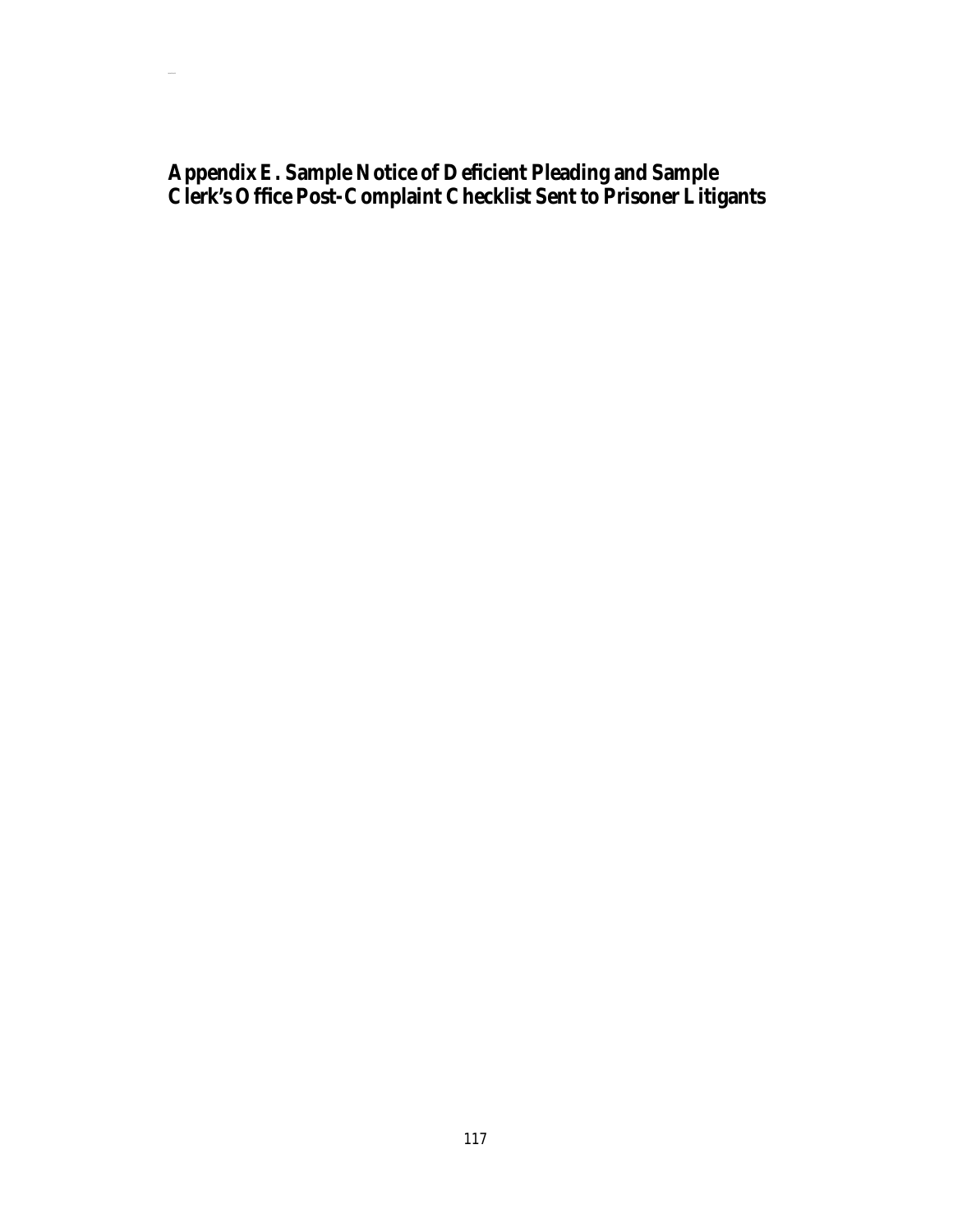**Appendix E. Sample Notice of Deficient Pleading and Sample Clerk's Office Post-Complaint Checklist Sent to Prisoner Litigants**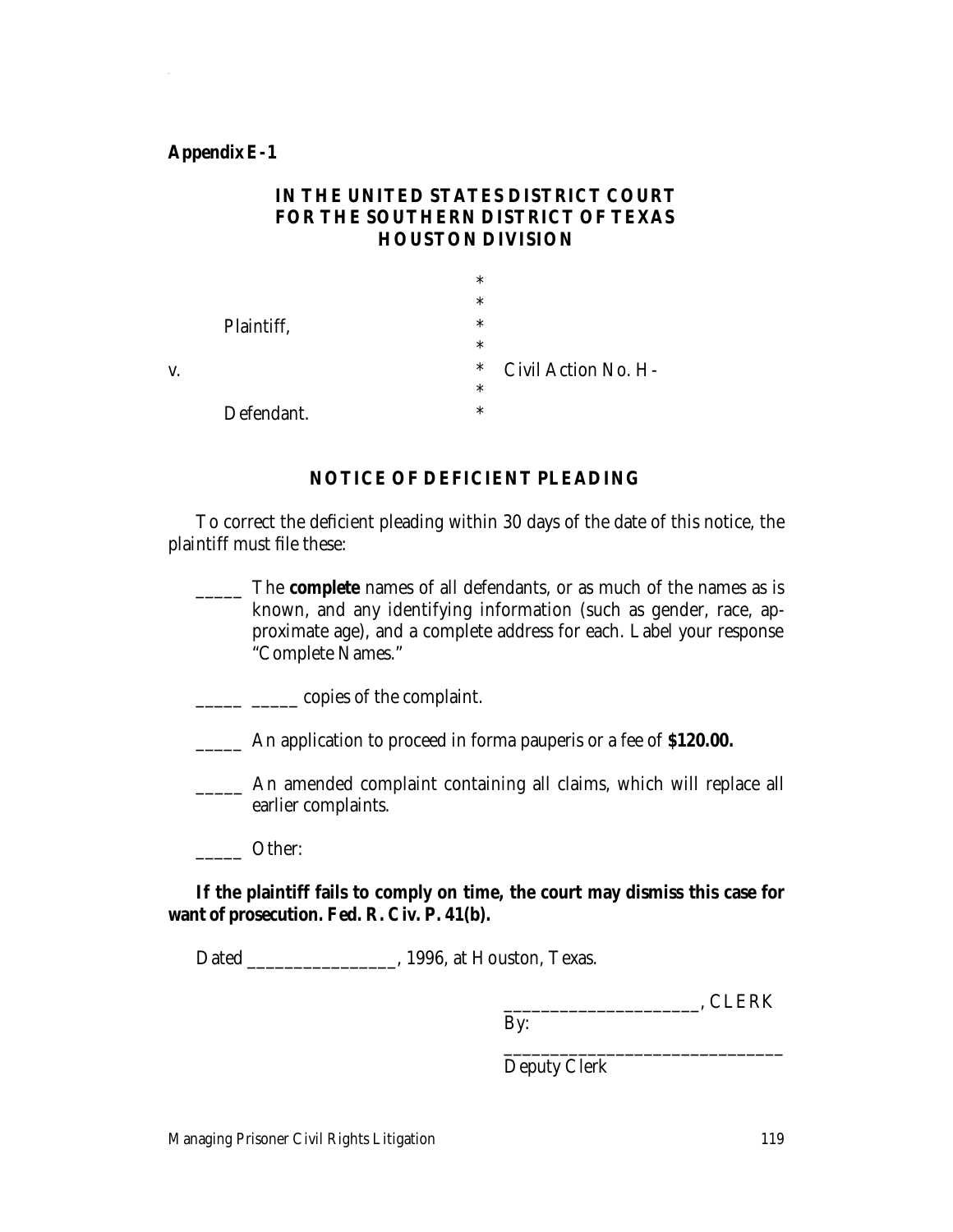**Appendix E-1**

## **IN THE UNITED STATES DISTRICT COURT FOR THE SOUTHERN DISTRICT OF TEXAS HOUSTON DIVISION**

|    |            | $\ast$ |                     |
|----|------------|--------|---------------------|
|    |            | *      |                     |
|    | Plaintiff, | *      |                     |
|    |            | $\ast$ |                     |
| V. |            | $\ast$ | Civil Action No. H- |
|    |            | $\ast$ |                     |
|    | Defendant. | *      |                     |

### **NOTICE OF DEFICIENT PLEADING**

To correct the deficient pleading within 30 days of the date of this notice, the plaintiff must file these:

\_\_\_\_\_ The **complete** names of all defendants, or as much of the names as is known, and any identifying information (such as gender, race, approximate age), and a complete address for each. Label your response "Complete Names."

\_\_\_\_\_ \_\_\_\_\_ copies of the complaint.

\_\_\_\_\_ An application to proceed in forma pauperis or a fee of **\$120.00.**

\_\_\_\_\_ An amended complaint containing all claims, which will replace all earlier complaints.

\_\_\_\_\_ Other:

**If the plaintiff fails to comply on time, the court may dismiss this case for want of prosecution. Fed. R. Civ. P. 41(b).**

Dated 1996, at Houston, Texas.

\_\_\_\_\_\_\_\_\_\_\_\_\_\_\_\_\_\_\_\_\_, CLERK

By:

\_\_\_\_\_\_\_\_\_\_\_\_\_\_\_\_\_\_\_\_\_\_\_\_\_\_\_\_\_\_ Deputy Clerk

Managing Prisoner Civil Rights Litigation 119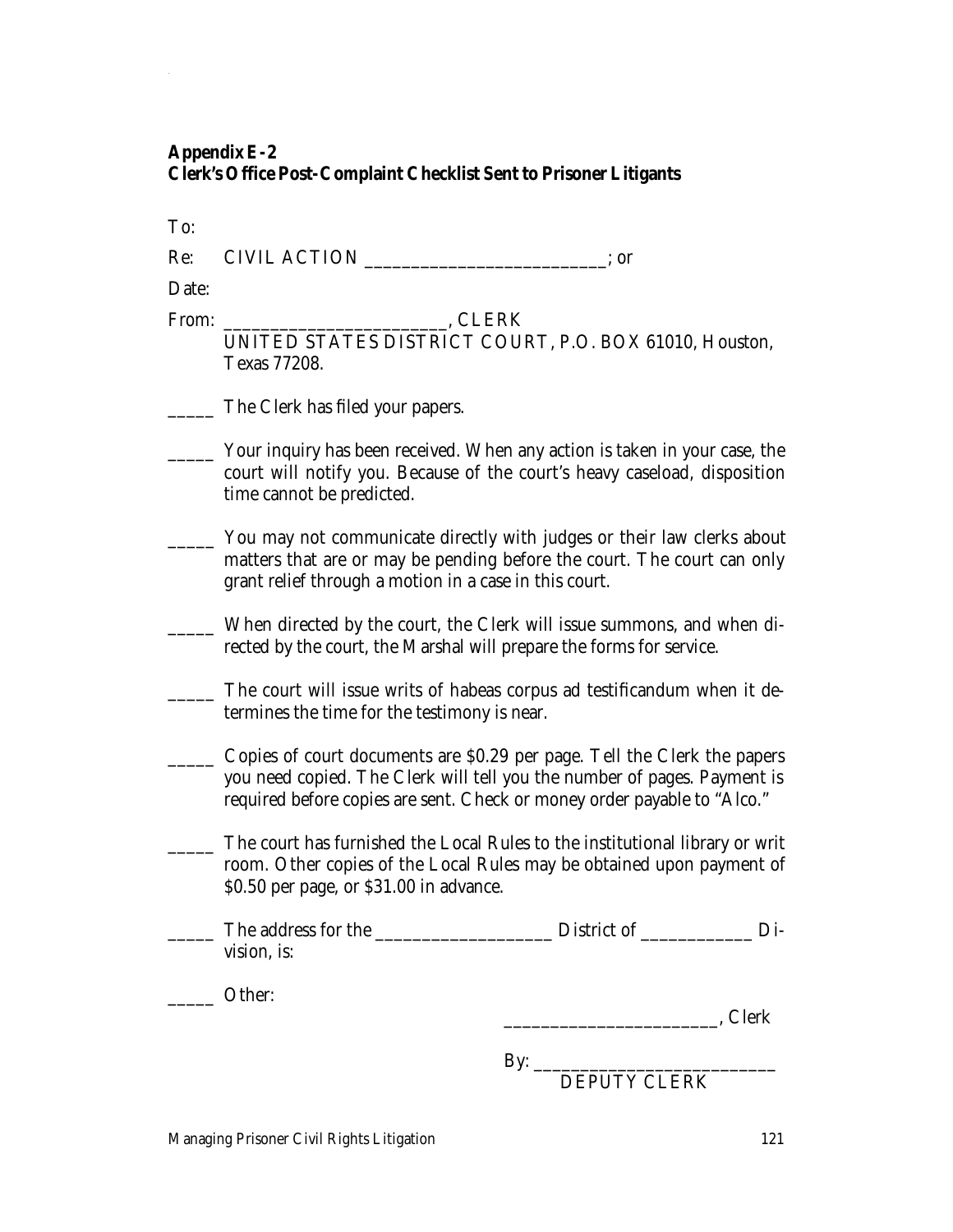# **Appendix E-2 Clerk's Office Post-Complaint Checklist Sent to Prisoner Litigants**

To:

Date:

| From: | . CLERK                                                |
|-------|--------------------------------------------------------|
|       | UNITED STATES DISTRICT COURT, P.O. BOX 61010, Houston, |
|       | Texas 77208.                                           |

- \_\_\_\_\_ The Clerk has filed your papers.
- \_\_\_\_\_ Your inquiry has been received. When any action is taken in your case, the court will notify you. Because of the court's heavy caseload, disposition time cannot be predicted.
- \_\_\_\_\_ You may not communicate directly with judges or their law clerks about matters that are or may be pending before the court. The court can only grant relief through a motion in a case in this court.
- \_\_\_\_\_ When directed by the court, the Clerk will issue summons, and when directed by the court, the Marshal will prepare the forms for service.
- \_\_\_\_\_ The court will issue writs of habeas corpus ad testificandum when it determines the time for the testimony is near.
- \_\_\_\_\_ Copies of court documents are \$0.29 per page. Tell the Clerk the papers you need copied. The Clerk will tell you the number of pages. Payment is required before copies are sent. Check or money order payable to "Alco."
- \_\_\_\_\_ The court has furnished the Local Rules to the institutional library or writ room. Other copies of the Local Rules may be obtained upon payment of \$0.50 per page, or \$31.00 in advance.

| The address for the | District of | . |
|---------------------|-------------|---|
| vision, is:         |             |   |

\_\_\_\_\_ Other:

 $\Box$  Clerk

By: \_\_\_\_\_\_\_\_\_\_\_\_\_\_\_\_\_\_\_\_\_\_\_\_\_\_

DEPUTY CLERK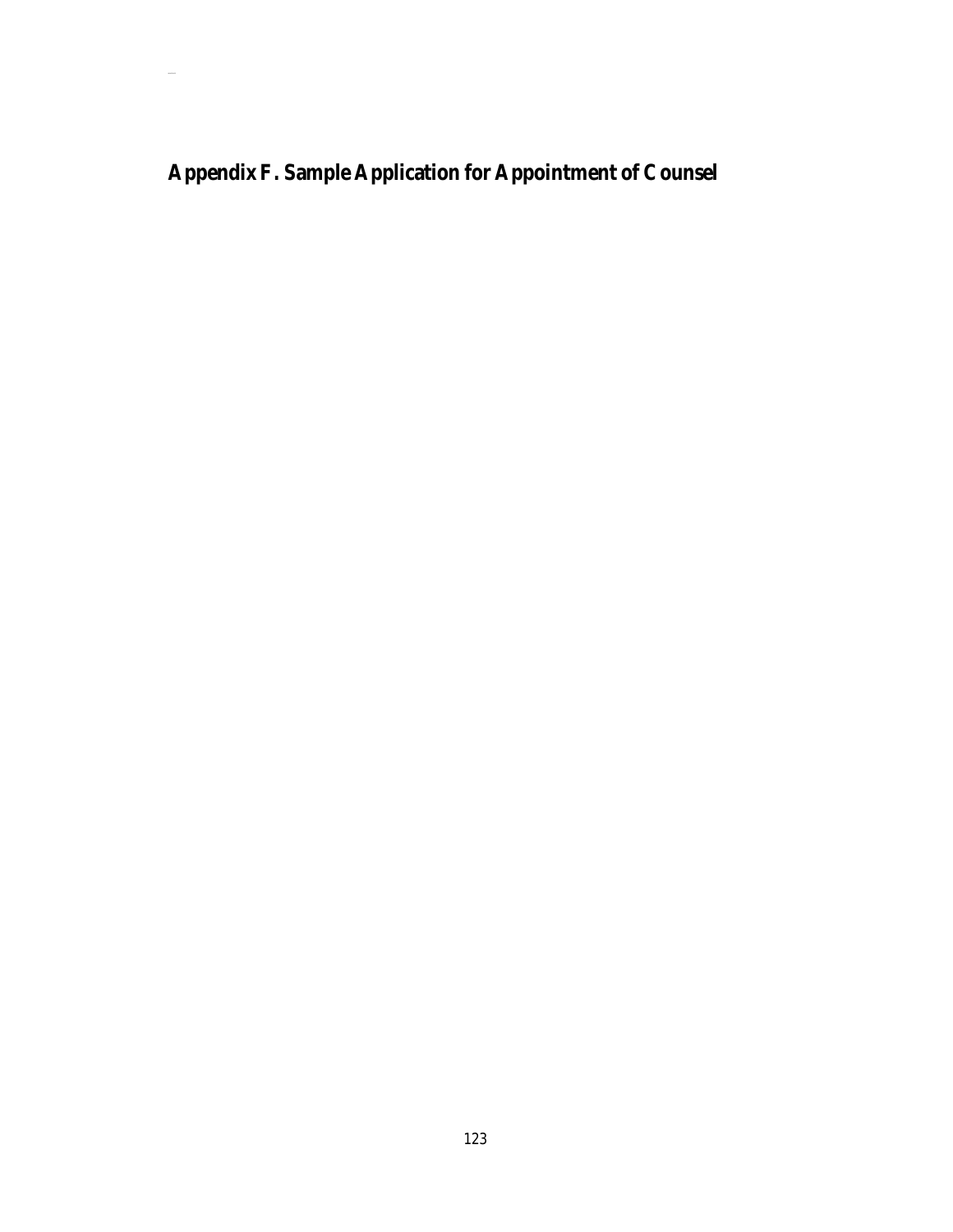**Appendix F. Sample Application for Appointment of Counsel**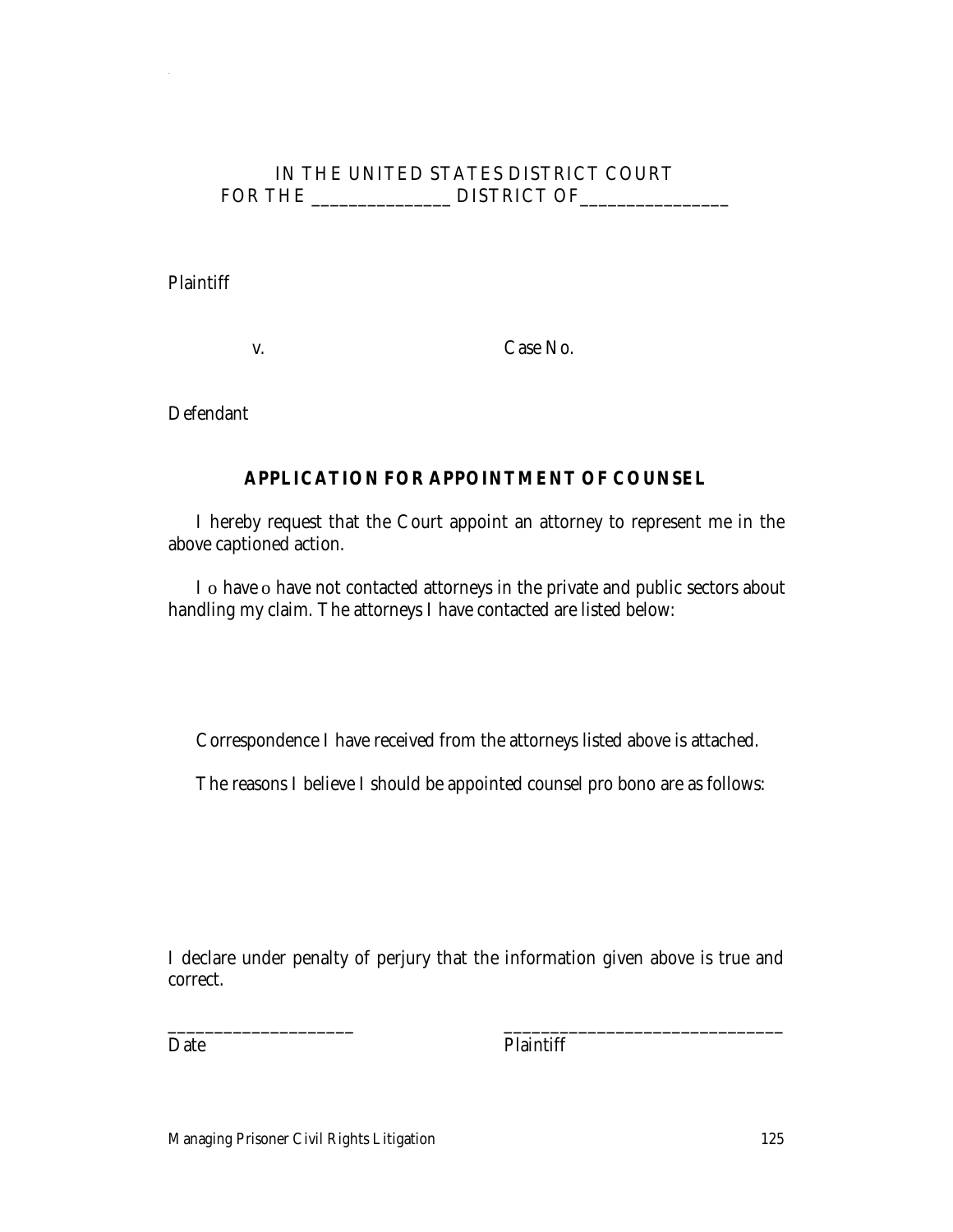## IN THE UNITED STATES DISTRICT COURT FOR THE \_\_\_\_\_\_\_\_\_\_\_\_\_\_\_ DISTRICT OF\_\_\_\_\_\_\_\_\_\_\_\_\_\_\_\_

Plaintiff

v. Case No.

Defendant

# **APPLICATION FOR APPOINTMENT OF COUNSEL**

I hereby request that the Court appoint an attorney to represent me in the above captioned action.

I o have o have not contacted attorneys in the private and public sectors about handling my claim. The attorneys I have contacted are listed below:

Correspondence I have received from the attorneys listed above is attached.

The reasons I believe I should be appointed counsel pro bono are as follows:

I declare under penalty of perjury that the information given above is true and correct.

\_\_\_\_\_\_\_\_\_\_\_\_\_\_\_\_\_\_\_\_ \_\_\_\_\_\_\_\_\_\_\_\_\_\_\_\_\_\_\_\_\_\_\_\_\_\_\_\_\_\_ Date Plaintiff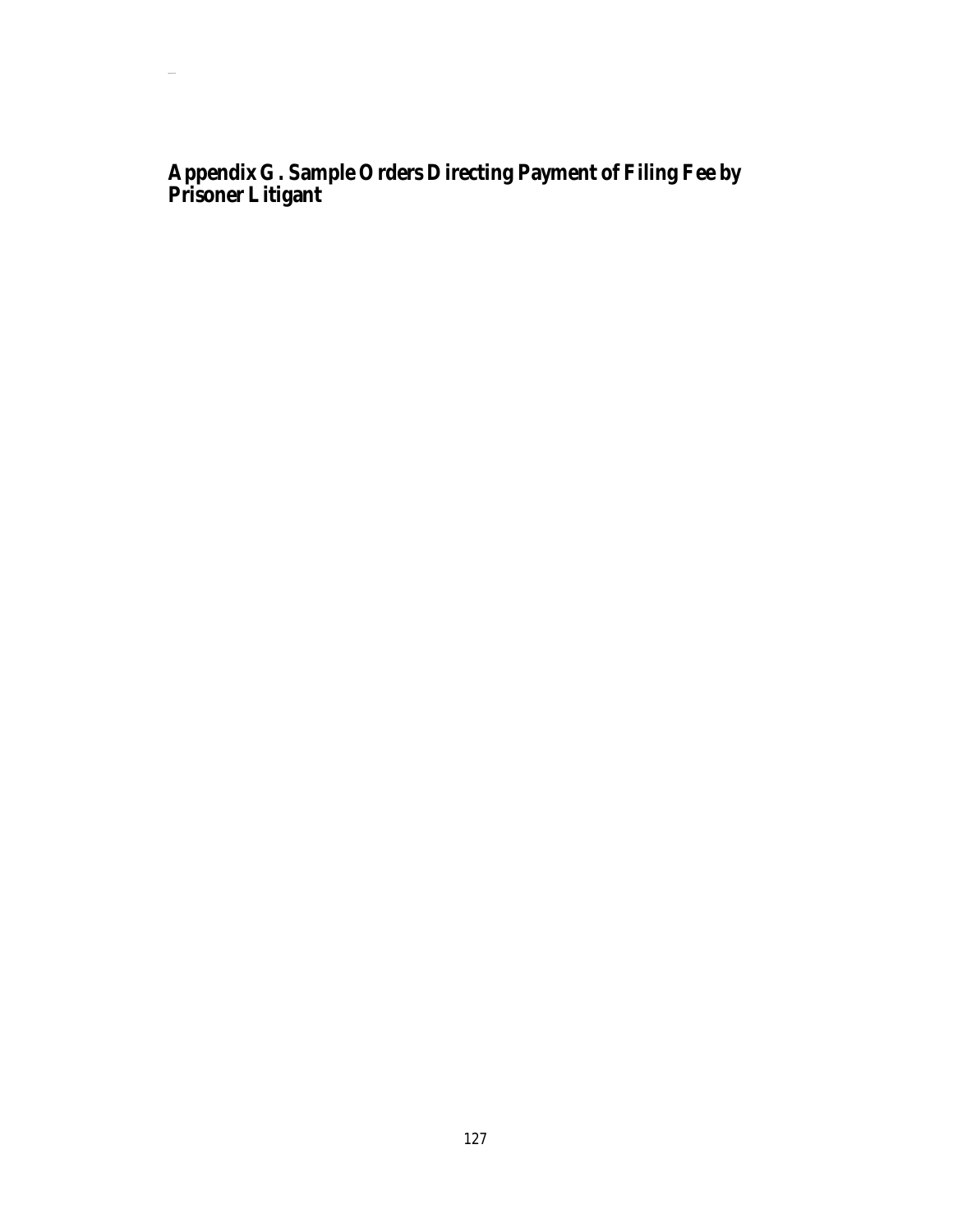**Appendix G. Sample Orders Directing Payment of Filing Fee by Prisoner Litigant**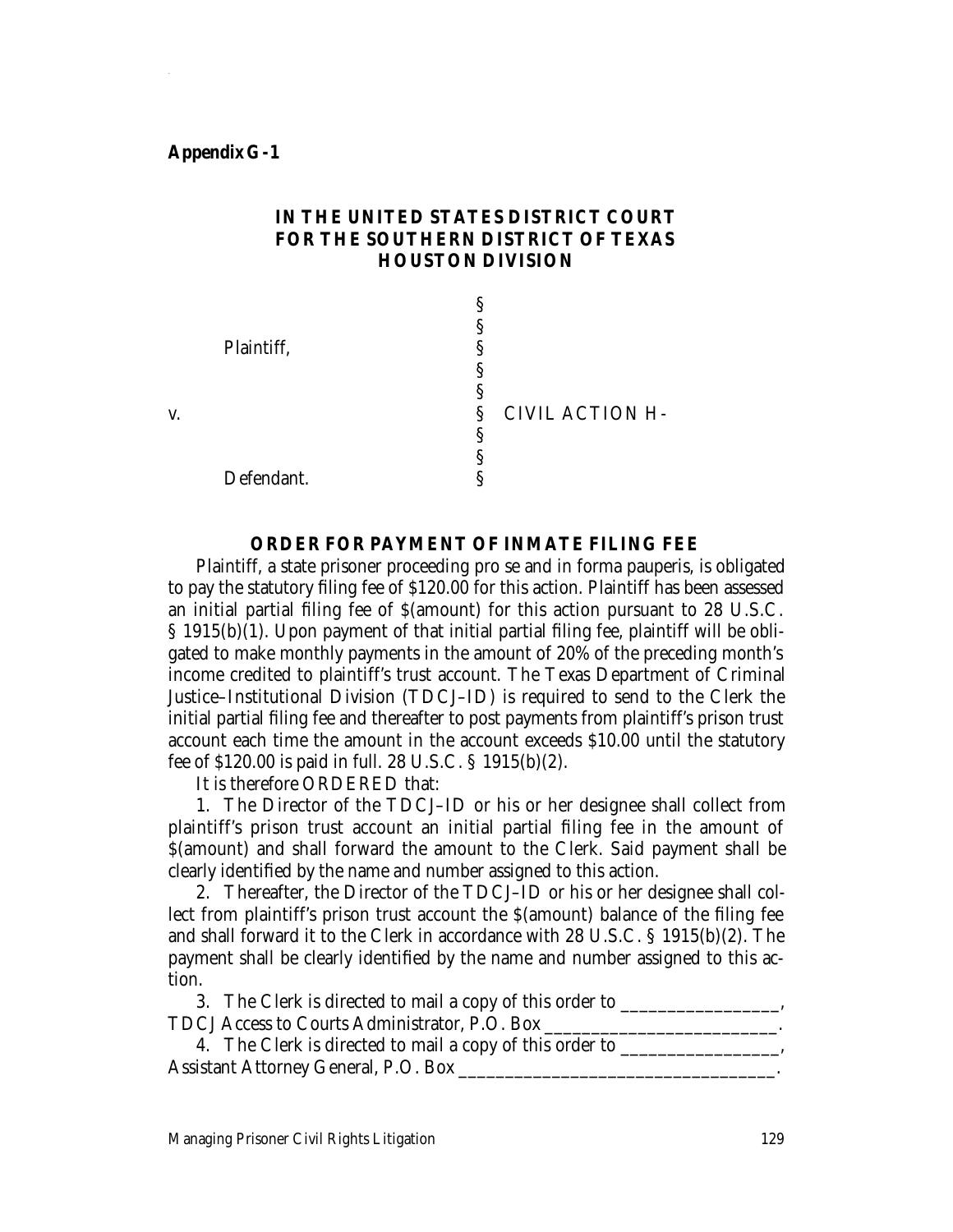### **IN THE UNITED STATES DISTRICT COURT FOR THE SOUTHERN DISTRICT OF TEXAS HOUSTON DIVISION**

|    | Plaintiff, |    |                        |
|----|------------|----|------------------------|
|    |            |    |                        |
|    |            | S  |                        |
| V. |            | S. | <b>CIVIL ACTION H-</b> |
|    |            | ε  |                        |
|    |            |    |                        |
|    | Defendant. |    |                        |

### **ORDER FOR PAYMENT OF INMATE FILING FEE**

Plaintiff, a state prisoner proceeding pro se and in forma pauperis, is obligated to pay the statutory filing fee of \$120.00 for this action. Plaintiff has been assessed an initial partial filing fee of \$(amount) for this action pursuant to 28 U.S.C. § 1915(b)(1). Upon payment of that initial partial filing fee, plaintiff will be obligated to make monthly payments in the amount of 20% of the preceding month's income credited to plaintiff's trust account. The Texas Department of Criminal Justice–Institutional Division (TDCJ–ID) is required to send to the Clerk the initial partial filing fee and thereafter to post payments from plaintiff's prison trust account each time the amount in the account exceeds \$10.00 until the statutory fee of \$120.00 is paid in full. 28 U.S.C. § 1915(b)(2).

It is therefore ORDERED that:

1. The Director of the TDCJ–ID or his or her designee shall collect from plaintiff's prison trust account an initial partial filing fee in the amount of \$(amount) and shall forward the amount to the Clerk. Said payment shall be clearly identified by the name and number assigned to this action.

2. Thereafter, the Director of the TDCJ–ID or his or her designee shall collect from plaintiff's prison trust account the \$(amount) balance of the filing fee and shall forward it to the Clerk in accordance with 28 U.S.C. § 1915(b)(2). The payment shall be clearly identified by the name and number assigned to this action.

3. The Clerk is directed to mail a copy of this order to  $\blacksquare$ TDCJ Access to Courts Administrator, P.O. Box \_\_\_\_\_\_\_\_\_\_\_\_\_\_\_\_\_\_\_\_\_\_\_\_\_. 4. The Clerk is directed to mail a copy of this order to \_\_\_\_\_\_\_\_\_\_\_\_\_\_\_\_, Assistant Attorney General, P.O. Box \_\_\_\_\_\_\_\_\_\_\_\_\_\_\_\_\_\_\_\_\_\_\_\_\_\_\_\_\_\_\_\_\_\_.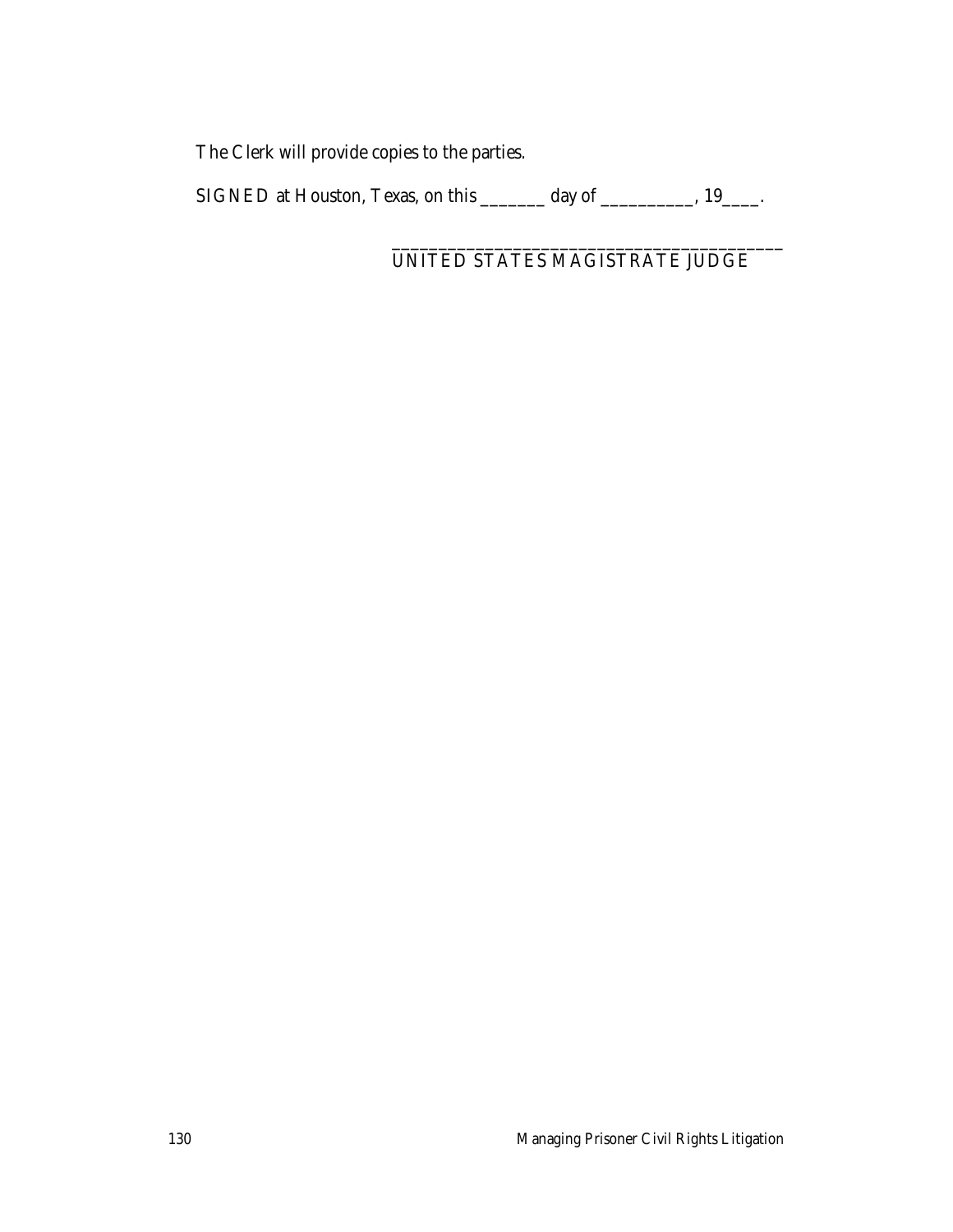The Clerk will provide copies to the parties.

SIGNED at Houston, Texas, on this \_\_\_\_\_\_\_ day of \_\_\_\_\_\_\_\_, 19\_\_\_\_.

### \_\_\_\_\_\_\_\_\_\_\_\_\_\_\_\_\_\_\_\_\_\_\_\_\_\_\_\_\_\_\_\_\_\_\_\_\_\_\_\_\_\_ UNITED STATES MAGISTRATE JUDGE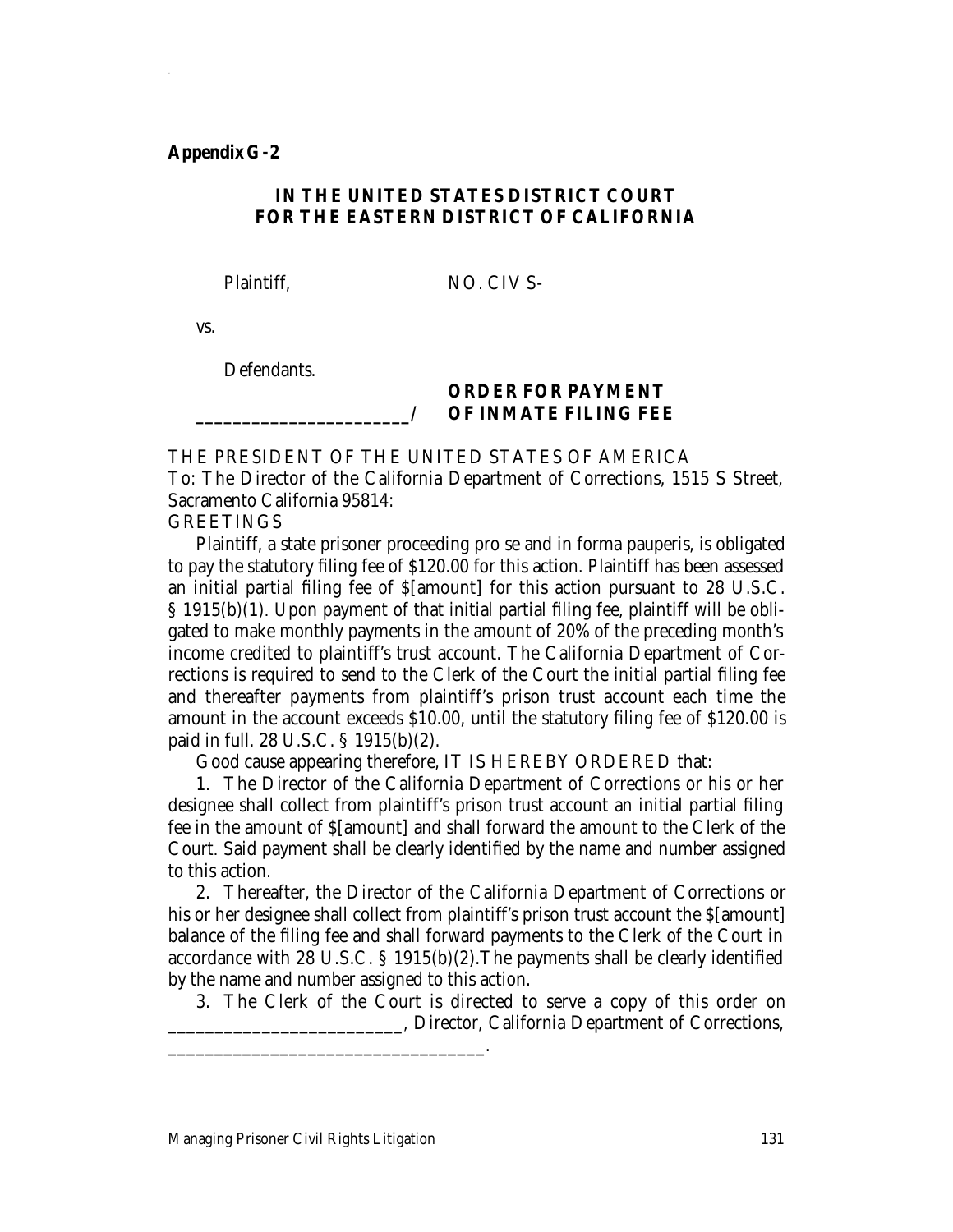**Appendix G-2**

### **IN THE UNITED STATES DISTRICT COURT FOR THE EASTERN DISTRICT OF CALIFORNIA**

Plaintiff. NO. CIV S-

vs.

Defendants.

### **ORDER FOR PAYMENT \_\_\_\_\_\_\_\_\_\_\_\_\_\_\_\_\_\_\_\_\_\_\_/ OF INMATE FILING FEE**

THE PRESIDENT OF THE UNITED STATES OF AMERICA To: The Director of the California Department of Corrections, 1515 S Street, Sacramento California 95814:

**GREETINGS** 

Plaintiff, a state prisoner proceeding pro se and in forma pauperis, is obligated to pay the statutory filing fee of \$120.00 for this action. Plaintiff has been assessed an initial partial filing fee of \$[amount] for this action pursuant to 28 U.S.C. § 1915(b)(1). Upon payment of that initial partial filing fee, plaintiff will be obligated to make monthly payments in the amount of 20% of the preceding month's income credited to plaintiff's trust account. The California Department of Corrections is required to send to the Clerk of the Court the initial partial filing fee and thereafter payments from plaintiff's prison trust account each time the amount in the account exceeds \$10.00, until the statutory filing fee of \$120.00 is paid in full. 28 U.S.C. § 1915(b)(2).

Good cause appearing therefore, IT IS HEREBY ORDERED that:

1. The Director of the California Department of Corrections or his or her designee shall collect from plaintiff's prison trust account an initial partial filing fee in the amount of \$[amount] and shall forward the amount to the Clerk of the Court. Said payment shall be clearly identified by the name and number assigned to this action.

2. Thereafter, the Director of the California Department of Corrections or his or her designee shall collect from plaintiff's prison trust account the  $\delta$ [amount] balance of the filing fee and shall forward payments to the Clerk of the Court in accordance with 28 U.S.C. § 1915(b)(2).The payments shall be clearly identified by the name and number assigned to this action.

3. The Clerk of the Court is directed to serve a copy of this order on \_\_\_\_\_\_\_\_\_\_\_\_\_\_\_\_\_\_\_\_\_\_\_\_\_, Director, California Department of Corrections,

\_\_\_\_\_\_\_\_\_\_\_\_\_\_\_\_\_\_\_\_\_\_\_\_\_\_\_\_\_\_\_\_\_\_.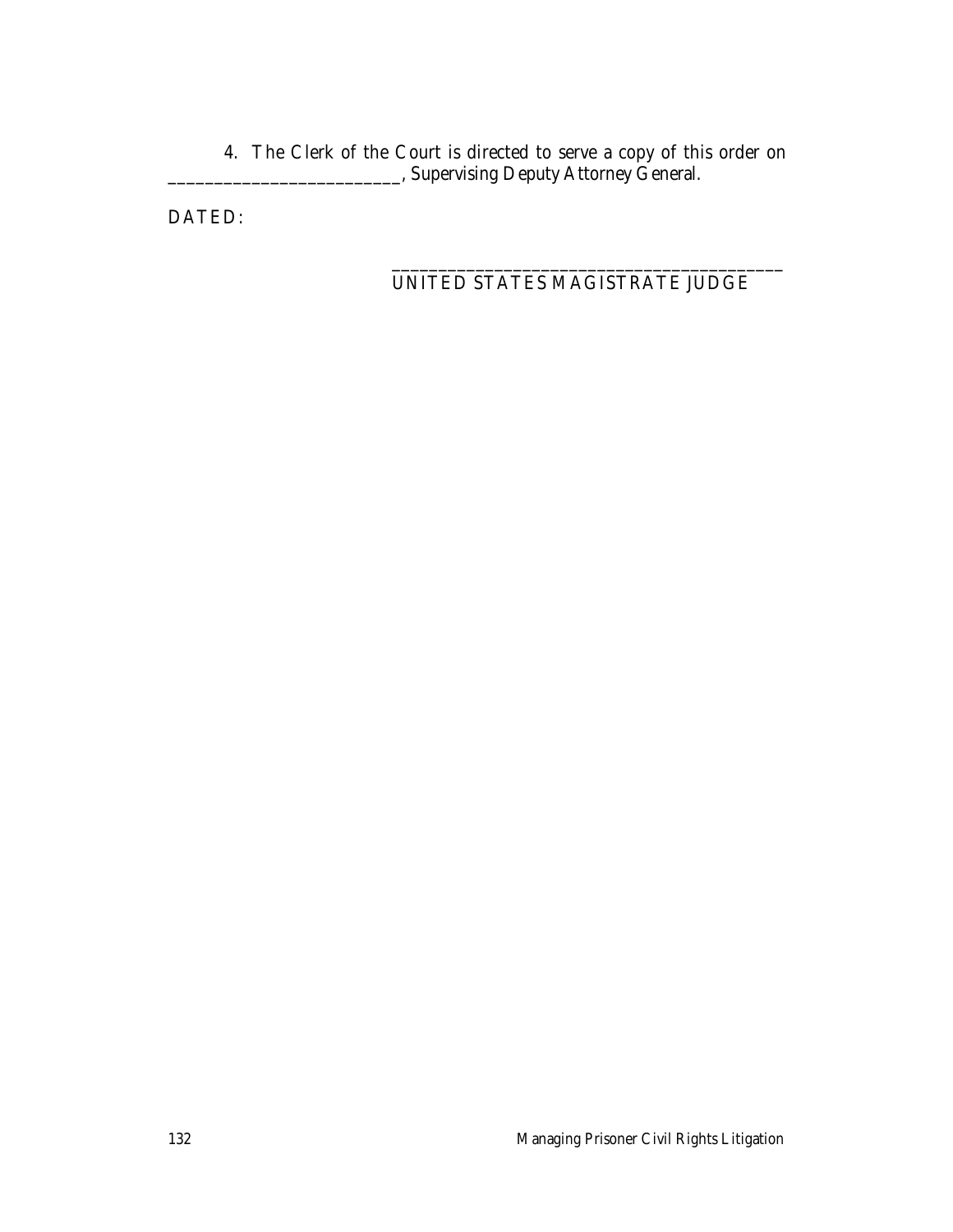4. The Clerk of the Court is directed to serve a copy of this order on \_\_\_\_\_\_\_\_\_\_\_\_\_\_\_\_\_\_\_\_\_\_\_\_\_, Supervising Deputy Attorney General.

DATED:

### \_\_\_\_\_\_\_\_\_\_\_\_\_\_\_\_\_\_\_\_\_\_\_\_\_\_\_\_\_\_\_\_\_\_\_\_\_\_\_\_\_\_ UNITED STATES MAGISTRATE JUDGE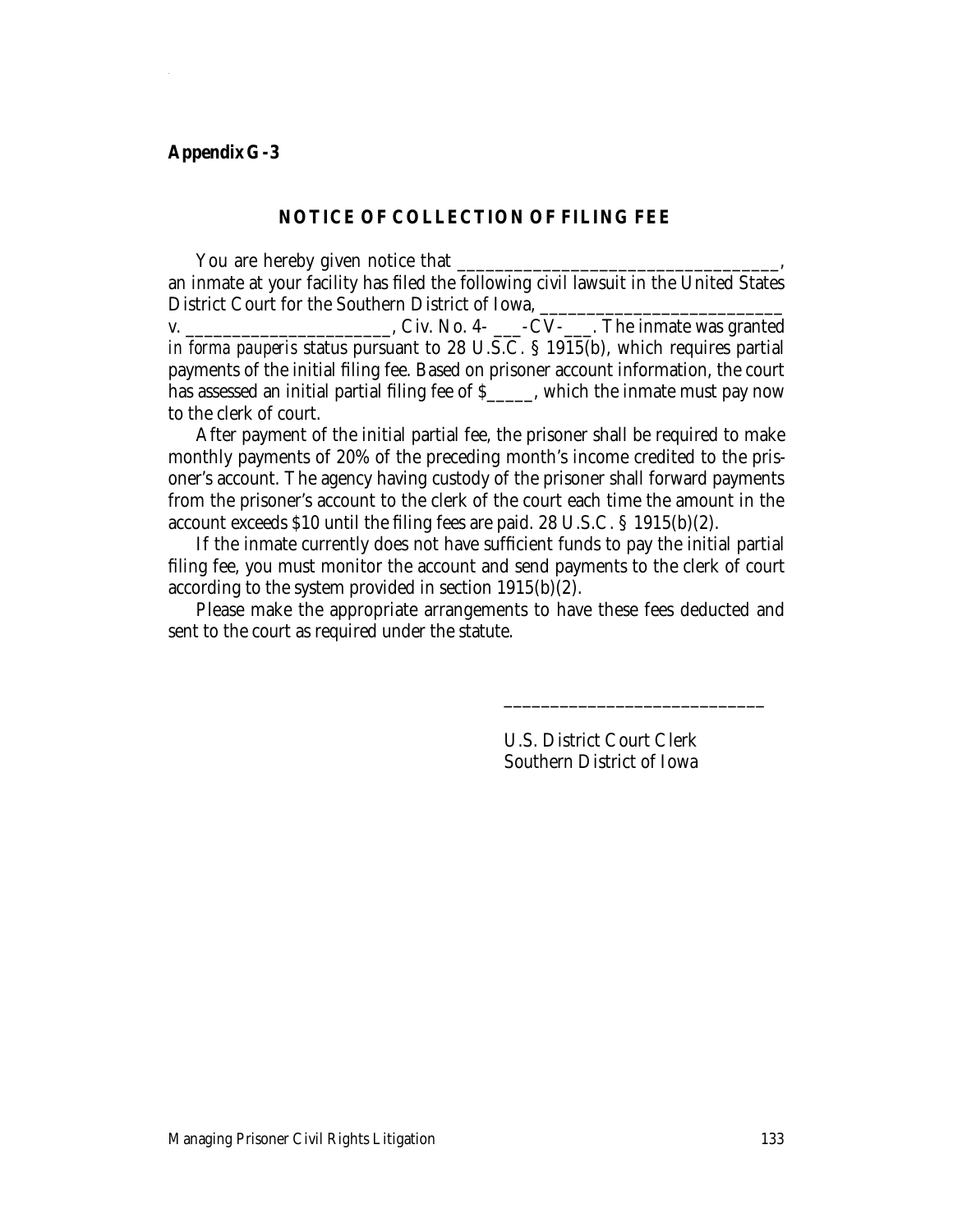#### **Appendix G-3**

#### **NOTICE OF COLLECTION OF FILING FEE**

You are hereby given notice that

an inmate at your facility has filed the following civil lawsuit in the United States District Court for the Southern District of Iowa,

v.  $V.$  Civ. No. 4-  $-CV-$ . The inmate was granted *in forma pauperis* status pursuant to 28 U.S.C. § 1915(b), which requires partial payments of the initial filing fee. Based on prisoner account information, the court has assessed an initial partial filing fee of \$\_\_\_\_\_, which the inmate must pay now to the clerk of court.

After payment of the initial partial fee, the prisoner shall be required to make monthly payments of 20% of the preceding month's income credited to the prisoner's account. The agency having custody of the prisoner shall forward payments from the prisoner's account to the clerk of the court each time the amount in the account exceeds \$10 until the filing fees are paid. 28 U.S.C. § 1915(b)(2).

If the inmate currently does not have sufficient funds to pay the initial partial filing fee, you must monitor the account and send payments to the clerk of court according to the system provided in section 1915(b)(2).

Please make the appropriate arrangements to have these fees deducted and sent to the court as required under the statute.

> U.S. District Court Clerk Southern District of Iowa

\_\_\_\_\_\_\_\_\_\_\_\_\_\_\_\_\_\_\_\_\_\_\_\_\_\_\_\_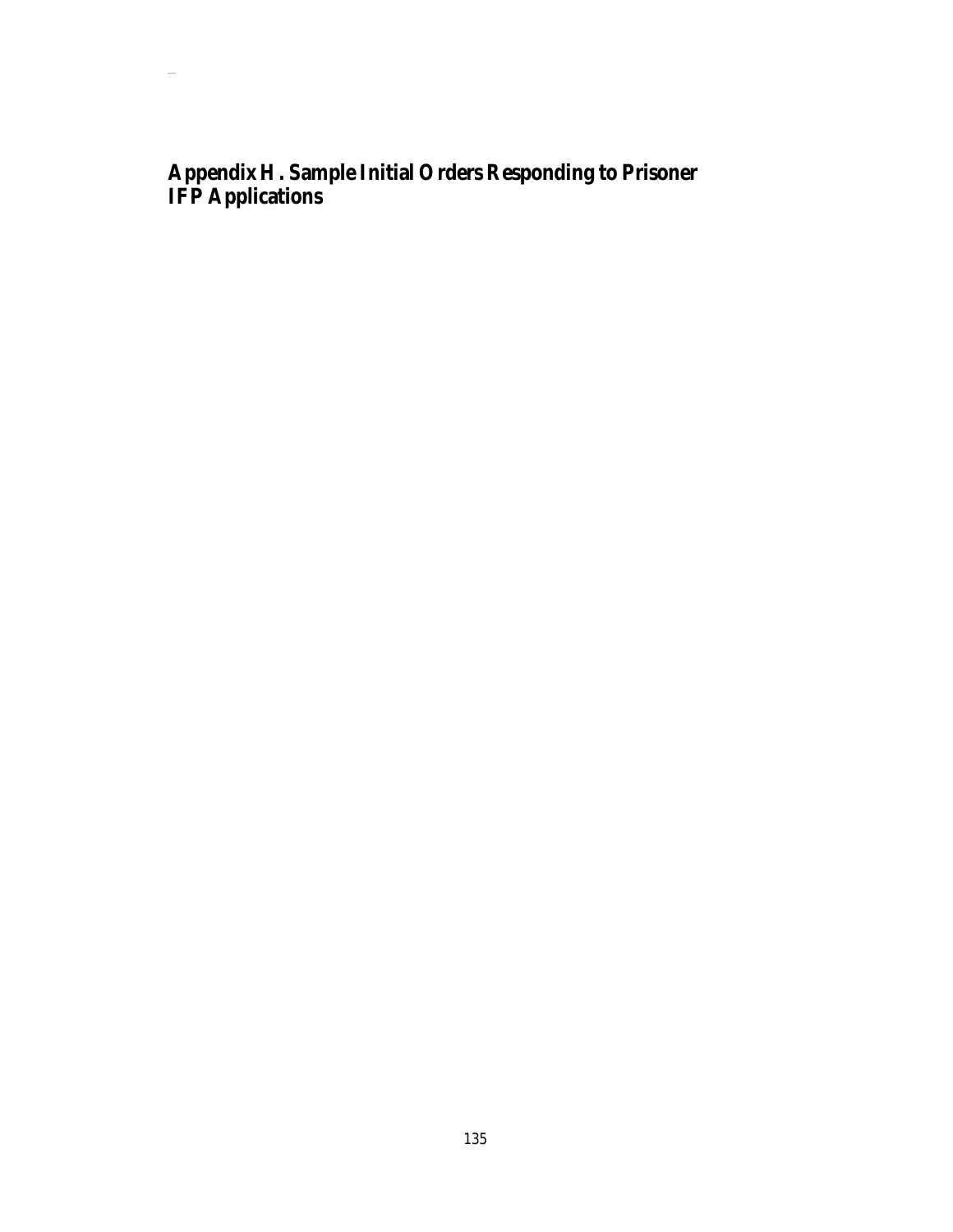**Appendix H. Sample Initial Orders Responding to Prisoner IFP Applications**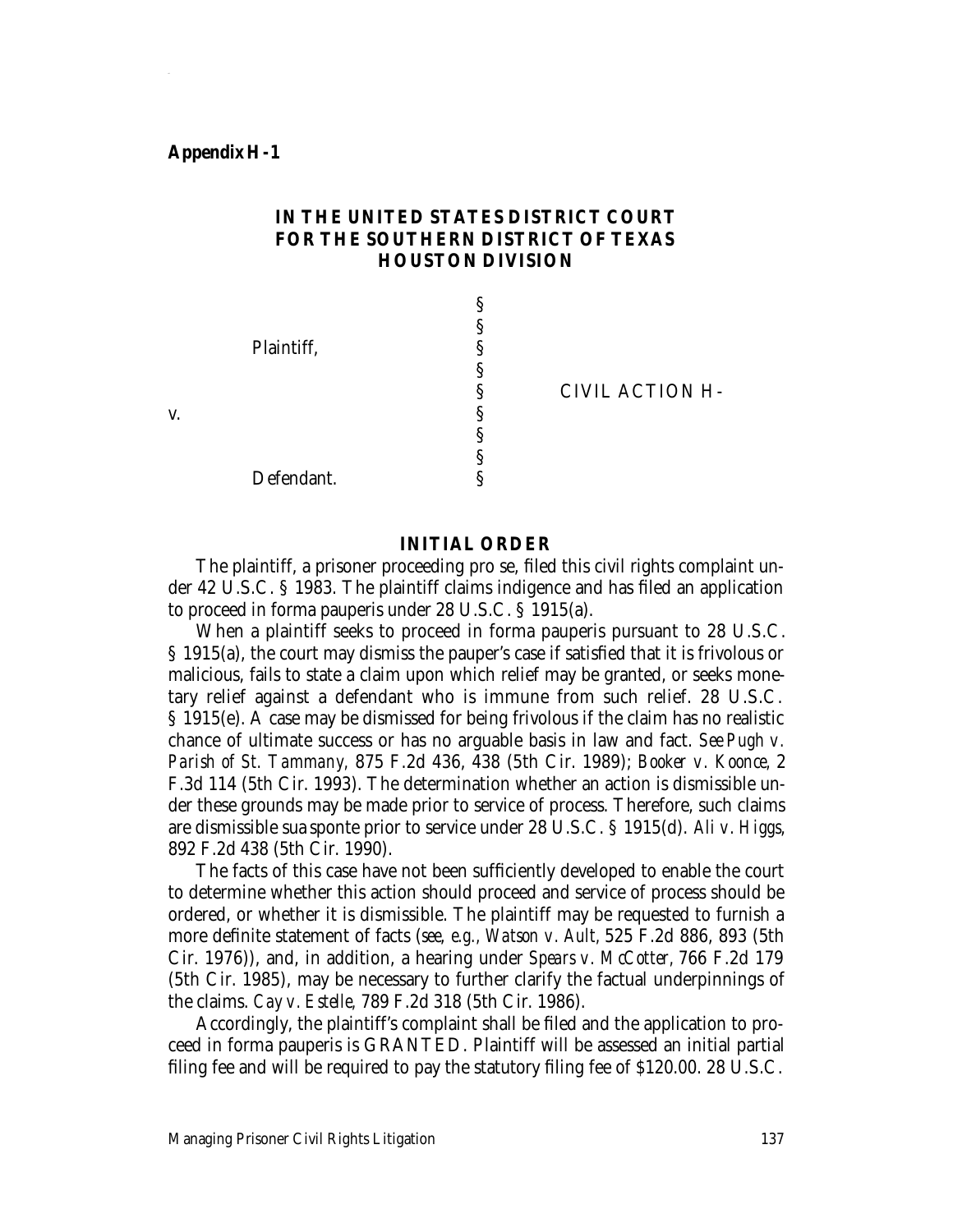# **IN THE UNITED STATES DISTRICT COURT FOR THE SOUTHERN DISTRICT OF TEXAS HOUSTON DIVISION**

|    |            | ş |  |
|----|------------|---|--|
|    |            | § |  |
|    | Plaintiff, | § |  |
|    |            | § |  |
|    |            | S |  |
| V. |            | § |  |
|    |            | § |  |
|    |            | § |  |
|    | Defendant. | ε |  |

§ CIVIL ACTION H-

#### **INITIAL ORDER**

The plaintiff, a prisoner proceeding pro se, filed this civil rights complaint under 42 U.S.C. § 1983. The plaintiff claims indigence and has filed an application to proceed in forma pauperis under 28 U.S.C. § 1915(a).

When a plaintiff seeks to proceed in forma pauperis pursuant to 28 U.S.C. § 1915(a), the court may dismiss the pauper's case if satisfied that it is frivolous or malicious, fails to state a claim upon which relief may be granted, or seeks monetary relief against a defendant who is immune from such relief. 28 U.S.C. § 1915(e). A case may be dismissed for being frivolous if the claim has no realistic chance of ultimate success or has no arguable basis in law and fact. *See Pugh v. Parish of St. Tammany,* 875 F.2d 436, 438 (5th Cir. 1989); *Booker v. Koonce,* 2 F.3d 114 (5th Cir. 1993). The determination whether an action is dismissible under these grounds may be made prior to service of process. Therefore, such claims are dismissible sua sponte prior to service under 28 U.S.C. § 1915(d). *Ali v. Higgs*, 892 F.2d 438 (5th Cir. 1990).

The facts of this case have not been sufficiently developed to enable the court to determine whether this action should proceed and service of process should be ordered, or whether it is dismissible. The plaintiff may be requested to furnish a more definite statement of facts (*see*, *e.g., Watson v. Ault,* 525 F.2d 886, 893 (5th Cir. 1976)), and, in addition, a hearing under *Spears v. McCotter,* 766 F.2d 179 (5th Cir. 1985), may be necessary to further clarify the factual underpinnings of the claims. *Cay v. Estelle,* 789 F.2d 318 (5th Cir. 1986).

Accordingly, the plaintiff's complaint shall be filed and the application to proceed in forma pauperis is GRANTED. Plaintiff will be assessed an initial partial filing fee and will be required to pay the statutory filing fee of \$120.00. 28 U.S.C.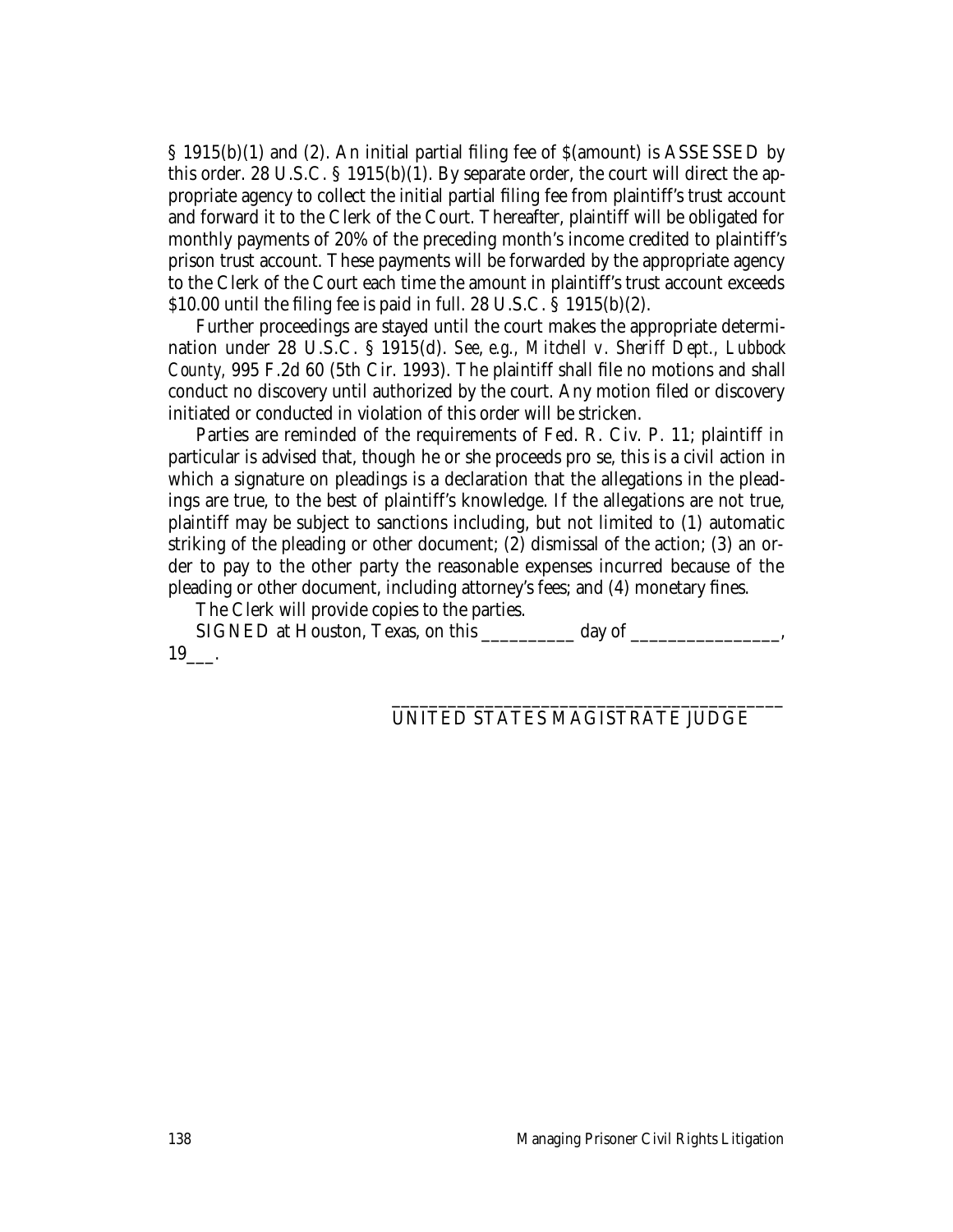§ 1915(b)(1) and (2). An initial partial filing fee of \$(amount) is ASSESSED by this order. 28 U.S.C. § 1915(b)(1). By separate order, the court will direct the appropriate agency to collect the initial partial filing fee from plaintiff's trust account and forward it to the Clerk of the Court. Thereafter, plaintiff will be obligated for monthly payments of 20% of the preceding month's income credited to plaintiff's prison trust account. These payments will be forwarded by the appropriate agency to the Clerk of the Court each time the amount in plaintiff's trust account exceeds \$10.00 until the filing fee is paid in full. 28 U.S.C. § 1915(b)(2).

Further proceedings are stayed until the court makes the appropriate determination under 28 U.S.C. § 1915(d). *See*, *e.g., Mitchell v. Sheriff Dept., Lubbock County,* 995 F.2d 60 (5th Cir. 1993). The plaintiff shall file no motions and shall conduct no discovery until authorized by the court. Any motion filed or discovery initiated or conducted in violation of this order will be stricken.

Parties are reminded of the requirements of Fed. R. Civ. P. 11; plaintiff in particular is advised that, though he or she proceeds pro se, this is a civil action in which a signature on pleadings is a declaration that the allegations in the pleadings are true, to the best of plaintiff's knowledge. If the allegations are not true, plaintiff may be subject to sanctions including, but not limited to (1) automatic striking of the pleading or other document; (2) dismissal of the action; (3) an order to pay to the other party the reasonable expenses incurred because of the pleading or other document, including attorney's fees; and (4) monetary fines.

The Clerk will provide copies to the parties.

SIGNED at Houston, Texas, on this \_\_\_\_\_\_\_\_\_ day of \_\_\_\_\_\_\_\_\_\_\_\_\_, 19\_\_\_.

UNITED STATES MAGISTRATE JUDGE

\_\_\_\_\_\_\_\_\_\_\_\_\_\_\_\_\_\_\_\_\_\_\_\_\_\_\_\_\_\_\_\_\_\_\_\_\_\_\_\_\_\_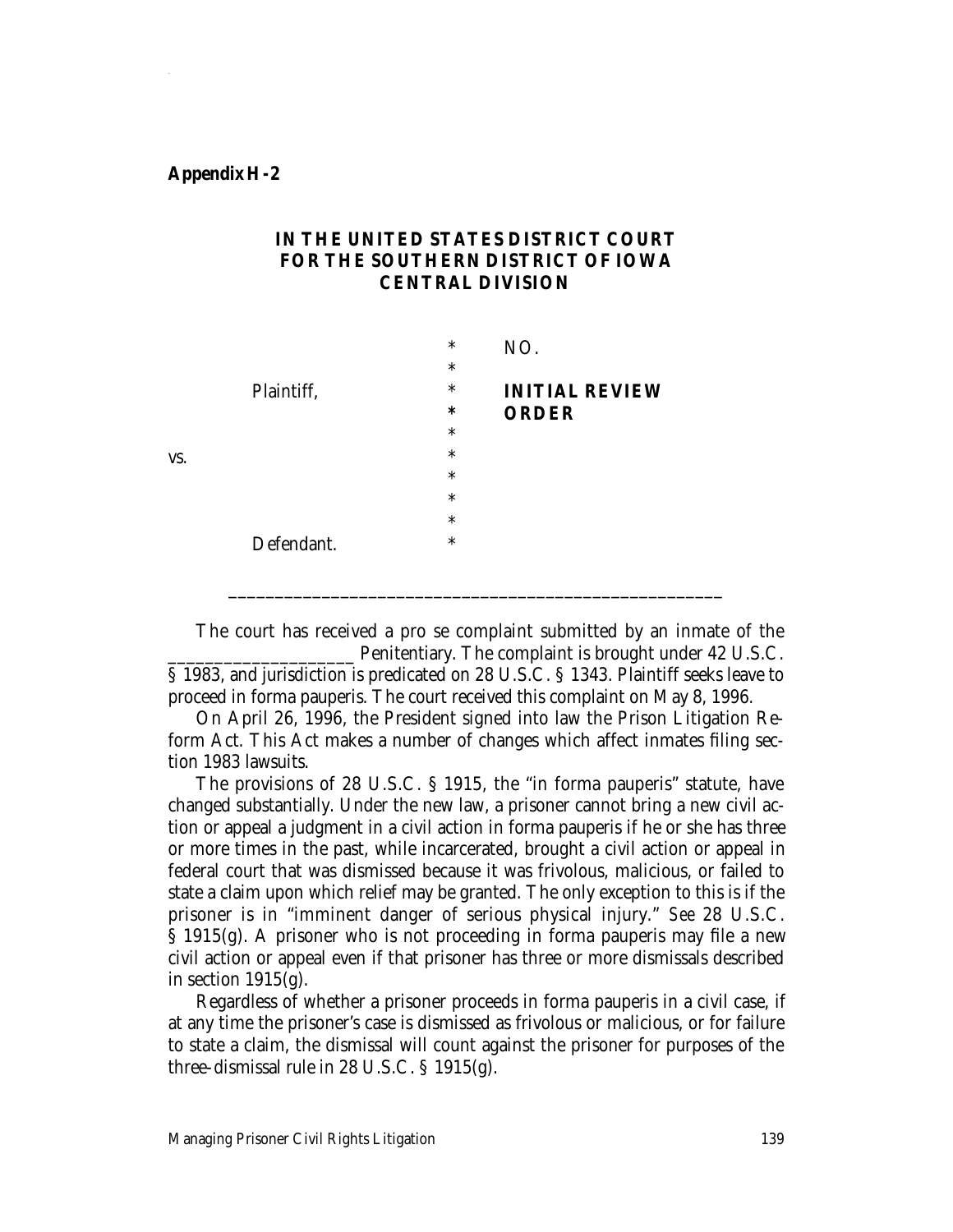**Appendix H-2**

# **IN THE UNITED STATES DISTRICT COURT FOR THE SOUTHERN DISTRICT OF IOWA CENTRAL DIVISION**

|     |            | $\ast$<br>$\ast$ | NO.                   |
|-----|------------|------------------|-----------------------|
|     | Plaintiff, | $\ast$           | <b>INITIAL REVIEW</b> |
|     |            | $\ast$           | <b>ORDER</b>          |
|     |            | $\ast$           |                       |
| VS. |            | $\ast$           |                       |
|     |            | $\ast$           |                       |
|     |            | $\ast$           |                       |
|     |            | $\ast$           |                       |
|     | Defendant. | $\ast$           |                       |
|     |            |                  |                       |

The court has received a pro se complaint submitted by an inmate of the \_\_\_\_\_\_\_\_\_\_\_\_\_\_\_\_\_\_\_\_ Penitentiary. The complaint is brought under 42 U.S.C.

\_\_\_\_\_\_\_\_\_\_\_\_\_\_\_\_\_\_\_\_\_\_\_\_\_\_\_\_\_\_\_\_\_\_\_\_\_\_\_\_\_\_\_\_\_\_\_\_\_\_\_\_\_

§ 1983, and jurisdiction is predicated on 28 U.S.C. § 1343. Plaintiff seeks leave to proceed in forma pauperis. The court received this complaint on May 8, 1996.

On April 26, 1996, the President signed into law the Prison Litigation Reform Act. This Act makes a number of changes which affect inmates filing section 1983 lawsuits.

The provisions of 28 U.S.C. § 1915, the "in forma pauperis" statute, have changed substantially. Under the new law, a prisoner cannot bring a new civil action or appeal a judgment in a civil action in forma pauperis if he or she has three or more times in the past, while incarcerated, brought a civil action or appeal in federal court that was dismissed because it was frivolous, malicious, or failed to state a claim upon which relief may be granted. The only exception to this is if the prisoner is in "imminent danger of serious physical injury." *See* 28 U.S.C. § 1915(g). A prisoner who is not proceeding in forma pauperis may file a new civil action or appeal even if that prisoner has three or more dismissals described in section  $1915(g)$ .

Regardless of whether a prisoner proceeds in forma pauperis in a civil case, if at any time the prisoner's case is dismissed as frivolous or malicious, or for failure to state a claim, the dismissal will count against the prisoner for purposes of the three-dismissal rule in 28 U.S.C. § 1915(g).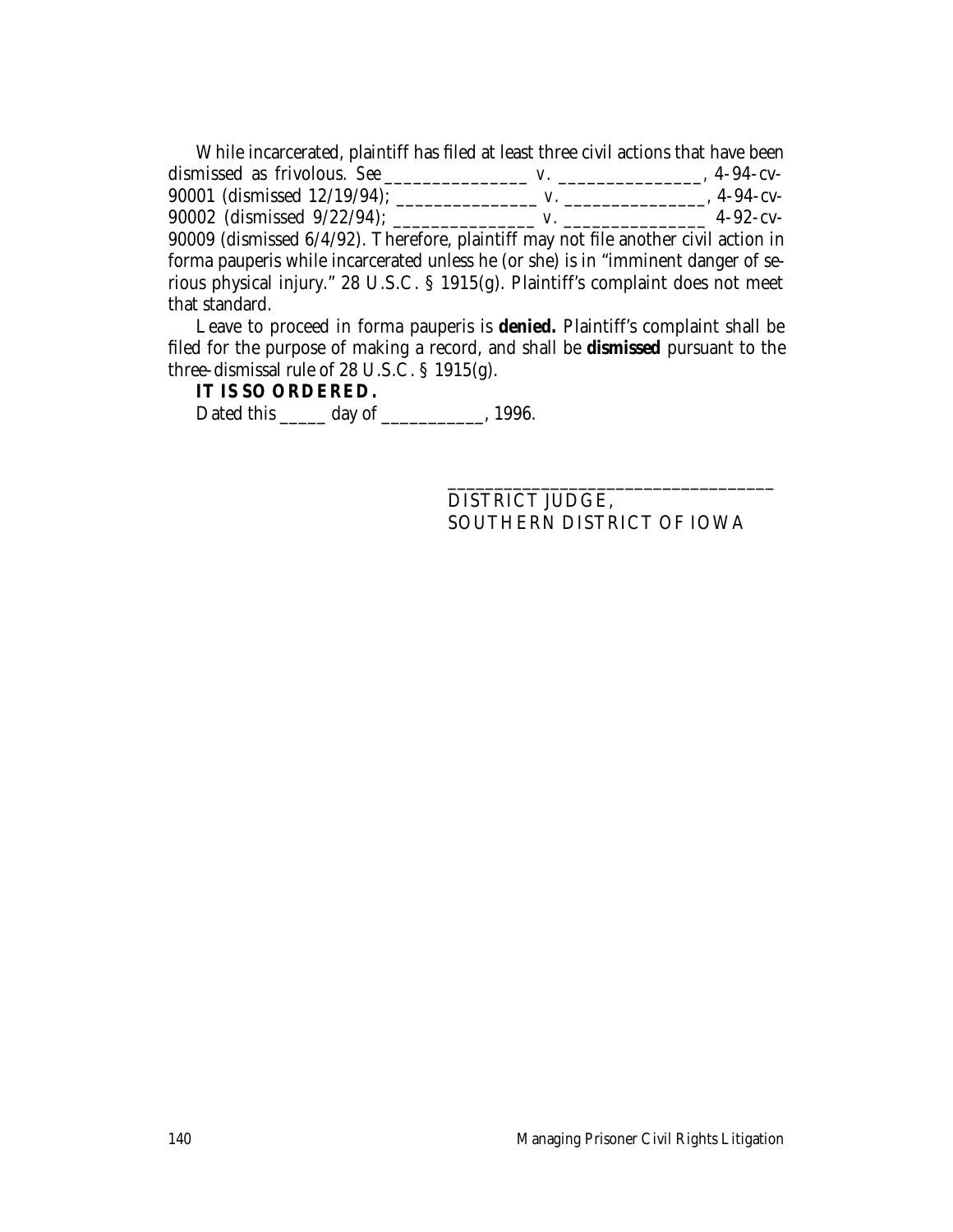While incarcerated, plaintiff has filed at least three civil actions that have been dismissed as frivolous. *See \_\_\_\_\_\_\_\_\_\_\_\_\_\_\_ v. \_\_\_\_\_\_\_\_\_\_\_\_\_\_\_,* 4-94-cv-90001 (dismissed 12/19/94); *\_\_\_\_\_\_\_\_\_\_\_\_\_\_\_ v. \_\_\_\_\_\_\_\_\_\_\_\_\_\_\_,* 4-94-cv-90002 (dismissed 9/22/94); *\_\_\_\_\_\_\_\_\_\_\_\_\_\_\_ v. \_\_\_\_\_\_\_\_\_\_\_\_\_\_\_* 4-92-cv-90009 (dismissed 6/4/92). Therefore, plaintiff may not file another civil action in forma pauperis while incarcerated unless he (or she) is in "imminent danger of serious physical injury." 28 U.S.C. § 1915(g). Plaintiff's complaint does not meet that standard.

Leave to proceed in forma pauperis is **denied.** Plaintiff's complaint shall be filed for the purpose of making a record, and shall be **dismissed** pursuant to the three-dismissal rule of 28 U.S.C. § 1915(g).

**IT IS SO ORDERED.**

Dated this \_\_\_\_\_\_ day of \_\_\_\_\_\_\_\_\_\_, 1996.

DISTRICT JUDGE, SOUTHERN DISTRICT OF IOWA

\_\_\_\_\_\_\_\_\_\_\_\_\_\_\_\_\_\_\_\_\_\_\_\_\_\_\_\_\_\_\_\_\_\_\_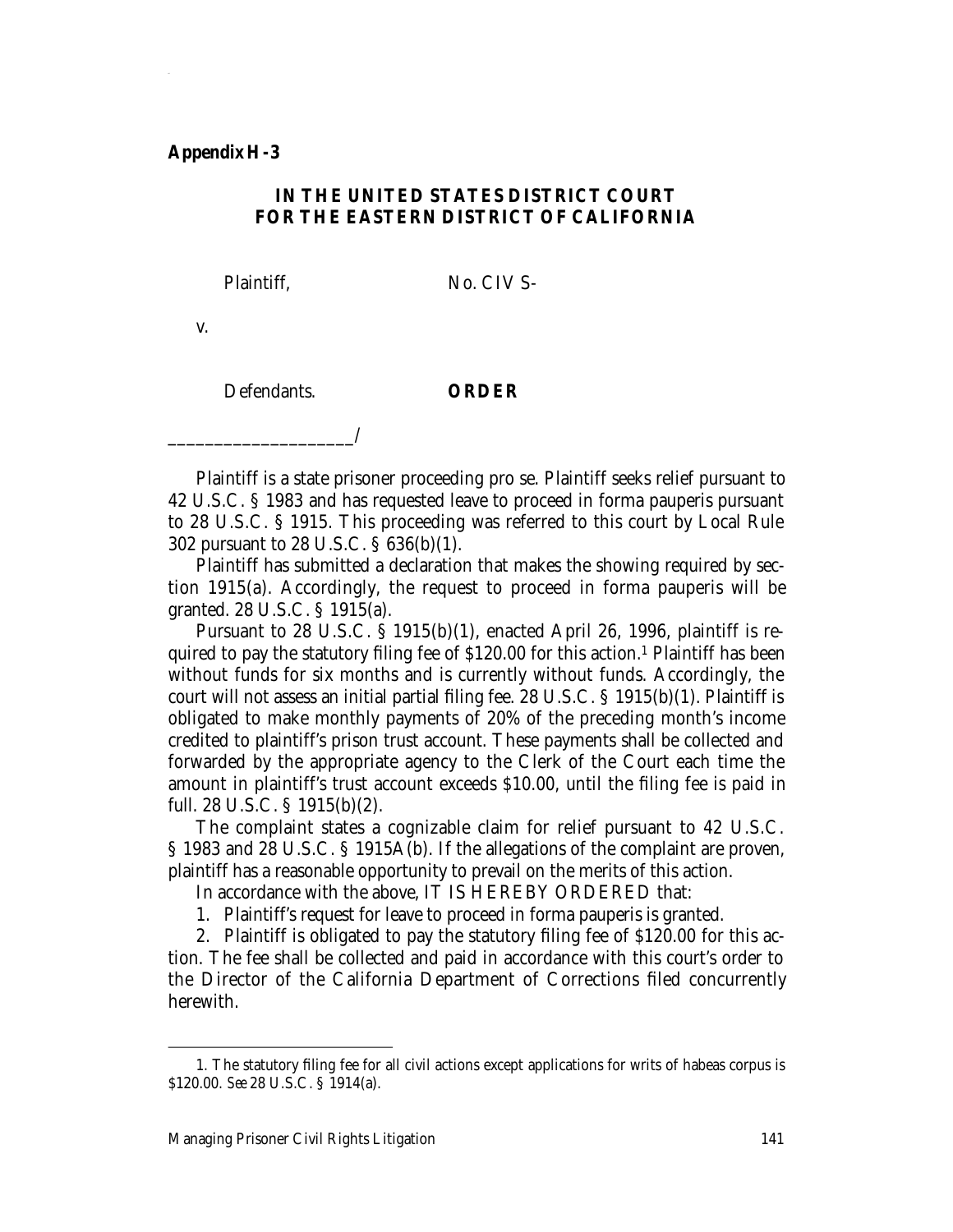**Appendix H-3**

# **IN THE UNITED STATES DISTRICT COURT FOR THE EASTERN DISTRICT OF CALIFORNIA**

Plaintiff. No. CIV S-

v.

Defendants. **ORDER**

\_\_\_\_\_\_\_\_\_\_\_\_\_\_\_\_\_\_\_\_/

Plaintiff is a state prisoner proceeding pro se. Plaintiff seeks relief pursuant to 42 U.S.C. § 1983 and has requested leave to proceed in forma pauperis pursuant to 28 U.S.C. § 1915. This proceeding was referred to this court by Local Rule 302 pursuant to 28 U.S.C. § 636(b)(1).

Plaintiff has submitted a declaration that makes the showing required by section 1915(a). Accordingly, the request to proceed in forma pauperis will be granted. 28 U.S.C. § 1915(a).

Pursuant to 28 U.S.C. § 1915(b)(1), enacted April 26, 1996, plaintiff is required to pay the statutory filing fee of \$120.00 for this action.1 Plaintiff has been without funds for six months and is currently without funds. Accordingly, the court will not assess an initial partial filing fee. 28 U.S.C.  $\lesssim$  1915(b)(1). Plaintiff is obligated to make monthly payments of 20% of the preceding month's income credited to plaintiff's prison trust account. These payments shall be collected and forwarded by the appropriate agency to the Clerk of the Court each time the amount in plaintiff's trust account exceeds \$10.00, until the filing fee is paid in full. 28 U.S.C. § 1915(b)(2).

The complaint states a cognizable claim for relief pursuant to 42 U.S.C. § 1983 and 28 U.S.C. § 1915A(b). If the allegations of the complaint are proven, plaintiff has a reasonable opportunity to prevail on the merits of this action.

In accordance with the above, IT IS HEREBY ORDERED that:

1. Plaintiff's request for leave to proceed in forma pauperis is granted.

2. Plaintiff is obligated to pay the statutory filing fee of \$120.00 for this action. The fee shall be collected and paid in accordance with this court's order to the Director of the California Department of Corrections filed concurrently herewith.

 <sup>1.</sup> The statutory filing fee for all civil actions except applications for writs of habeas corpus is \$120.00. *See* 28 U.S.C. § 1914(a).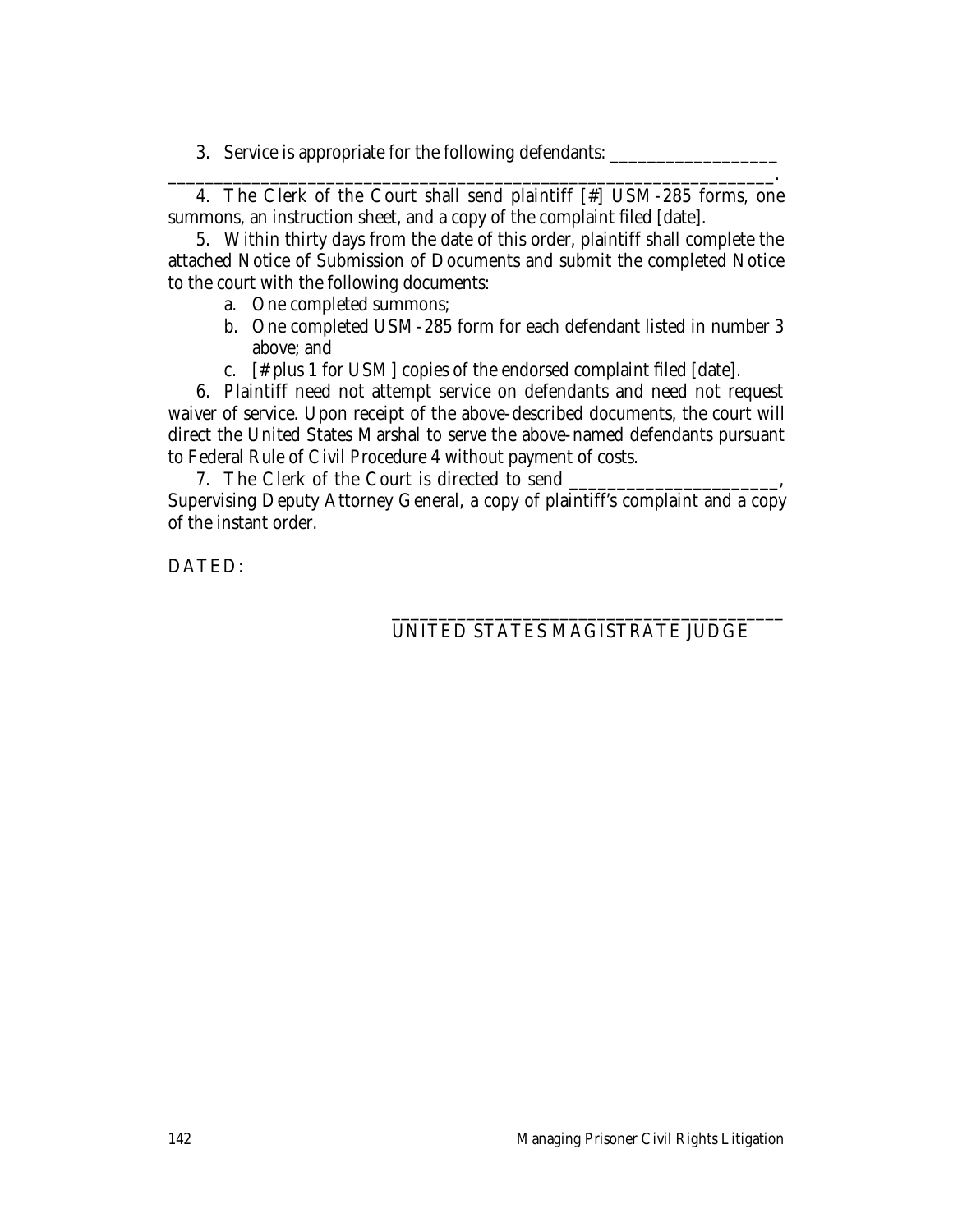3. Service is appropriate for the following defendants: \_\_\_\_\_\_\_\_\_\_\_\_\_\_\_\_\_\_\_\_\_\_\_\_

\_\_\_\_\_\_\_\_\_\_\_\_\_\_\_\_\_\_\_\_\_\_\_\_\_\_\_\_\_\_\_\_\_\_\_\_\_\_\_\_\_\_\_\_\_\_\_\_\_\_\_\_\_\_\_\_\_\_\_\_\_\_\_\_\_. 4. The Clerk of the Court shall send plaintiff [#] USM-285 forms, one summons, an instruction sheet, and a copy of the complaint filed [date].

5. Within thirty days from the date of this order, plaintiff shall complete the attached Notice of Submission of Documents and submit the completed Notice to the court with the following documents:

- a. One completed summons;
- b. One completed USM-285 form for each defendant listed in number 3 above; and
- c. [# plus 1 for USM] copies of the endorsed complaint filed [date].

6. Plaintiff need not attempt service on defendants and need not request waiver of service. Upon receipt of the above-described documents, the court will direct the United States Marshal to serve the above-named defendants pursuant to Federal Rule of Civil Procedure 4 without payment of costs.

7. The Clerk of the Court is directed to send

Supervising Deputy Attorney General, a copy of plaintiff's complaint and a copy of the instant order.

DATED:

### \_\_\_\_\_\_\_\_\_\_\_\_\_\_\_\_\_\_\_\_\_\_\_\_\_\_\_\_\_\_\_\_\_\_\_\_\_\_\_\_\_\_ UNITED STATES MAGISTRATE JUDGE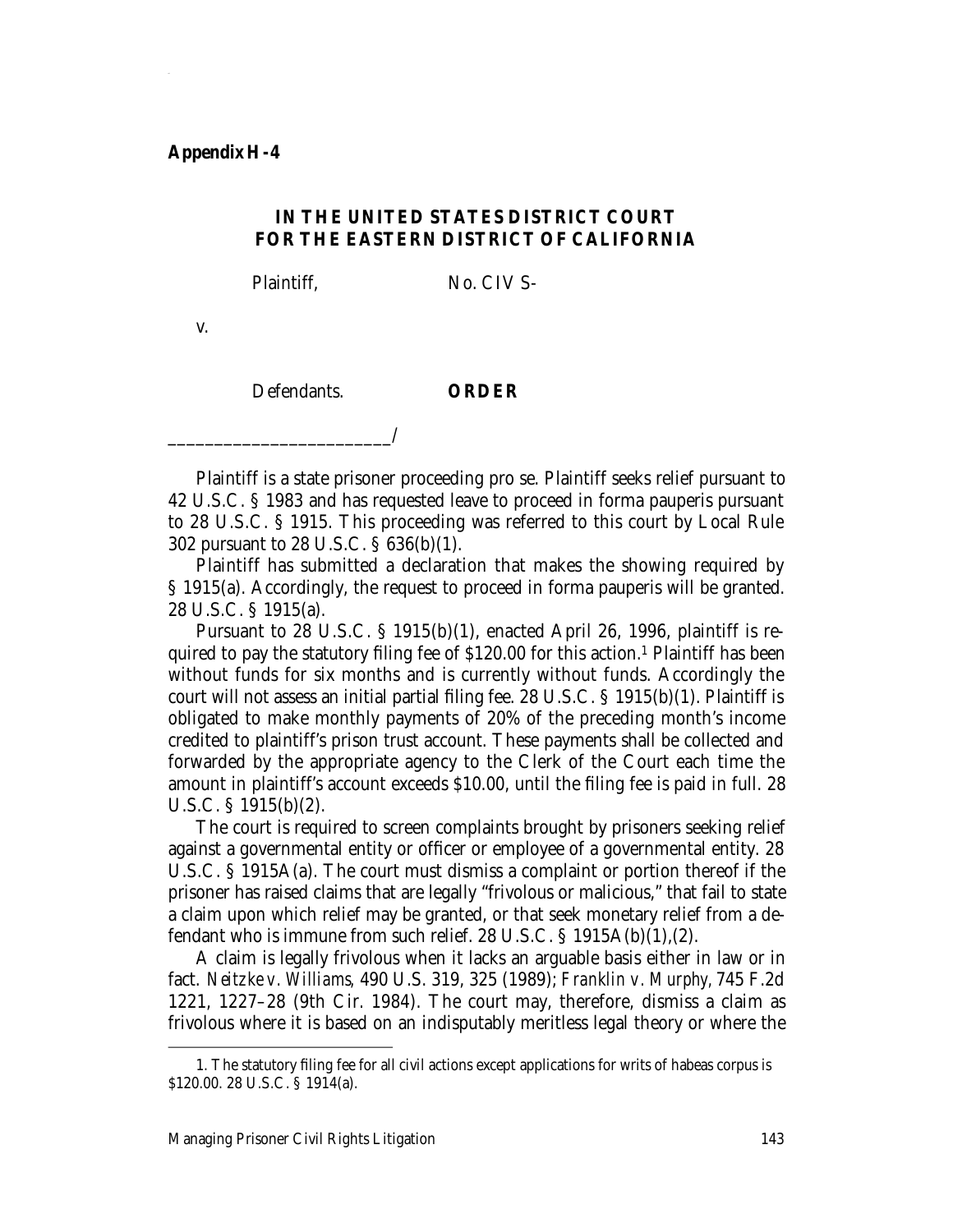**Appendix H-4**

### **IN THE UNITED STATES DISTRICT COURT FOR THE EASTERN DISTRICT OF CALIFORNIA**

Plaintiff. No. CIV S-

v.

Defendants. **ORDER**

\_\_\_\_\_\_\_\_\_\_\_\_\_\_\_\_\_\_\_\_\_\_\_\_/

Plaintiff is a state prisoner proceeding pro se. Plaintiff seeks relief pursuant to 42 U.S.C. § 1983 and has requested leave to proceed in forma pauperis pursuant to 28 U.S.C. § 1915. This proceeding was referred to this court by Local Rule 302 pursuant to 28 U.S.C. § 636(b)(1).

Plaintiff has submitted a declaration that makes the showing required by § 1915(a). Accordingly, the request to proceed in forma pauperis will be granted. 28 U.S.C. § 1915(a).

Pursuant to 28 U.S.C. § 1915(b)(1), enacted April 26, 1996, plaintiff is required to pay the statutory filing fee of \$120.00 for this action.<sup>1</sup> Plaintiff has been without funds for six months and is currently without funds. Accordingly the court will not assess an initial partial filing fee. 28 U.S.C.  $\lesssim$  1915(b)(1). Plaintiff is obligated to make monthly payments of 20% of the preceding month's income credited to plaintiff's prison trust account. These payments shall be collected and forwarded by the appropriate agency to the Clerk of the Court each time the amount in plaintiff's account exceeds \$10.00, until the filing fee is paid in full. 28 U.S.C. § 1915(b)(2).

The court is required to screen complaints brought by prisoners seeking relief against a governmental entity or officer or employee of a governmental entity. 28 U.S.C. § 1915A(a). The court must dismiss a complaint or portion thereof if the prisoner has raised claims that are legally "frivolous or malicious," that fail to state a claim upon which relief may be granted, or that seek monetary relief from a defendant who is immune from such relief. 28 U.S.C. § 1915A(b)(1),(2).

A claim is legally frivolous when it lacks an arguable basis either in law or in fact. *Neitzke v. Williams,* 490 U.S. 319, 325 (1989); *Franklin v. Murphy,* 745 F.2d 1221, 1227–28 (9th Cir. 1984). The court may, therefore, dismiss a claim as frivolous where it is based on an indisputably meritless legal theory or where the

 <sup>1.</sup> The statutory filing fee for all civil actions except applications for writs of habeas corpus is \$120.00. 28 U.S.C. § 1914(a).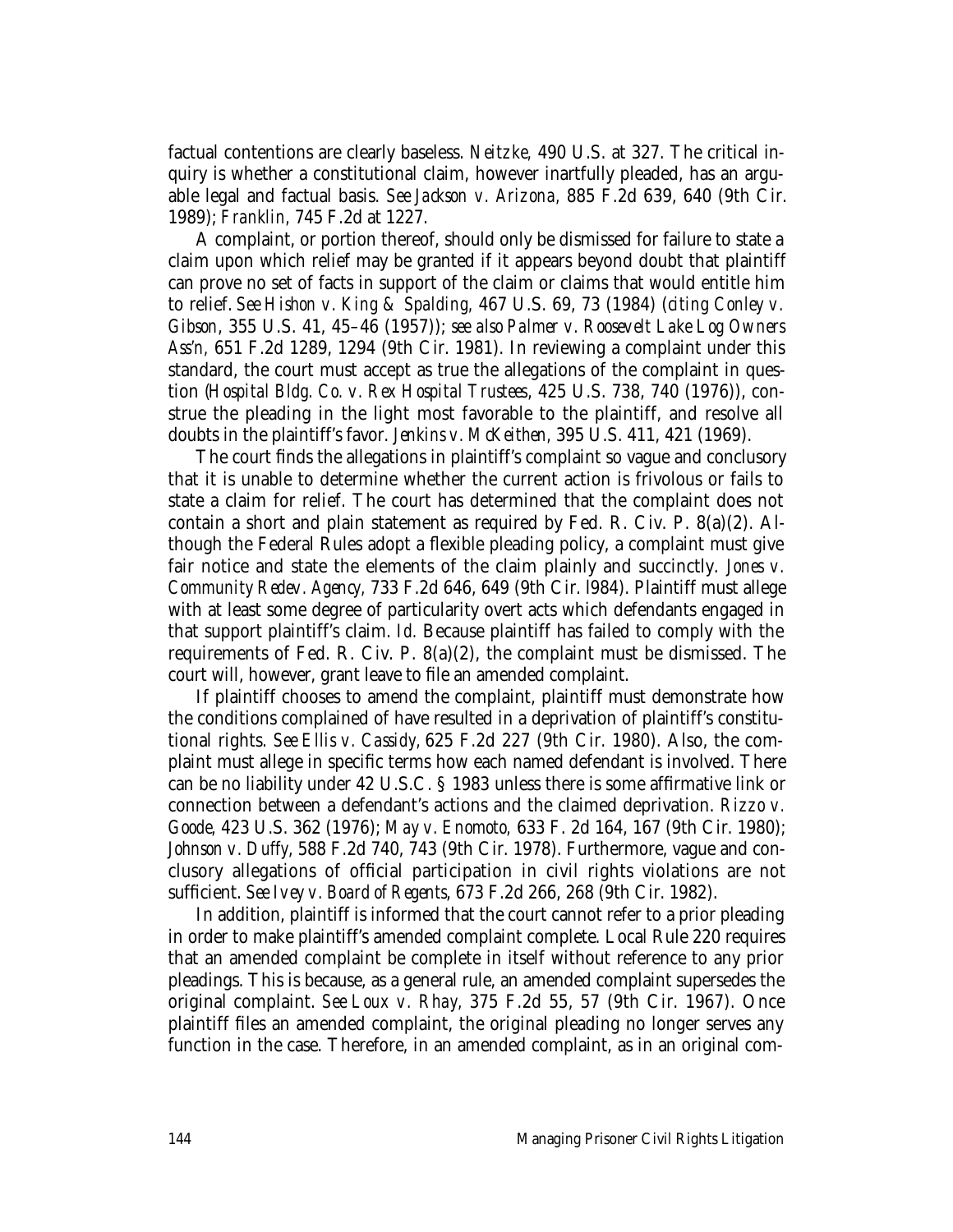factual contentions are clearly baseless. *Neitzke,* 490 U.S. at 327. The critical inquiry is whether a constitutional claim, however inartfully pleaded, has an arguable legal and factual basis. *See Jackson v. Arizona,* 885 F.2d 639, 640 (9th Cir. 1989); *Franklin,* 745 F.2d at 1227.

A complaint, or portion thereof, should only be dismissed for failure to state a claim upon which relief may be granted if it appears beyond doubt that plaintiff can prove no set of facts in support of the claim or claims that would entitle him to relief. *See Hishon v. King & Spalding,* 467 U.S. 69, 73 (1984) (*citing Conley v. Gibson*, 355 U.S. 41, 45–46 (1957)); *see also Palmer v. Roosevelt Lake Log Owners Ass'n,* 651 F.2d 1289, 1294 (9th Cir. 1981). In reviewing a complaint under this standard, the court must accept as true the allegations of the complaint in question (*Hospital Bldg. Co. v. Rex Hospital Trustees*, 425 U.S. 738, 740 (1976)), construe the pleading in the light most favorable to the plaintiff, and resolve all doubts in the plaintiff's favor. *Jenkins v. McKeithen,* 395 U.S. 411, 421 (1969).

The court finds the allegations in plaintiff's complaint so vague and conclusory that it is unable to determine whether the current action is frivolous or fails to state a claim for relief. The court has determined that the complaint does not contain a short and plain statement as required by Fed. R. Civ. P. 8(a)(2). Although the Federal Rules adopt a flexible pleading policy, a complaint must give fair notice and state the elements of the claim plainly and succinctly. *Jones v. Community Redev. Agency,* 733 F.2d 646, 649 (9th Cir. l984). Plaintiff must allege with at least some degree of particularity overt acts which defendants engaged in that support plaintiff's claim. *Id.* Because plaintiff has failed to comply with the requirements of Fed. R. Civ. P. 8(a)(2), the complaint must be dismissed. The court will, however, grant leave to file an amended complaint.

If plaintiff chooses to amend the complaint, plaintiff must demonstrate how the conditions complained of have resulted in a deprivation of plaintiff's constitutional rights. *See Ellis v. Cassidy,* 625 F.2d 227 (9th Cir. 1980). Also, the complaint must allege in specific terms how each named defendant is involved. There can be no liability under 42 U.S.C. § 1983 unless there is some affirmative link or connection between a defendant's actions and the claimed deprivation. *Rizzo v. Goode,* 423 U.S. 362 (1976); *May v. Enomoto,* 633 F. 2d 164, 167 (9th Cir. 1980); *Johnson v. Duffy*, 588 F.2d 740, 743 (9th Cir. 1978). Furthermore, vague and conclusory allegations of official participation in civil rights violations are not sufficient. *See Ivey v. Board of Regents*, 673 F.2d 266, 268 (9th Cir. 1982).

In addition, plaintiff is informed that the court cannot refer to a prior pleading in order to make plaintiff's amended complaint complete. Local Rule 220 requires that an amended complaint be complete in itself without reference to any prior pleadings. This is because, as a general rule, an amended complaint supersedes the original complaint. *See Loux v. Rhay,* 375 F.2d 55, 57 (9th Cir. 1967). Once plaintiff files an amended complaint, the original pleading no longer serves any function in the case. Therefore, in an amended complaint, as in an original com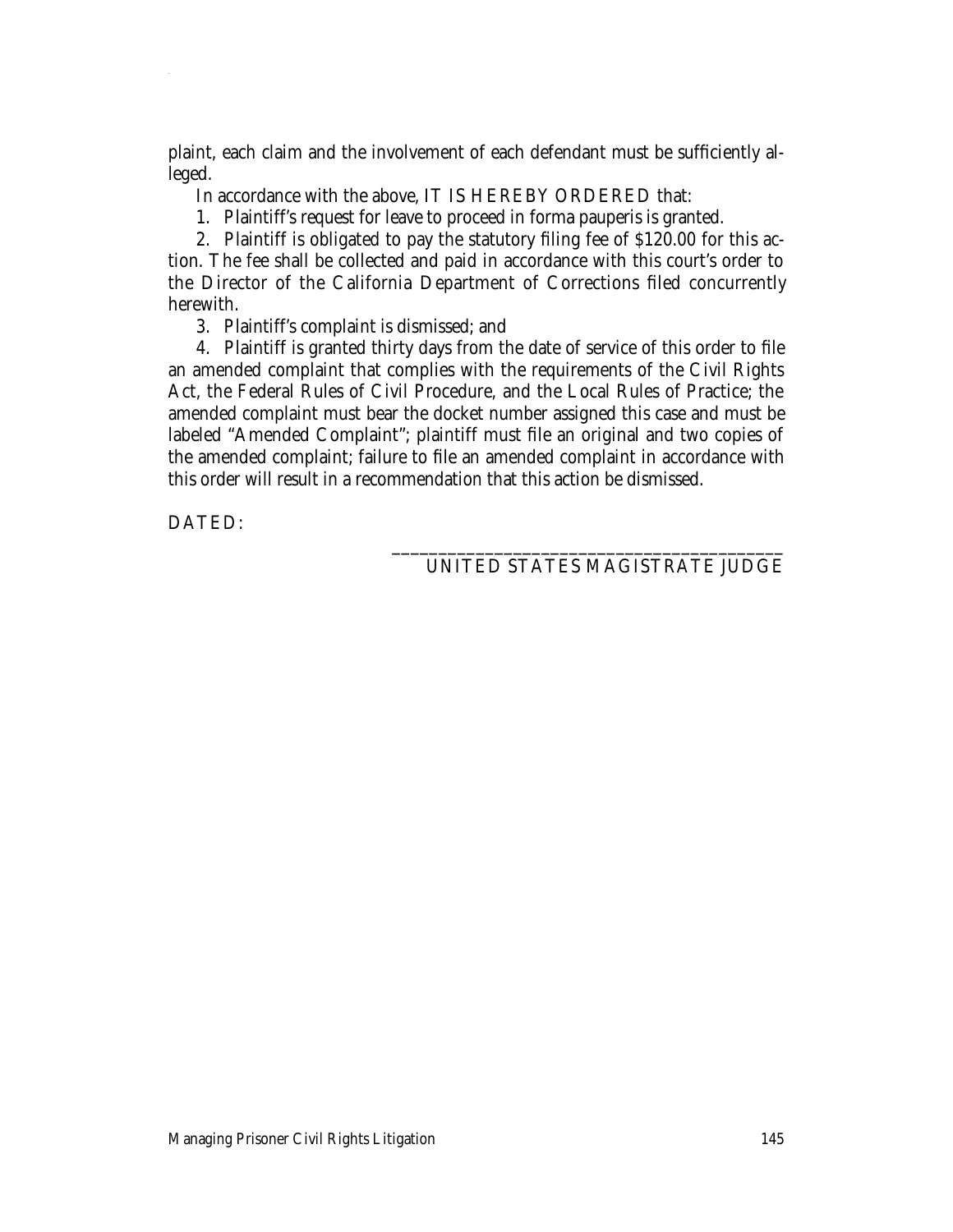plaint, each claim and the involvement of each defendant must be sufficiently alleged.

- In accordance with the above, IT IS HEREBY ORDERED that:
- 1. Plaintiff's request for leave to proceed in forma pauperis is granted.

2. Plaintiff is obligated to pay the statutory filing fee of \$120.00 for this action. The fee shall be collected and paid in accordance with this court's order to the Director of the California Department of Corrections filed concurrently herewith.

3. Plaintiff's complaint is dismissed; and

4. Plaintiff is granted thirty days from the date of service of this order to file an amended complaint that complies with the requirements of the Civil Rights Act, the Federal Rules of Civil Procedure, and the Local Rules of Practice; the amended complaint must bear the docket number assigned this case and must be labeled "Amended Complaint"; plaintiff must file an original and two copies of the amended complaint; failure to file an amended complaint in accordance with this order will result in a recommendation that this action be dismissed.

DATED:

\_\_\_\_\_\_\_\_\_\_\_\_\_\_\_\_\_\_\_\_\_\_\_\_\_\_\_\_\_\_\_\_\_\_\_\_\_\_\_\_\_\_ UNITED STATES MAGISTRATE JUDGE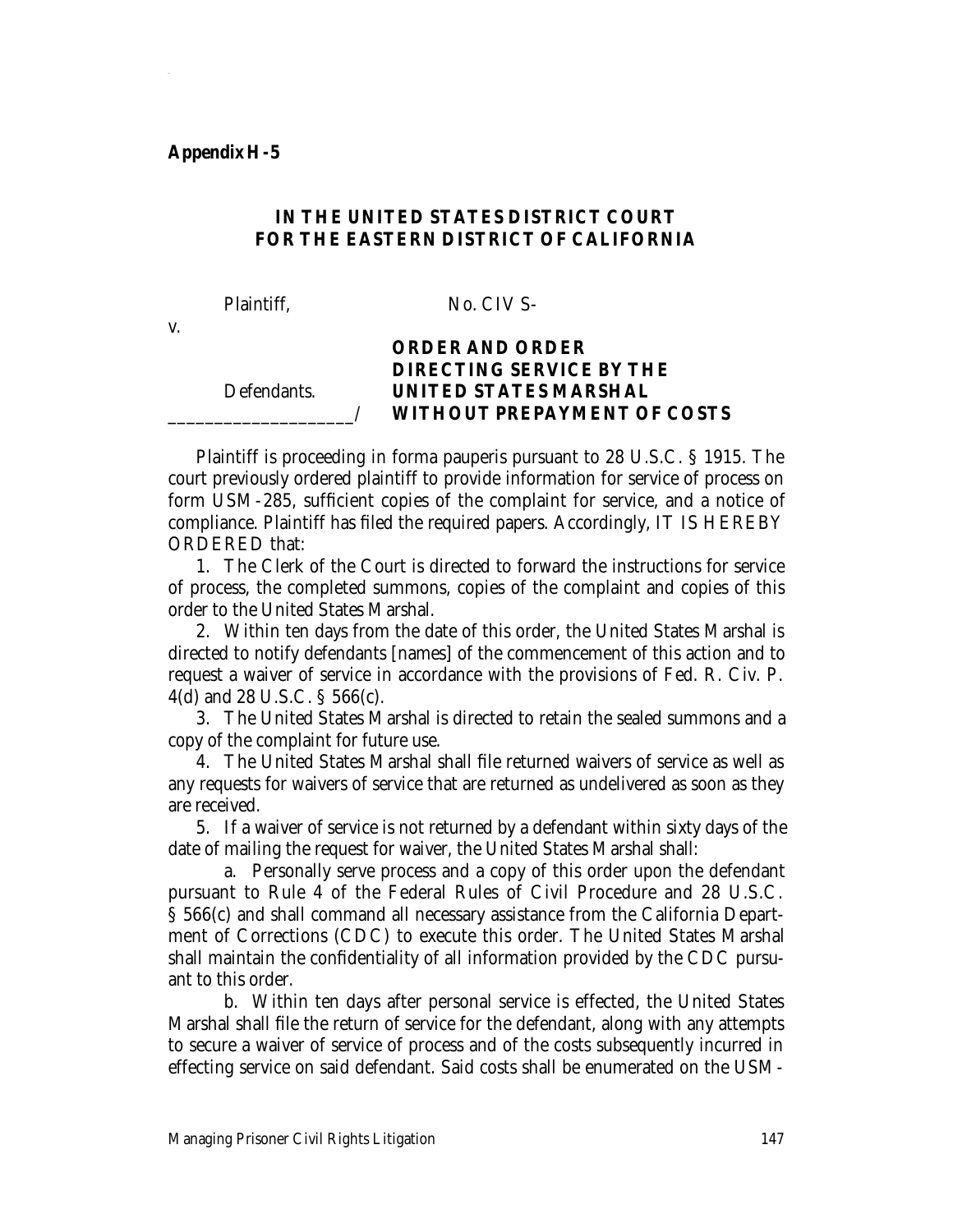**Appendix H-5**

# **IN THE UNITED STATES DISTRICT COURT FOR THE EASTERN DISTRICT OF CALIFORNIA**

v.

Plaintiff, No. CIV S-

# **ORDER AND ORDER DIRECTING SERVICE BY THE** Defendants. **UNITED STATES MARSHAL** \_\_\_\_\_\_\_\_\_\_\_\_\_\_\_\_\_\_\_\_/ **WITHOUT PREPAYMENT OF COSTS**

Plaintiff is proceeding in forma pauperis pursuant to 28 U.S.C. § 1915. The court previously ordered plaintiff to provide information for service of process on form USM-285, sufficient copies of the complaint for service, and a notice of compliance. Plaintiff has filed the required papers. Accordingly, IT IS HEREBY ORDERED that:

1. The Clerk of the Court is directed to forward the instructions for service of process, the completed summons, copies of the complaint and copies of this order to the United States Marshal.

2. Within ten days from the date of this order, the United States Marshal is directed to notify defendants [names] of the commencement of this action and to request a waiver of service in accordance with the provisions of Fed. R. Civ. P. 4(d) and 28 U.S.C. § 566(c).

3. The United States Marshal is directed to retain the sealed summons and a copy of the complaint for future use.

4. The United States Marshal shall file returned waivers of service as well as any requests for waivers of service that are returned as undelivered as soon as they are received.

5. If a waiver of service is not returned by a defendant within sixty days of the date of mailing the request for waiver, the United States Marshal shall:

a. Personally serve process and a copy of this order upon the defendant pursuant to Rule 4 of the Federal Rules of Civil Procedure and 28 U.S.C. § 566(c) and shall command all necessary assistance from the California Department of Corrections (CDC) to execute this order. The United States Marshal shall maintain the confidentiality of all information provided by the CDC pursuant to this order.

b. Within ten days after personal service is effected, the United States Marshal shall file the return of service for the defendant, along with any attempts to secure a waiver of service of process and of the costs subsequently incurred in effecting service on said defendant. Said costs shall be enumerated on the USM-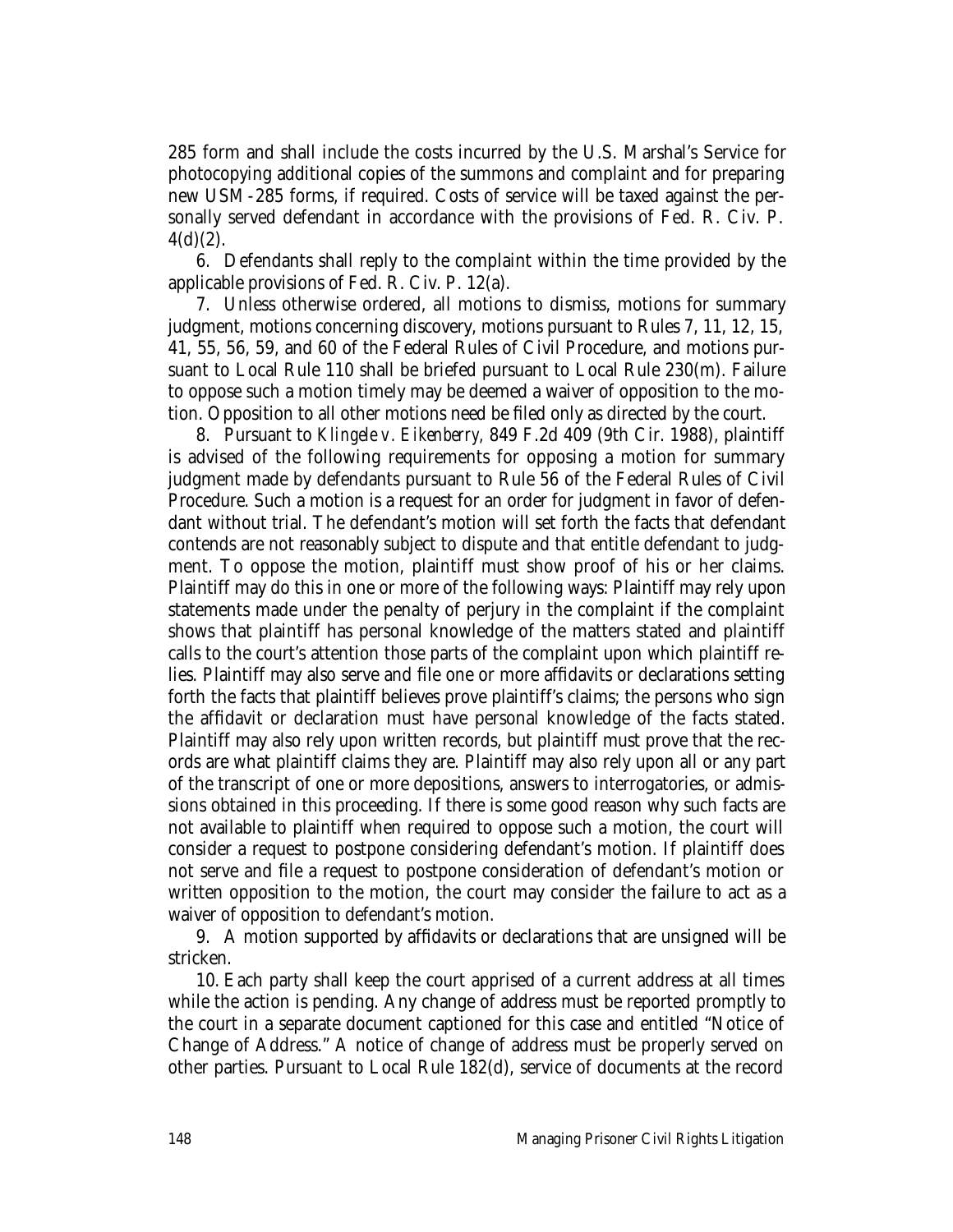285 form and shall include the costs incurred by the U.S. Marshal's Service for photocopying additional copies of the summons and complaint and for preparing new USM-285 forms, if required. Costs of service will be taxed against the personally served defendant in accordance with the provisions of Fed. R. Civ. P.  $4(d)(2)$ .

6. Defendants shall reply to the complaint within the time provided by the applicable provisions of Fed. R. Civ. P. 12(a).

7. Unless otherwise ordered, all motions to dismiss, motions for summary judgment, motions concerning discovery, motions pursuant to Rules 7, 11, 12, 15, 41, 55, 56, 59, and 60 of the Federal Rules of Civil Procedure, and motions pursuant to Local Rule 110 shall be briefed pursuant to Local Rule 230(m). Failure to oppose such a motion timely may be deemed a waiver of opposition to the motion. Opposition to all other motions need be filed only as directed by the court.

8. Pursuant to *Klingele v. Eikenberry,* 849 F.2d 409 (9th Cir. 1988), plaintiff is advised of the following requirements for opposing a motion for summary judgment made by defendants pursuant to Rule 56 of the Federal Rules of Civil Procedure. Such a motion is a request for an order for judgment in favor of defendant without trial. The defendant's motion will set forth the facts that defendant contends are not reasonably subject to dispute and that entitle defendant to judgment. To oppose the motion, plaintiff must show proof of his or her claims. Plaintiff may do this in one or more of the following ways: Plaintiff may rely upon statements made under the penalty of perjury in the complaint if the complaint shows that plaintiff has personal knowledge of the matters stated and plaintiff calls to the court's attention those parts of the complaint upon which plaintiff relies. Plaintiff may also serve and file one or more affidavits or declarations setting forth the facts that plaintiff believes prove plaintiff's claims; the persons who sign the affidavit or declaration must have personal knowledge of the facts stated. Plaintiff may also rely upon written records, but plaintiff must prove that the records are what plaintiff claims they are. Plaintiff may also rely upon all or any part of the transcript of one or more depositions, answers to interrogatories, or admissions obtained in this proceeding. If there is some good reason why such facts are not available to plaintiff when required to oppose such a motion, the court will consider a request to postpone considering defendant's motion. If plaintiff does not serve and file a request to postpone consideration of defendant's motion or written opposition to the motion, the court may consider the failure to act as a waiver of opposition to defendant's motion.

9. A motion supported by affidavits or declarations that are unsigned will be stricken.

10. Each party shall keep the court apprised of a current address at all times while the action is pending. Any change of address must be reported promptly to the court in a separate document captioned for this case and entitled "Notice of Change of Address." A notice of change of address must be properly served on other parties. Pursuant to Local Rule 182(d), service of documents at the record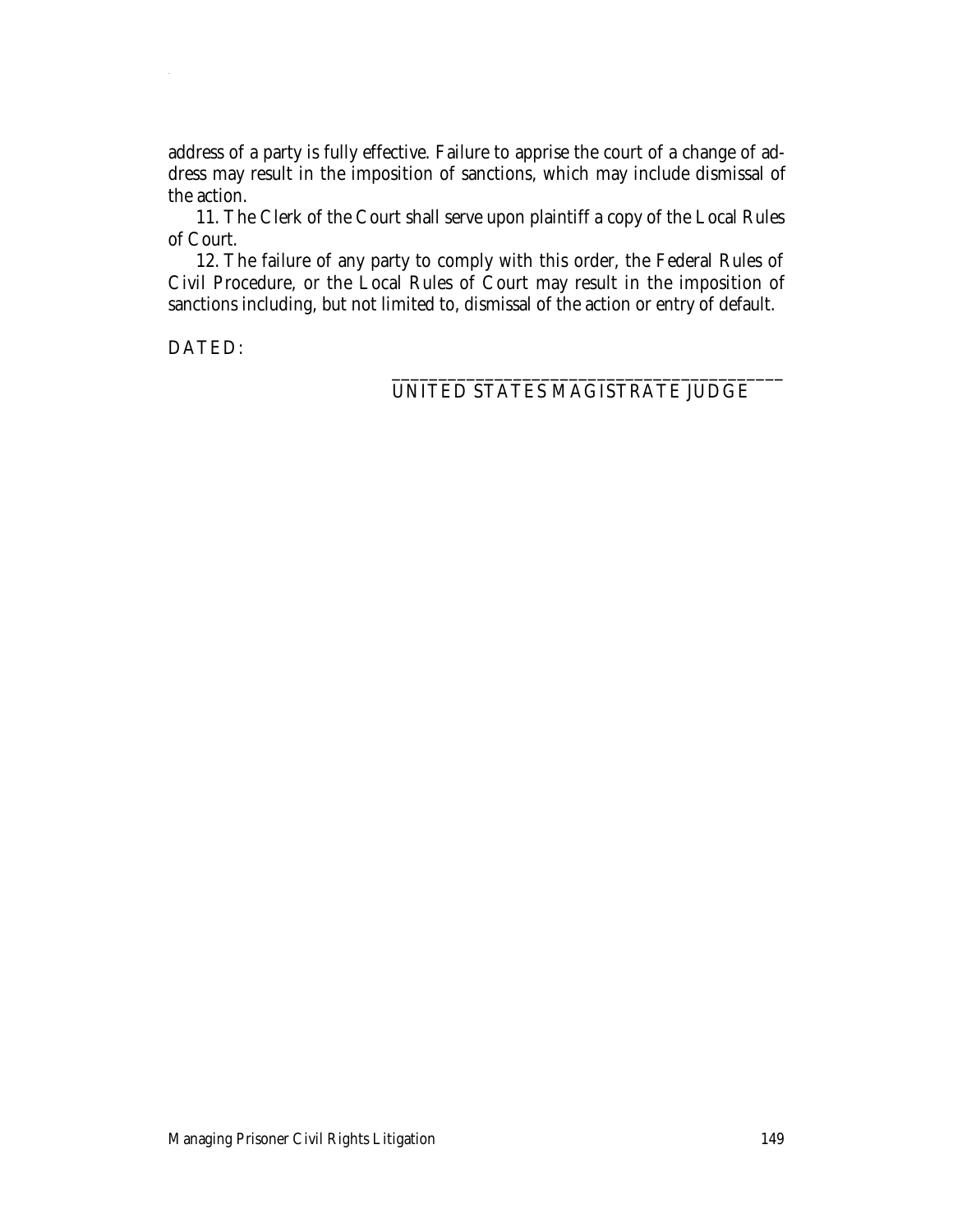address of a party is fully effective. Failure to apprise the court of a change of address may result in the imposition of sanctions, which may include dismissal of the action.

11. The Clerk of the Court shall serve upon plaintiff a copy of the Local Rules of Court.

12. The failure of any party to comply with this order, the Federal Rules of Civil Procedure, or the Local Rules of Court may result in the imposition of sanctions including, but not limited to, dismissal of the action or entry of default.

DATED:

\_\_\_\_\_\_\_\_\_\_\_\_\_\_\_\_\_\_\_\_\_\_\_\_\_\_\_\_\_\_\_\_\_\_\_\_\_\_\_\_\_\_ UNITED STATES MAGISTRATE JUDGE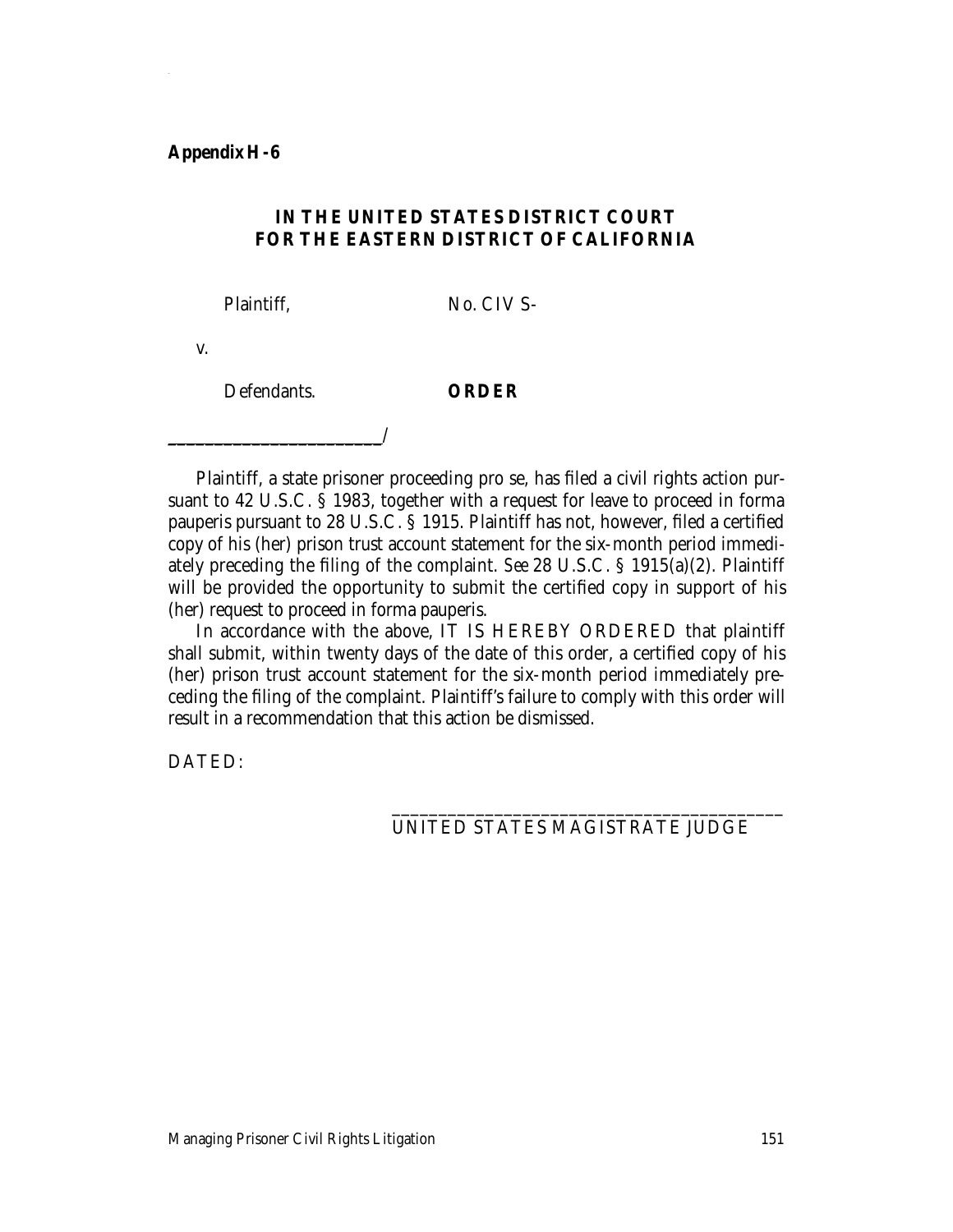**Appendix H-6**

# **IN THE UNITED STATES DISTRICT COURT FOR THE EASTERN DISTRICT OF CALIFORNIA**

Plaintiff, No. CIV S-

v.

Defendants. **ORDER**

\_\_\_\_\_\_\_\_\_\_\_\_\_\_\_\_\_\_\_\_\_\_\_ /

Plaintiff, a state prisoner proceeding pro se, has filed a civil rights action pursuant to 42 U.S.C. § 1983, together with a request for leave to proceed in forma pauperis pursuant to 28 U.S.C. § 1915. Plaintiff has not, however, filed a certified copy of his (her) prison trust account statement for the six-month period immediately preceding the filing of the complaint. *See* 28 U.S.C. § 1915(a)(2). Plaintiff will be provided the opportunity to submit the certified copy in support of his (her) request to proceed in forma pauperis.

In accordance with the above, IT IS HEREBY ORDERED that plaintiff shall submit, within twenty days of the date of this order, a certified copy of his (her) prison trust account statement for the six-month period immediately preceding the filing of the complaint. Plaintiff's failure to comply with this order will result in a recommendation that this action be dismissed.

DATED:

UNITED STATES MAGISTRATE JUDGE

\_\_\_\_\_\_\_\_\_\_\_\_\_\_\_\_\_\_\_\_\_\_\_\_\_\_\_\_\_\_\_\_\_\_\_\_\_\_\_\_\_\_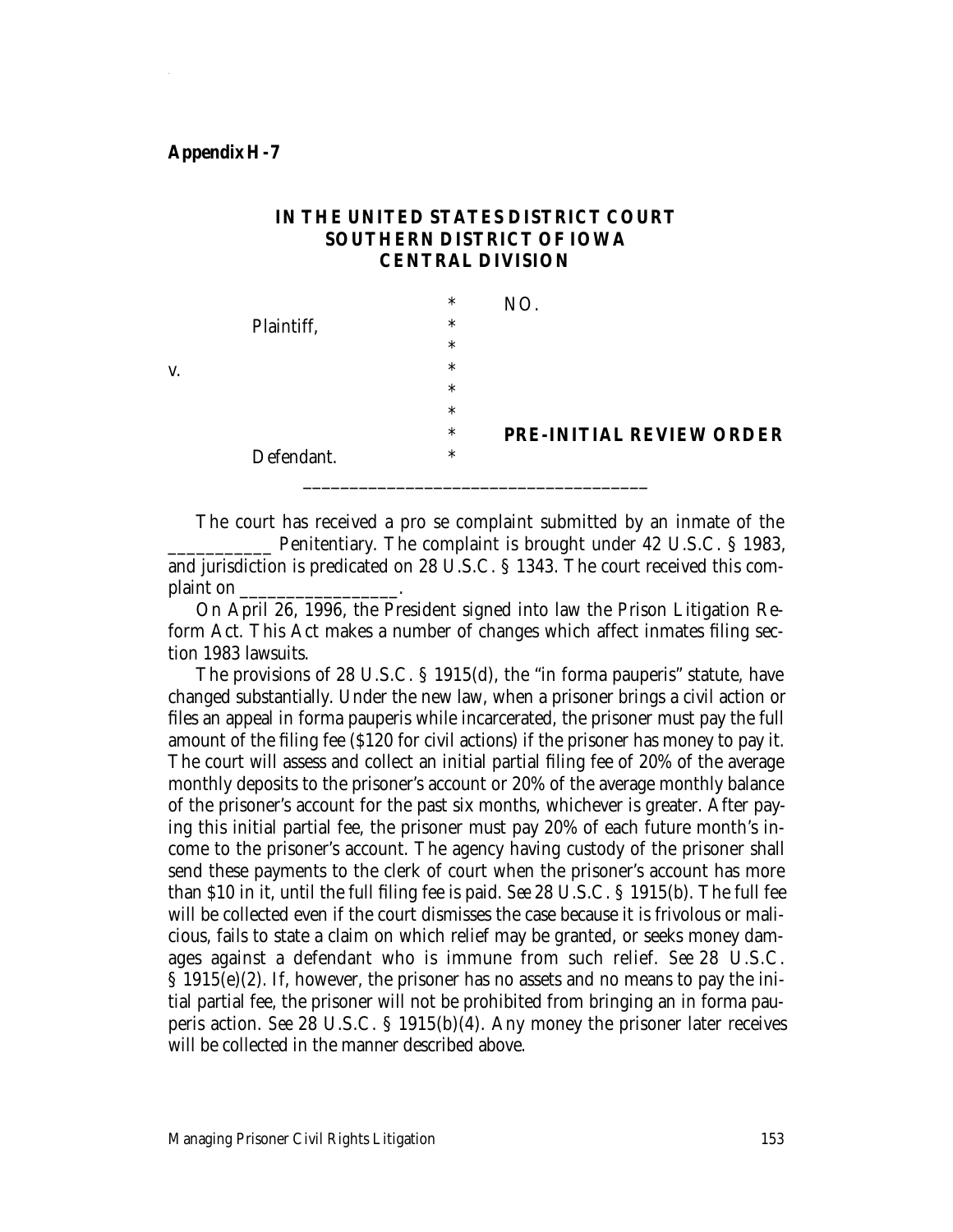# **IN THE UNITED STATES DISTRICT COURT SOUTHERN DISTRICT OF IOWA CENTRAL DIVISION**

|    |            | $\ast$ | NO.                      |
|----|------------|--------|--------------------------|
| V. | Plaintiff, | $\ast$ |                          |
|    |            | $\ast$ |                          |
|    |            | $\ast$ |                          |
|    |            | $\ast$ |                          |
|    |            | $\ast$ |                          |
|    |            | $\ast$ | PRE-INITIAL REVIEW ORDER |
|    | Defendant. | $\ast$ |                          |
|    |            |        |                          |

The court has received a pro se complaint submitted by an inmate of the Penitentiary. The complaint is brought under 42 U.S.C. § 1983, and jurisdiction is predicated on 28 U.S.C. § 1343. The court received this complaint on

On April 26, 1996, the President signed into law the Prison Litigation Reform Act. This Act makes a number of changes which affect inmates filing section 1983 lawsuits.

The provisions of 28 U.S.C. § 1915(d), the "in forma pauperis" statute, have changed substantially. Under the new law, when a prisoner brings a civil action or files an appeal in forma pauperis while incarcerated, the prisoner must pay the full amount of the filing fee (\$120 for civil actions) if the prisoner has money to pay it. The court will assess and collect an initial partial filing fee of 20% of the average monthly deposits to the prisoner's account or 20% of the average monthly balance of the prisoner's account for the past six months, whichever is greater. After paying this initial partial fee, the prisoner must pay 20% of each future month's income to the prisoner's account. The agency having custody of the prisoner shall send these payments to the clerk of court when the prisoner's account has more than \$10 in it, until the full filing fee is paid. *See* 28 U.S.C. § 1915(b). The full fee will be collected even if the court dismisses the case because it is frivolous or malicious, fails to state a claim on which relief may be granted, or seeks money damages against a defendant who is immune from such relief. *See* 28 U.S.C. § 1915(e)(2). If, however, the prisoner has no assets and no means to pay the initial partial fee, the prisoner will not be prohibited from bringing an in forma pauperis action. *See* 28 U.S.C. § 1915(b)(4). Any money the prisoner later receives will be collected in the manner described above.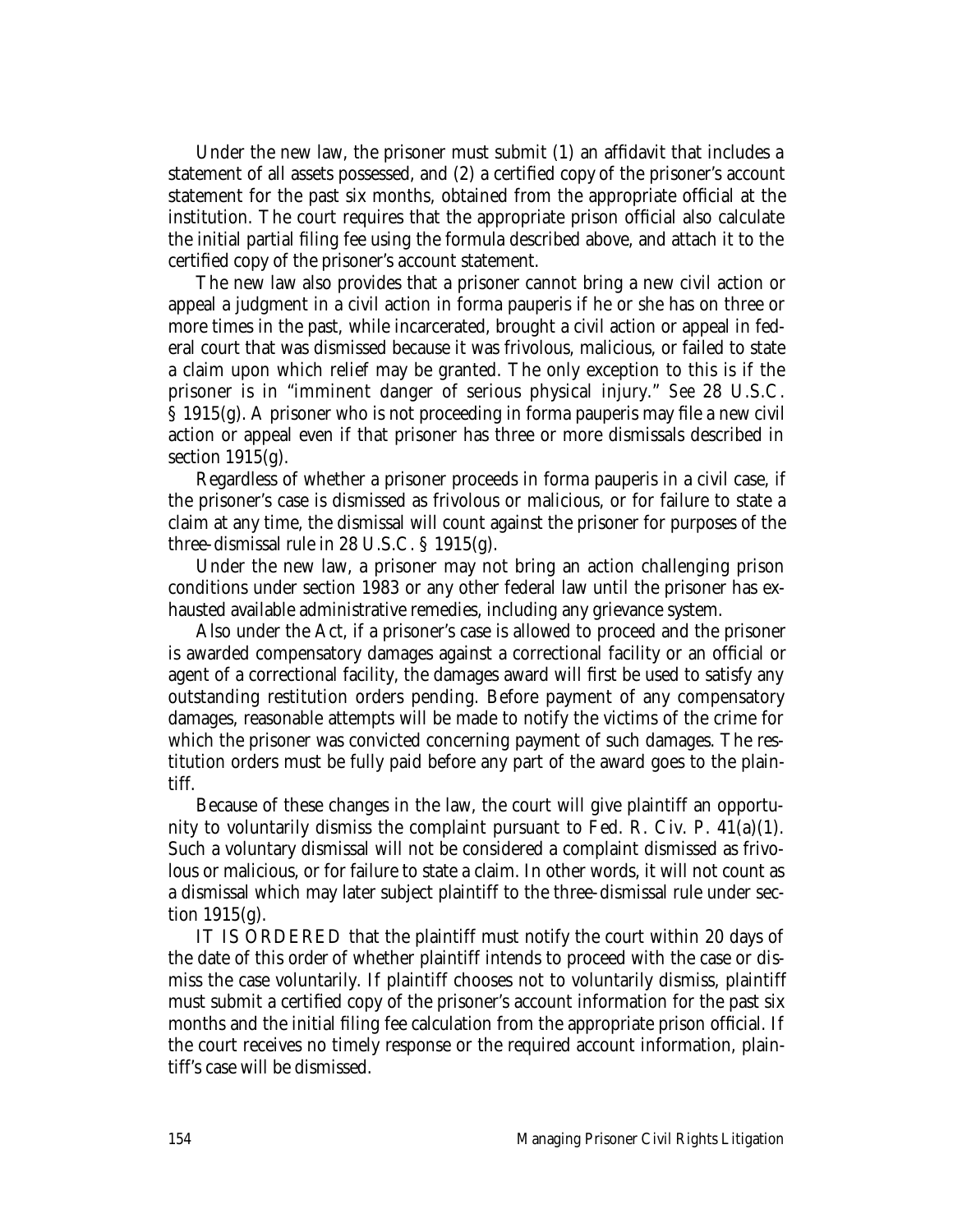Under the new law, the prisoner must submit (1) an affidavit that includes a statement of all assets possessed, and (2) a certified copy of the prisoner's account statement for the past six months, obtained from the appropriate official at the institution. The court requires that the appropriate prison official also calculate the initial partial filing fee using the formula described above, and attach it to the certified copy of the prisoner's account statement.

The new law also provides that a prisoner cannot bring a new civil action or appeal a judgment in a civil action in forma pauperis if he or she has on three or more times in the past, while incarcerated, brought a civil action or appeal in federal court that was dismissed because it was frivolous, malicious, or failed to state a claim upon which relief may be granted. The only exception to this is if the prisoner is in "imminent danger of serious physical injury." *See* 28 U.S.C. § 1915(g). A prisoner who is not proceeding in forma pauperis may file a new civil action or appeal even if that prisoner has three or more dismissals described in section  $1915(g)$ .

Regardless of whether a prisoner proceeds in forma pauperis in a civil case, if the prisoner's case is dismissed as frivolous or malicious, or for failure to state a claim at any time, the dismissal will count against the prisoner for purposes of the three-dismissal rule in 28 U.S.C. § 1915(g).

Under the new law, a prisoner may not bring an action challenging prison conditions under section 1983 or any other federal law until the prisoner has exhausted available administrative remedies, including any grievance system.

Also under the Act, if a prisoner's case is allowed to proceed and the prisoner is awarded compensatory damages against a correctional facility or an official or agent of a correctional facility, the damages award will first be used to satisfy any outstanding restitution orders pending. Before payment of any compensatory damages, reasonable attempts will be made to notify the victims of the crime for which the prisoner was convicted concerning payment of such damages. The restitution orders must be fully paid before any part of the award goes to the plaintiff.

Because of these changes in the law, the court will give plaintiff an opportunity to voluntarily dismiss the complaint pursuant to Fed. R. Civ. P. 41(a)(1). Such a voluntary dismissal will not be considered a complaint dismissed as frivolous or malicious, or for failure to state a claim. In other words, it will not count as a dismissal which may later subject plaintiff to the three-dismissal rule under section 1915(g).

IT IS ORDERED that the plaintiff must notify the court within 20 days of the date of this order of whether plaintiff intends to proceed with the case or dismiss the case voluntarily. If plaintiff chooses not to voluntarily dismiss, plaintiff must submit a certified copy of the prisoner's account information for the past six months and the initial filing fee calculation from the appropriate prison official. If the court receives no timely response or the required account information, plaintiff's case will be dismissed.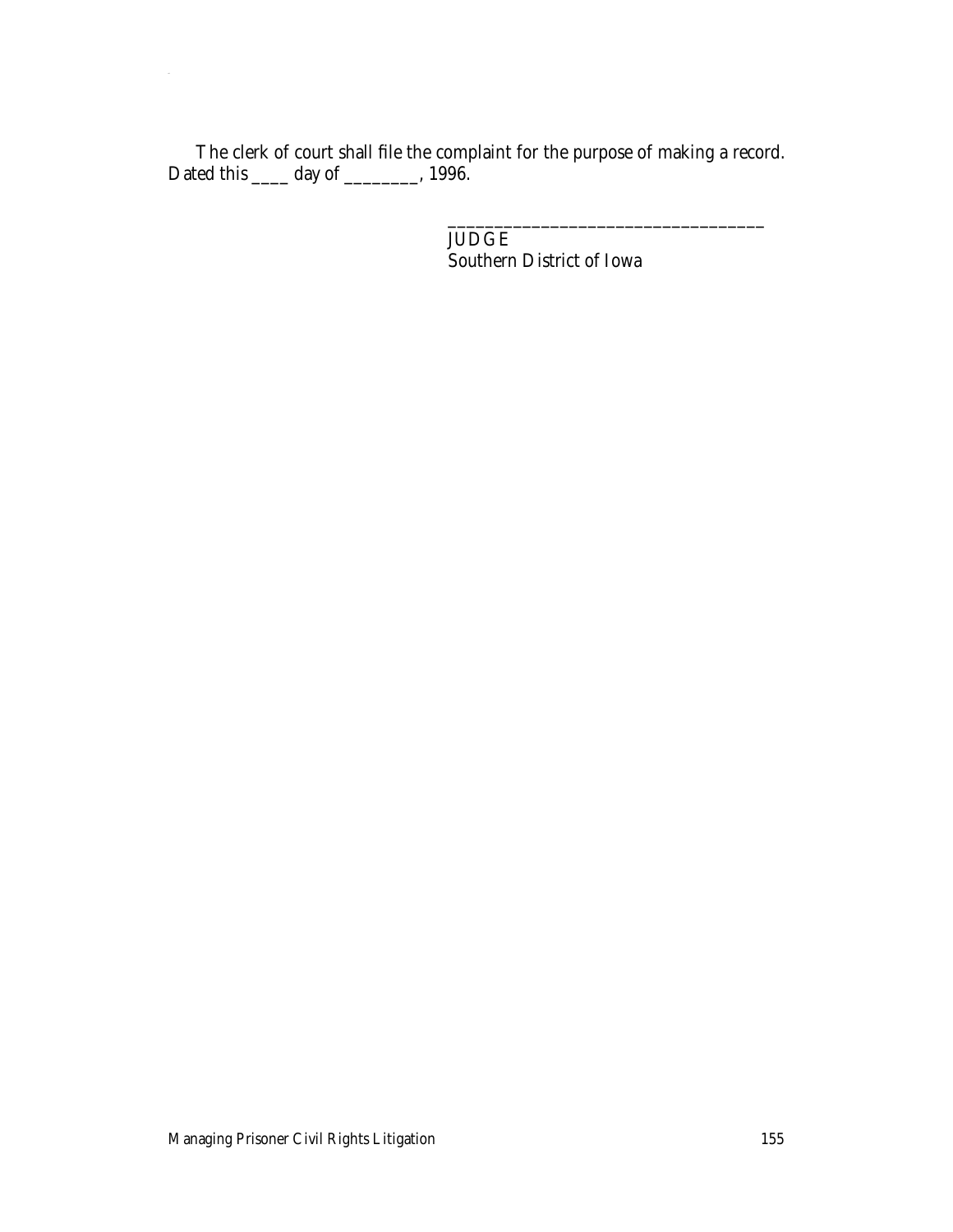The clerk of court shall file the complaint for the purpose of making a record. Dated this \_\_\_\_\_ day of \_\_\_\_\_\_\_\_, 1996.

vii

JUDGE Southern District of Iowa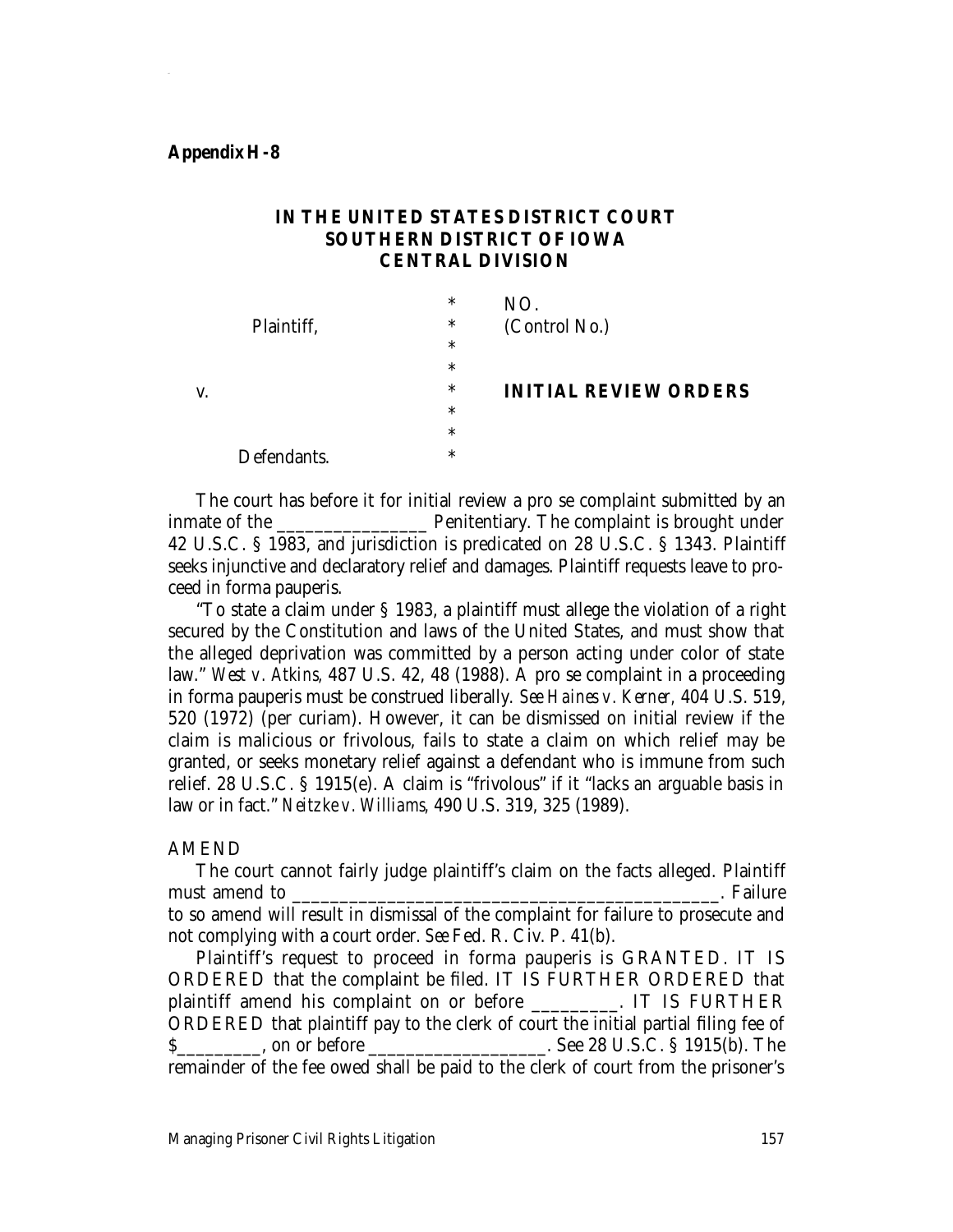# **IN THE UNITED STATES DISTRICT COURT SOUTHERN DISTRICT OF IOWA CENTRAL DIVISION**

|    |             | $\ast$ | NO.                          |
|----|-------------|--------|------------------------------|
|    | Plaintiff,  | $\ast$ | (Control No.)                |
|    |             | $\ast$ |                              |
|    |             | $\ast$ |                              |
| V. |             | $\ast$ | <b>INITIAL REVIEW ORDERS</b> |
|    |             | $\ast$ |                              |
|    |             | $\ast$ |                              |
|    | Defendants. | $\ast$ |                              |

The court has before it for initial review a pro se complaint submitted by an inmate of the Tenitentiary. The complaint is brought under 42 U.S.C. § 1983, and jurisdiction is predicated on 28 U.S.C. § 1343. Plaintiff seeks injunctive and declaratory relief and damages. Plaintiff requests leave to proceed in forma pauperis.

"To state a claim under § 1983, a plaintiff must allege the violation of a right secured by the Constitution and laws of the United States, and must show that the alleged deprivation was committed by a person acting under color of state law." *West v. Atkins,* 487 U.S. 42, 48 (1988). A pro se complaint in a proceeding in forma pauperis must be construed liberally. *See Haines v. Kerner,* 404 U.S. 519, 520 (1972) (per curiam). However, it can be dismissed on initial review if the claim is malicious or frivolous, fails to state a claim on which relief may be granted, or seeks monetary relief against a defendant who is immune from such relief. 28 U.S.C. § 1915(e). A claim is "frivolous" if it "lacks an arguable basis in law or in fact." *Neitzke v. Williams,* 490 U.S. 319, 325 (1989).

#### AMEND

The court cannot fairly judge plaintiff's claim on the facts alleged. Plaintiff must amend to example to the set of the set of the set of the set of the set of the set of the set of the set of the set of the set of the set of the set of the set of the set of the set of the set of the set of the set of to so amend will result in dismissal of the complaint for failure to prosecute and not complying with a court order. *See* Fed. R. Civ. P. 41(b).

Plaintiff's request to proceed in forma pauperis is GRANTED. IT IS ORDERED that the complaint be filed. IT IS FURTHER ORDERED that plaintiff amend his complaint on or before Theorem Construction Constant Constant Constant Construction Constant ORDERED that plaintiff pay to the clerk of court the initial partial filing fee of \$ consider the set of the set of the set of the set of the set of the set of the set of the set of the set of the set of the set of the set of the set of the set of the set of the set of the set of the set of the set of th remainder of the fee owed shall be paid to the clerk of court from the prisoner's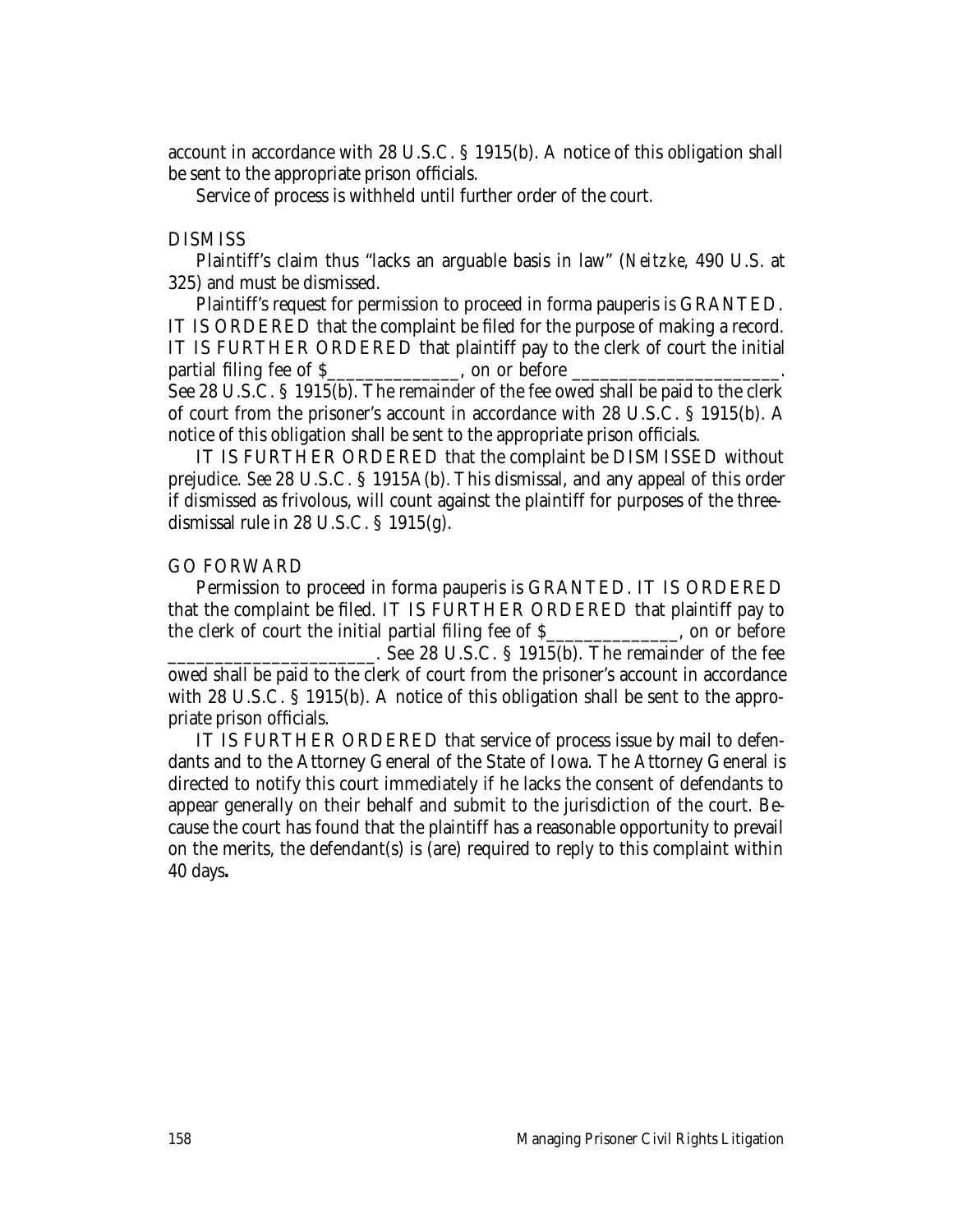account in accordance with 28 U.S.C. § 1915(b). A notice of this obligation shall be sent to the appropriate prison officials.

Service of process is withheld until further order of the court.

#### DISMISS

Plaintiff's claim thus "lacks an arguable basis in law" (*Neitzke,* 490 U.S. at 325) and must be dismissed.

Plaintiff's request for permission to proceed in forma pauperis is GRANTED. IT IS ORDERED that the complaint be filed for the purpose of making a record*.* IT IS FURTHER ORDERED that plaintiff pay to the clerk of court the initial partial filing fee of \$\_\_\_\_\_\_\_\_\_\_\_\_\_\_\_, on or before See 28 U.S.C. § 1915(b). The remainder of the fee owed shall be paid to the clerk

of court from the prisoner's account in accordance with 28 U.S.C. § 1915(b). A notice of this obligation shall be sent to the appropriate prison officials.

IT IS FURTHER ORDERED that the complaint be DISMISSED without prejudice. *See* 28 U.S.C. § 1915A(b). This dismissal, and any appeal of this order if dismissed as frivolous, will count against the plaintiff for purposes of the threedismissal rule in 28 U.S.C. § 1915(g).

#### GO FORWARD

Permission to proceed in forma pauperis is GRANTED. IT IS ORDERED that the complaint be filed. IT IS FURTHER ORDERED that plaintiff pay to the clerk of court the initial partial filing fee of \$\_\_\_\_\_\_\_\_\_\_\_\_\_\_, on or before \_\_\_\_\_\_\_\_\_\_\_\_\_\_\_\_\_\_\_\_\_\_. See 28 U.S.C. § 1915(b). The remainder of the fee owed shall be paid to the clerk of court from the prisoner's account in accordance with 28 U.S.C. § 1915(b). A notice of this obligation shall be sent to the appropriate prison officials.

IT IS FURTHER ORDERED that service of process issue by mail to defendants and to the Attorney General of the State of Iowa. The Attorney General is directed to notify this court immediately if he lacks the consent of defendants to appear generally on their behalf and submit to the jurisdiction of the court. Because the court has found that the plaintiff has a reasonable opportunity to prevail on the merits, the defendant(s) is (are) required to reply to this complaint within 40 days**.**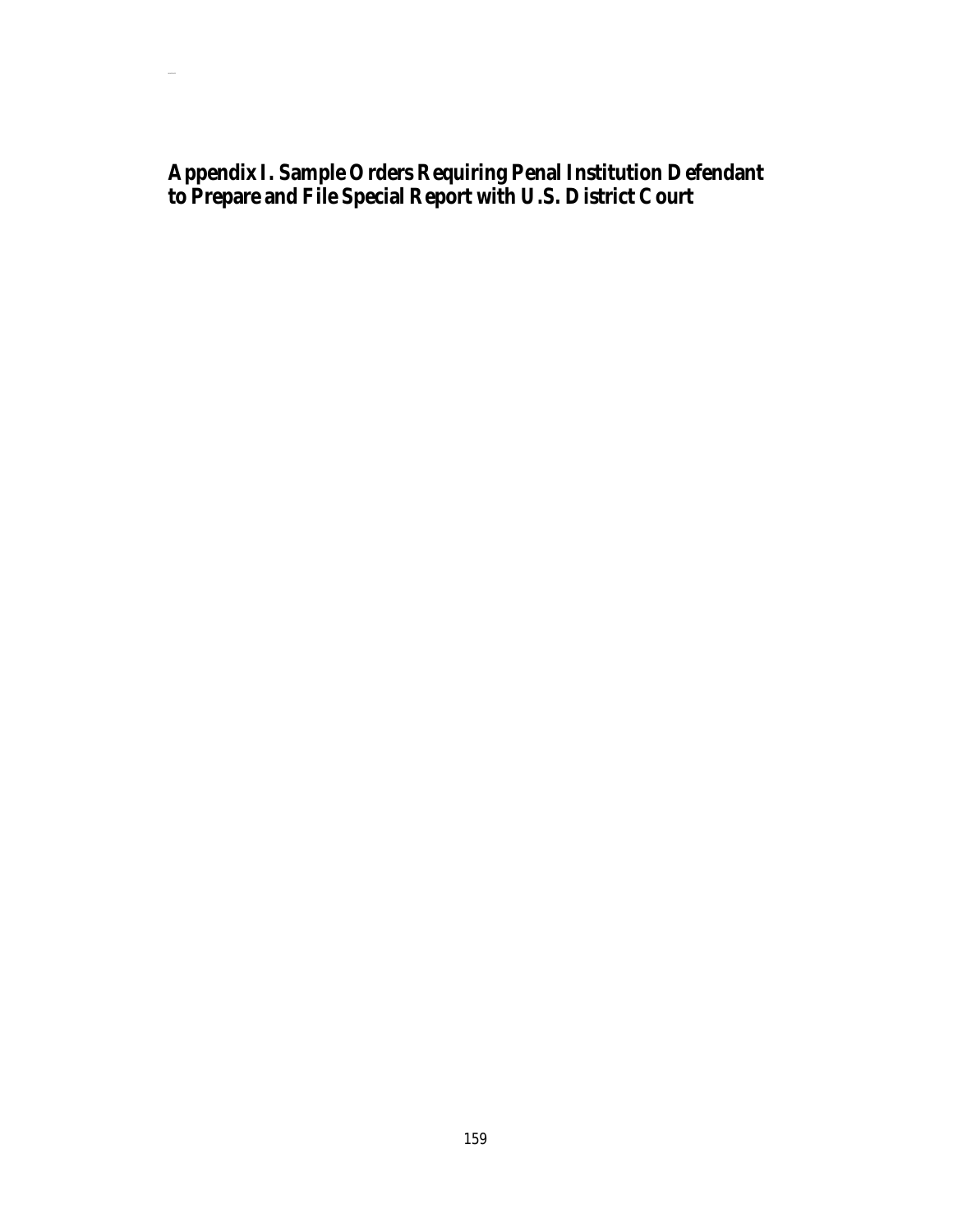**Appendix I. Sample Orders Requiring Penal Institution Defendant to Prepare and File Special Report with U.S. District Court**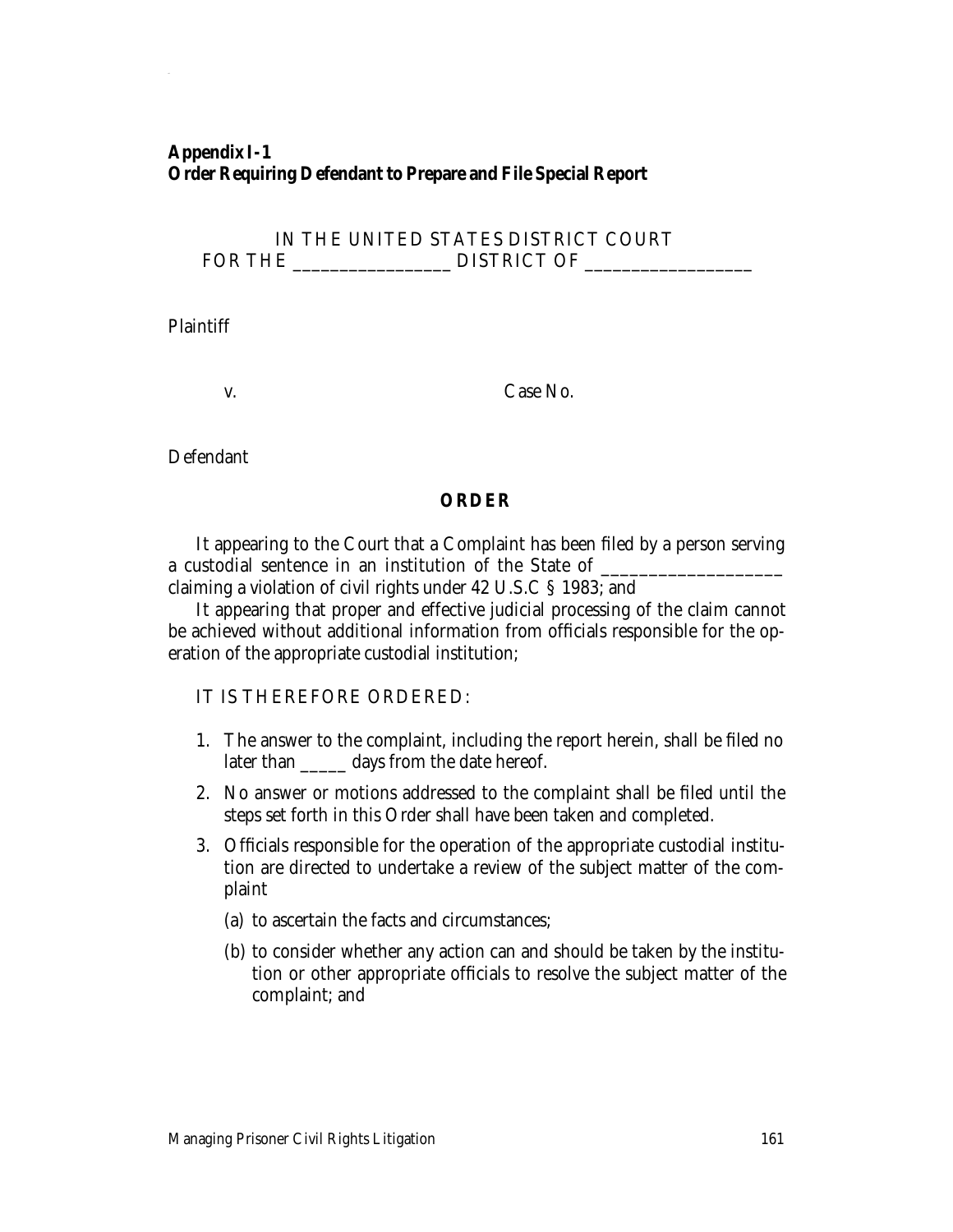# **Appendix I-1 Order Requiring Defendant to Prepare and File Special Report**

# IN THE UNITED STATES DISTRICT COURT FOR THE \_\_\_\_\_\_\_\_\_\_\_\_\_\_\_\_\_ DISTRICT OF \_\_\_\_\_\_\_\_\_\_\_\_\_\_\_\_\_\_

Plaintiff

v. Case No.

Defendant

### **ORDER**

It appearing to the Court that a Complaint has been filed by a person serving a custodial sentence in an institution of the State of claiming a violation of civil rights under 42 U.S.C § 1983; and

It appearing that proper and effective judicial processing of the claim cannot be achieved without additional information from officials responsible for the operation of the appropriate custodial institution;

## IT IS THEREFORE ORDERED:

- 1. The answer to the complaint, including the report herein, shall be filed no later than \_\_\_\_\_\_\_ days from the date hereof.
- 2. No answer or motions addressed to the complaint shall be filed until the steps set forth in this Order shall have been taken and completed.
- 3. Officials responsible for the operation of the appropriate custodial institution are directed to undertake a review of the subject matter of the complaint
	- (a) to ascertain the facts and circumstances;
	- (b) to consider whether any action can and should be taken by the institution or other appropriate officials to resolve the subject matter of the complaint; and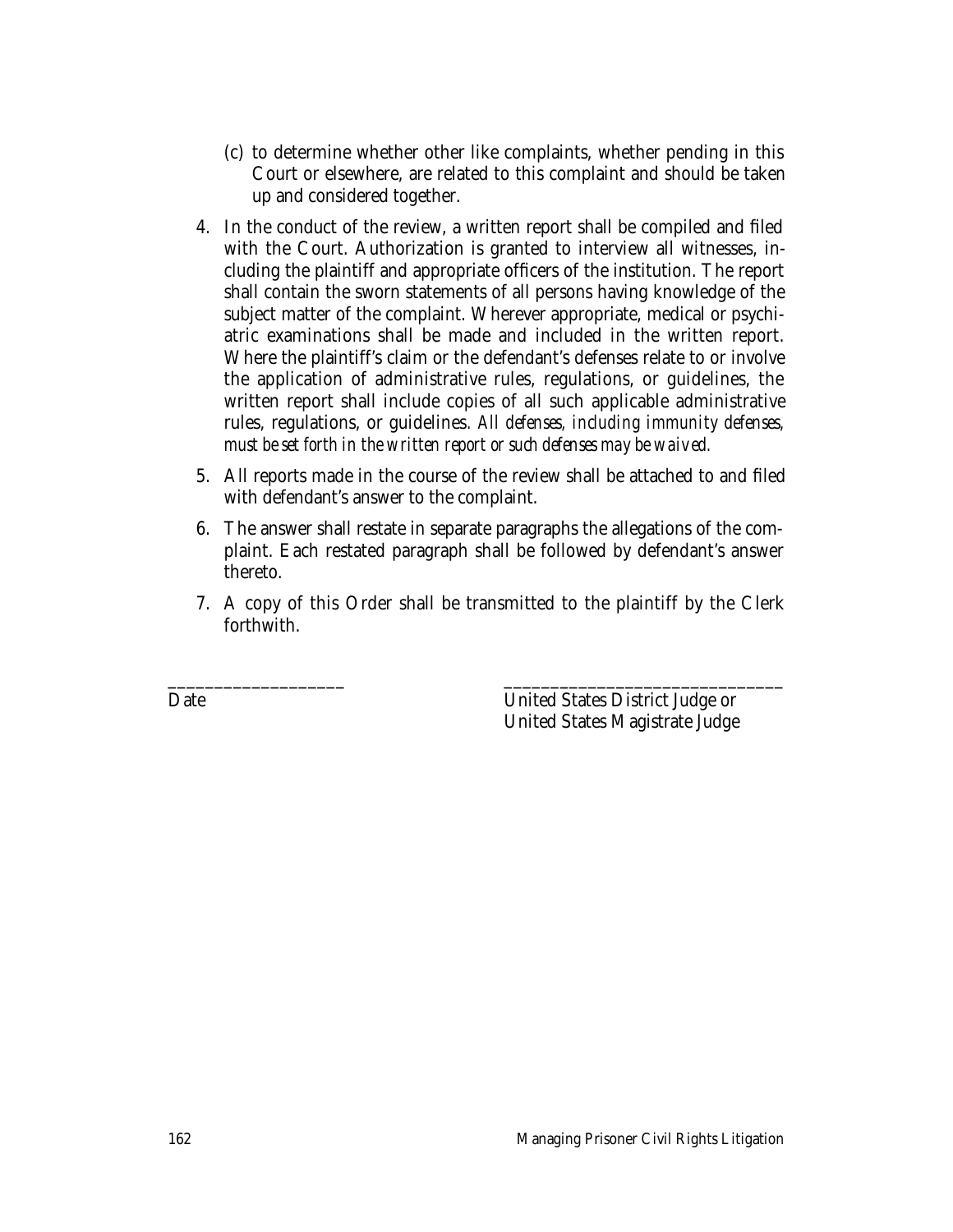- (c) to determine whether other like complaints, whether pending in this Court or elsewhere, are related to this complaint and should be taken up and considered together.
- 4. In the conduct of the review, a written report shall be compiled and filed with the Court. Authorization is granted to interview all witnesses, including the plaintiff and appropriate officers of the institution. The report shall contain the sworn statements of all persons having knowledge of the subject matter of the complaint. Wherever appropriate, medical or psychiatric examinations shall be made and included in the written report. Where the plaintiff's claim or the defendant's defenses relate to or involve the application of administrative rules, regulations, or guidelines, the written report shall include copies of all such applicable administrative rules, regulations, or guidelines*. All defenses, including immunity defenses, must be set forth in the written report or such defenses may be waived.*
- 5. All reports made in the course of the review shall be attached to and filed with defendant's answer to the complaint.
- 6. The answer shall restate in separate paragraphs the allegations of the complaint. Each restated paragraph shall be followed by defendant's answer thereto.
- 7. A copy of this Order shall be transmitted to the plaintiff by the Clerk forthwith.

\_\_\_\_\_\_\_\_\_\_\_\_\_\_\_\_\_\_\_ \_\_\_\_\_\_\_\_\_\_\_\_\_\_\_\_\_\_\_\_\_\_\_\_\_\_\_\_\_\_ Date United States District Judge or United States Magistrate Judge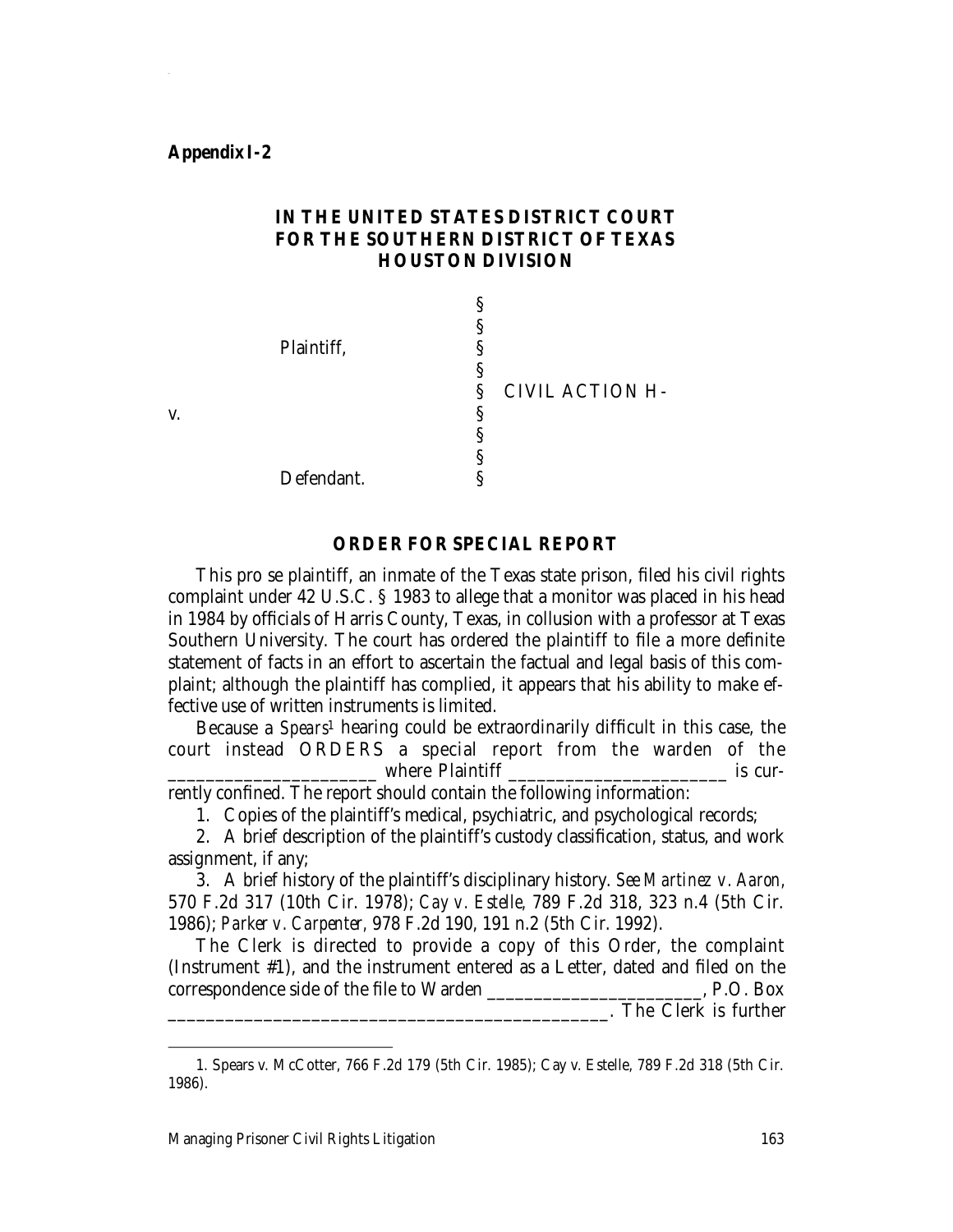# **IN THE UNITED STATES DISTRICT COURT FOR THE SOUTHERN DISTRICT OF TEXAS HOUSTON DIVISION**

|    | Plaintiff, | §<br><b>CIVIL ACTION H-</b><br>S |  |
|----|------------|----------------------------------|--|
| V. |            | ş                                |  |
|    |            |                                  |  |
|    |            |                                  |  |
|    | Defendant. |                                  |  |

#### **ORDER FOR SPECIAL REPORT**

This pro se plaintiff, an inmate of the Texas state prison, filed his civil rights complaint under 42 U.S.C. § 1983 to allege that a monitor was placed in his head in 1984 by officials of Harris County, Texas, in collusion with a professor at Texas Southern University. The court has ordered the plaintiff to file a more definite statement of facts in an effort to ascertain the factual and legal basis of this complaint; although the plaintiff has complied, it appears that his ability to make effective use of written instruments is limited.

Because a *Spears*1 hearing could be extraordinarily difficult in this case, the court instead ORDERS a special report from the warden of the where Plaintiff **Exercise Exercise 2** is currently confined. The report should contain the following information:

1. Copies of the plaintiff's medical, psychiatric, and psychological records;

2. A brief description of the plaintiff's custody classification, status, and work assignment, if any;

3. A brief history of the plaintiff's disciplinary history. *See Martinez v. Aaron,* 570 F.2d 317 (10th Cir. 1978); *Cay v. Estelle,* 789 F.2d 318, 323 n.4 (5th Cir. 1986); *Parker v. Carpenter,* 978 F.2d 190, 191 n.2 (5th Cir. 1992).

The Clerk is directed to provide a copy of this Order, the complaint (Instrument #1), and the instrument entered as a Letter, dated and filed on the correspondence side of the file to Warden \_\_\_\_\_\_\_\_\_\_\_\_\_\_\_\_\_\_\_\_\_\_\_, P.O. Box \_\_\_\_\_\_\_\_\_\_\_\_\_\_\_\_\_\_\_\_\_\_\_\_\_\_\_\_\_\_\_\_\_\_\_\_\_\_\_\_\_\_\_\_\_\_. The Clerk is further

 <sup>1.</sup> Spears v. McCotter, 766 F.2d 179 (5th Cir. 1985); Cay v. Estelle, 789 F.2d 318 (5th Cir. 1986).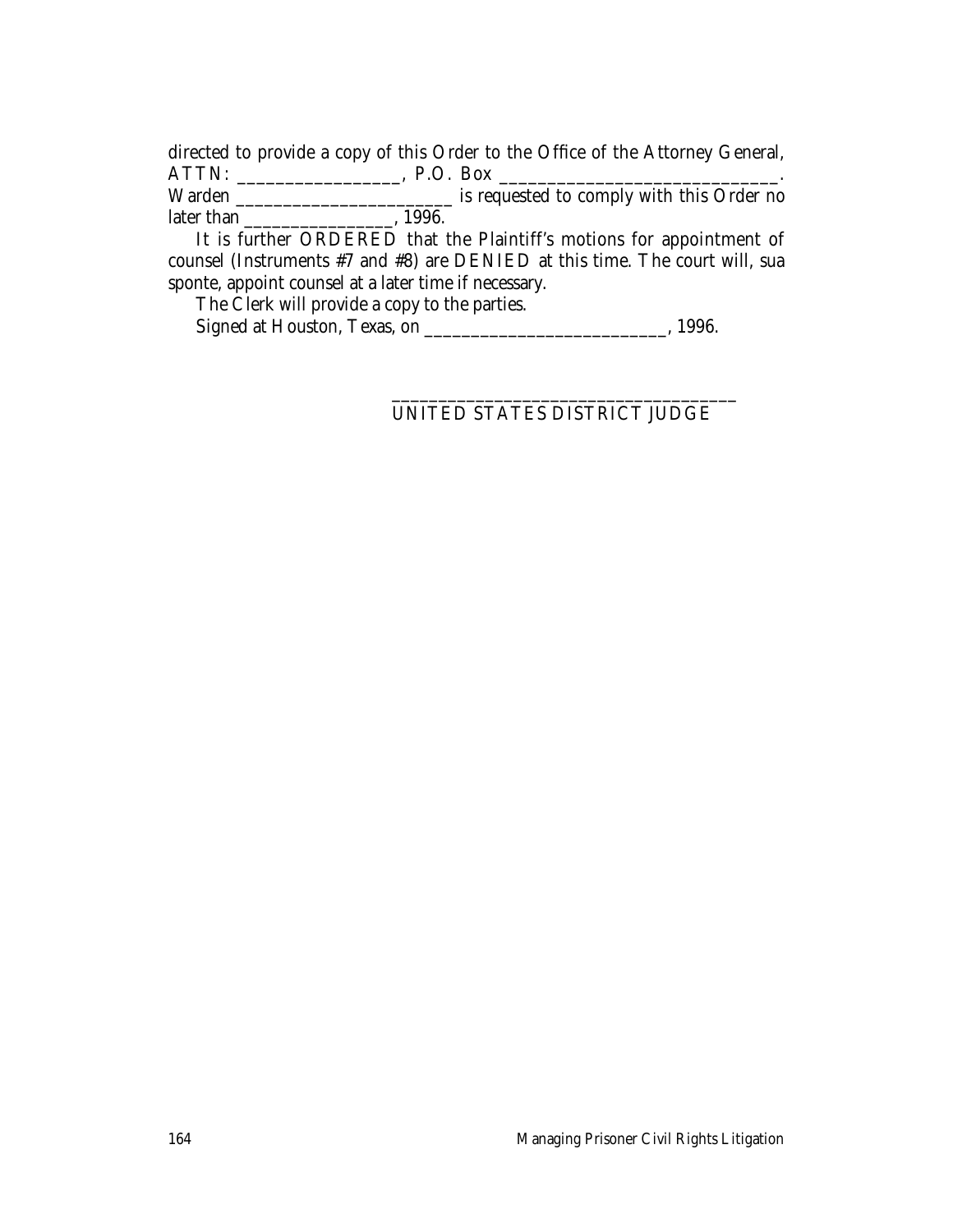directed to provide a copy of this Order to the Office of the Attorney General, ATTN: \_\_\_\_\_\_\_\_\_\_\_\_\_\_\_\_\_, P.O. Box \_\_\_\_\_\_\_\_\_\_\_\_\_\_\_\_\_\_\_\_\_\_\_\_\_\_\_\_\_. Warden \_\_\_\_\_\_\_\_\_\_\_\_\_\_\_\_\_\_\_\_\_\_\_ is requested to comply with this Order no later than \_\_\_\_\_\_\_\_\_\_\_\_\_\_\_\_, 1996.

It is further ORDERED that the Plaintiff's motions for appointment of counsel (Instruments #7 and #8) are DENIED at this time. The court will, sua sponte, appoint counsel at a later time if necessary.

The Clerk will provide a copy to the parties.

Signed at Houston, Texas, on \_\_\_\_\_\_\_\_\_\_\_\_\_\_\_\_\_\_\_\_\_\_\_\_\_\_\_\_, 1996.

\_\_\_\_\_\_\_\_\_\_\_\_\_\_\_\_\_\_\_\_\_\_\_\_\_\_\_\_\_\_\_\_\_\_\_\_\_ UNITED STATES DISTRICT JUDGE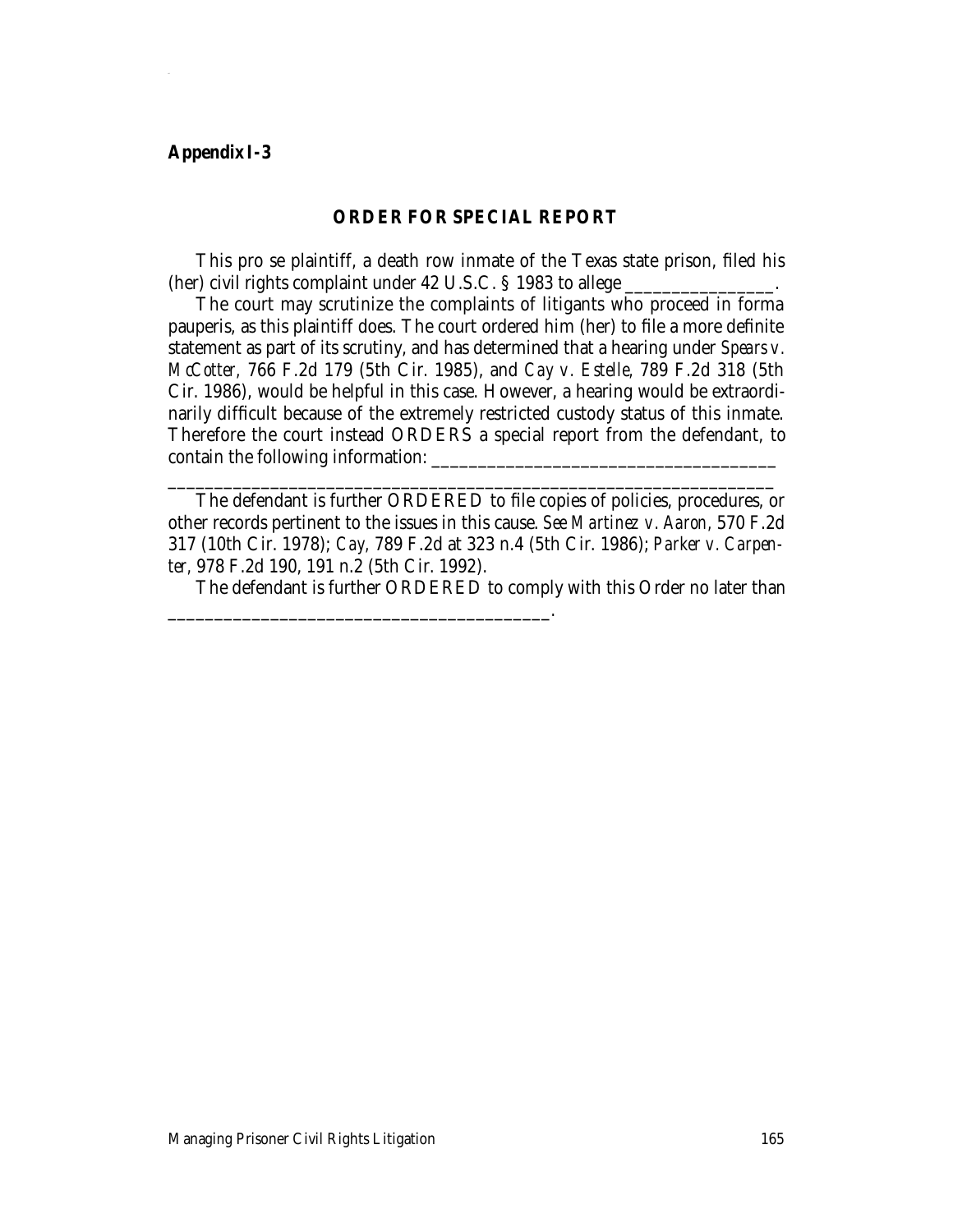#### **Appendix I-3**

#### **ORDER FOR SPECIAL REPORT**

This pro se plaintiff, a death row inmate of the Texas state prison, filed his (her) civil rights complaint under  $42$  U.S.C. § 1983 to allege

The court may scrutinize the complaints of litigants who proceed in forma pauperis, as this plaintiff does. The court ordered him (her) to file a more definite statement as part of its scrutiny, and has determined that a hearing under *Spears v. McCotter,* 766 F.2d 179 (5th Cir. 1985), and *Cay v. Estelle,* 789 F.2d 318 (5th Cir. 1986), would be helpful in this case. However, a hearing would be extraordinarily difficult because of the extremely restricted custody status of this inmate. Therefore the court instead ORDERS a special report from the defendant, to contain the following information:

The defendant is further ORDERED to file copies of policies, procedures, or other records pertinent to the issues in this cause. *See Martinez v. Aaron,* 570 F.2d 317 (10th Cir. 1978); *Cay,* 789 F.2d at 323 n.4 (5th Cir. 1986); *Parker v. Carpenter,* 978 F.2d 190, 191 n.2 (5th Cir. 1992).

\_\_\_\_\_\_\_\_\_\_\_\_\_\_\_\_\_\_\_\_\_\_\_\_\_\_\_\_\_\_\_\_\_\_\_\_\_\_\_\_\_.

\_\_\_\_\_\_\_\_\_\_\_\_\_\_\_\_\_\_\_\_\_\_\_\_\_\_\_\_\_\_\_\_\_\_\_\_\_\_\_\_\_\_\_\_\_\_\_\_\_\_\_\_\_\_\_\_\_\_\_\_\_\_\_\_\_

The defendant is further ORDERED to comply with this Order no later than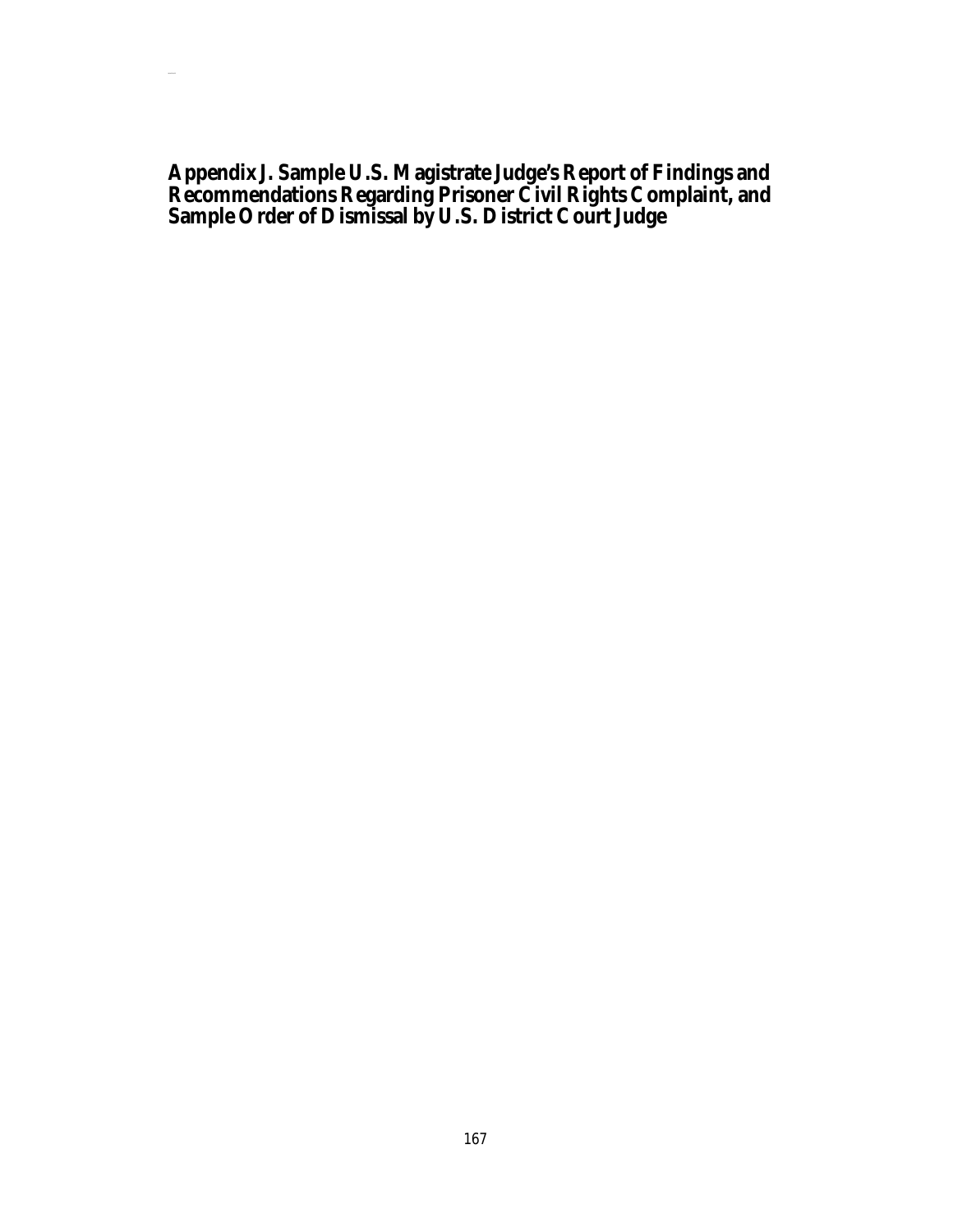**Appendix J. Sample U.S. Magistrate Judge's Report of Findings and Recommendations Regarding Prisoner Civil Rights Complaint, and Sample Order of Dismissal by U.S. District Court Judge**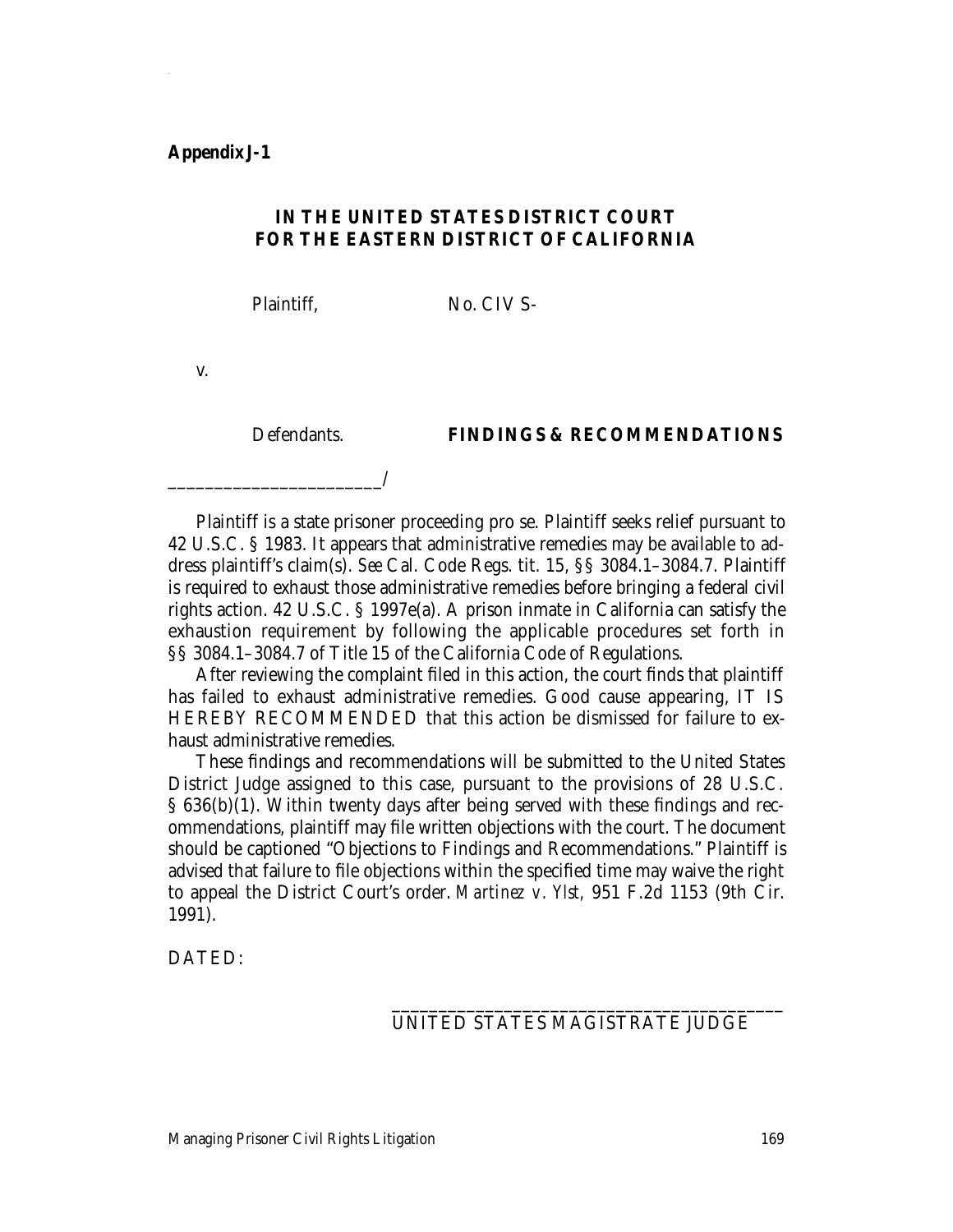# **IN THE UNITED STATES DISTRICT COURT FOR THE EASTERN DISTRICT OF CALIFORNIA**

Plaintiff, No. CIV S-

v.

\_\_\_\_\_\_\_\_\_\_\_\_\_\_\_\_\_\_\_\_\_\_\_/

#### Defendants. **FINDINGS & RECOMMENDATIONS**

Plaintiff is a state prisoner proceeding pro se. Plaintiff seeks relief pursuant to 42 U.S.C. § 1983. It appears that administrative remedies may be available to address plaintiff's claim(s). *See* Cal. Code Regs. tit. 15, §§ 3084.1–3084.7. Plaintiff is required to exhaust those administrative remedies before bringing a federal civil rights action. 42 U.S.C. § 1997e(a). A prison inmate in California can satisfy the exhaustion requirement by following the applicable procedures set forth in §§ 3084.1–3084.7 of Title 15 of the California Code of Regulations.

After reviewing the complaint filed in this action, the court finds that plaintiff has failed to exhaust administrative remedies. Good cause appearing, IT IS HEREBY RECOMMENDED that this action be dismissed for failure to exhaust administrative remedies.

These findings and recommendations will be submitted to the United States District Judge assigned to this case, pursuant to the provisions of 28 U.S.C. § 636(b)(1). Within twenty days after being served with these findings and recommendations, plaintiff may file written objections with the court. The document should be captioned "Objections to Findings and Recommendations." Plaintiff is advised that failure to file objections within the specified time may waive the right to appeal the District Court's order. *Martinez v. Ylst,* 951 F.2d 1153 (9th Cir. 1991).

DATED:

## UNITED STATES MAGISTRATE JUDGE

\_\_\_\_\_\_\_\_\_\_\_\_\_\_\_\_\_\_\_\_\_\_\_\_\_\_\_\_\_\_\_\_\_\_\_\_\_\_\_\_\_\_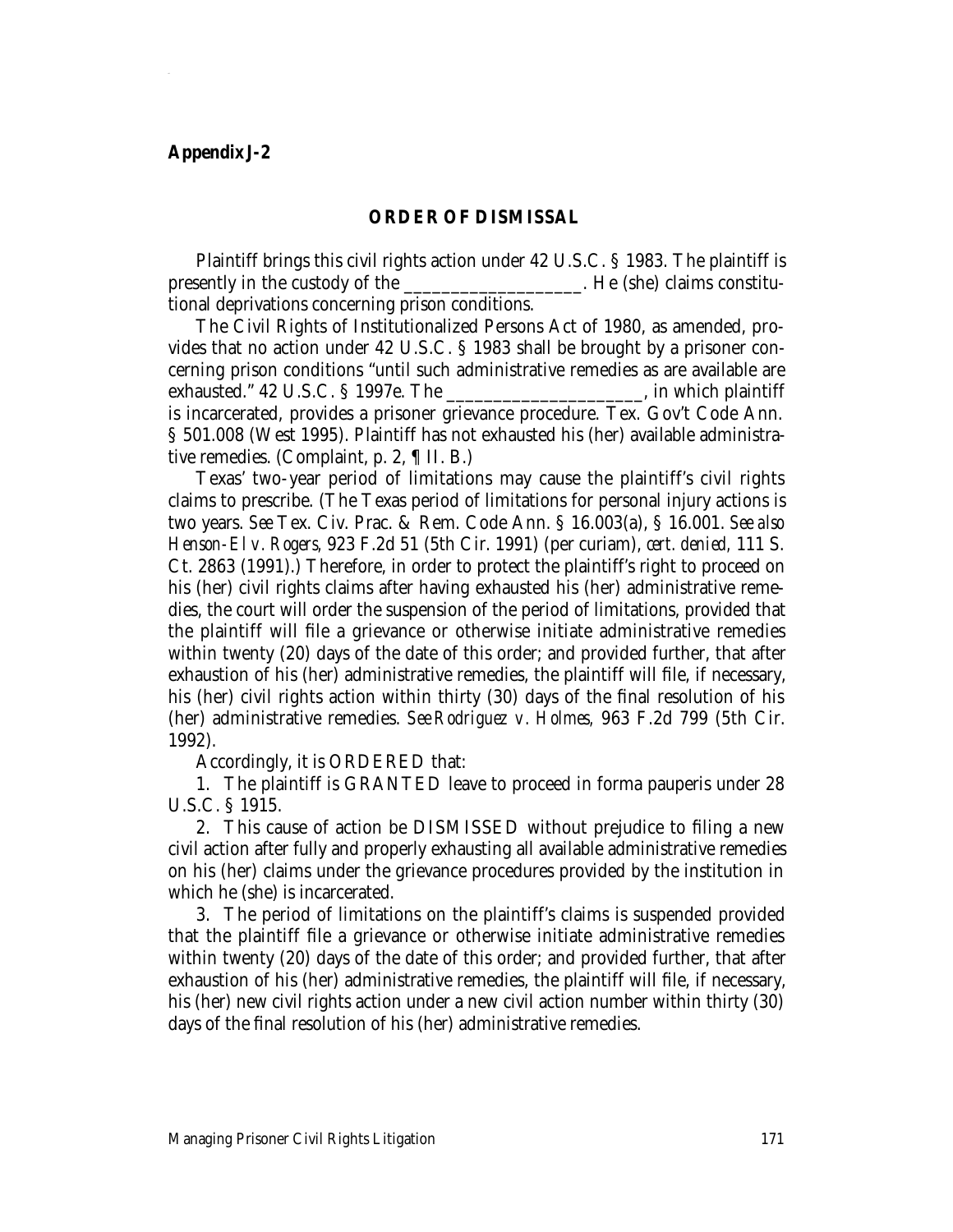# **Appendix J-2**

## **ORDER OF DISMISSAL**

Plaintiff brings this civil rights action under 42 U.S.C. § 1983. The plaintiff is presently in the custody of the \_\_\_\_\_\_\_\_\_\_\_\_\_\_\_\_\_\_\_. He (she) claims constitutional deprivations concerning prison conditions.

The Civil Rights of Institutionalized Persons Act of 1980, as amended, provides that no action under 42 U.S.C. § 1983 shall be brought by a prisoner concerning prison conditions "until such administrative remedies as are available are exhausted." 42 U.S.C. § 1997e. The \_\_\_\_\_\_\_\_\_\_\_\_\_\_\_\_\_\_\_\_\_\_, in which plaintiff is incarcerated, provides a prisoner grievance procedure. Tex. Gov't Code Ann. § 501.008 (West 1995). Plaintiff has not exhausted his (her) available administrative remedies. (Complaint, p. 2, ¶ II. B.)

Texas' two-year period of limitations may cause the plaintiff's civil rights claims to prescribe. (The Texas period of limitations for personal injury actions is two years. *See* Tex. Civ. Prac. & Rem. Code Ann. § 16.003(a), § 16.001. *See also Henson-El v. Rogers,* 923 F.2d 51 (5th Cir. 1991) (per curiam), *cert. denied,* 111 S. Ct. 2863 (1991).) Therefore, in order to protect the plaintiff's right to proceed on his (her) civil rights claims after having exhausted his (her) administrative remedies, the court will order the suspension of the period of limitations, provided that the plaintiff will file a grievance or otherwise initiate administrative remedies within twenty (20) days of the date of this order; and provided further, that after exhaustion of his (her) administrative remedies, the plaintiff will file, if necessary, his (her) civil rights action within thirty (30) days of the final resolution of his (her) administrative remedies. *See Rodriguez v. Holmes,* 963 F.2d 799 (5th Cir. 1992).

Accordingly, it is ORDERED that:

1. The plaintiff is GRANTED leave to proceed in forma pauperis under 28 U.S.C. § 1915.

2. This cause of action be DISMISSED without prejudice to filing a new civil action after fully and properly exhausting all available administrative remedies on his (her) claims under the grievance procedures provided by the institution in which he (she) is incarcerated.

3. The period of limitations on the plaintiff's claims is suspended provided that the plaintiff file a grievance or otherwise initiate administrative remedies within twenty (20) days of the date of this order; and provided further, that after exhaustion of his (her) administrative remedies, the plaintiff will file, if necessary, his (her) new civil rights action under a new civil action number within thirty (30) days of the final resolution of his (her) administrative remedies.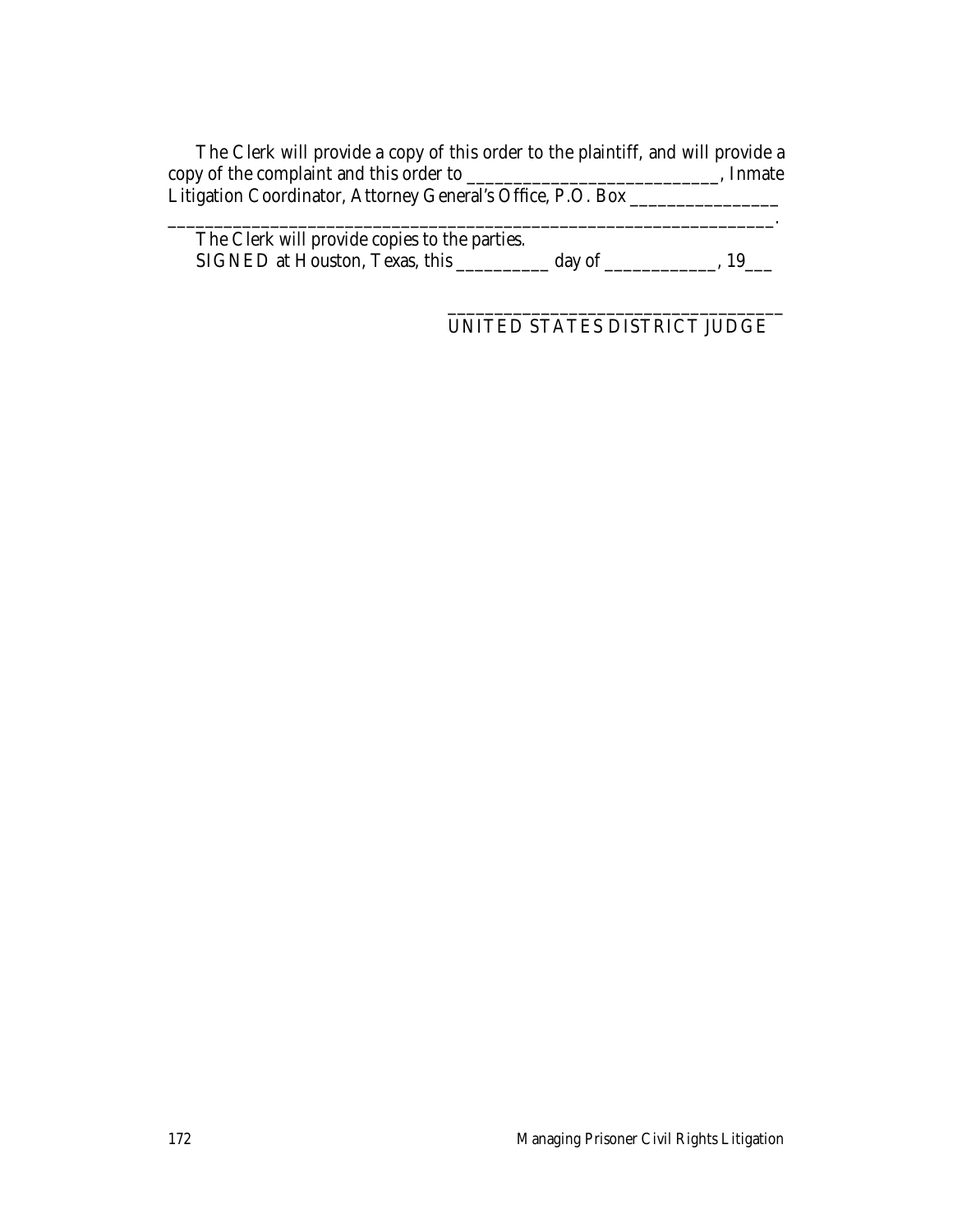| The Clerk will provide a copy of this order to the plaintiff, and will provide a |          |
|----------------------------------------------------------------------------------|----------|
| copy of the complaint and this order to                                          | . Inmate |
| Litigation Coordinator, Attorney General's Office, P.O. Box                      |          |

The Clerk will provide copies to the parties. SIGNED at Houston, Texas, this \_\_\_\_\_\_\_\_\_\_ day of \_\_\_\_\_\_\_\_\_\_\_\_, 19\_\_\_

> \_\_\_\_\_\_\_\_\_\_\_\_\_\_\_\_\_\_\_\_\_\_\_\_\_\_\_\_\_\_\_\_\_\_\_\_ UNITED STATES DISTRICT JUDGE

\_\_\_\_\_\_\_\_\_\_\_\_\_\_\_\_\_\_\_\_\_\_\_\_\_\_\_\_\_\_\_\_\_\_\_\_\_\_\_\_\_\_\_\_\_\_\_\_\_\_\_\_\_\_\_\_\_\_\_\_\_\_\_\_\_.